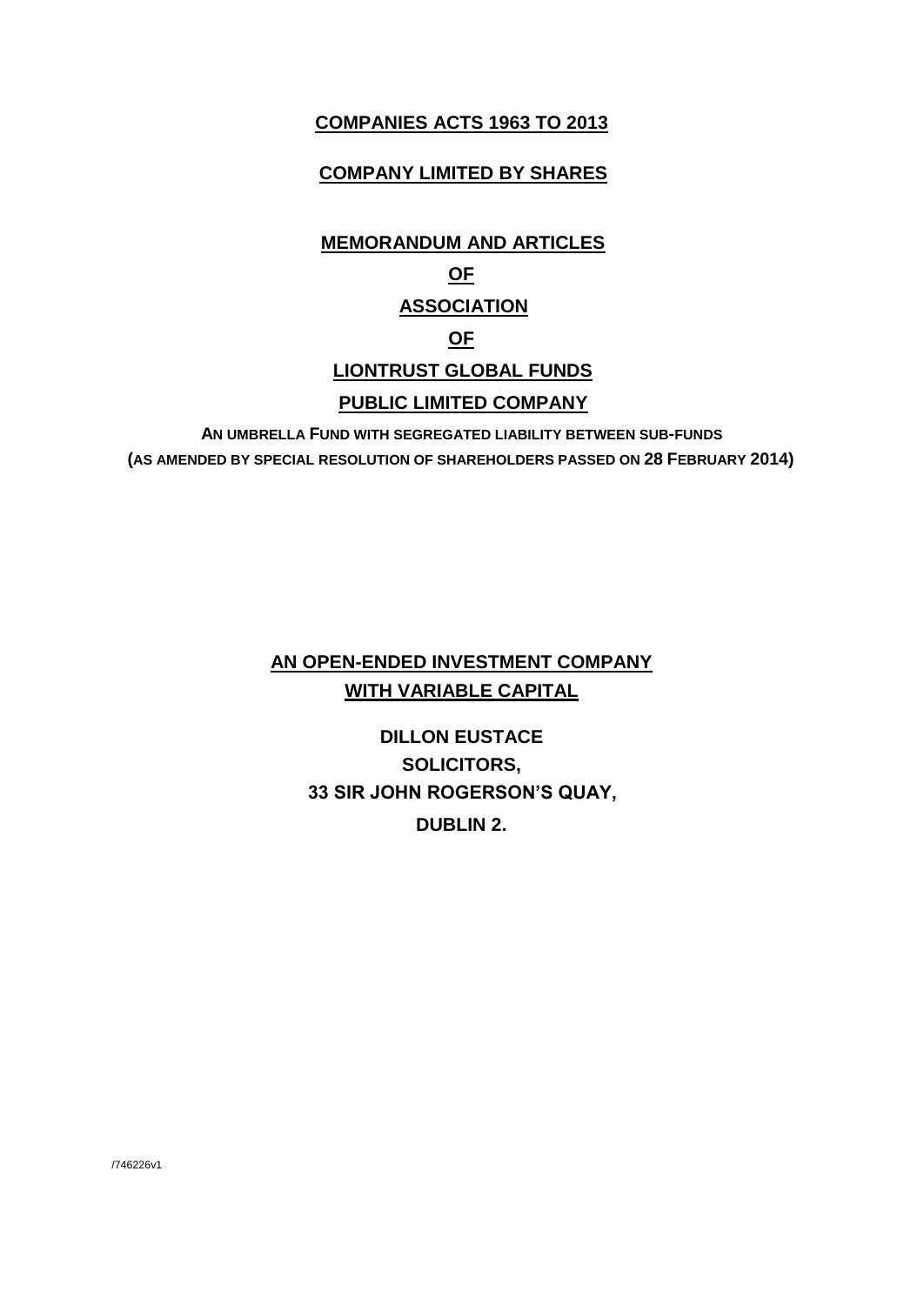## **COMPANIES ACTS 1963 TO 2013**

## **COMPANY LIMITED BY SHARES**

# **MEMORANDUM AND ARTICLES OF ASSOCIATION OF LIONTRUST GLOBAL FUNDS PUBLIC LIMITED COMPANY**

**AN UMBRELLA FUND WITH SEGREGATED LIABILITY BETWEEN SUB-FUNDS (AS AMENDED BY SPECIAL RESOLUTION OF SHAREHOLDERS PASSED ON 28 FEBRUARY 2014)**

## **AN OPEN-ENDED INVESTMENT COMPANY WITH VARIABLE CAPITAL**

# **DILLON EUSTACE SOLICITORS, 33 SIR JOHN ROGERSON'S QUAY, DUBLIN 2.**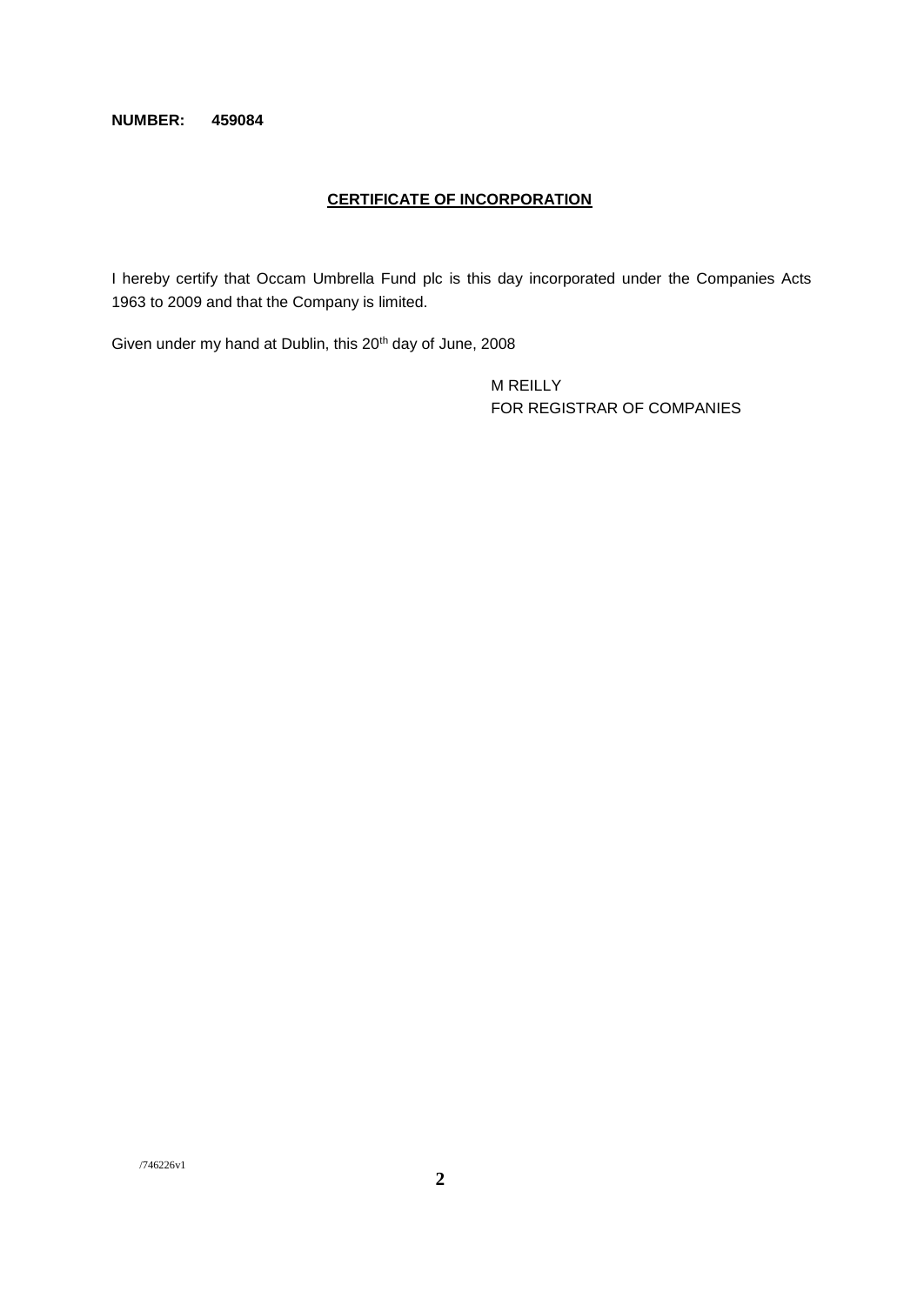## **NUMBER: 459084**

## **CERTIFICATE OF INCORPORATION**

I hereby certify that Occam Umbrella Fund plc is this day incorporated under the Companies Acts 1963 to 2009 and that the Company is limited.

Given under my hand at Dublin, this 20th day of June, 2008

M REILLY FOR REGISTRAR OF COMPANIES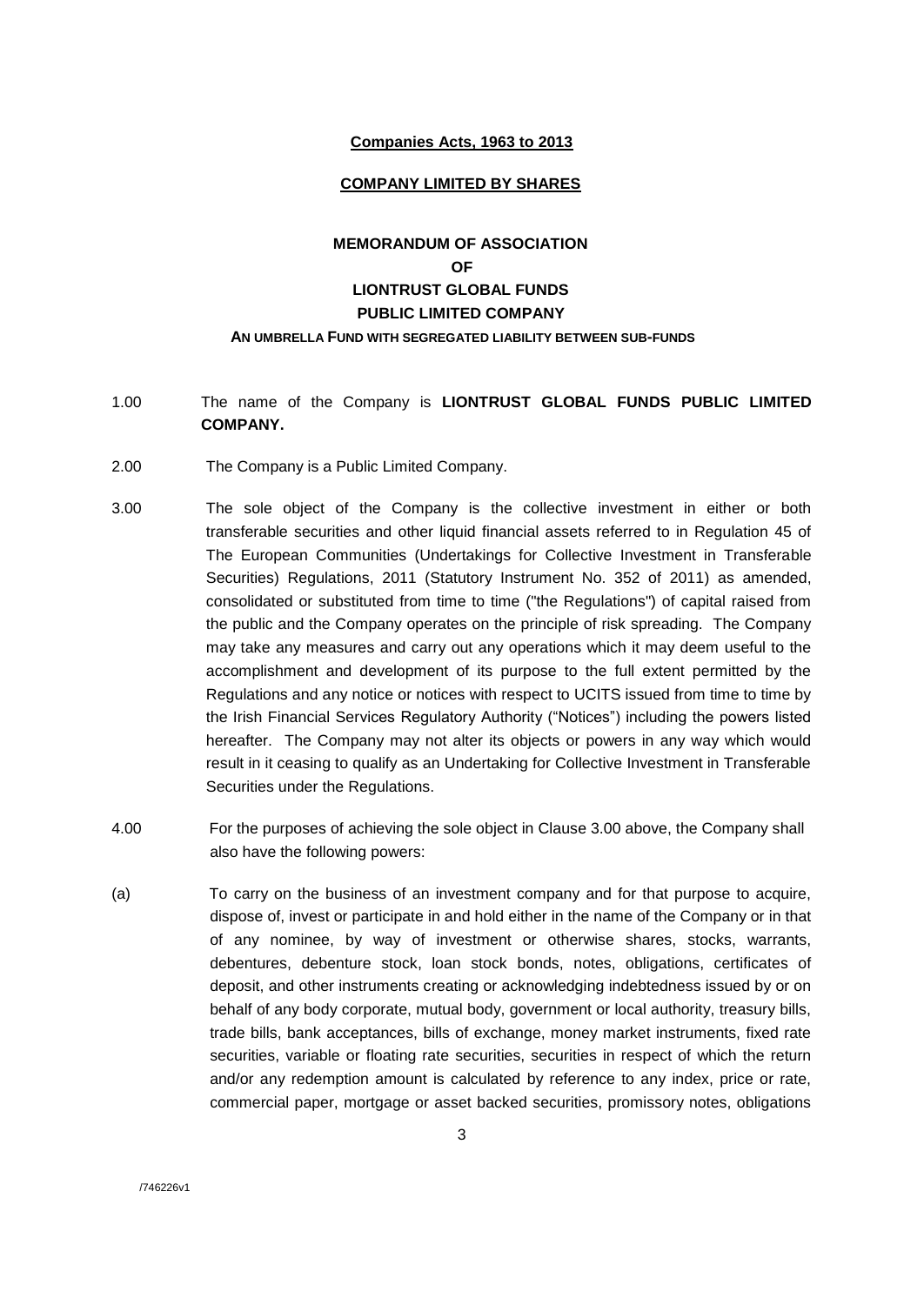## **Companies Acts, 1963 to 2013**

#### **COMPANY LIMITED BY SHARES**

## **MEMORANDUM OF ASSOCIATION OF LIONTRUST GLOBAL FUNDS PUBLIC LIMITED COMPANY AN UMBRELLA FUND WITH SEGREGATED LIABILITY BETWEEN SUB-FUNDS**

- 1.00 The name of the Company is **LIONTRUST GLOBAL FUNDS PUBLIC LIMITED COMPANY.**
- 2.00 The Company is a Public Limited Company.
- 3.00 The sole object of the Company is the collective investment in either or both transferable securities and other liquid financial assets referred to in Regulation 45 of The European Communities (Undertakings for Collective Investment in Transferable Securities) Regulations, 2011 (Statutory Instrument No. 352 of 2011) as amended, consolidated or substituted from time to time ("the Regulations") of capital raised from the public and the Company operates on the principle of risk spreading. The Company may take any measures and carry out any operations which it may deem useful to the accomplishment and development of its purpose to the full extent permitted by the Regulations and any notice or notices with respect to UCITS issued from time to time by the Irish Financial Services Regulatory Authority ("Notices") including the powers listed hereafter. The Company may not alter its objects or powers in any way which would result in it ceasing to qualify as an Undertaking for Collective Investment in Transferable Securities under the Regulations.
- 4.00 For the purposes of achieving the sole object in Clause 3.00 above, the Company shall also have the following powers:
- (a) To carry on the business of an investment company and for that purpose to acquire, dispose of, invest or participate in and hold either in the name of the Company or in that of any nominee, by way of investment or otherwise shares, stocks, warrants, debentures, debenture stock, loan stock bonds, notes, obligations, certificates of deposit, and other instruments creating or acknowledging indebtedness issued by or on behalf of any body corporate, mutual body, government or local authority, treasury bills, trade bills, bank acceptances, bills of exchange, money market instruments, fixed rate securities, variable or floating rate securities, securities in respect of which the return and/or any redemption amount is calculated by reference to any index, price or rate, commercial paper, mortgage or asset backed securities, promissory notes, obligations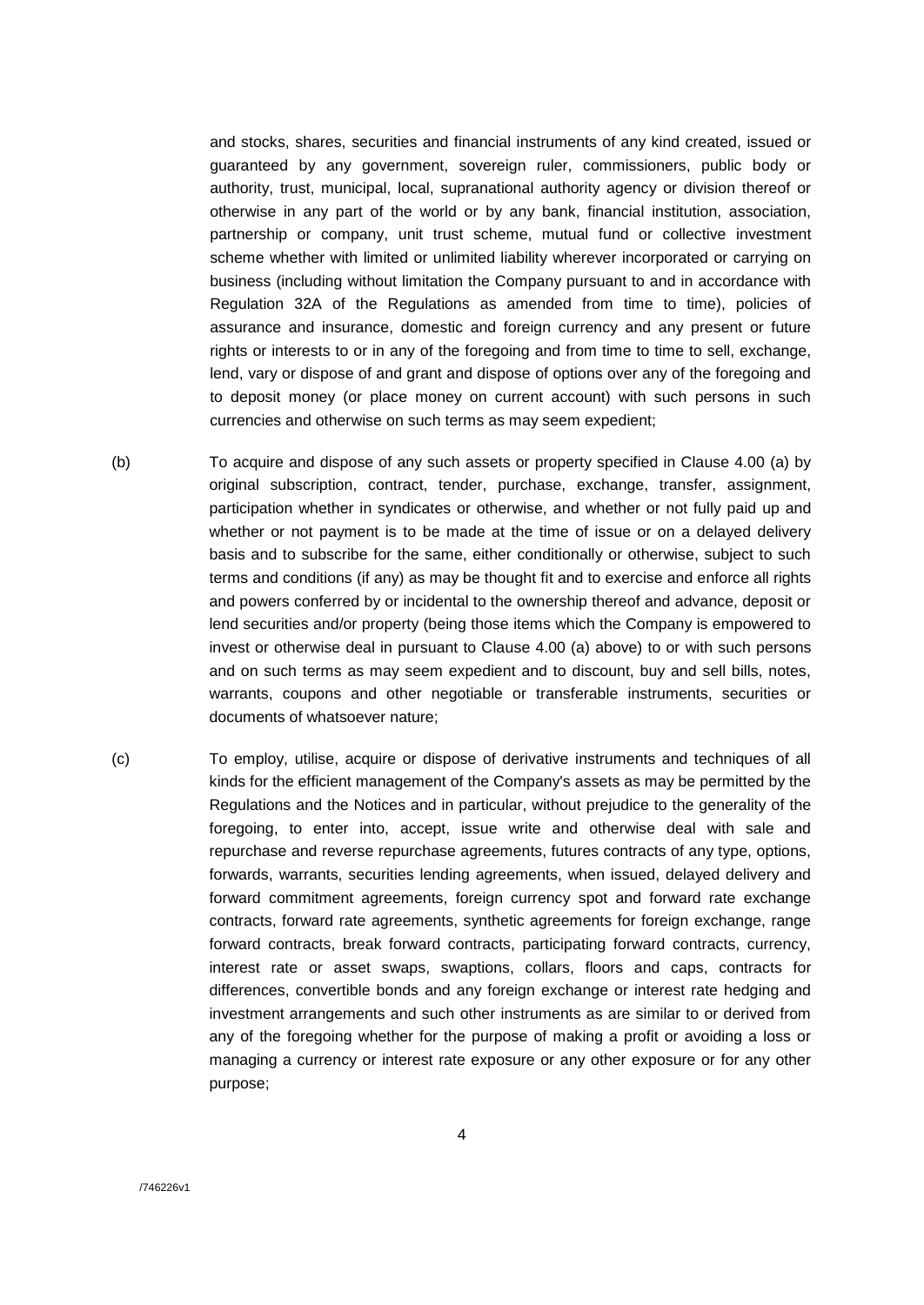and stocks, shares, securities and financial instruments of any kind created, issued or guaranteed by any government, sovereign ruler, commissioners, public body or authority, trust, municipal, local, supranational authority agency or division thereof or otherwise in any part of the world or by any bank, financial institution, association, partnership or company, unit trust scheme, mutual fund or collective investment scheme whether with limited or unlimited liability wherever incorporated or carrying on business (including without limitation the Company pursuant to and in accordance with Regulation 32A of the Regulations as amended from time to time), policies of assurance and insurance, domestic and foreign currency and any present or future rights or interests to or in any of the foregoing and from time to time to sell, exchange, lend, vary or dispose of and grant and dispose of options over any of the foregoing and to deposit money (or place money on current account) with such persons in such currencies and otherwise on such terms as may seem expedient;

- (b) To acquire and dispose of any such assets or property specified in Clause 4.00 (a) by original subscription, contract, tender, purchase, exchange, transfer, assignment, participation whether in syndicates or otherwise, and whether or not fully paid up and whether or not payment is to be made at the time of issue or on a delayed delivery basis and to subscribe for the same, either conditionally or otherwise, subject to such terms and conditions (if any) as may be thought fit and to exercise and enforce all rights and powers conferred by or incidental to the ownership thereof and advance, deposit or lend securities and/or property (being those items which the Company is empowered to invest or otherwise deal in pursuant to Clause 4.00 (a) above) to or with such persons and on such terms as may seem expedient and to discount, buy and sell bills, notes, warrants, coupons and other negotiable or transferable instruments, securities or documents of whatsoever nature;
- (c) To employ, utilise, acquire or dispose of derivative instruments and techniques of all kinds for the efficient management of the Company's assets as may be permitted by the Regulations and the Notices and in particular, without prejudice to the generality of the foregoing, to enter into, accept, issue write and otherwise deal with sale and repurchase and reverse repurchase agreements, futures contracts of any type, options, forwards, warrants, securities lending agreements, when issued, delayed delivery and forward commitment agreements, foreign currency spot and forward rate exchange contracts, forward rate agreements, synthetic agreements for foreign exchange, range forward contracts, break forward contracts, participating forward contracts, currency, interest rate or asset swaps, swaptions, collars, floors and caps, contracts for differences, convertible bonds and any foreign exchange or interest rate hedging and investment arrangements and such other instruments as are similar to or derived from any of the foregoing whether for the purpose of making a profit or avoiding a loss or managing a currency or interest rate exposure or any other exposure or for any other purpose;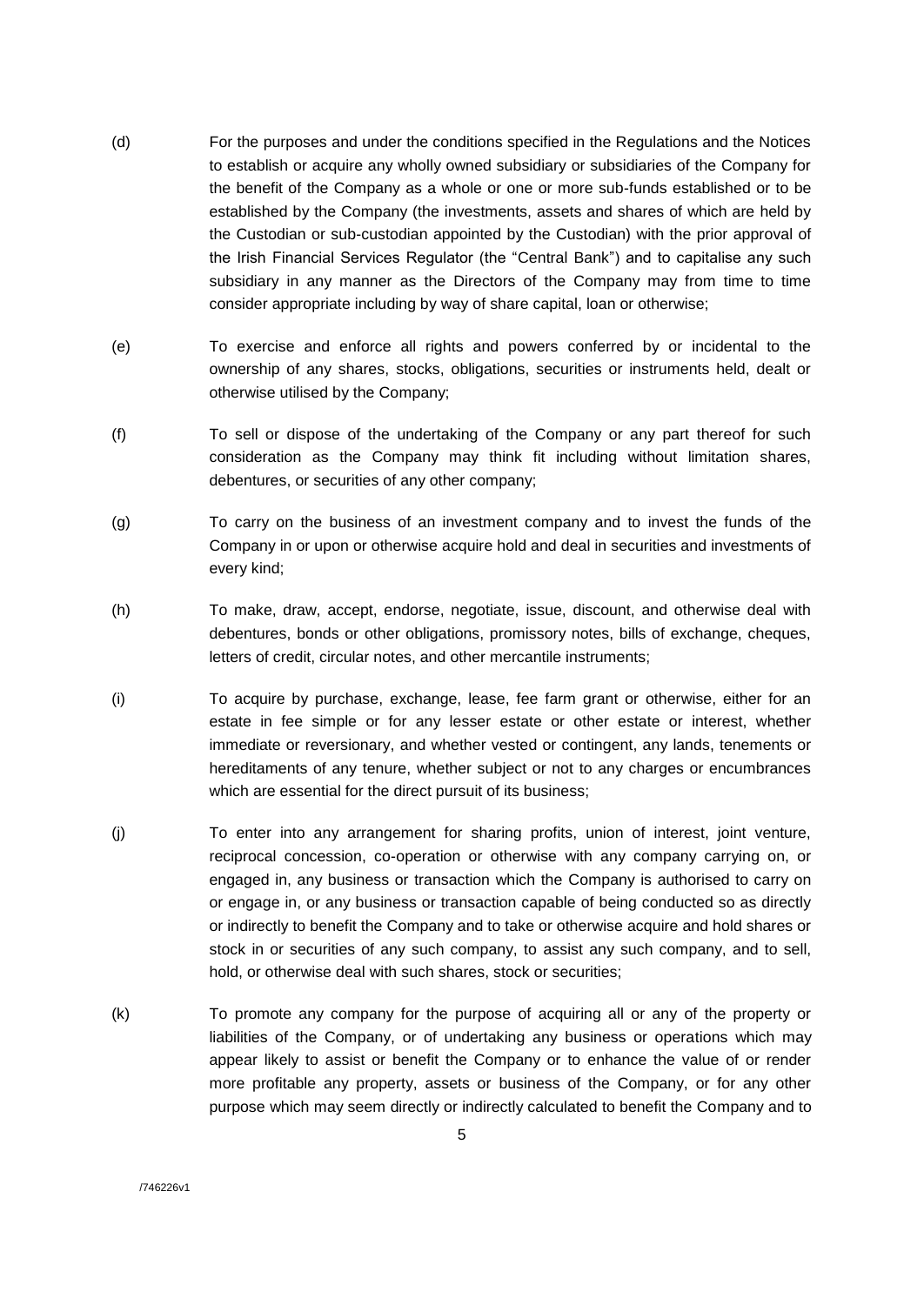- (d) For the purposes and under the conditions specified in the Regulations and the Notices to establish or acquire any wholly owned subsidiary or subsidiaries of the Company for the benefit of the Company as a whole or one or more sub-funds established or to be established by the Company (the investments, assets and shares of which are held by the Custodian or sub-custodian appointed by the Custodian) with the prior approval of the Irish Financial Services Regulator (the "Central Bank") and to capitalise any such subsidiary in any manner as the Directors of the Company may from time to time consider appropriate including by way of share capital, loan or otherwise;
- (e) To exercise and enforce all rights and powers conferred by or incidental to the ownership of any shares, stocks, obligations, securities or instruments held, dealt or otherwise utilised by the Company;
- (f) To sell or dispose of the undertaking of the Company or any part thereof for such consideration as the Company may think fit including without limitation shares, debentures, or securities of any other company;
- (g) To carry on the business of an investment company and to invest the funds of the Company in or upon or otherwise acquire hold and deal in securities and investments of every kind;
- (h) To make, draw, accept, endorse, negotiate, issue, discount, and otherwise deal with debentures, bonds or other obligations, promissory notes, bills of exchange, cheques, letters of credit, circular notes, and other mercantile instruments;
- (i) To acquire by purchase, exchange, lease, fee farm grant or otherwise, either for an estate in fee simple or for any lesser estate or other estate or interest, whether immediate or reversionary, and whether vested or contingent, any lands, tenements or hereditaments of any tenure, whether subject or not to any charges or encumbrances which are essential for the direct pursuit of its business;
- (j) To enter into any arrangement for sharing profits, union of interest, joint venture, reciprocal concession, co-operation or otherwise with any company carrying on, or engaged in, any business or transaction which the Company is authorised to carry on or engage in, or any business or transaction capable of being conducted so as directly or indirectly to benefit the Company and to take or otherwise acquire and hold shares or stock in or securities of any such company, to assist any such company, and to sell, hold, or otherwise deal with such shares, stock or securities;
- (k) To promote any company for the purpose of acquiring all or any of the property or liabilities of the Company, or of undertaking any business or operations which may appear likely to assist or benefit the Company or to enhance the value of or render more profitable any property, assets or business of the Company, or for any other purpose which may seem directly or indirectly calculated to benefit the Company and to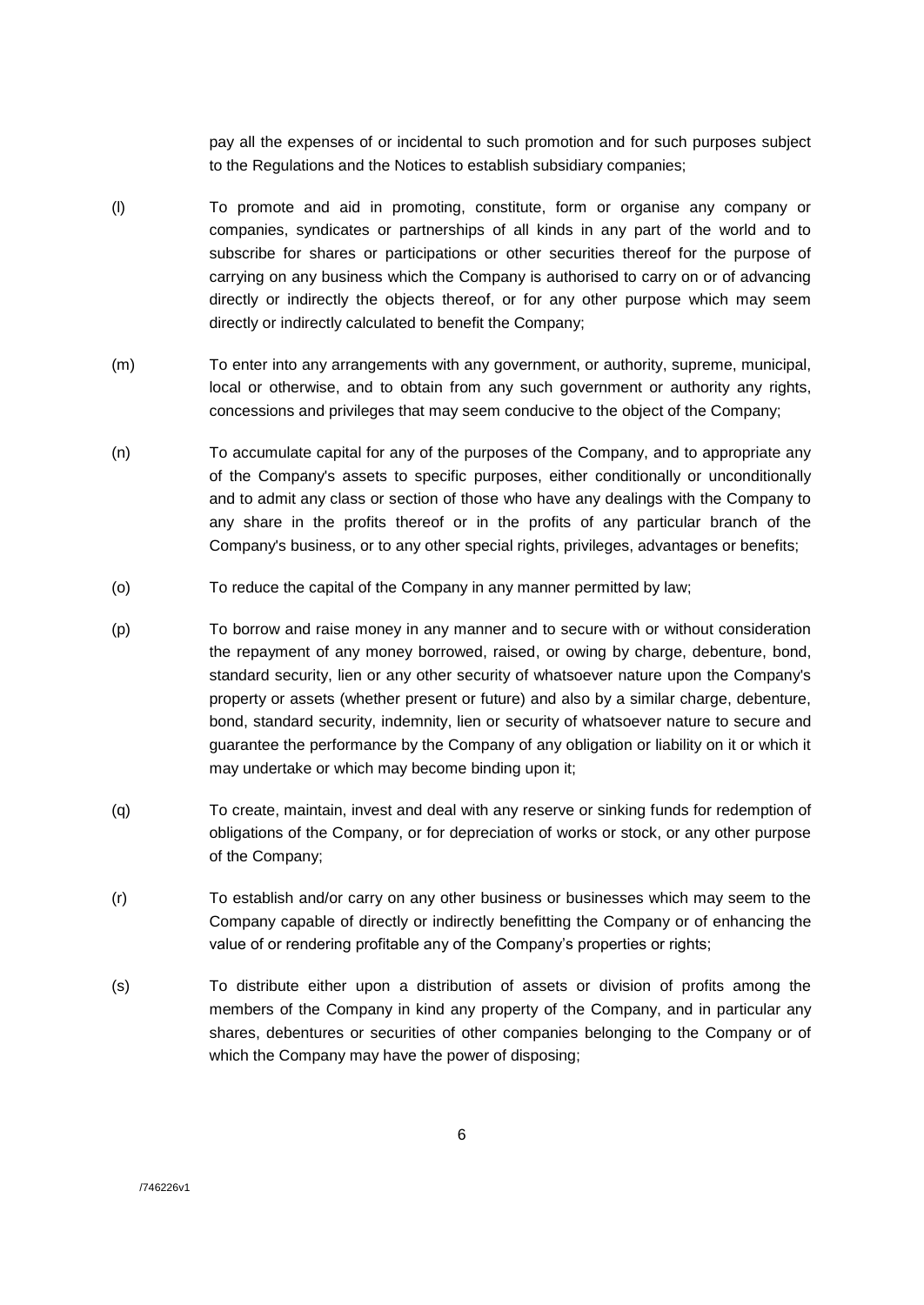pay all the expenses of or incidental to such promotion and for such purposes subject to the Regulations and the Notices to establish subsidiary companies;

- (l) To promote and aid in promoting, constitute, form or organise any company or companies, syndicates or partnerships of all kinds in any part of the world and to subscribe for shares or participations or other securities thereof for the purpose of carrying on any business which the Company is authorised to carry on or of advancing directly or indirectly the objects thereof, or for any other purpose which may seem directly or indirectly calculated to benefit the Company;
- (m) To enter into any arrangements with any government, or authority, supreme, municipal, local or otherwise, and to obtain from any such government or authority any rights, concessions and privileges that may seem conducive to the object of the Company;
- (n) To accumulate capital for any of the purposes of the Company, and to appropriate any of the Company's assets to specific purposes, either conditionally or unconditionally and to admit any class or section of those who have any dealings with the Company to any share in the profits thereof or in the profits of any particular branch of the Company's business, or to any other special rights, privileges, advantages or benefits;
- (o) To reduce the capital of the Company in any manner permitted by law;
- (p) To borrow and raise money in any manner and to secure with or without consideration the repayment of any money borrowed, raised, or owing by charge, debenture, bond, standard security, lien or any other security of whatsoever nature upon the Company's property or assets (whether present or future) and also by a similar charge, debenture, bond, standard security, indemnity, lien or security of whatsoever nature to secure and guarantee the performance by the Company of any obligation or liability on it or which it may undertake or which may become binding upon it;
- (q) To create, maintain, invest and deal with any reserve or sinking funds for redemption of obligations of the Company, or for depreciation of works or stock, or any other purpose of the Company;
- (r) To establish and/or carry on any other business or businesses which may seem to the Company capable of directly or indirectly benefitting the Company or of enhancing the value of or rendering profitable any of the Company's properties or rights;
- (s) To distribute either upon a distribution of assets or division of profits among the members of the Company in kind any property of the Company, and in particular any shares, debentures or securities of other companies belonging to the Company or of which the Company may have the power of disposing;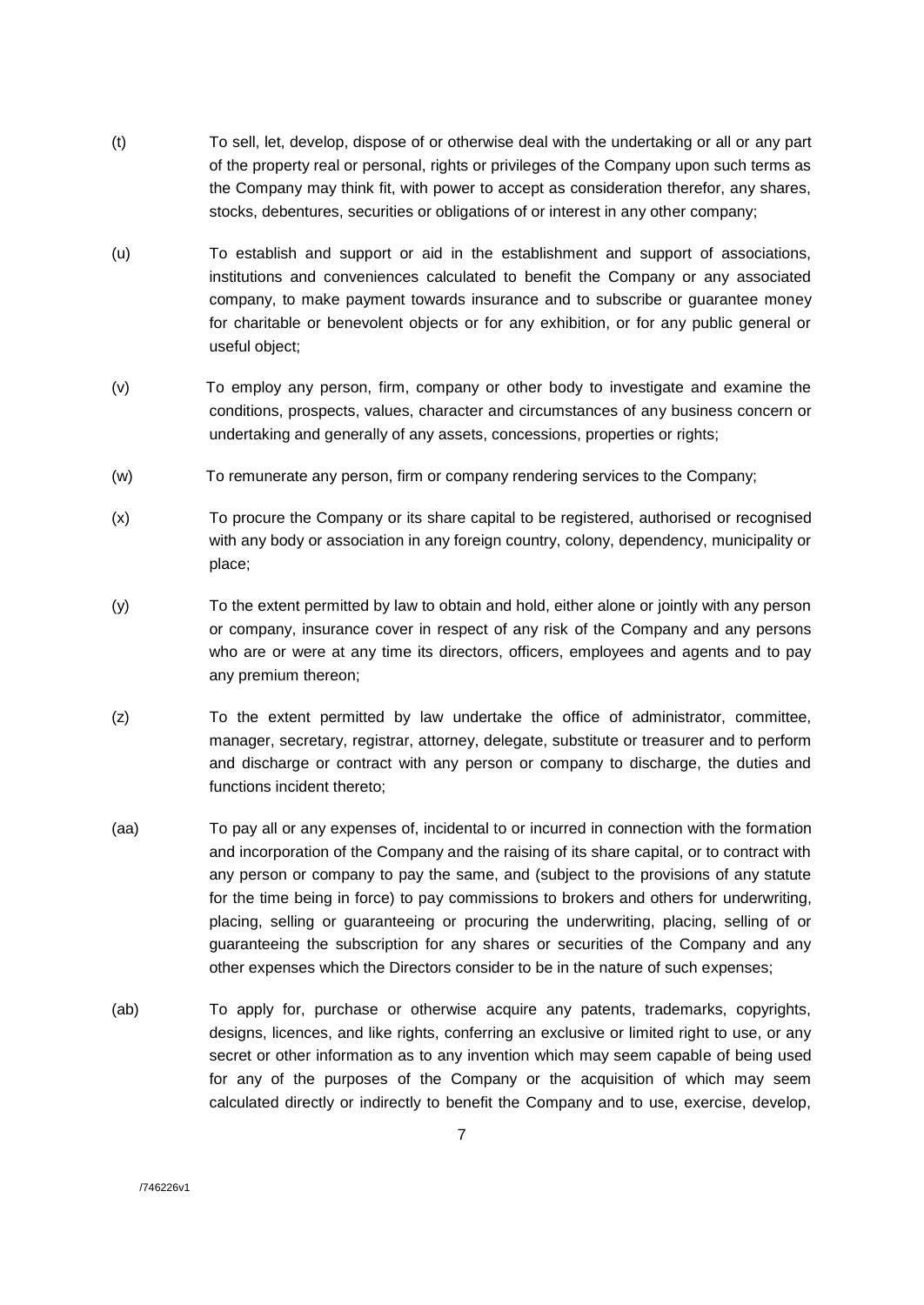- (t) To sell, let, develop, dispose of or otherwise deal with the undertaking or all or any part of the property real or personal, rights or privileges of the Company upon such terms as the Company may think fit, with power to accept as consideration therefor, any shares, stocks, debentures, securities or obligations of or interest in any other company;
- (u) To establish and support or aid in the establishment and support of associations, institutions and conveniences calculated to benefit the Company or any associated company, to make payment towards insurance and to subscribe or guarantee money for charitable or benevolent objects or for any exhibition, or for any public general or useful object;
- (v) To employ any person, firm, company or other body to investigate and examine the conditions, prospects, values, character and circumstances of any business concern or undertaking and generally of any assets, concessions, properties or rights;
- (w) To remunerate any person, firm or company rendering services to the Company;
- (x) To procure the Company or its share capital to be registered, authorised or recognised with any body or association in any foreign country, colony, dependency, municipality or place;
- (y) To the extent permitted by law to obtain and hold, either alone or jointly with any person or company, insurance cover in respect of any risk of the Company and any persons who are or were at any time its directors, officers, employees and agents and to pay any premium thereon;
- (z) To the extent permitted by law undertake the office of administrator, committee, manager, secretary, registrar, attorney, delegate, substitute or treasurer and to perform and discharge or contract with any person or company to discharge, the duties and functions incident thereto;
- (aa) To pay all or any expenses of, incidental to or incurred in connection with the formation and incorporation of the Company and the raising of its share capital, or to contract with any person or company to pay the same, and (subject to the provisions of any statute for the time being in force) to pay commissions to brokers and others for underwriting, placing, selling or guaranteeing or procuring the underwriting, placing, selling of or guaranteeing the subscription for any shares or securities of the Company and any other expenses which the Directors consider to be in the nature of such expenses;
- (ab) To apply for, purchase or otherwise acquire any patents, trademarks, copyrights, designs, licences, and like rights, conferring an exclusive or limited right to use, or any secret or other information as to any invention which may seem capable of being used for any of the purposes of the Company or the acquisition of which may seem calculated directly or indirectly to benefit the Company and to use, exercise, develop,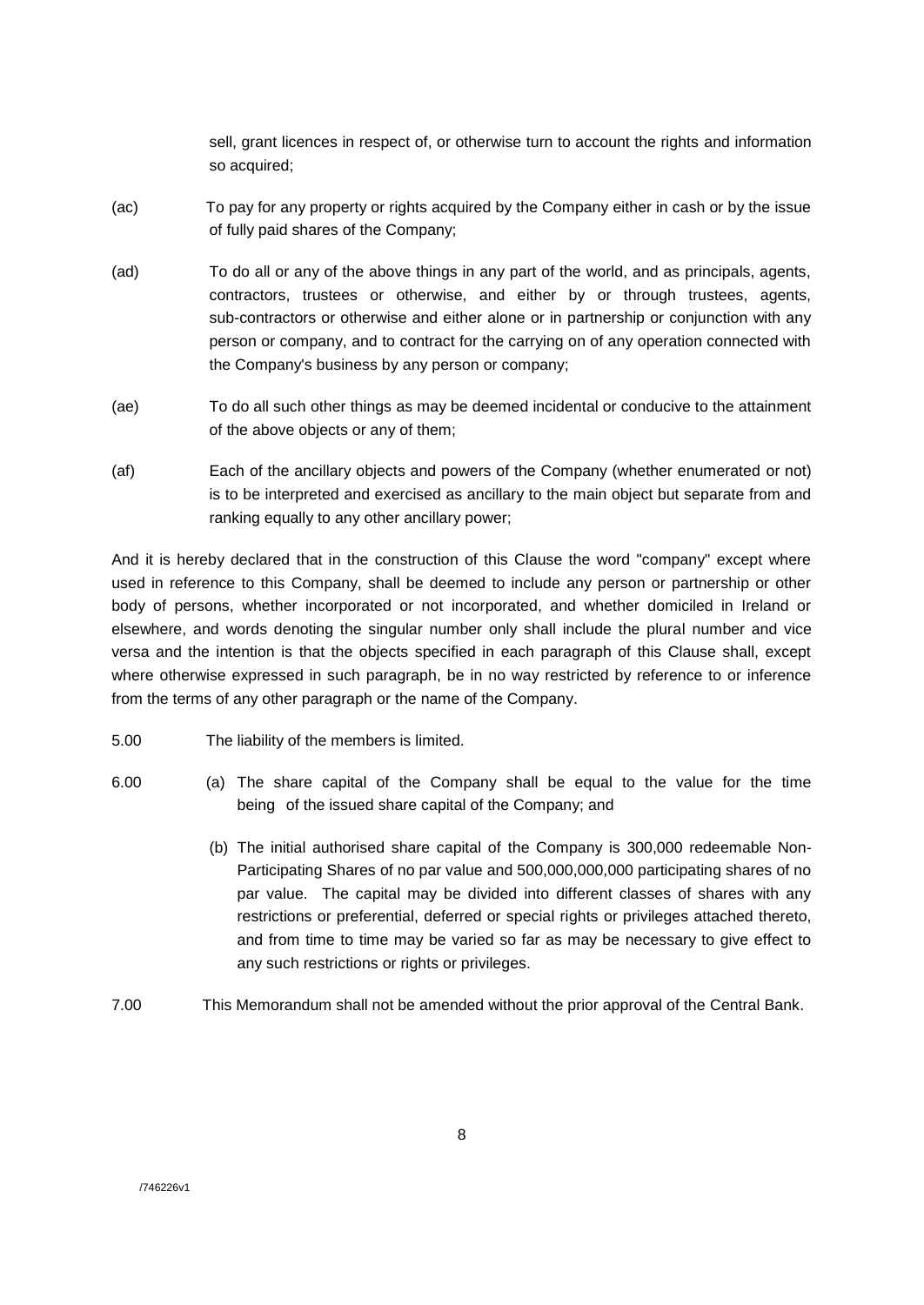sell, grant licences in respect of, or otherwise turn to account the rights and information so acquired;

- (ac) To pay for any property or rights acquired by the Company either in cash or by the issue of fully paid shares of the Company;
- (ad) To do all or any of the above things in any part of the world, and as principals, agents, contractors, trustees or otherwise, and either by or through trustees, agents, sub-contractors or otherwise and either alone or in partnership or conjunction with any person or company, and to contract for the carrying on of any operation connected with the Company's business by any person or company;
- (ae) To do all such other things as may be deemed incidental or conducive to the attainment of the above objects or any of them;
- (af) Each of the ancillary objects and powers of the Company (whether enumerated or not) is to be interpreted and exercised as ancillary to the main object but separate from and ranking equally to any other ancillary power;

And it is hereby declared that in the construction of this Clause the word "company" except where used in reference to this Company, shall be deemed to include any person or partnership or other body of persons, whether incorporated or not incorporated, and whether domiciled in Ireland or elsewhere, and words denoting the singular number only shall include the plural number and vice versa and the intention is that the objects specified in each paragraph of this Clause shall, except where otherwise expressed in such paragraph, be in no way restricted by reference to or inference from the terms of any other paragraph or the name of the Company.

- 5.00 The liability of the members is limited.
- 6.00 (a) The share capital of the Company shall be equal to the value for the time being of the issued share capital of the Company; and
	- (b) The initial authorised share capital of the Company is 300,000 redeemable Non-Participating Shares of no par value and 500,000,000,000 participating shares of no par value. The capital may be divided into different classes of shares with any restrictions or preferential, deferred or special rights or privileges attached thereto, and from time to time may be varied so far as may be necessary to give effect to any such restrictions or rights or privileges.
- 7.00 This Memorandum shall not be amended without the prior approval of the Central Bank.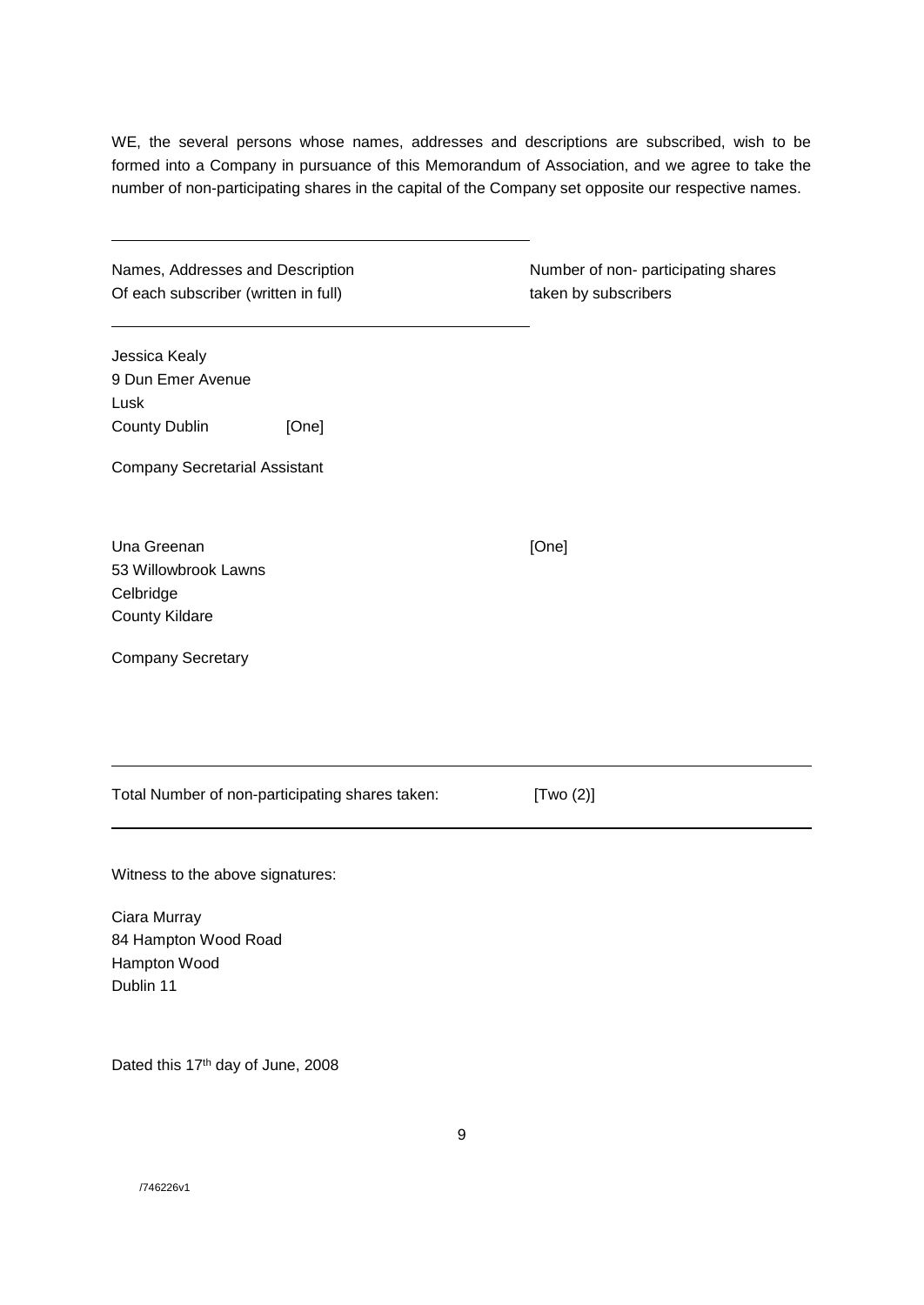WE, the several persons whose names, addresses and descriptions are subscribed, wish to be formed into a Company in pursuance of this Memorandum of Association, and we agree to take the number of non-participating shares in the capital of the Company set opposite our respective names.

| Names, Addresses and Description     |  |
|--------------------------------------|--|
| Of each subscriber (written in full) |  |

Number of non- participating shares taken by subscribers

Jessica Kealy 9 Dun Emer Avenue Lusk County Dublin [One]

Company Secretarial Assistant

Una Greenan [One] 53 Willowbrook Lawns Celbridge County Kildare

Company Secretary

Total Number of non-participating shares taken: [Two (2)]

9

Witness to the above signatures:

Ciara Murray 84 Hampton Wood Road Hampton Wood Dublin 11

Dated this 17<sup>th</sup> day of June, 2008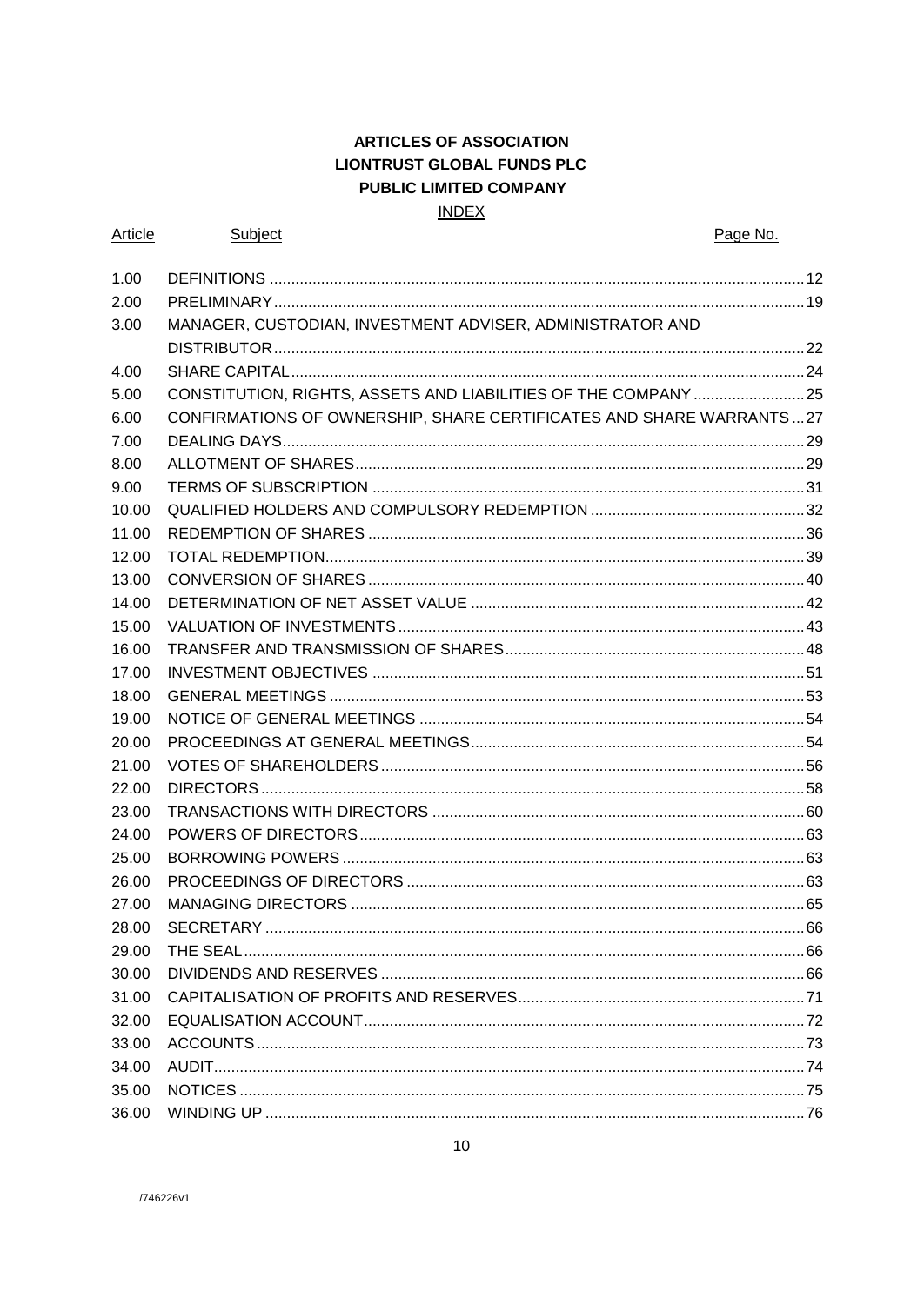## **ARTICLES OF ASSOCIATION LIONTRUST GLOBAL FUNDS PLC** PUBLIC LIMITED COMPANY **INDEX**

| Article | <b>Subject</b>                                                      | Page No. |
|---------|---------------------------------------------------------------------|----------|
| 1.00    |                                                                     |          |
| 2.00    |                                                                     |          |
| 3.00    | MANAGER, CUSTODIAN, INVESTMENT ADVISER, ADMINISTRATOR AND           |          |
|         |                                                                     |          |
| 4.00    |                                                                     |          |
| 5.00    | CONSTITUTION, RIGHTS, ASSETS AND LIABILITIES OF THE COMPANY 25      |          |
| 6.00    | CONFIRMATIONS OF OWNERSHIP, SHARE CERTIFICATES AND SHARE WARRANTS27 |          |
| 7.00    |                                                                     |          |
| 8.00    |                                                                     |          |
| 9.00    |                                                                     |          |
| 10.00   |                                                                     |          |
| 11.00   |                                                                     |          |
| 12.00   |                                                                     |          |
| 13.00   |                                                                     |          |
| 14.00   |                                                                     |          |
| 15.00   |                                                                     |          |
| 16.00   |                                                                     |          |
| 17.00   |                                                                     |          |
| 18.00   |                                                                     |          |
| 19.00   |                                                                     |          |
| 20.00   |                                                                     |          |
| 21.00   |                                                                     |          |
| 22.00   |                                                                     |          |
| 23.00   |                                                                     |          |
| 24.00   |                                                                     |          |
| 25.00   |                                                                     |          |
| 26.00   |                                                                     |          |
| 27.00   |                                                                     |          |
| 28.00   |                                                                     |          |
| 29.00   |                                                                     |          |
| 30.00   |                                                                     |          |
| 31.00   |                                                                     |          |
| 32.00   |                                                                     |          |
| 33.00   |                                                                     |          |
| 34.00   |                                                                     |          |
| 35.00   |                                                                     |          |
| 36.00   |                                                                     |          |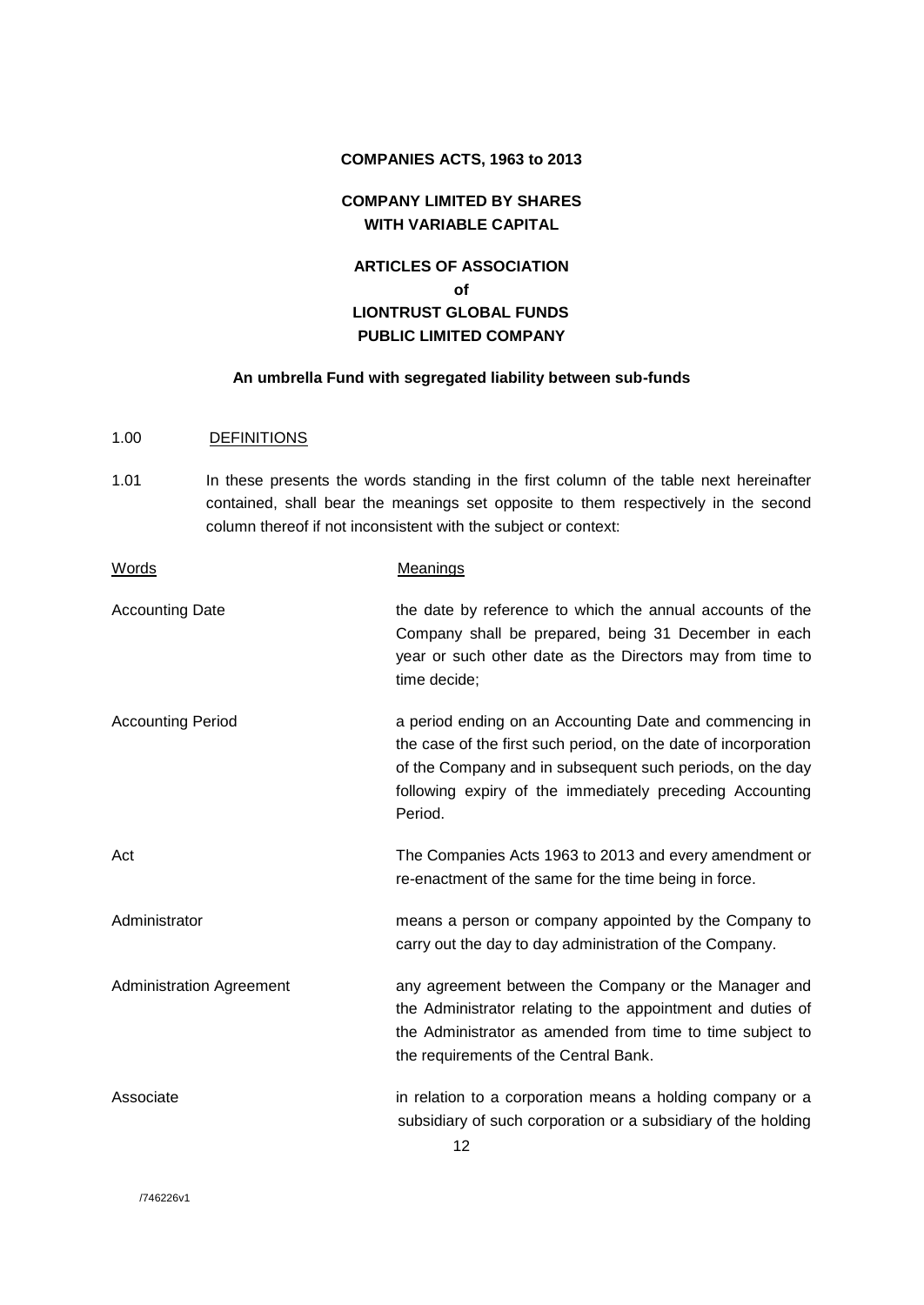#### **COMPANIES ACTS, 1963 to 2013**

## **COMPANY LIMITED BY SHARES WITH VARIABLE CAPITAL**

## **ARTICLES OF ASSOCIATION of LIONTRUST GLOBAL FUNDS PUBLIC LIMITED COMPANY**

## **An umbrella Fund with segregated liability between sub-funds**

## 1.00 DEFINITIONS

1.01 In these presents the words standing in the first column of the table next hereinafter contained, shall bear the meanings set opposite to them respectively in the second column thereof if not inconsistent with the subject or context:

| <b>Words</b>                    | Meanings                                                                                                                                                                                                                                                       |
|---------------------------------|----------------------------------------------------------------------------------------------------------------------------------------------------------------------------------------------------------------------------------------------------------------|
| <b>Accounting Date</b>          | the date by reference to which the annual accounts of the<br>Company shall be prepared, being 31 December in each<br>year or such other date as the Directors may from time to<br>time decide;                                                                 |
| <b>Accounting Period</b>        | a period ending on an Accounting Date and commencing in<br>the case of the first such period, on the date of incorporation<br>of the Company and in subsequent such periods, on the day<br>following expiry of the immediately preceding Accounting<br>Period. |
| Act                             | The Companies Acts 1963 to 2013 and every amendment or<br>re-enactment of the same for the time being in force.                                                                                                                                                |
| Administrator                   | means a person or company appointed by the Company to<br>carry out the day to day administration of the Company.                                                                                                                                               |
| <b>Administration Agreement</b> | any agreement between the Company or the Manager and<br>the Administrator relating to the appointment and duties of<br>the Administrator as amended from time to time subject to<br>the requirements of the Central Bank.                                      |
| Associate                       | in relation to a corporation means a holding company or a<br>subsidiary of such corporation or a subsidiary of the holding<br>10.                                                                                                                              |

/746226v1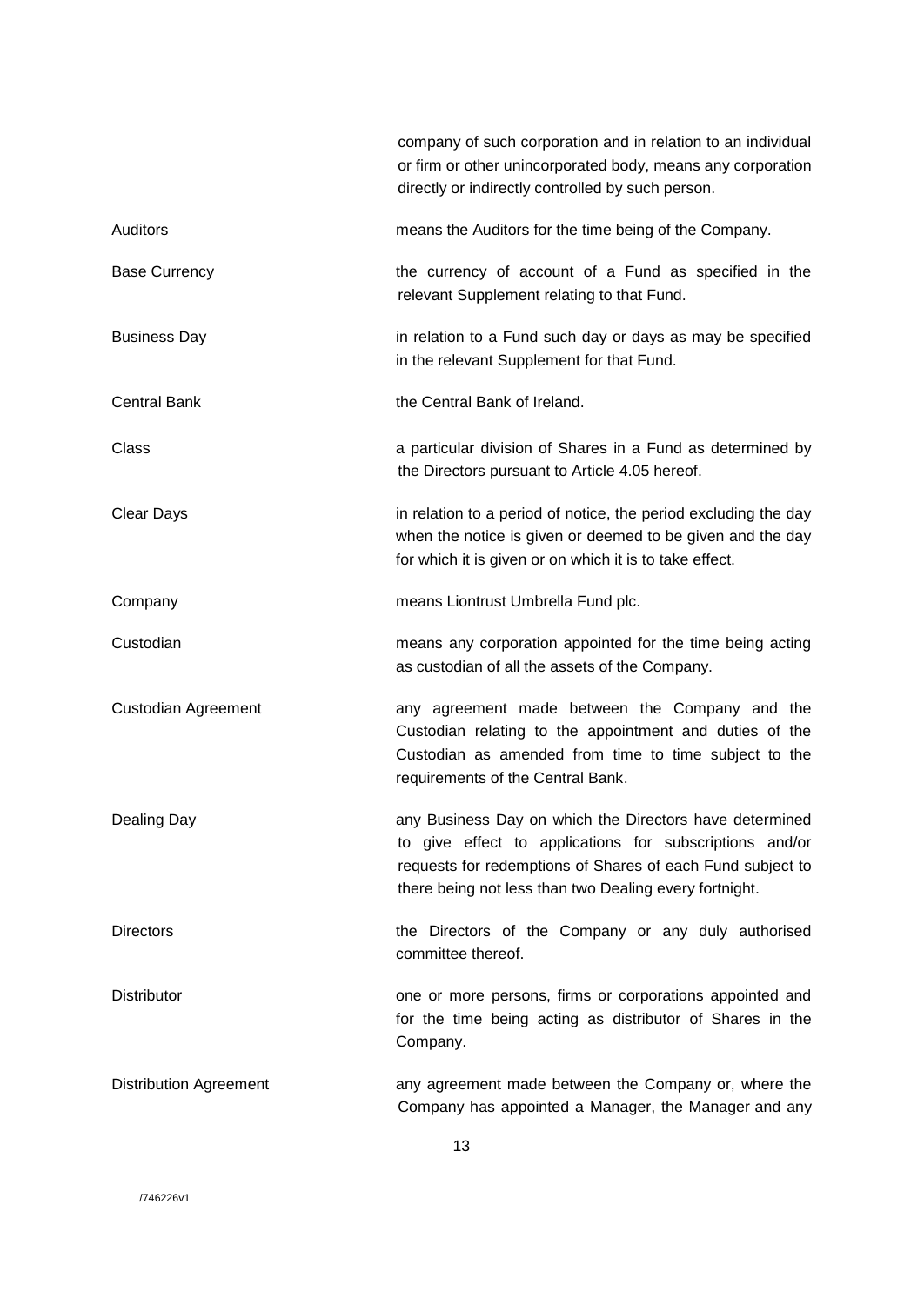|                               | company of such corporation and in relation to an individual<br>or firm or other unincorporated body, means any corporation<br>directly or indirectly controlled by such person.                                                           |
|-------------------------------|--------------------------------------------------------------------------------------------------------------------------------------------------------------------------------------------------------------------------------------------|
| <b>Auditors</b>               | means the Auditors for the time being of the Company.                                                                                                                                                                                      |
| <b>Base Currency</b>          | the currency of account of a Fund as specified in the<br>relevant Supplement relating to that Fund.                                                                                                                                        |
| <b>Business Day</b>           | in relation to a Fund such day or days as may be specified<br>in the relevant Supplement for that Fund.                                                                                                                                    |
| <b>Central Bank</b>           | the Central Bank of Ireland.                                                                                                                                                                                                               |
| Class                         | a particular division of Shares in a Fund as determined by<br>the Directors pursuant to Article 4.05 hereof.                                                                                                                               |
| <b>Clear Days</b>             | in relation to a period of notice, the period excluding the day<br>when the notice is given or deemed to be given and the day<br>for which it is given or on which it is to take effect.                                                   |
| Company                       | means Liontrust Umbrella Fund plc.                                                                                                                                                                                                         |
| Custodian                     | means any corporation appointed for the time being acting<br>as custodian of all the assets of the Company.                                                                                                                                |
| Custodian Agreement           | any agreement made between the Company and the<br>Custodian relating to the appointment and duties of the<br>Custodian as amended from time to time subject to the<br>requirements of the Central Bank.                                    |
| Dealing Day                   | any Business Day on which the Directors have determined<br>to give effect to applications for subscriptions and/or<br>requests for redemptions of Shares of each Fund subject to<br>there being not less than two Dealing every fortnight. |
| <b>Directors</b>              | the Directors of the Company or any duly authorised<br>committee thereof.                                                                                                                                                                  |
| <b>Distributor</b>            | one or more persons, firms or corporations appointed and<br>for the time being acting as distributor of Shares in the<br>Company.                                                                                                          |
| <b>Distribution Agreement</b> | any agreement made between the Company or, where the<br>Company has appointed a Manager, the Manager and any                                                                                                                               |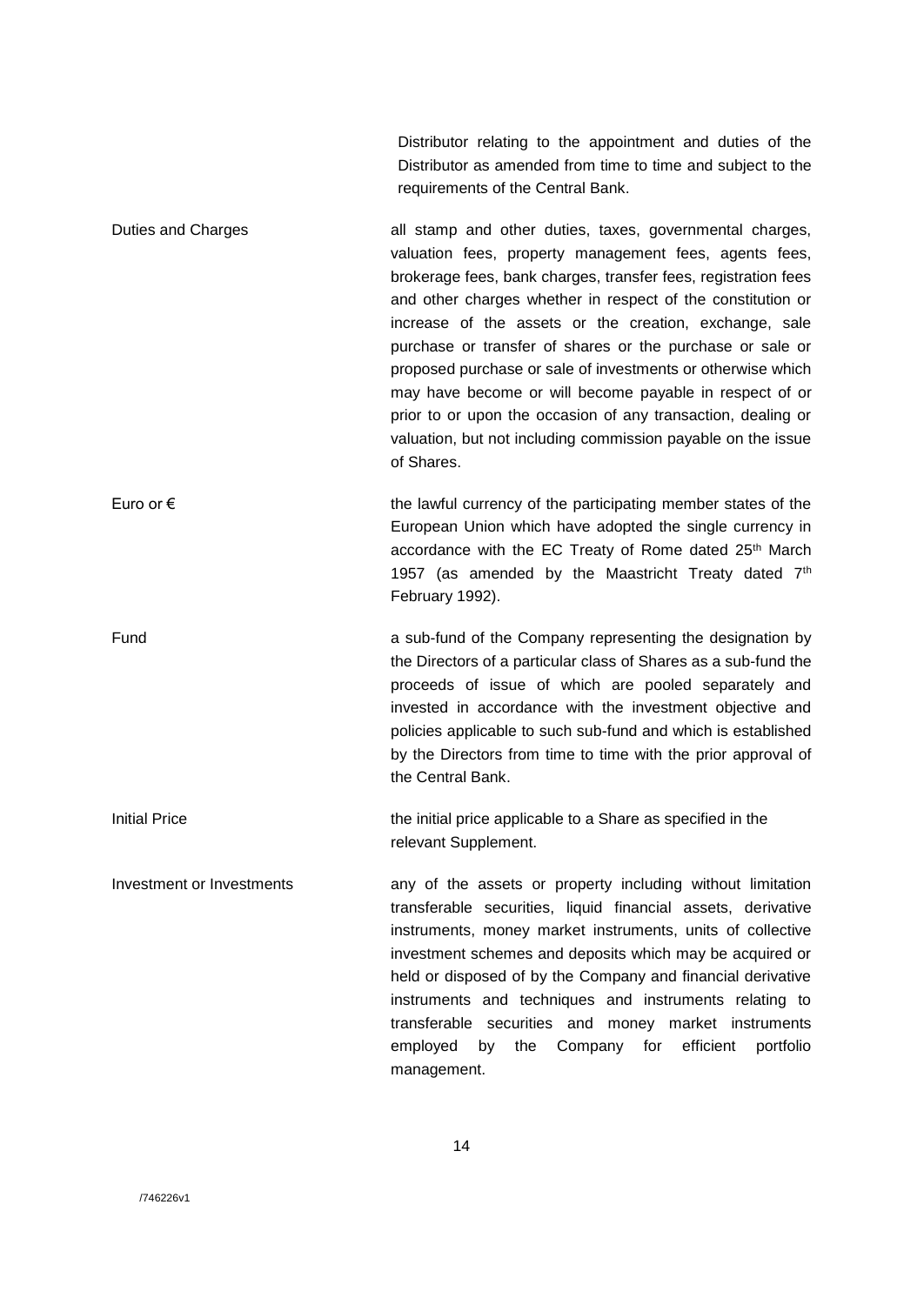Distributor relating to the appointment and duties of the Distributor as amended from time to time and subject to the requirements of the Central Bank.

- Duties and Charges and Stamp and other duties, taxes, governmental charges, valuation fees, property management fees, agents fees, brokerage fees, bank charges, transfer fees, registration fees and other charges whether in respect of the constitution or increase of the assets or the creation, exchange, sale purchase or transfer of shares or the purchase or sale or proposed purchase or sale of investments or otherwise which may have become or will become payable in respect of or prior to or upon the occasion of any transaction, dealing or valuation, but not including commission payable on the issue of Shares.
- Euro or  $\epsilon$  the lawful currency of the participating member states of the European Union which have adopted the single currency in accordance with the EC Treaty of Rome dated 25<sup>th</sup> March 1957 (as amended by the Maastricht Treaty dated  $7<sup>th</sup>$ February 1992).
- Fund a sub-fund of the Company representing the designation by the Directors of a particular class of Shares as a sub-fund the proceeds of issue of which are pooled separately and invested in accordance with the investment objective and policies applicable to such sub-fund and which is established by the Directors from time to time with the prior approval of the Central Bank.
- Initial Price the initial price applicable to a Share as specified in the relevant Supplement.
- Investment or Investments any of the assets or property including without limitation transferable securities, liquid financial assets, derivative instruments, money market instruments, units of collective investment schemes and deposits which may be acquired or held or disposed of by the Company and financial derivative instruments and techniques and instruments relating to transferable securities and money market instruments employed by the Company for efficient portfolio management.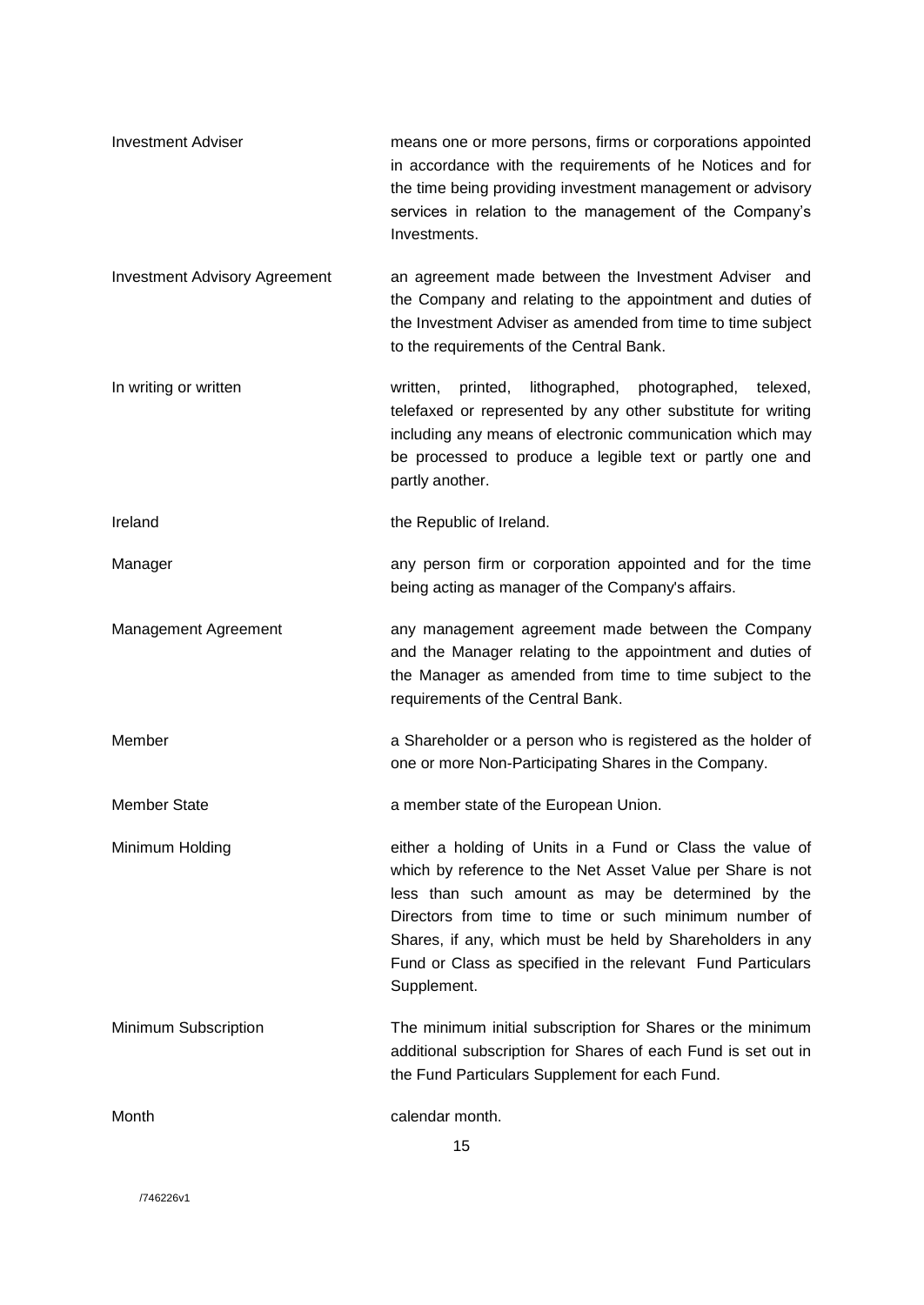| <b>Investment Adviser</b>            | means one or more persons, firms or corporations appointed<br>in accordance with the requirements of he Notices and for<br>the time being providing investment management or advisory<br>services in relation to the management of the Company's<br>Investments.                                                                                                                 |
|--------------------------------------|----------------------------------------------------------------------------------------------------------------------------------------------------------------------------------------------------------------------------------------------------------------------------------------------------------------------------------------------------------------------------------|
| <b>Investment Advisory Agreement</b> | an agreement made between the Investment Adviser and<br>the Company and relating to the appointment and duties of<br>the Investment Adviser as amended from time to time subject<br>to the requirements of the Central Bank.                                                                                                                                                     |
| In writing or written                | printed,<br>lithographed, photographed,<br>written,<br>telexed,<br>telefaxed or represented by any other substitute for writing<br>including any means of electronic communication which may<br>be processed to produce a legible text or partly one and<br>partly another.                                                                                                      |
| Ireland                              | the Republic of Ireland.                                                                                                                                                                                                                                                                                                                                                         |
| Manager                              | any person firm or corporation appointed and for the time<br>being acting as manager of the Company's affairs.                                                                                                                                                                                                                                                                   |
| Management Agreement                 | any management agreement made between the Company<br>and the Manager relating to the appointment and duties of<br>the Manager as amended from time to time subject to the<br>requirements of the Central Bank.                                                                                                                                                                   |
| Member                               | a Shareholder or a person who is registered as the holder of<br>one or more Non-Participating Shares in the Company.                                                                                                                                                                                                                                                             |
| <b>Member State</b>                  | a member state of the European Union.                                                                                                                                                                                                                                                                                                                                            |
| Minimum Holding                      | either a holding of Units in a Fund or Class the value of<br>which by reference to the Net Asset Value per Share is not<br>less than such amount as may be determined by the<br>Directors from time to time or such minimum number of<br>Shares, if any, which must be held by Shareholders in any<br>Fund or Class as specified in the relevant Fund Particulars<br>Supplement. |
| Minimum Subscription                 | The minimum initial subscription for Shares or the minimum<br>additional subscription for Shares of each Fund is set out in<br>the Fund Particulars Supplement for each Fund.                                                                                                                                                                                                    |
| Month                                | calendar month.<br>15                                                                                                                                                                                                                                                                                                                                                            |

/746226v1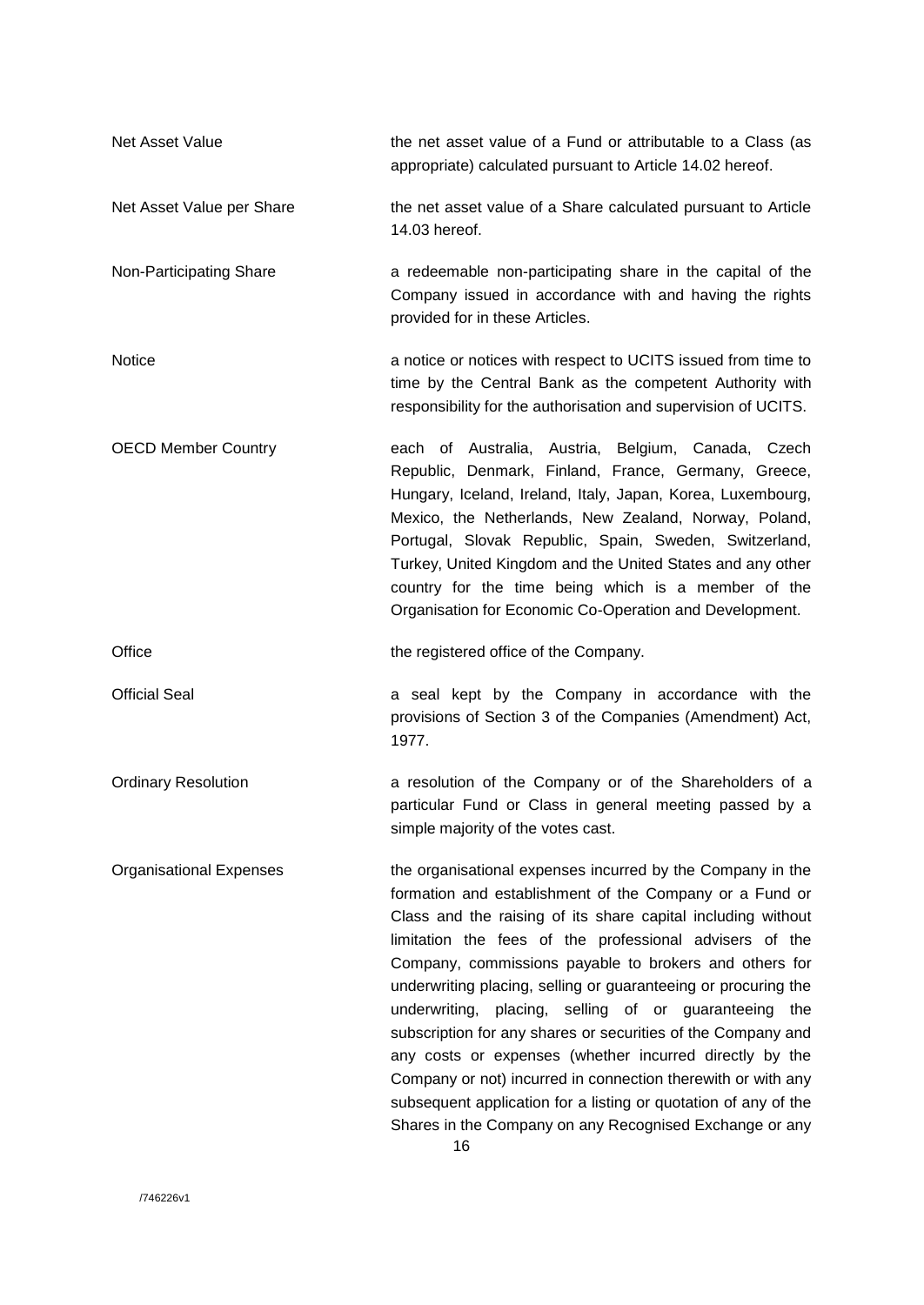| Net Asset Value                | the net asset value of a Fund or attributable to a Class (as<br>appropriate) calculated pursuant to Article 14.02 hereof.                                                                                                                                                                                                                                                                                                                                                                                                                                                                                                                                                                                                                                      |
|--------------------------------|----------------------------------------------------------------------------------------------------------------------------------------------------------------------------------------------------------------------------------------------------------------------------------------------------------------------------------------------------------------------------------------------------------------------------------------------------------------------------------------------------------------------------------------------------------------------------------------------------------------------------------------------------------------------------------------------------------------------------------------------------------------|
| Net Asset Value per Share      | the net asset value of a Share calculated pursuant to Article<br>14.03 hereof.                                                                                                                                                                                                                                                                                                                                                                                                                                                                                                                                                                                                                                                                                 |
| Non-Participating Share        | a redeemable non-participating share in the capital of the<br>Company issued in accordance with and having the rights<br>provided for in these Articles.                                                                                                                                                                                                                                                                                                                                                                                                                                                                                                                                                                                                       |
| <b>Notice</b>                  | a notice or notices with respect to UCITS issued from time to<br>time by the Central Bank as the competent Authority with<br>responsibility for the authorisation and supervision of UCITS.                                                                                                                                                                                                                                                                                                                                                                                                                                                                                                                                                                    |
| <b>OECD Member Country</b>     | each of Australia, Austria, Belgium, Canada, Czech<br>Republic, Denmark, Finland, France, Germany, Greece,<br>Hungary, Iceland, Ireland, Italy, Japan, Korea, Luxembourg,<br>Mexico, the Netherlands, New Zealand, Norway, Poland,<br>Portugal, Slovak Republic, Spain, Sweden, Switzerland,<br>Turkey, United Kingdom and the United States and any other<br>country for the time being which is a member of the<br>Organisation for Economic Co-Operation and Development.                                                                                                                                                                                                                                                                                   |
| Office                         | the registered office of the Company.                                                                                                                                                                                                                                                                                                                                                                                                                                                                                                                                                                                                                                                                                                                          |
| <b>Official Seal</b>           | a seal kept by the Company in accordance with the<br>provisions of Section 3 of the Companies (Amendment) Act,<br>1977.                                                                                                                                                                                                                                                                                                                                                                                                                                                                                                                                                                                                                                        |
| <b>Ordinary Resolution</b>     | a resolution of the Company or of the Shareholders of a<br>particular Fund or Class in general meeting passed by a<br>simple majority of the votes cast.                                                                                                                                                                                                                                                                                                                                                                                                                                                                                                                                                                                                       |
| <b>Organisational Expenses</b> | the organisational expenses incurred by the Company in the<br>formation and establishment of the Company or a Fund or<br>Class and the raising of its share capital including without<br>limitation the fees of the professional advisers of the<br>Company, commissions payable to brokers and others for<br>underwriting placing, selling or guaranteeing or procuring the<br>underwriting, placing, selling of or guaranteeing the<br>subscription for any shares or securities of the Company and<br>any costs or expenses (whether incurred directly by the<br>Company or not) incurred in connection therewith or with any<br>subsequent application for a listing or quotation of any of the<br>Shares in the Company on any Recognised Exchange or any |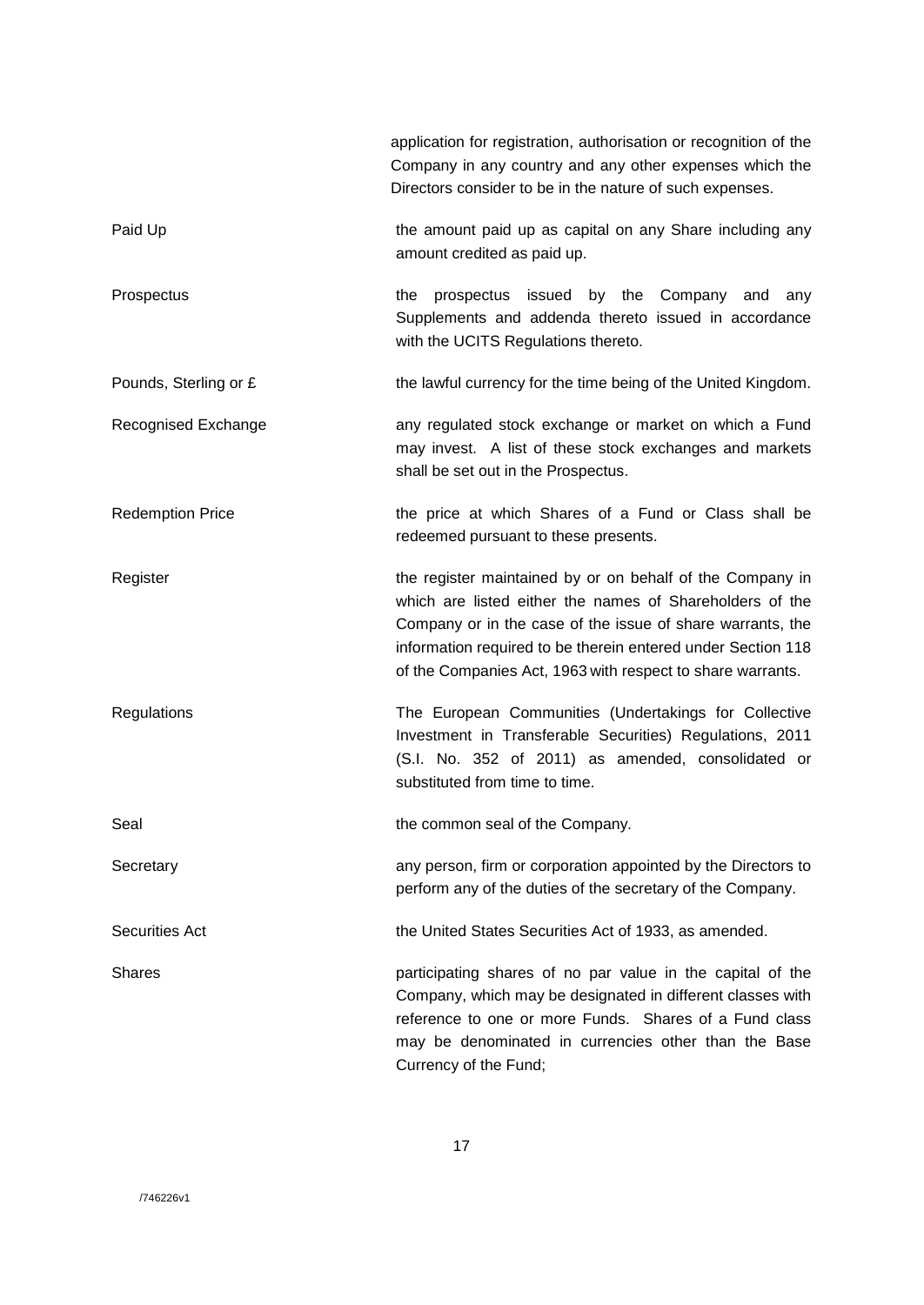|                         | application for registration, authorisation or recognition of the<br>Company in any country and any other expenses which the<br>Directors consider to be in the nature of such expenses.                                                                                                                          |
|-------------------------|-------------------------------------------------------------------------------------------------------------------------------------------------------------------------------------------------------------------------------------------------------------------------------------------------------------------|
| Paid Up                 | the amount paid up as capital on any Share including any<br>amount credited as paid up.                                                                                                                                                                                                                           |
| Prospectus              | prospectus issued by the Company<br>the<br>and<br>any<br>Supplements and addenda thereto issued in accordance<br>with the UCITS Regulations thereto.                                                                                                                                                              |
| Pounds, Sterling or £   | the lawful currency for the time being of the United Kingdom.                                                                                                                                                                                                                                                     |
| Recognised Exchange     | any regulated stock exchange or market on which a Fund<br>may invest. A list of these stock exchanges and markets<br>shall be set out in the Prospectus.                                                                                                                                                          |
| <b>Redemption Price</b> | the price at which Shares of a Fund or Class shall be<br>redeemed pursuant to these presents.                                                                                                                                                                                                                     |
| Register                | the register maintained by or on behalf of the Company in<br>which are listed either the names of Shareholders of the<br>Company or in the case of the issue of share warrants, the<br>information required to be therein entered under Section 118<br>of the Companies Act, 1963 with respect to share warrants. |
| Regulations             | The European Communities (Undertakings for Collective<br>Investment in Transferable Securities) Regulations, 2011<br>(S.I. No. 352 of 2011) as amended, consolidated or<br>substituted from time to time.                                                                                                         |
| Seal                    | the common seal of the Company.                                                                                                                                                                                                                                                                                   |
| Secretary               | any person, firm or corporation appointed by the Directors to<br>perform any of the duties of the secretary of the Company.                                                                                                                                                                                       |
| <b>Securities Act</b>   | the United States Securities Act of 1933, as amended.                                                                                                                                                                                                                                                             |
| <b>Shares</b>           | participating shares of no par value in the capital of the<br>Company, which may be designated in different classes with<br>reference to one or more Funds. Shares of a Fund class<br>may be denominated in currencies other than the Base<br>Currency of the Fund;                                               |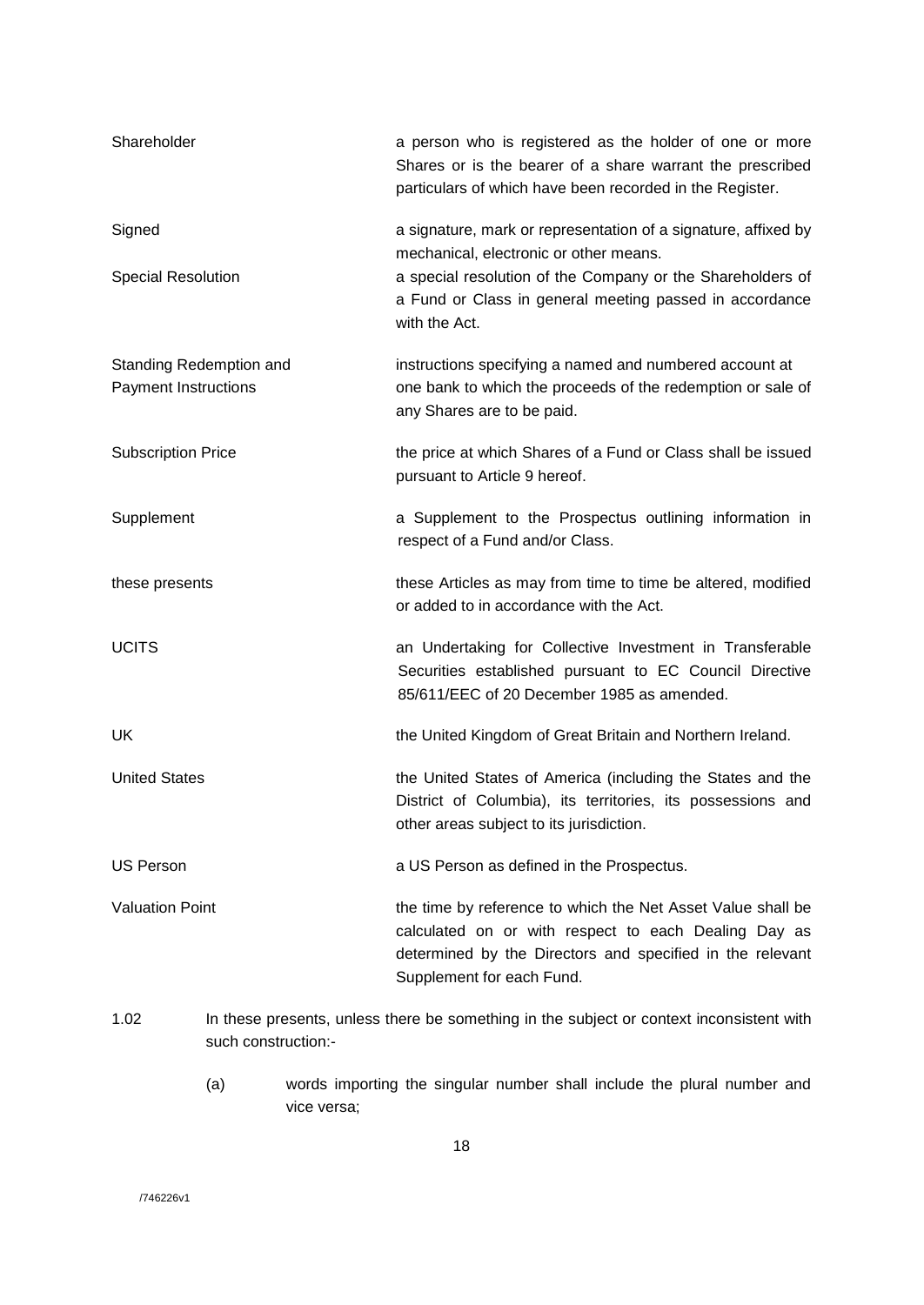| Shareholder                                            |                     | a person who is registered as the holder of one or more<br>Shares or is the bearer of a share warrant the prescribed<br>particulars of which have been recorded in the Register.                              |
|--------------------------------------------------------|---------------------|---------------------------------------------------------------------------------------------------------------------------------------------------------------------------------------------------------------|
| Signed                                                 |                     | a signature, mark or representation of a signature, affixed by<br>mechanical, electronic or other means.                                                                                                      |
| <b>Special Resolution</b>                              |                     | a special resolution of the Company or the Shareholders of<br>a Fund or Class in general meeting passed in accordance<br>with the Act.                                                                        |
| Standing Redemption and<br><b>Payment Instructions</b> |                     | instructions specifying a named and numbered account at<br>one bank to which the proceeds of the redemption or sale of<br>any Shares are to be paid.                                                          |
| <b>Subscription Price</b>                              |                     | the price at which Shares of a Fund or Class shall be issued<br>pursuant to Article 9 hereof.                                                                                                                 |
| Supplement                                             |                     | a Supplement to the Prospectus outlining information in<br>respect of a Fund and/or Class.                                                                                                                    |
| these presents                                         |                     | these Articles as may from time to time be altered, modified<br>or added to in accordance with the Act.                                                                                                       |
| <b>UCITS</b>                                           |                     | an Undertaking for Collective Investment in Transferable<br>Securities established pursuant to EC Council Directive<br>85/611/EEC of 20 December 1985 as amended.                                             |
| UK                                                     |                     | the United Kingdom of Great Britain and Northern Ireland.                                                                                                                                                     |
| <b>United States</b>                                   |                     | the United States of America (including the States and the<br>District of Columbia), its territories, its possessions and<br>other areas subject to its jurisdiction.                                         |
| <b>US Person</b>                                       |                     | a US Person as defined in the Prospectus.                                                                                                                                                                     |
| <b>Valuation Point</b>                                 |                     | the time by reference to which the Net Asset Value shall be<br>calculated on or with respect to each Dealing Day as<br>determined by the Directors and specified in the relevant<br>Supplement for each Fund. |
| 1.02                                                   | such construction:- | In these presents, unless there be something in the subject or context inconsistent with                                                                                                                      |

(a) words importing the singular number shall include the plural number and vice versa;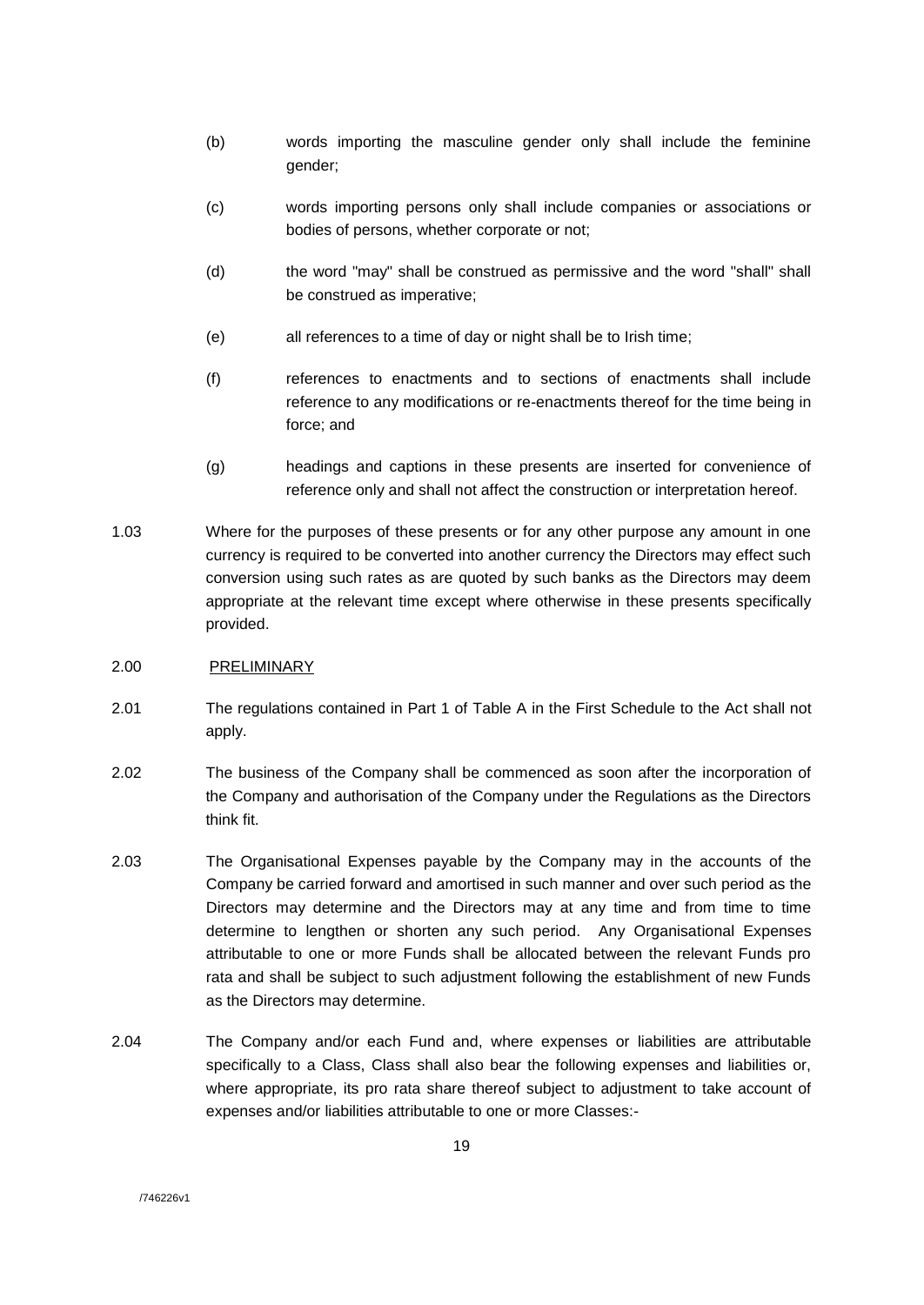- (b) words importing the masculine gender only shall include the feminine gender;
- (c) words importing persons only shall include companies or associations or bodies of persons, whether corporate or not;
- (d) the word "may" shall be construed as permissive and the word "shall" shall be construed as imperative;
- (e) all references to a time of day or night shall be to Irish time;
- (f) references to enactments and to sections of enactments shall include reference to any modifications or re-enactments thereof for the time being in force; and
- (g) headings and captions in these presents are inserted for convenience of reference only and shall not affect the construction or interpretation hereof.
- 1.03 Where for the purposes of these presents or for any other purpose any amount in one currency is required to be converted into another currency the Directors may effect such conversion using such rates as are quoted by such banks as the Directors may deem appropriate at the relevant time except where otherwise in these presents specifically provided.

## 2.00 PRELIMINARY

- 2.01 The regulations contained in Part 1 of Table A in the First Schedule to the Act shall not apply.
- 2.02 The business of the Company shall be commenced as soon after the incorporation of the Company and authorisation of the Company under the Regulations as the Directors think fit.
- 2.03 The Organisational Expenses payable by the Company may in the accounts of the Company be carried forward and amortised in such manner and over such period as the Directors may determine and the Directors may at any time and from time to time determine to lengthen or shorten any such period. Any Organisational Expenses attributable to one or more Funds shall be allocated between the relevant Funds pro rata and shall be subject to such adjustment following the establishment of new Funds as the Directors may determine.
- 2.04 The Company and/or each Fund and, where expenses or liabilities are attributable specifically to a Class, Class shall also bear the following expenses and liabilities or, where appropriate, its pro rata share thereof subject to adjustment to take account of expenses and/or liabilities attributable to one or more Classes:-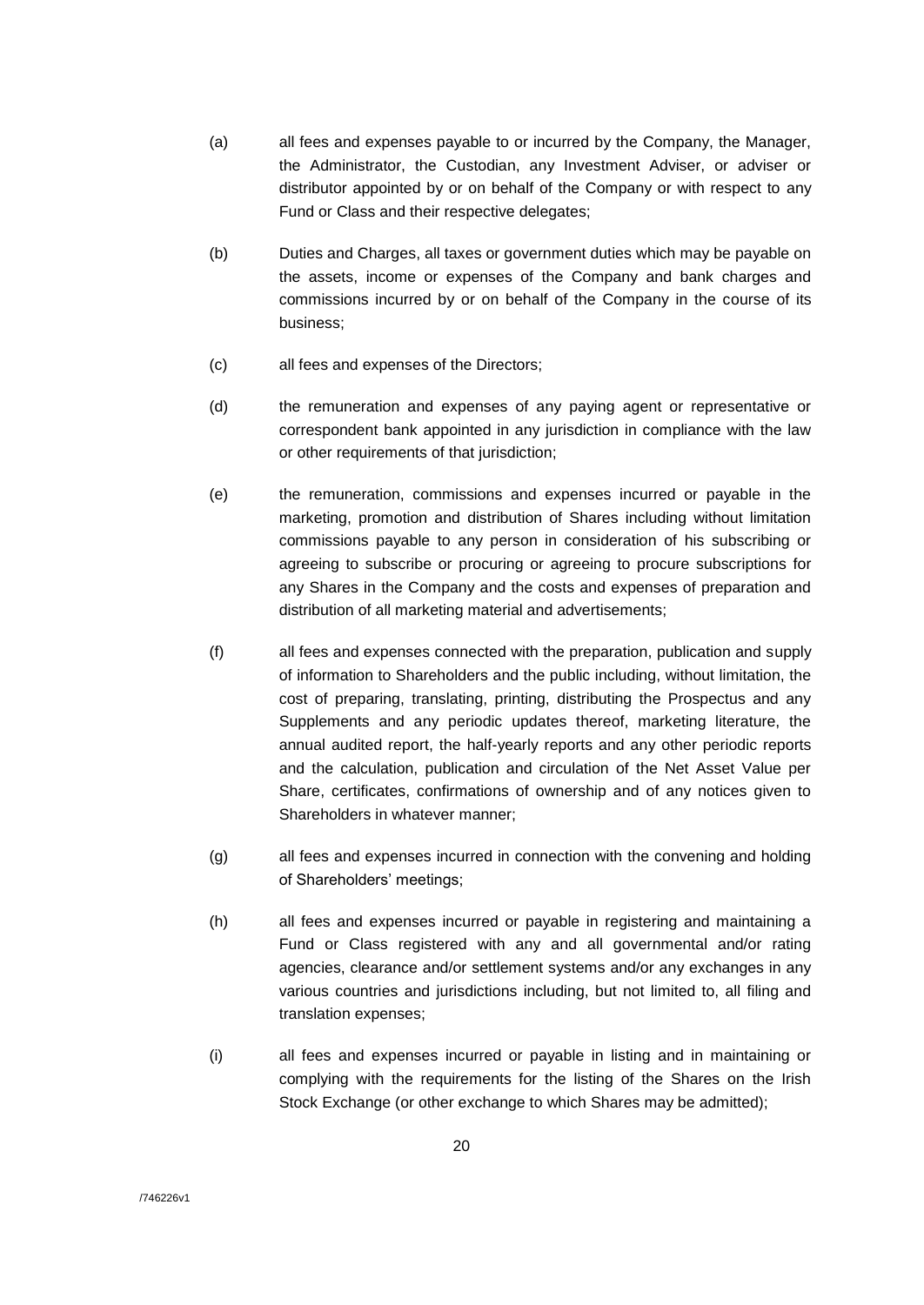- (a) all fees and expenses payable to or incurred by the Company, the Manager, the Administrator, the Custodian, any Investment Adviser, or adviser or distributor appointed by or on behalf of the Company or with respect to any Fund or Class and their respective delegates;
- (b) Duties and Charges, all taxes or government duties which may be payable on the assets, income or expenses of the Company and bank charges and commissions incurred by or on behalf of the Company in the course of its business;
- (c) all fees and expenses of the Directors;
- (d) the remuneration and expenses of any paying agent or representative or correspondent bank appointed in any jurisdiction in compliance with the law or other requirements of that jurisdiction;
- (e) the remuneration, commissions and expenses incurred or payable in the marketing, promotion and distribution of Shares including without limitation commissions payable to any person in consideration of his subscribing or agreeing to subscribe or procuring or agreeing to procure subscriptions for any Shares in the Company and the costs and expenses of preparation and distribution of all marketing material and advertisements;
- (f) all fees and expenses connected with the preparation, publication and supply of information to Shareholders and the public including, without limitation, the cost of preparing, translating, printing, distributing the Prospectus and any Supplements and any periodic updates thereof, marketing literature, the annual audited report, the half-yearly reports and any other periodic reports and the calculation, publication and circulation of the Net Asset Value per Share, certificates, confirmations of ownership and of any notices given to Shareholders in whatever manner;
- (g) all fees and expenses incurred in connection with the convening and holding of Shareholders' meetings;
- (h) all fees and expenses incurred or payable in registering and maintaining a Fund or Class registered with any and all governmental and/or rating agencies, clearance and/or settlement systems and/or any exchanges in any various countries and jurisdictions including, but not limited to, all filing and translation expenses;
- (i) all fees and expenses incurred or payable in listing and in maintaining or complying with the requirements for the listing of the Shares on the Irish Stock Exchange (or other exchange to which Shares may be admitted);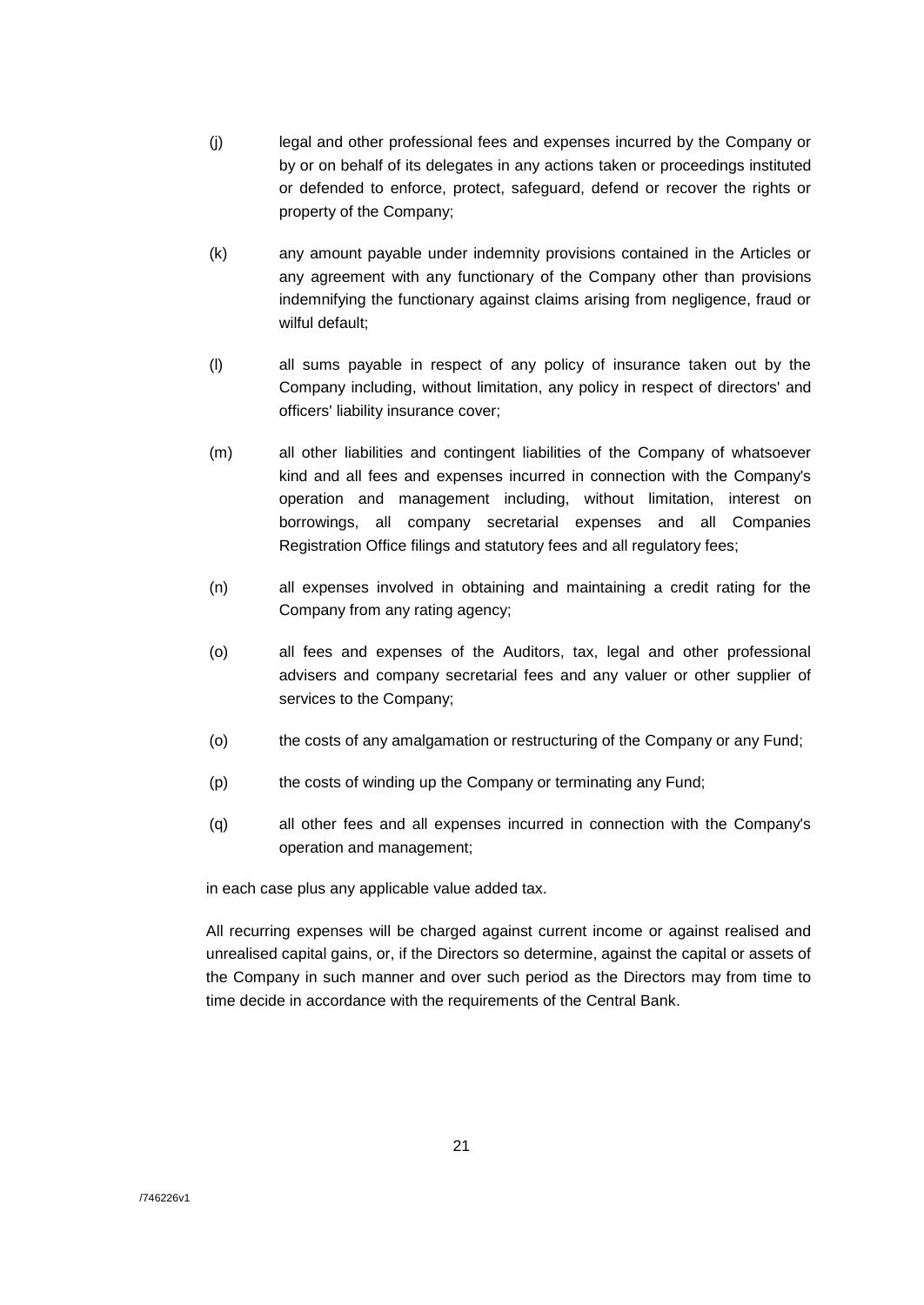- (j) legal and other professional fees and expenses incurred by the Company or by or on behalf of its delegates in any actions taken or proceedings instituted or defended to enforce, protect, safeguard, defend or recover the rights or property of the Company;
- (k) any amount payable under indemnity provisions contained in the Articles or any agreement with any functionary of the Company other than provisions indemnifying the functionary against claims arising from negligence, fraud or wilful default:
- (l) all sums payable in respect of any policy of insurance taken out by the Company including, without limitation, any policy in respect of directors' and officers' liability insurance cover;
- (m) all other liabilities and contingent liabilities of the Company of whatsoever kind and all fees and expenses incurred in connection with the Company's operation and management including, without limitation, interest on borrowings, all company secretarial expenses and all Companies Registration Office filings and statutory fees and all regulatory fees;
- (n) all expenses involved in obtaining and maintaining a credit rating for the Company from any rating agency;
- (o) all fees and expenses of the Auditors, tax, legal and other professional advisers and company secretarial fees and any valuer or other supplier of services to the Company;
- (o) the costs of any amalgamation or restructuring of the Company or any Fund;
- (p) the costs of winding up the Company or terminating any Fund;
- (q) all other fees and all expenses incurred in connection with the Company's operation and management;

in each case plus any applicable value added tax.

All recurring expenses will be charged against current income or against realised and unrealised capital gains, or, if the Directors so determine, against the capital or assets of the Company in such manner and over such period as the Directors may from time to time decide in accordance with the requirements of the Central Bank.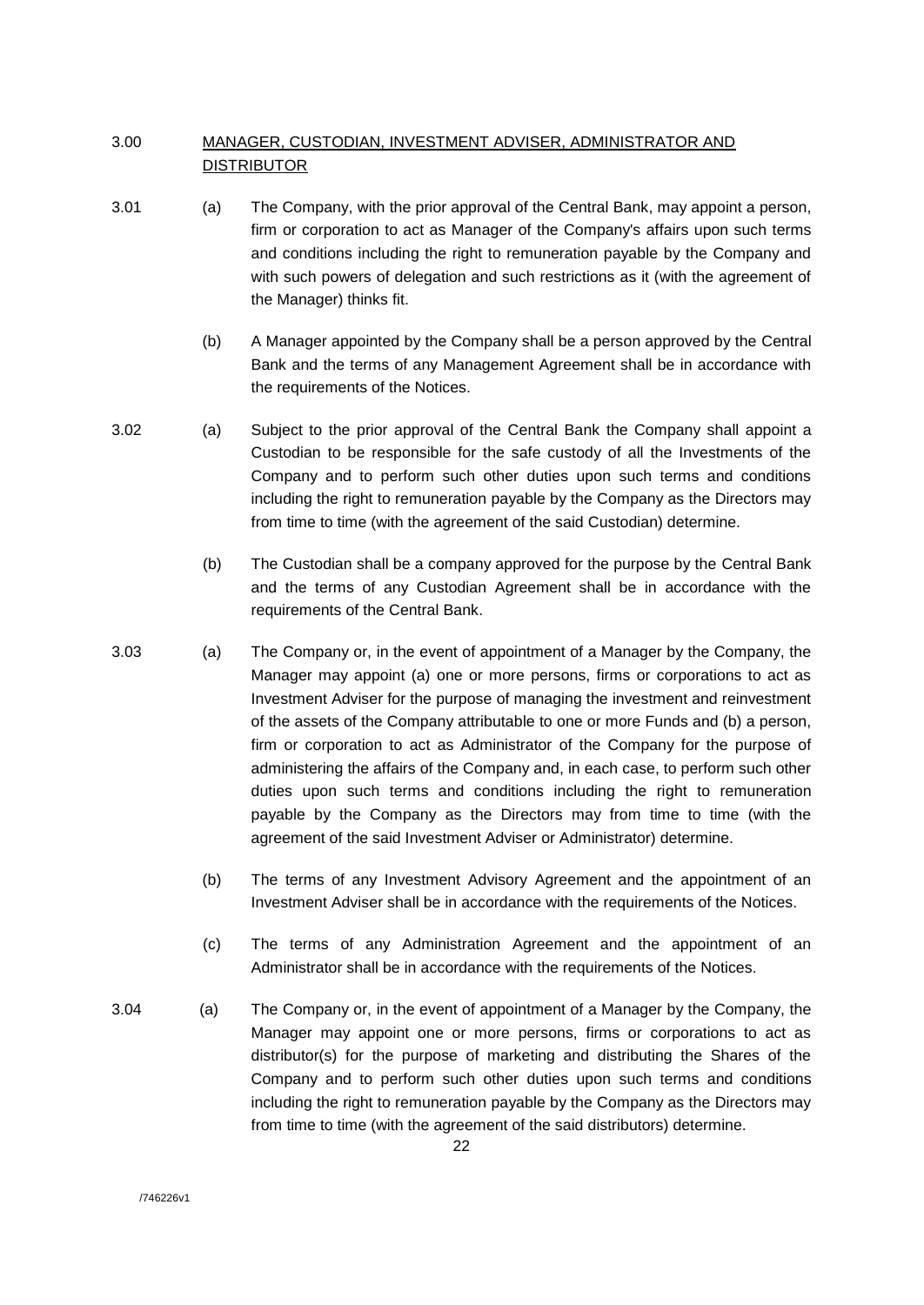## 3.00 MANAGER, CUSTODIAN, INVESTMENT ADVISER, ADMINISTRATOR AND DISTRIBUTOR

- 3.01 (a) The Company, with the prior approval of the Central Bank, may appoint a person, firm or corporation to act as Manager of the Company's affairs upon such terms and conditions including the right to remuneration payable by the Company and with such powers of delegation and such restrictions as it (with the agreement of the Manager) thinks fit.
	- (b) A Manager appointed by the Company shall be a person approved by the Central Bank and the terms of any Management Agreement shall be in accordance with the requirements of the Notices.
- 3.02 (a) Subject to the prior approval of the Central Bank the Company shall appoint a Custodian to be responsible for the safe custody of all the Investments of the Company and to perform such other duties upon such terms and conditions including the right to remuneration payable by the Company as the Directors may from time to time (with the agreement of the said Custodian) determine.
	- (b) The Custodian shall be a company approved for the purpose by the Central Bank and the terms of any Custodian Agreement shall be in accordance with the requirements of the Central Bank.
- 3.03 (a) The Company or, in the event of appointment of a Manager by the Company, the Manager may appoint (a) one or more persons, firms or corporations to act as Investment Adviser for the purpose of managing the investment and reinvestment of the assets of the Company attributable to one or more Funds and (b) a person, firm or corporation to act as Administrator of the Company for the purpose of administering the affairs of the Company and, in each case, to perform such other duties upon such terms and conditions including the right to remuneration payable by the Company as the Directors may from time to time (with the agreement of the said Investment Adviser or Administrator) determine.
	- (b) The terms of any Investment Advisory Agreement and the appointment of an Investment Adviser shall be in accordance with the requirements of the Notices.
	- (c) The terms of any Administration Agreement and the appointment of an Administrator shall be in accordance with the requirements of the Notices.
- 3.04 (a) The Company or, in the event of appointment of a Manager by the Company, the Manager may appoint one or more persons, firms or corporations to act as distributor(s) for the purpose of marketing and distributing the Shares of the Company and to perform such other duties upon such terms and conditions including the right to remuneration payable by the Company as the Directors may from time to time (with the agreement of the said distributors) determine.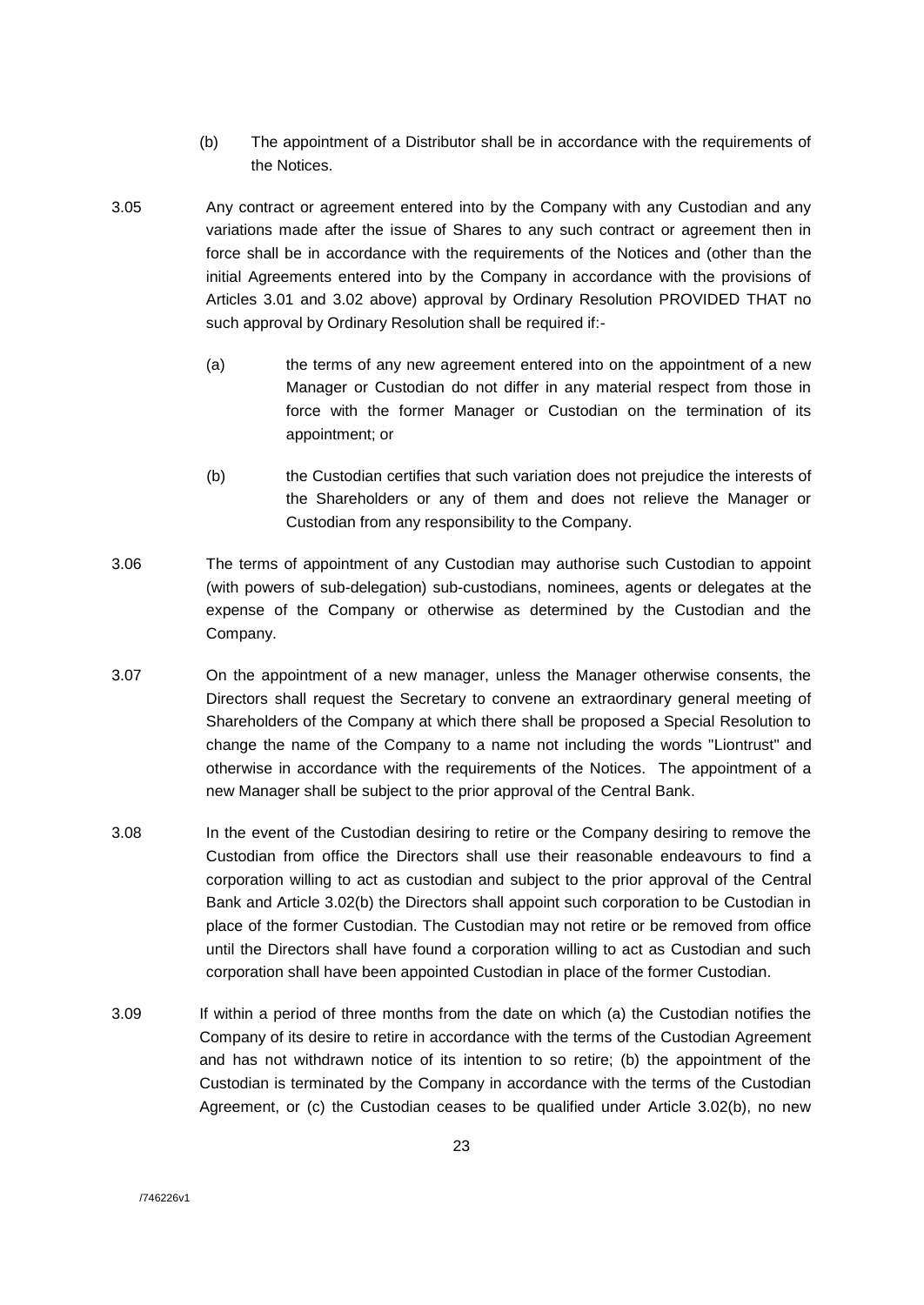- (b) The appointment of a Distributor shall be in accordance with the requirements of the Notices.
- 3.05 Any contract or agreement entered into by the Company with any Custodian and any variations made after the issue of Shares to any such contract or agreement then in force shall be in accordance with the requirements of the Notices and (other than the initial Agreements entered into by the Company in accordance with the provisions of Articles 3.01 and 3.02 above) approval by Ordinary Resolution PROVIDED THAT no such approval by Ordinary Resolution shall be required if:-
	- (a) the terms of any new agreement entered into on the appointment of a new Manager or Custodian do not differ in any material respect from those in force with the former Manager or Custodian on the termination of its appointment; or
	- (b) the Custodian certifies that such variation does not prejudice the interests of the Shareholders or any of them and does not relieve the Manager or Custodian from any responsibility to the Company.
- 3.06 The terms of appointment of any Custodian may authorise such Custodian to appoint (with powers of sub-delegation) sub-custodians, nominees, agents or delegates at the expense of the Company or otherwise as determined by the Custodian and the Company.
- 3.07 On the appointment of a new manager, unless the Manager otherwise consents, the Directors shall request the Secretary to convene an extraordinary general meeting of Shareholders of the Company at which there shall be proposed a Special Resolution to change the name of the Company to a name not including the words "Liontrust" and otherwise in accordance with the requirements of the Notices. The appointment of a new Manager shall be subject to the prior approval of the Central Bank.
- 3.08 In the event of the Custodian desiring to retire or the Company desiring to remove the Custodian from office the Directors shall use their reasonable endeavours to find a corporation willing to act as custodian and subject to the prior approval of the Central Bank and Article 3.02(b) the Directors shall appoint such corporation to be Custodian in place of the former Custodian. The Custodian may not retire or be removed from office until the Directors shall have found a corporation willing to act as Custodian and such corporation shall have been appointed Custodian in place of the former Custodian.
- 3.09 If within a period of three months from the date on which (a) the Custodian notifies the Company of its desire to retire in accordance with the terms of the Custodian Agreement and has not withdrawn notice of its intention to so retire; (b) the appointment of the Custodian is terminated by the Company in accordance with the terms of the Custodian Agreement, or (c) the Custodian ceases to be qualified under Article 3.02(b), no new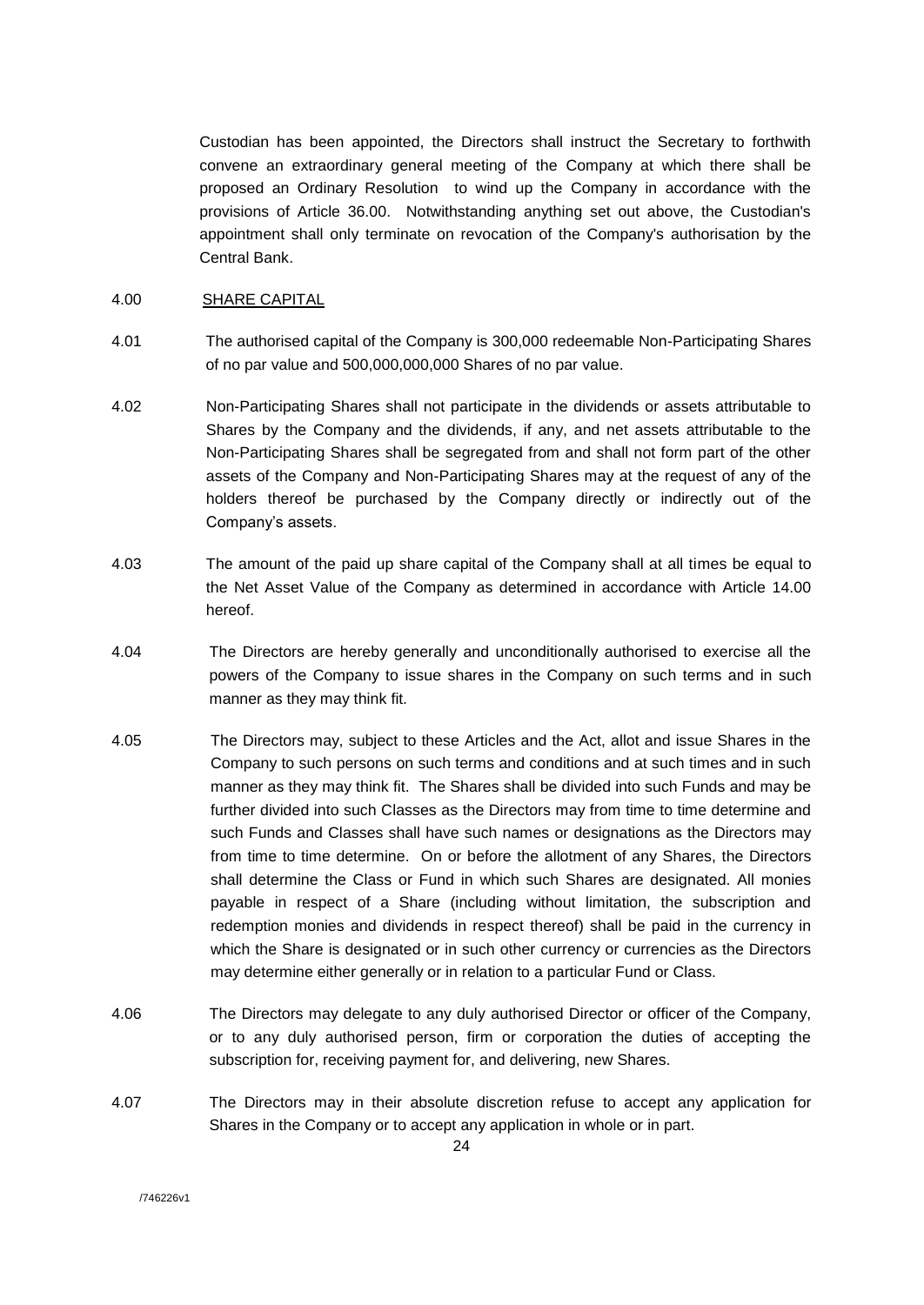Custodian has been appointed, the Directors shall instruct the Secretary to forthwith convene an extraordinary general meeting of the Company at which there shall be proposed an Ordinary Resolution to wind up the Company in accordance with the provisions of Article 36.00. Notwithstanding anything set out above, the Custodian's appointment shall only terminate on revocation of the Company's authorisation by the Central Bank.

#### 4.00 SHARE CAPITAL

- 4.01 The authorised capital of the Company is 300,000 redeemable Non-Participating Shares of no par value and 500,000,000,000 Shares of no par value.
- 4.02 Non-Participating Shares shall not participate in the dividends or assets attributable to Shares by the Company and the dividends, if any, and net assets attributable to the Non-Participating Shares shall be segregated from and shall not form part of the other assets of the Company and Non-Participating Shares may at the request of any of the holders thereof be purchased by the Company directly or indirectly out of the Company's assets.
- 4.03 The amount of the paid up share capital of the Company shall at all times be equal to the Net Asset Value of the Company as determined in accordance with Article 14.00 hereof.
- 4.04 The Directors are hereby generally and unconditionally authorised to exercise all the powers of the Company to issue shares in the Company on such terms and in such manner as they may think fit.
- 4.05 The Directors may, subject to these Articles and the Act, allot and issue Shares in the Company to such persons on such terms and conditions and at such times and in such manner as they may think fit. The Shares shall be divided into such Funds and may be further divided into such Classes as the Directors may from time to time determine and such Funds and Classes shall have such names or designations as the Directors may from time to time determine. On or before the allotment of any Shares, the Directors shall determine the Class or Fund in which such Shares are designated. All monies payable in respect of a Share (including without limitation, the subscription and redemption monies and dividends in respect thereof) shall be paid in the currency in which the Share is designated or in such other currency or currencies as the Directors may determine either generally or in relation to a particular Fund or Class.
- 4.06 The Directors may delegate to any duly authorised Director or officer of the Company, or to any duly authorised person, firm or corporation the duties of accepting the subscription for, receiving payment for, and delivering, new Shares.
- 4.07 The Directors may in their absolute discretion refuse to accept any application for Shares in the Company or to accept any application in whole or in part.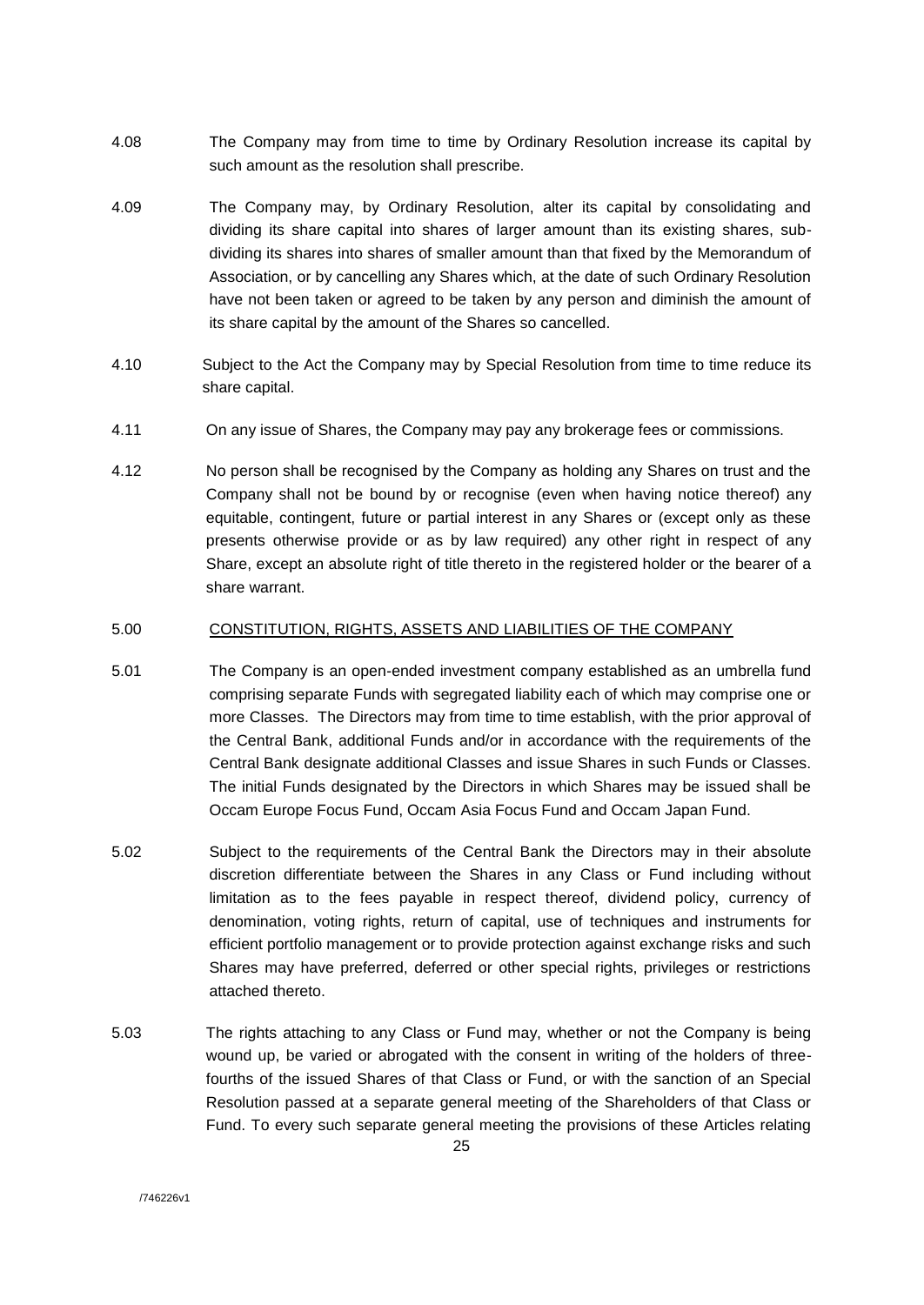- 4.08 The Company may from time to time by Ordinary Resolution increase its capital by such amount as the resolution shall prescribe.
- 4.09 The Company may, by Ordinary Resolution, alter its capital by consolidating and dividing its share capital into shares of larger amount than its existing shares, subdividing its shares into shares of smaller amount than that fixed by the Memorandum of Association, or by cancelling any Shares which, at the date of such Ordinary Resolution have not been taken or agreed to be taken by any person and diminish the amount of its share capital by the amount of the Shares so cancelled.
- 4.10 Subject to the Act the Company may by Special Resolution from time to time reduce its share capital.
- 4.11 On any issue of Shares, the Company may pay any brokerage fees or commissions.
- 4.12 No person shall be recognised by the Company as holding any Shares on trust and the Company shall not be bound by or recognise (even when having notice thereof) any equitable, contingent, future or partial interest in any Shares or (except only as these presents otherwise provide or as by law required) any other right in respect of any Share, except an absolute right of title thereto in the registered holder or the bearer of a share warrant.

## 5.00 CONSTITUTION, RIGHTS, ASSETS AND LIABILITIES OF THE COMPANY

- 5.01 The Company is an open-ended investment company established as an umbrella fund comprising separate Funds with segregated liability each of which may comprise one or more Classes. The Directors may from time to time establish, with the prior approval of the Central Bank, additional Funds and/or in accordance with the requirements of the Central Bank designate additional Classes and issue Shares in such Funds or Classes. The initial Funds designated by the Directors in which Shares may be issued shall be Occam Europe Focus Fund, Occam Asia Focus Fund and Occam Japan Fund.
- 5.02 Subject to the requirements of the Central Bank the Directors may in their absolute discretion differentiate between the Shares in any Class or Fund including without limitation as to the fees payable in respect thereof, dividend policy, currency of denomination, voting rights, return of capital, use of techniques and instruments for efficient portfolio management or to provide protection against exchange risks and such Shares may have preferred, deferred or other special rights, privileges or restrictions attached thereto.
- 5.03 The rights attaching to any Class or Fund may, whether or not the Company is being wound up, be varied or abrogated with the consent in writing of the holders of threefourths of the issued Shares of that Class or Fund, or with the sanction of an Special Resolution passed at a separate general meeting of the Shareholders of that Class or Fund. To every such separate general meeting the provisions of these Articles relating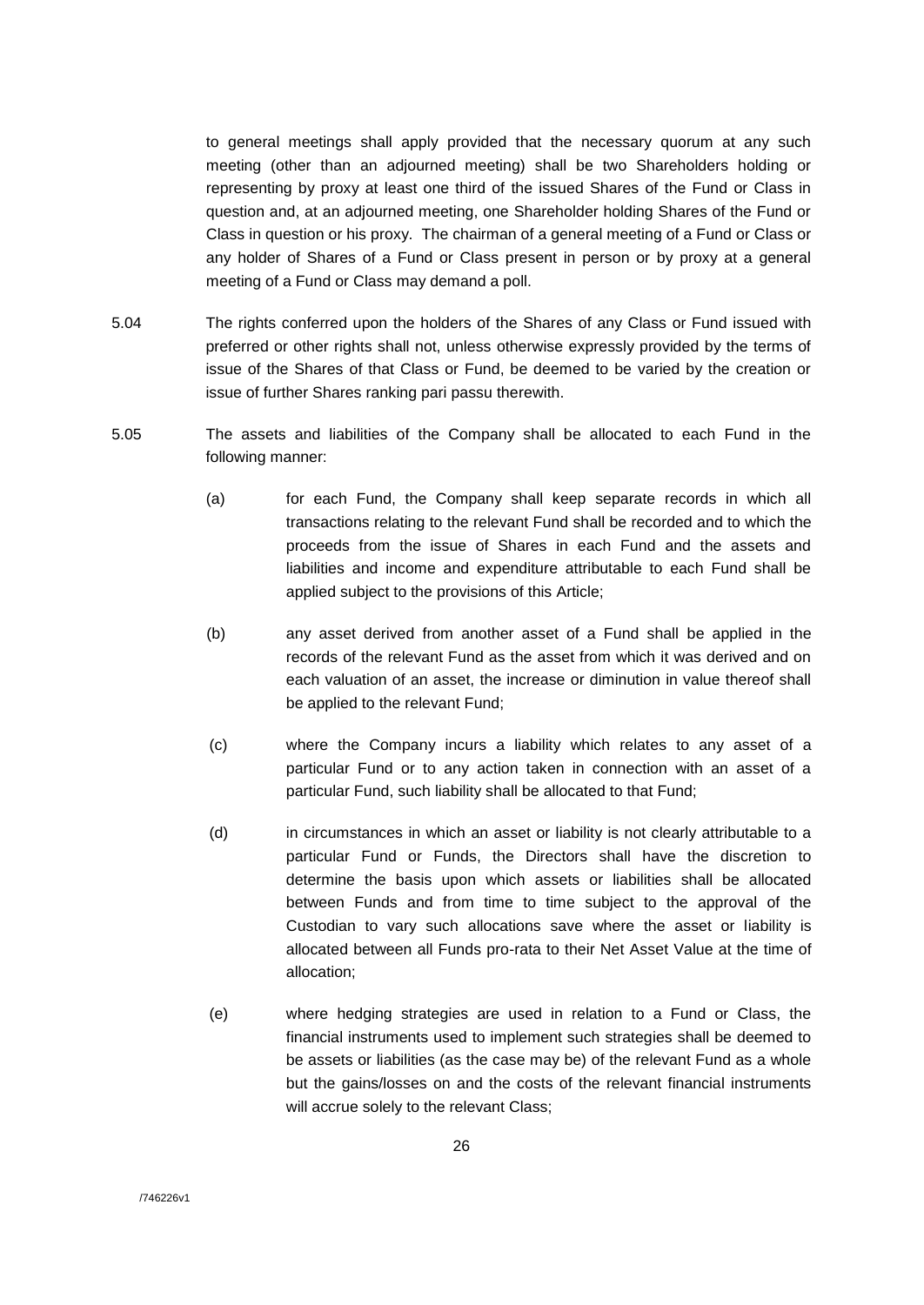to general meetings shall apply provided that the necessary quorum at any such meeting (other than an adjourned meeting) shall be two Shareholders holding or representing by proxy at least one third of the issued Shares of the Fund or Class in question and, at an adjourned meeting, one Shareholder holding Shares of the Fund or Class in question or his proxy. The chairman of a general meeting of a Fund or Class or any holder of Shares of a Fund or Class present in person or by proxy at a general meeting of a Fund or Class may demand a poll.

- 5.04 The rights conferred upon the holders of the Shares of any Class or Fund issued with preferred or other rights shall not, unless otherwise expressly provided by the terms of issue of the Shares of that Class or Fund, be deemed to be varied by the creation or issue of further Shares ranking pari passu therewith.
- 5.05 The assets and liabilities of the Company shall be allocated to each Fund in the following manner:
	- (a) for each Fund, the Company shall keep separate records in which all transactions relating to the relevant Fund shall be recorded and to which the proceeds from the issue of Shares in each Fund and the assets and liabilities and income and expenditure attributable to each Fund shall be applied subject to the provisions of this Article;
	- (b) any asset derived from another asset of a Fund shall be applied in the records of the relevant Fund as the asset from which it was derived and on each valuation of an asset, the increase or diminution in value thereof shall be applied to the relevant Fund;
	- (c) where the Company incurs a liability which relates to any asset of a particular Fund or to any action taken in connection with an asset of a particular Fund, such liability shall be allocated to that Fund;
	- (d) in circumstances in which an asset or liability is not clearly attributable to a particular Fund or Funds, the Directors shall have the discretion to determine the basis upon which assets or liabilities shall be allocated between Funds and from time to time subject to the approval of the Custodian to vary such allocations save where the asset or liability is allocated between all Funds pro-rata to their Net Asset Value at the time of allocation;
	- (e) where hedging strategies are used in relation to a Fund or Class, the financial instruments used to implement such strategies shall be deemed to be assets or liabilities (as the case may be) of the relevant Fund as a whole but the gains/losses on and the costs of the relevant financial instruments will accrue solely to the relevant Class;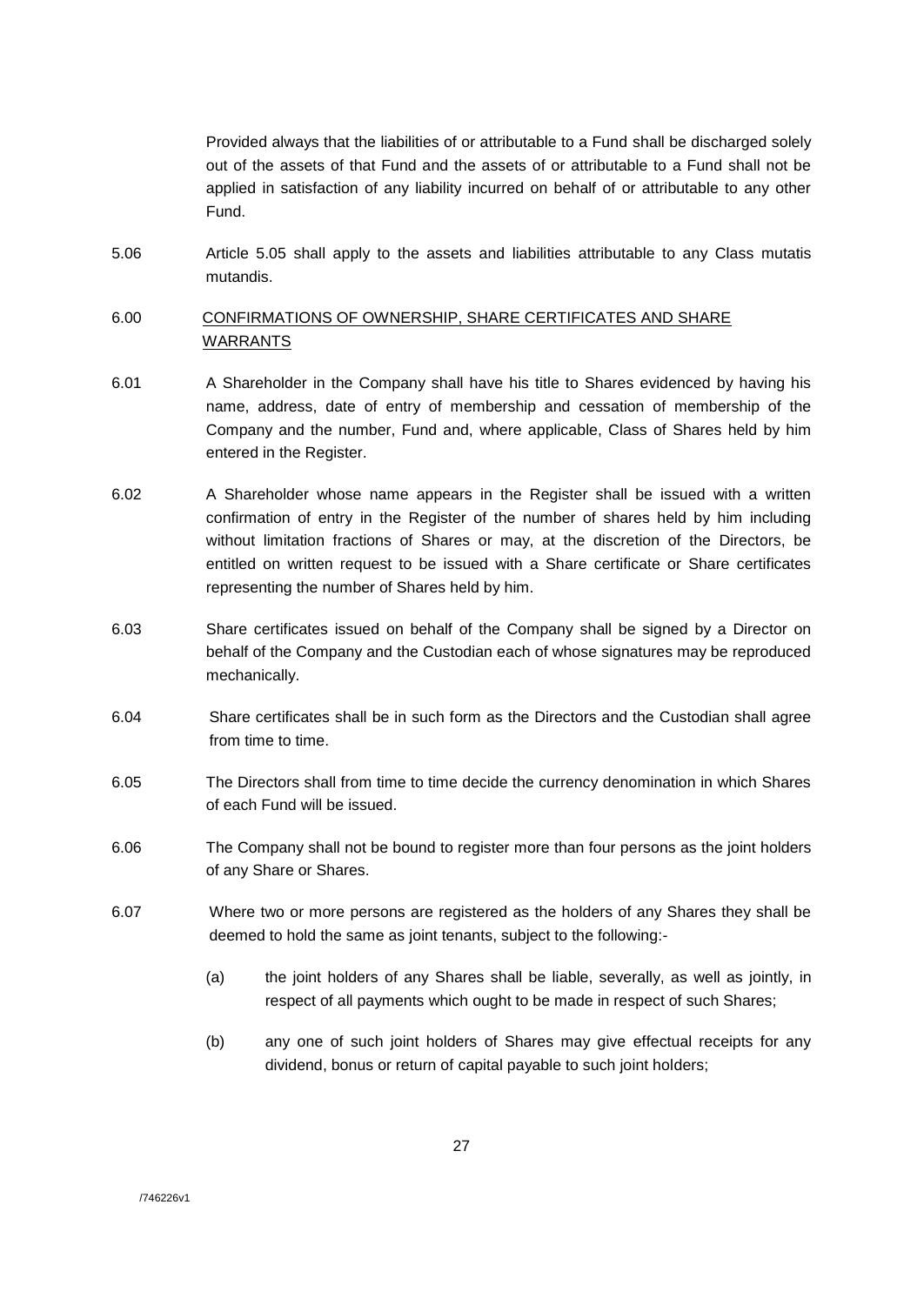Provided always that the liabilities of or attributable to a Fund shall be discharged solely out of the assets of that Fund and the assets of or attributable to a Fund shall not be applied in satisfaction of any liability incurred on behalf of or attributable to any other Fund.

5.06 Article 5.05 shall apply to the assets and liabilities attributable to any Class mutatis mutandis.

## 6.00 CONFIRMATIONS OF OWNERSHIP, SHARE CERTIFICATES AND SHARE WARRANTS

- 6.01 A Shareholder in the Company shall have his title to Shares evidenced by having his name, address, date of entry of membership and cessation of membership of the Company and the number, Fund and, where applicable, Class of Shares held by him entered in the Register.
- 6.02 A Shareholder whose name appears in the Register shall be issued with a written confirmation of entry in the Register of the number of shares held by him including without limitation fractions of Shares or may, at the discretion of the Directors, be entitled on written request to be issued with a Share certificate or Share certificates representing the number of Shares held by him.
- 6.03 Share certificates issued on behalf of the Company shall be signed by a Director on behalf of the Company and the Custodian each of whose signatures may be reproduced mechanically.
- 6.04 Share certificates shall be in such form as the Directors and the Custodian shall agree from time to time.
- 6.05 The Directors shall from time to time decide the currency denomination in which Shares of each Fund will be issued.
- 6.06 The Company shall not be bound to register more than four persons as the joint holders of any Share or Shares.
- 6.07 Where two or more persons are registered as the holders of any Shares they shall be deemed to hold the same as joint tenants, subject to the following:-
	- (a) the joint holders of any Shares shall be liable, severally, as well as jointly, in respect of all payments which ought to be made in respect of such Shares;
	- (b) any one of such joint holders of Shares may give effectual receipts for any dividend, bonus or return of capital payable to such joint holders;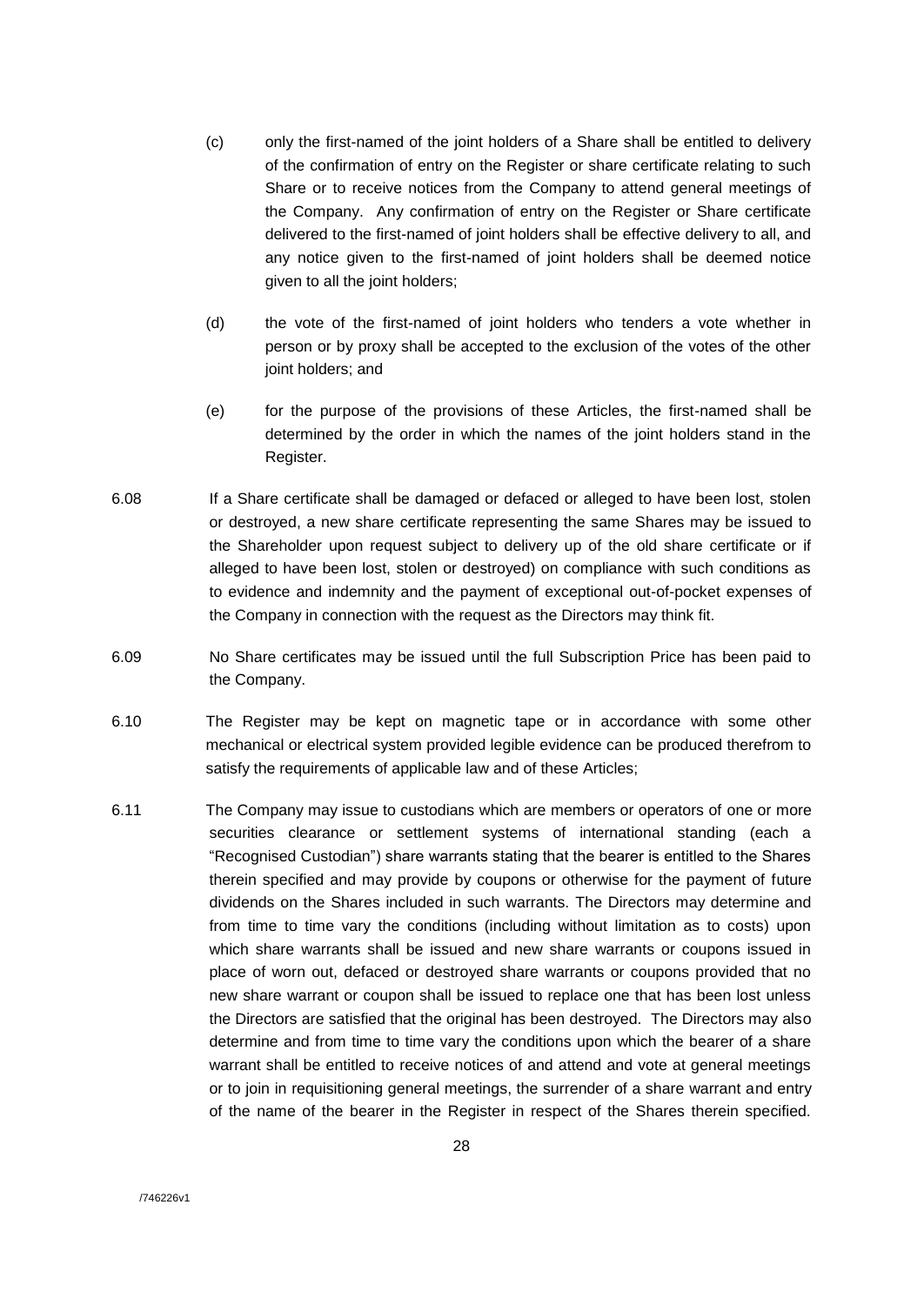- (c) only the first-named of the joint holders of a Share shall be entitled to delivery of the confirmation of entry on the Register or share certificate relating to such Share or to receive notices from the Company to attend general meetings of the Company. Any confirmation of entry on the Register or Share certificate delivered to the first-named of joint holders shall be effective delivery to all, and any notice given to the first-named of joint holders shall be deemed notice given to all the joint holders;
- (d) the vote of the first-named of joint holders who tenders a vote whether in person or by proxy shall be accepted to the exclusion of the votes of the other joint holders; and
- (e) for the purpose of the provisions of these Articles, the first-named shall be determined by the order in which the names of the joint holders stand in the Register.
- 6.08 If a Share certificate shall be damaged or defaced or alleged to have been lost, stolen or destroyed, a new share certificate representing the same Shares may be issued to the Shareholder upon request subject to delivery up of the old share certificate or if alleged to have been lost, stolen or destroyed) on compliance with such conditions as to evidence and indemnity and the payment of exceptional out-of-pocket expenses of the Company in connection with the request as the Directors may think fit.
- 6.09 No Share certificates may be issued until the full Subscription Price has been paid to the Company.
- 6.10 The Register may be kept on magnetic tape or in accordance with some other mechanical or electrical system provided legible evidence can be produced therefrom to satisfy the requirements of applicable law and of these Articles;
- 6.11 The Company may issue to custodians which are members or operators of one or more securities clearance or settlement systems of international standing (each a "Recognised Custodian") share warrants stating that the bearer is entitled to the Shares therein specified and may provide by coupons or otherwise for the payment of future dividends on the Shares included in such warrants. The Directors may determine and from time to time vary the conditions (including without limitation as to costs) upon which share warrants shall be issued and new share warrants or coupons issued in place of worn out, defaced or destroyed share warrants or coupons provided that no new share warrant or coupon shall be issued to replace one that has been lost unless the Directors are satisfied that the original has been destroyed. The Directors may also determine and from time to time vary the conditions upon which the bearer of a share warrant shall be entitled to receive notices of and attend and vote at general meetings or to join in requisitioning general meetings, the surrender of a share warrant and entry of the name of the bearer in the Register in respect of the Shares therein specified.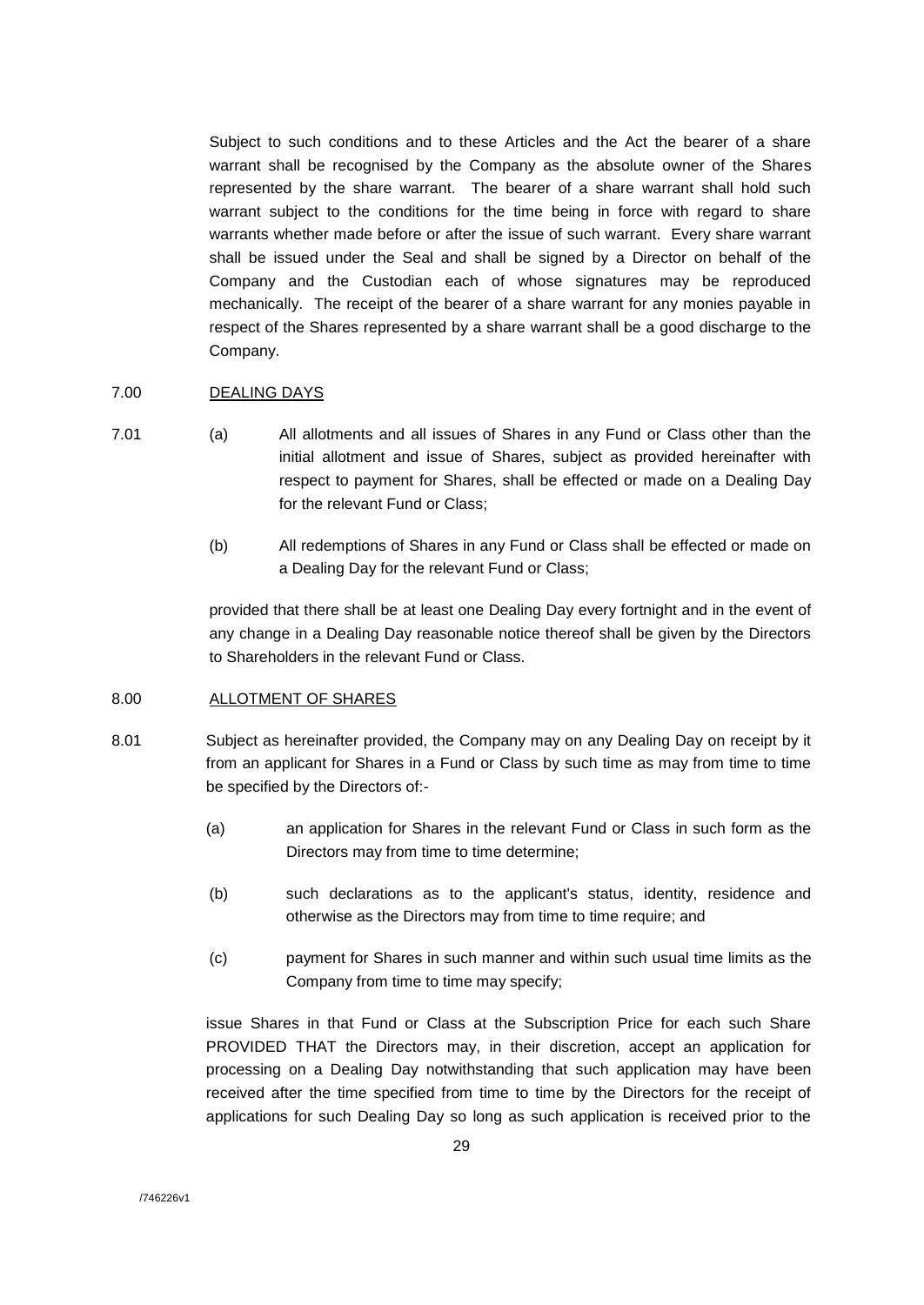Subject to such conditions and to these Articles and the Act the bearer of a share warrant shall be recognised by the Company as the absolute owner of the Shares represented by the share warrant. The bearer of a share warrant shall hold such warrant subject to the conditions for the time being in force with regard to share warrants whether made before or after the issue of such warrant. Every share warrant shall be issued under the Seal and shall be signed by a Director on behalf of the Company and the Custodian each of whose signatures may be reproduced mechanically. The receipt of the bearer of a share warrant for any monies payable in respect of the Shares represented by a share warrant shall be a good discharge to the Company.

## 7.00 DEALING DAYS

- 7.01 (a) All allotments and all issues of Shares in any Fund or Class other than the initial allotment and issue of Shares, subject as provided hereinafter with respect to payment for Shares, shall be effected or made on a Dealing Day for the relevant Fund or Class;
	- (b) All redemptions of Shares in any Fund or Class shall be effected or made on a Dealing Day for the relevant Fund or Class;

provided that there shall be at least one Dealing Day every fortnight and in the event of any change in a Dealing Day reasonable notice thereof shall be given by the Directors to Shareholders in the relevant Fund or Class.

## 8.00 ALLOTMENT OF SHARES

- 8.01 Subject as hereinafter provided, the Company may on any Dealing Day on receipt by it from an applicant for Shares in a Fund or Class by such time as may from time to time be specified by the Directors of:-
	- (a) an application for Shares in the relevant Fund or Class in such form as the Directors may from time to time determine;
	- (b) such declarations as to the applicant's status, identity, residence and otherwise as the Directors may from time to time require; and
	- (c) payment for Shares in such manner and within such usual time limits as the Company from time to time may specify;

issue Shares in that Fund or Class at the Subscription Price for each such Share PROVIDED THAT the Directors may, in their discretion, accept an application for processing on a Dealing Day notwithstanding that such application may have been received after the time specified from time to time by the Directors for the receipt of applications for such Dealing Day so long as such application is received prior to the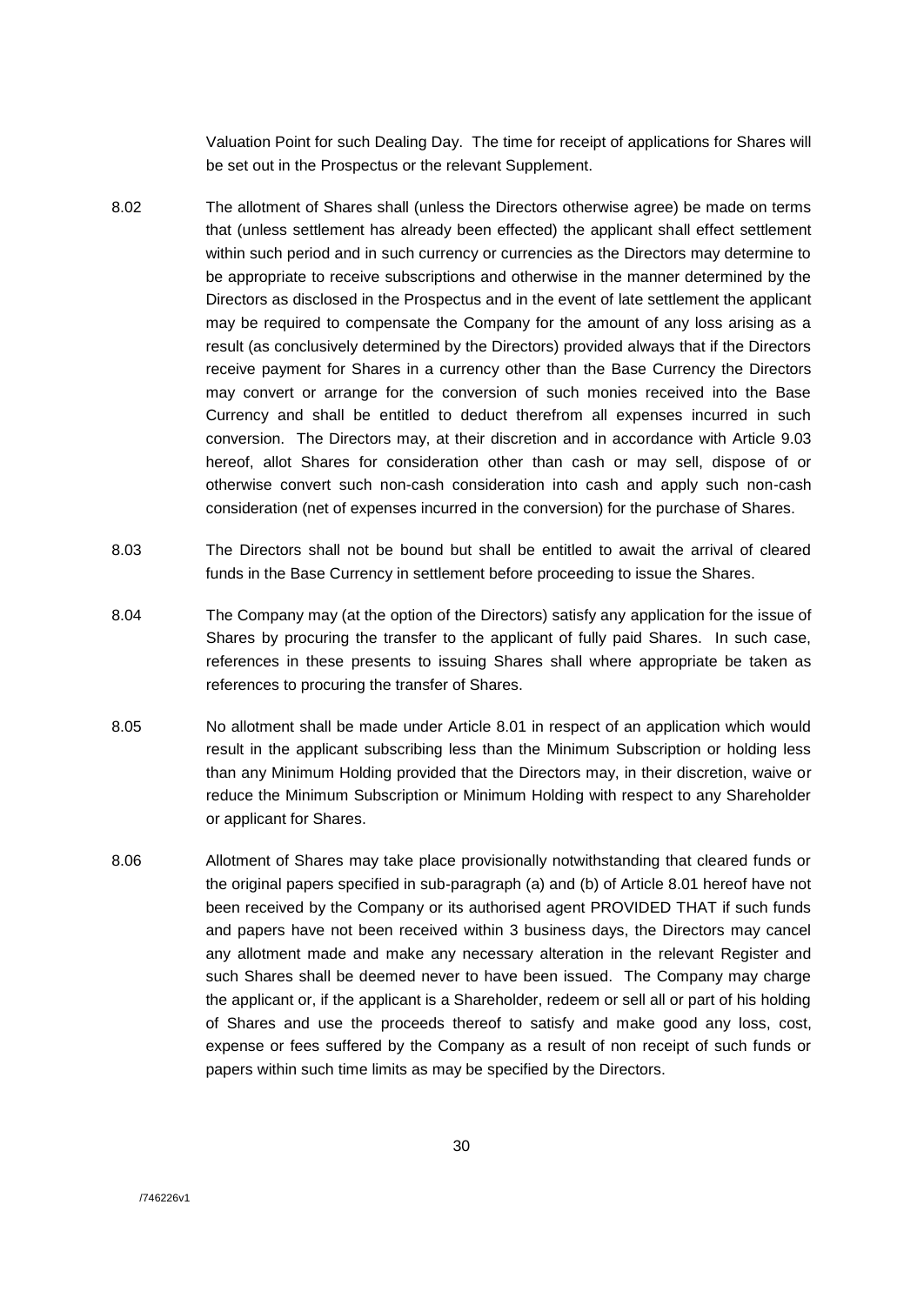Valuation Point for such Dealing Day. The time for receipt of applications for Shares will be set out in the Prospectus or the relevant Supplement.

- 8.02 The allotment of Shares shall (unless the Directors otherwise agree) be made on terms that (unless settlement has already been effected) the applicant shall effect settlement within such period and in such currency or currencies as the Directors may determine to be appropriate to receive subscriptions and otherwise in the manner determined by the Directors as disclosed in the Prospectus and in the event of late settlement the applicant may be required to compensate the Company for the amount of any loss arising as a result (as conclusively determined by the Directors) provided always that if the Directors receive payment for Shares in a currency other than the Base Currency the Directors may convert or arrange for the conversion of such monies received into the Base Currency and shall be entitled to deduct therefrom all expenses incurred in such conversion. The Directors may, at their discretion and in accordance with Article 9.03 hereof, allot Shares for consideration other than cash or may sell, dispose of or otherwise convert such non-cash consideration into cash and apply such non-cash consideration (net of expenses incurred in the conversion) for the purchase of Shares.
- 8.03 The Directors shall not be bound but shall be entitled to await the arrival of cleared funds in the Base Currency in settlement before proceeding to issue the Shares.
- 8.04 The Company may (at the option of the Directors) satisfy any application for the issue of Shares by procuring the transfer to the applicant of fully paid Shares. In such case, references in these presents to issuing Shares shall where appropriate be taken as references to procuring the transfer of Shares.
- 8.05 No allotment shall be made under Article 8.01 in respect of an application which would result in the applicant subscribing less than the Minimum Subscription or holding less than any Minimum Holding provided that the Directors may, in their discretion, waive or reduce the Minimum Subscription or Minimum Holding with respect to any Shareholder or applicant for Shares.
- 8.06 Allotment of Shares may take place provisionally notwithstanding that cleared funds or the original papers specified in sub-paragraph (a) and (b) of Article 8.01 hereof have not been received by the Company or its authorised agent PROVIDED THAT if such funds and papers have not been received within 3 business days, the Directors may cancel any allotment made and make any necessary alteration in the relevant Register and such Shares shall be deemed never to have been issued. The Company may charge the applicant or, if the applicant is a Shareholder, redeem or sell all or part of his holding of Shares and use the proceeds thereof to satisfy and make good any loss, cost, expense or fees suffered by the Company as a result of non receipt of such funds or papers within such time limits as may be specified by the Directors.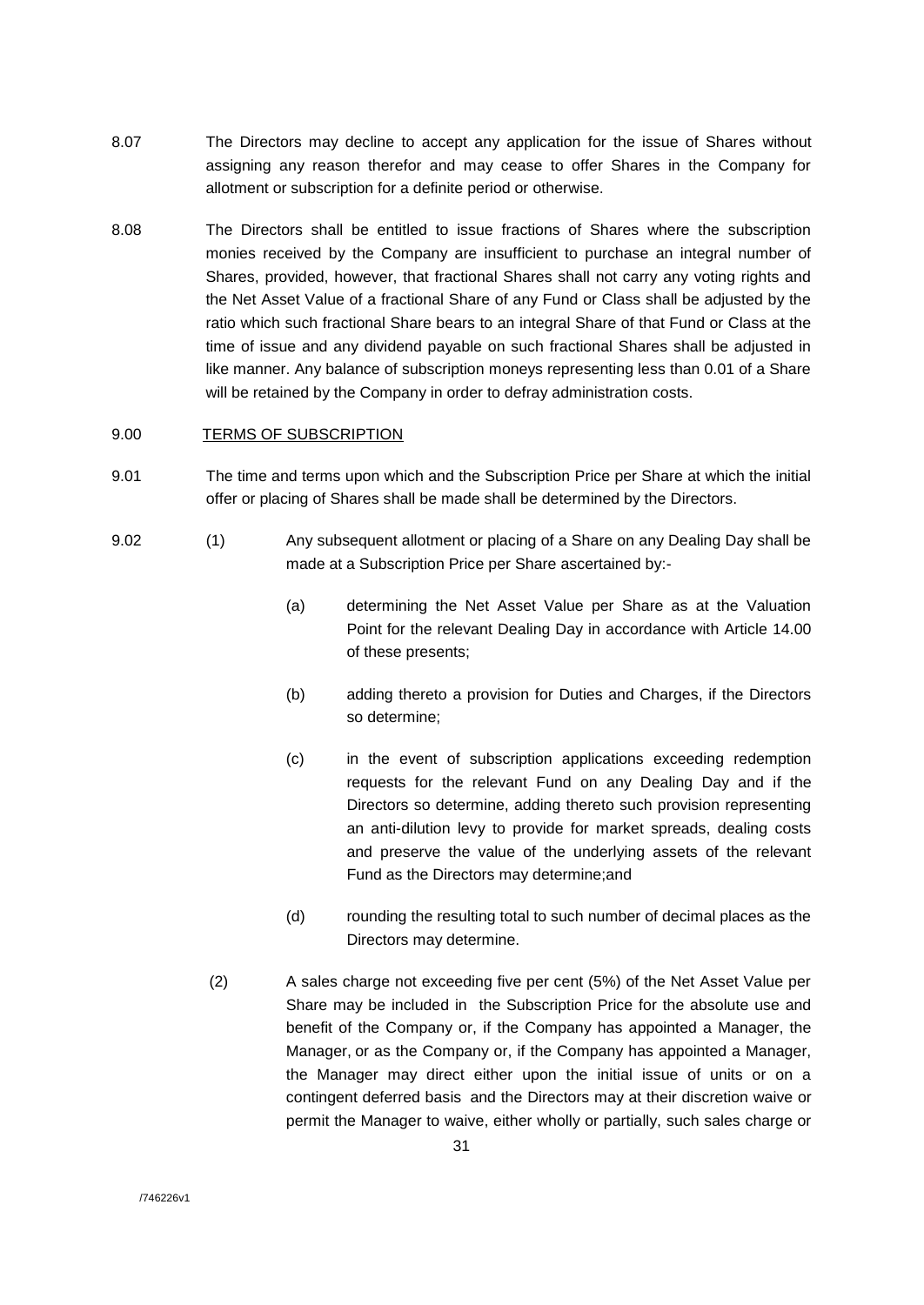- 8.07 The Directors may decline to accept any application for the issue of Shares without assigning any reason therefor and may cease to offer Shares in the Company for allotment or subscription for a definite period or otherwise.
- 8.08 The Directors shall be entitled to issue fractions of Shares where the subscription monies received by the Company are insufficient to purchase an integral number of Shares, provided, however, that fractional Shares shall not carry any voting rights and the Net Asset Value of a fractional Share of any Fund or Class shall be adjusted by the ratio which such fractional Share bears to an integral Share of that Fund or Class at the time of issue and any dividend payable on such fractional Shares shall be adjusted in like manner. Any balance of subscription moneys representing less than 0.01 of a Share will be retained by the Company in order to defray administration costs.

## 9.00 TERMS OF SUBSCRIPTION

- 9.01 The time and terms upon which and the Subscription Price per Share at which the initial offer or placing of Shares shall be made shall be determined by the Directors.
- 9.02 (1) Any subsequent allotment or placing of a Share on any Dealing Day shall be made at a Subscription Price per Share ascertained by:-
	- (a) determining the Net Asset Value per Share as at the Valuation Point for the relevant Dealing Day in accordance with Article 14.00 of these presents;
	- (b) adding thereto a provision for Duties and Charges, if the Directors so determine;
	- (c) in the event of subscription applications exceeding redemption requests for the relevant Fund on any Dealing Day and if the Directors so determine, adding thereto such provision representing an anti-dilution levy to provide for market spreads, dealing costs and preserve the value of the underlying assets of the relevant Fund as the Directors may determine;and
	- (d) rounding the resulting total to such number of decimal places as the Directors may determine.
	- (2) A sales charge not exceeding five per cent (5%) of the Net Asset Value per Share may be included in the Subscription Price for the absolute use and benefit of the Company or, if the Company has appointed a Manager, the Manager, or as the Company or, if the Company has appointed a Manager, the Manager may direct either upon the initial issue of units or on a contingent deferred basis and the Directors may at their discretion waive or permit the Manager to waive, either wholly or partially, such sales charge or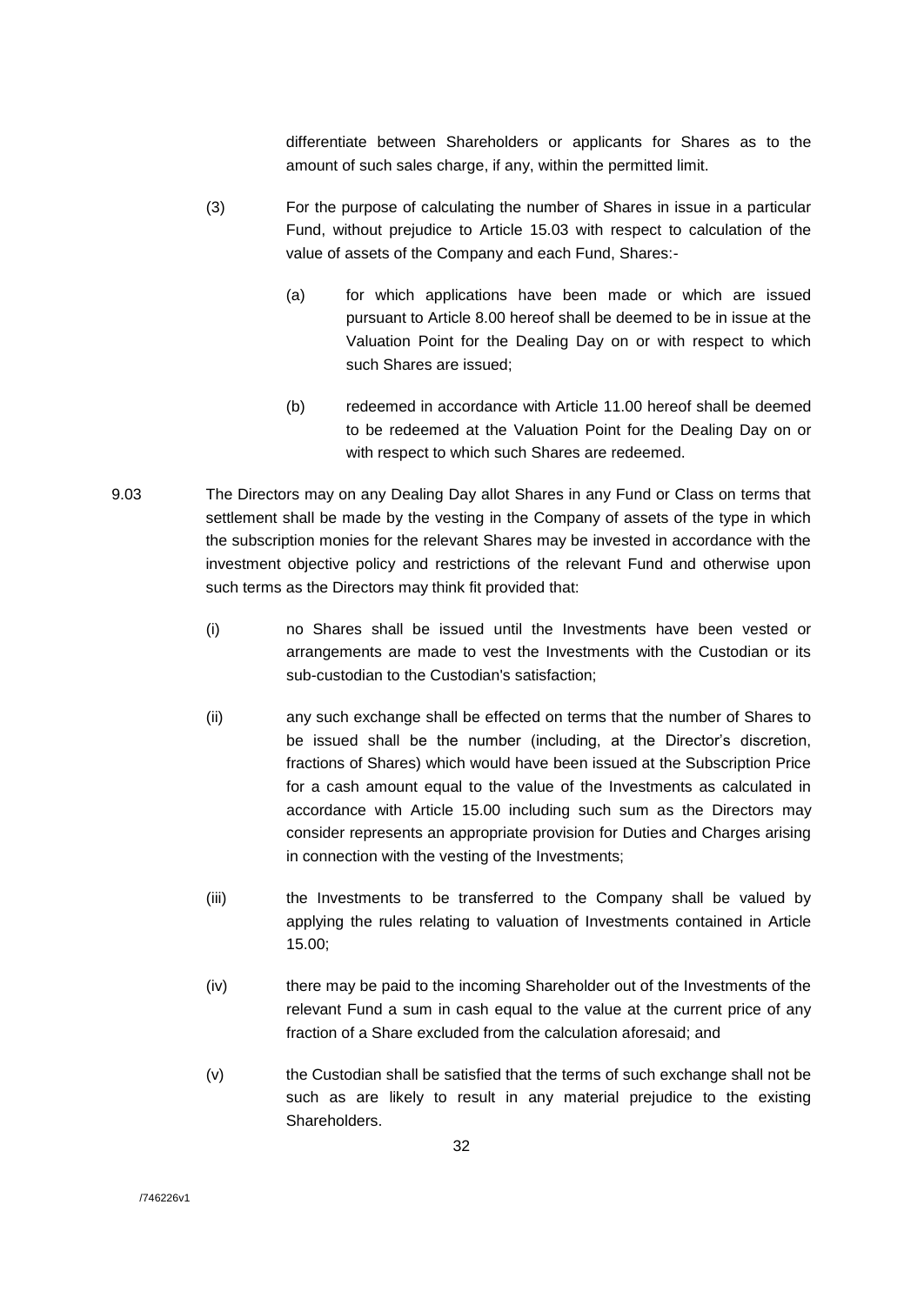differentiate between Shareholders or applicants for Shares as to the amount of such sales charge, if any, within the permitted limit.

- (3) For the purpose of calculating the number of Shares in issue in a particular Fund, without prejudice to Article 15.03 with respect to calculation of the value of assets of the Company and each Fund, Shares:-
	- (a) for which applications have been made or which are issued pursuant to Article 8.00 hereof shall be deemed to be in issue at the Valuation Point for the Dealing Day on or with respect to which such Shares are issued;
	- (b) redeemed in accordance with Article 11.00 hereof shall be deemed to be redeemed at the Valuation Point for the Dealing Day on or with respect to which such Shares are redeemed.
- 9.03 The Directors may on any Dealing Day allot Shares in any Fund or Class on terms that settlement shall be made by the vesting in the Company of assets of the type in which the subscription monies for the relevant Shares may be invested in accordance with the investment objective policy and restrictions of the relevant Fund and otherwise upon such terms as the Directors may think fit provided that:
	- (i) no Shares shall be issued until the Investments have been vested or arrangements are made to vest the Investments with the Custodian or its sub-custodian to the Custodian's satisfaction;
	- (ii) any such exchange shall be effected on terms that the number of Shares to be issued shall be the number (including, at the Director's discretion, fractions of Shares) which would have been issued at the Subscription Price for a cash amount equal to the value of the Investments as calculated in accordance with Article 15.00 including such sum as the Directors may consider represents an appropriate provision for Duties and Charges arising in connection with the vesting of the Investments;
	- (iii) the Investments to be transferred to the Company shall be valued by applying the rules relating to valuation of Investments contained in Article 15.00;
	- (iv) there may be paid to the incoming Shareholder out of the Investments of the relevant Fund a sum in cash equal to the value at the current price of any fraction of a Share excluded from the calculation aforesaid; and
	- (v) the Custodian shall be satisfied that the terms of such exchange shall not be such as are likely to result in any material prejudice to the existing Shareholders.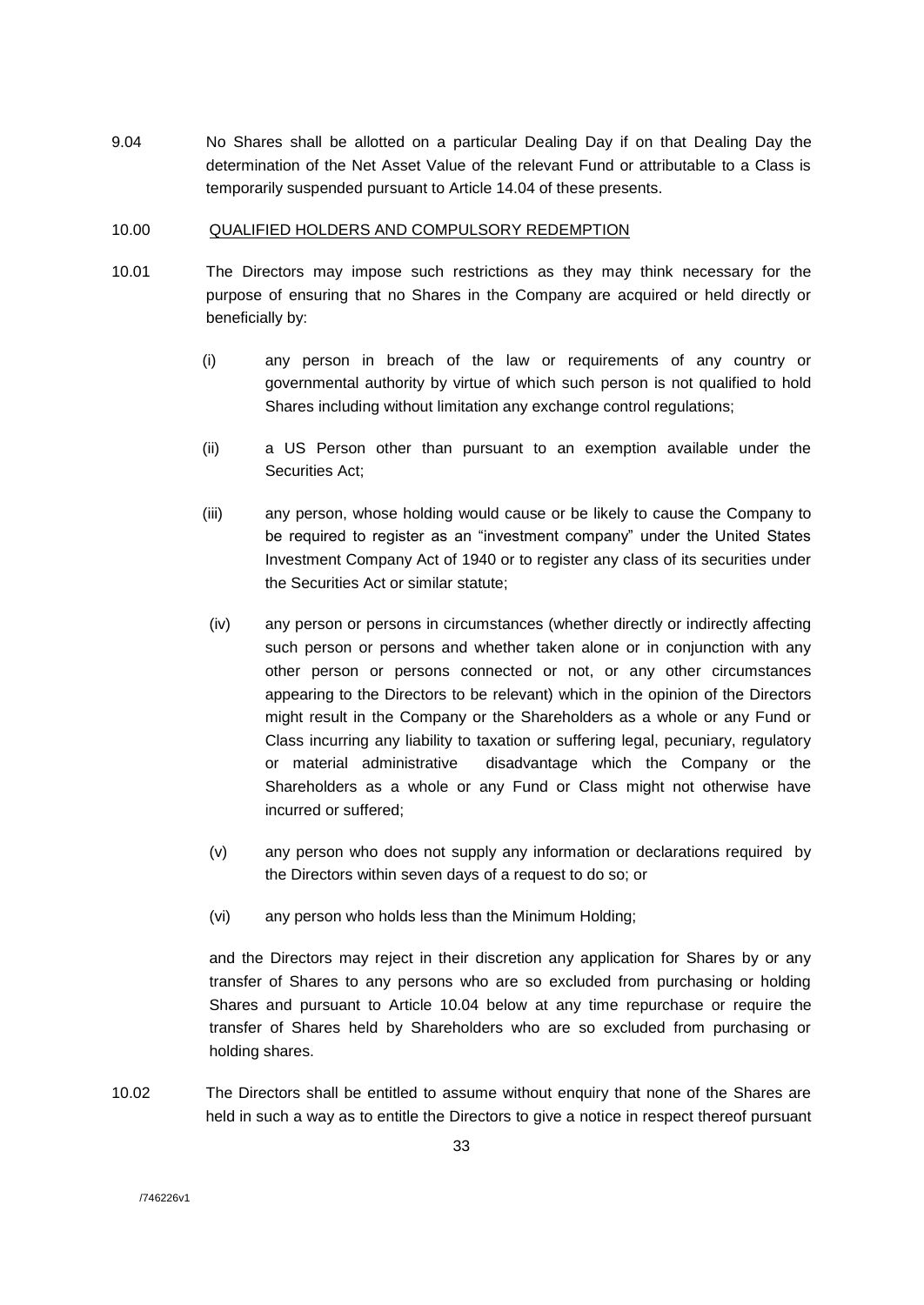9.04 No Shares shall be allotted on a particular Dealing Day if on that Dealing Day the determination of the Net Asset Value of the relevant Fund or attributable to a Class is temporarily suspended pursuant to Article 14.04 of these presents.

#### 10.00 QUALIFIED HOLDERS AND COMPULSORY REDEMPTION

- 10.01 The Directors may impose such restrictions as they may think necessary for the purpose of ensuring that no Shares in the Company are acquired or held directly or beneficially by:
	- (i) any person in breach of the law or requirements of any country or governmental authority by virtue of which such person is not qualified to hold Shares including without limitation any exchange control regulations;
	- (ii) a US Person other than pursuant to an exemption available under the Securities Act;
	- (iii) any person, whose holding would cause or be likely to cause the Company to be required to register as an "investment company" under the United States Investment Company Act of 1940 or to register any class of its securities under the Securities Act or similar statute;
	- (iv) any person or persons in circumstances (whether directly or indirectly affecting such person or persons and whether taken alone or in conjunction with any other person or persons connected or not, or any other circumstances appearing to the Directors to be relevant) which in the opinion of the Directors might result in the Company or the Shareholders as a whole or any Fund or Class incurring any liability to taxation or suffering legal, pecuniary, regulatory or material administrative disadvantage which the Company or the Shareholders as a whole or any Fund or Class might not otherwise have incurred or suffered;
	- (v) any person who does not supply any information or declarations required by the Directors within seven days of a request to do so; or
	- (vi) any person who holds less than the Minimum Holding;

and the Directors may reject in their discretion any application for Shares by or any transfer of Shares to any persons who are so excluded from purchasing or holding Shares and pursuant to Article 10.04 below at any time repurchase or require the transfer of Shares held by Shareholders who are so excluded from purchasing or holding shares.

10.02 The Directors shall be entitled to assume without enquiry that none of the Shares are held in such a way as to entitle the Directors to give a notice in respect thereof pursuant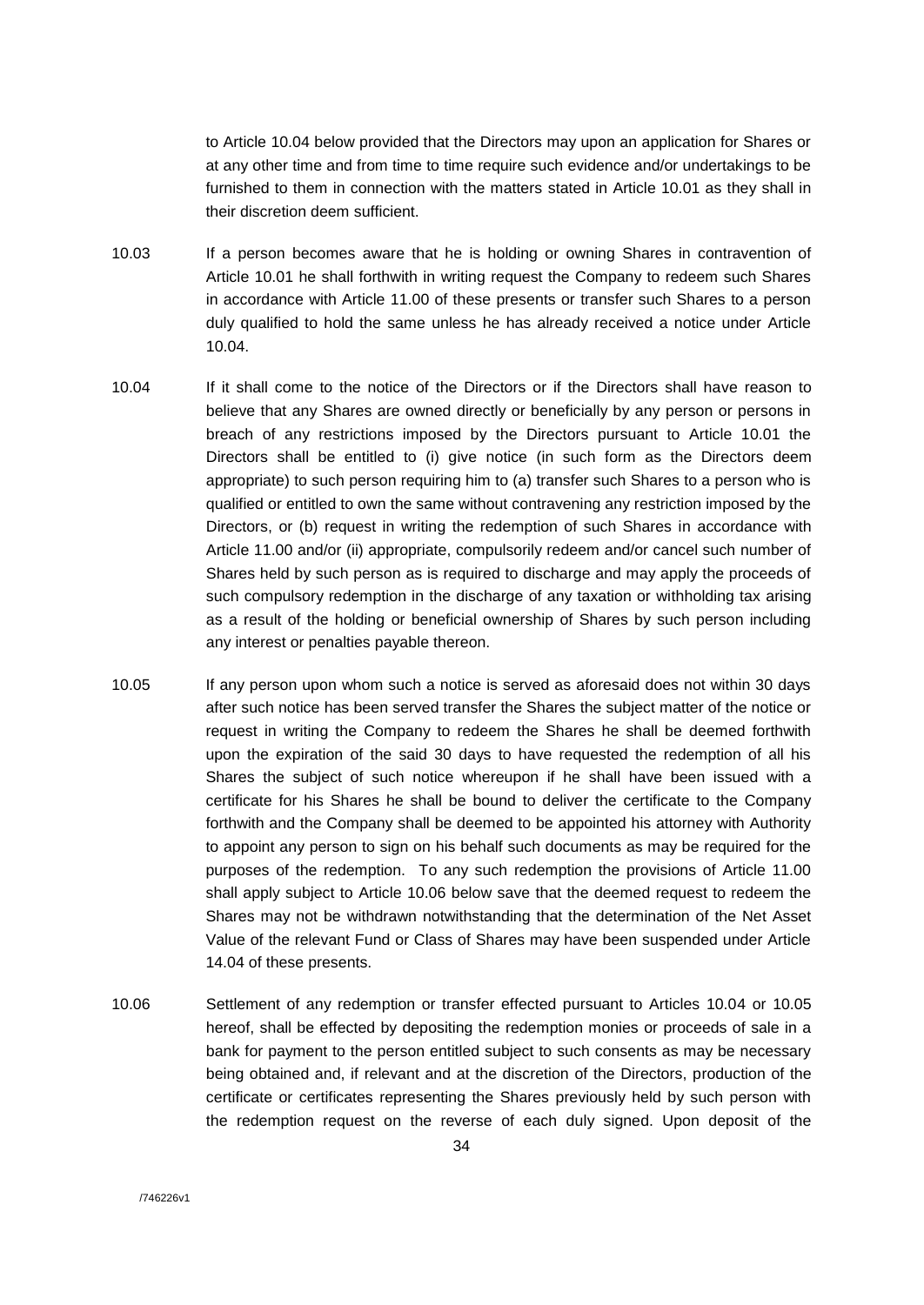to Article 10.04 below provided that the Directors may upon an application for Shares or at any other time and from time to time require such evidence and/or undertakings to be furnished to them in connection with the matters stated in Article 10.01 as they shall in their discretion deem sufficient.

- 10.03 If a person becomes aware that he is holding or owning Shares in contravention of Article 10.01 he shall forthwith in writing request the Company to redeem such Shares in accordance with Article 11.00 of these presents or transfer such Shares to a person duly qualified to hold the same unless he has already received a notice under Article 10.04.
- 10.04 If it shall come to the notice of the Directors or if the Directors shall have reason to believe that any Shares are owned directly or beneficially by any person or persons in breach of any restrictions imposed by the Directors pursuant to Article 10.01 the Directors shall be entitled to (i) give notice (in such form as the Directors deem appropriate) to such person requiring him to (a) transfer such Shares to a person who is qualified or entitled to own the same without contravening any restriction imposed by the Directors, or (b) request in writing the redemption of such Shares in accordance with Article 11.00 and/or (ii) appropriate, compulsorily redeem and/or cancel such number of Shares held by such person as is required to discharge and may apply the proceeds of such compulsory redemption in the discharge of any taxation or withholding tax arising as a result of the holding or beneficial ownership of Shares by such person including any interest or penalties payable thereon.
- 10.05 If any person upon whom such a notice is served as aforesaid does not within 30 days after such notice has been served transfer the Shares the subject matter of the notice or request in writing the Company to redeem the Shares he shall be deemed forthwith upon the expiration of the said 30 days to have requested the redemption of all his Shares the subject of such notice whereupon if he shall have been issued with a certificate for his Shares he shall be bound to deliver the certificate to the Company forthwith and the Company shall be deemed to be appointed his attorney with Authority to appoint any person to sign on his behalf such documents as may be required for the purposes of the redemption. To any such redemption the provisions of Article 11.00 shall apply subject to Article 10.06 below save that the deemed request to redeem the Shares may not be withdrawn notwithstanding that the determination of the Net Asset Value of the relevant Fund or Class of Shares may have been suspended under Article 14.04 of these presents.
- 10.06 Settlement of any redemption or transfer effected pursuant to Articles 10.04 or 10.05 hereof, shall be effected by depositing the redemption monies or proceeds of sale in a bank for payment to the person entitled subject to such consents as may be necessary being obtained and, if relevant and at the discretion of the Directors, production of the certificate or certificates representing the Shares previously held by such person with the redemption request on the reverse of each duly signed. Upon deposit of the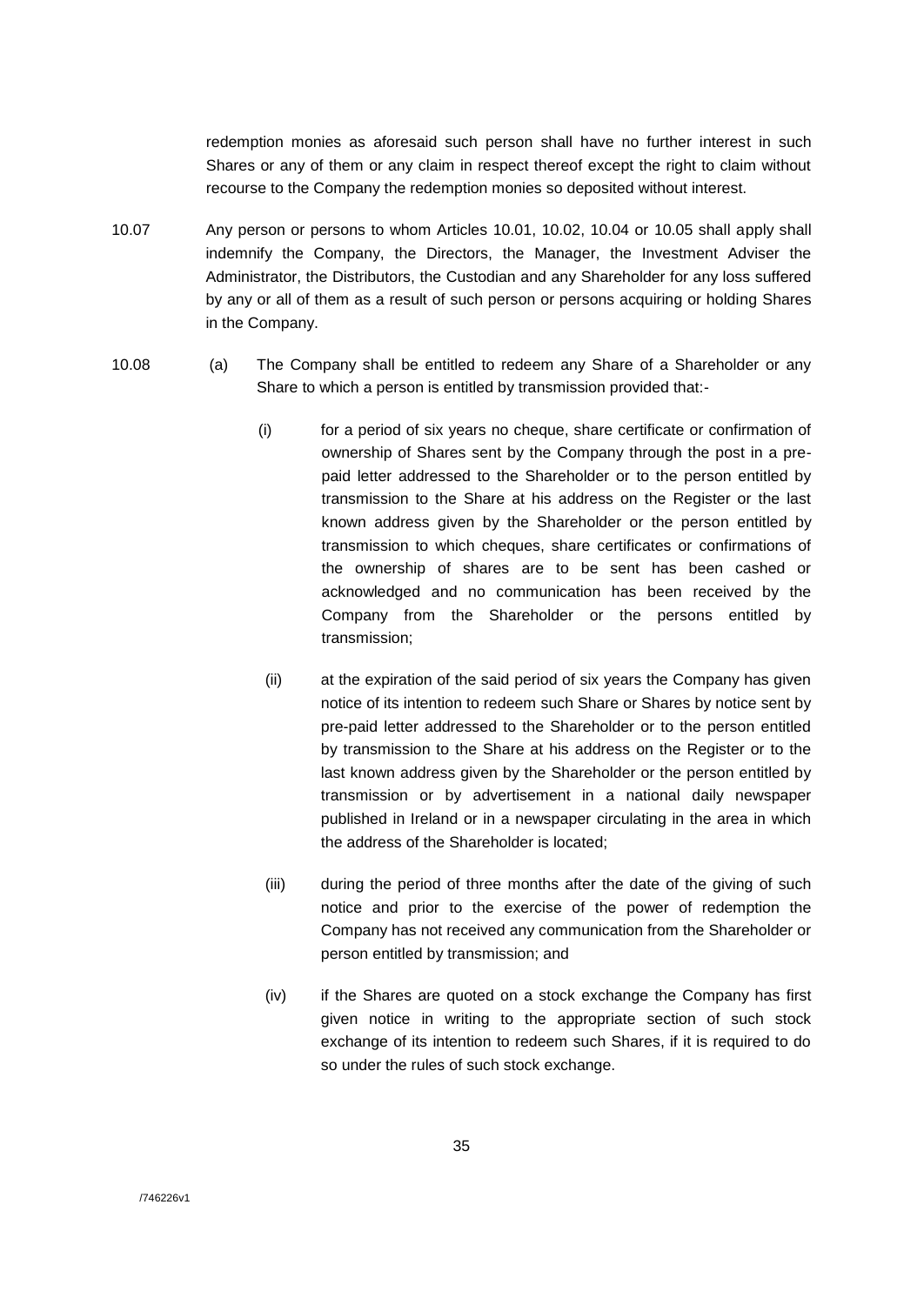redemption monies as aforesaid such person shall have no further interest in such Shares or any of them or any claim in respect thereof except the right to claim without recourse to the Company the redemption monies so deposited without interest.

- 10.07 Any person or persons to whom Articles 10.01, 10.02, 10.04 or 10.05 shall apply shall indemnify the Company, the Directors, the Manager, the Investment Adviser the Administrator, the Distributors, the Custodian and any Shareholder for any loss suffered by any or all of them as a result of such person or persons acquiring or holding Shares in the Company.
- 10.08 (a) The Company shall be entitled to redeem any Share of a Shareholder or any Share to which a person is entitled by transmission provided that:-
	- (i) for a period of six years no cheque, share certificate or confirmation of ownership of Shares sent by the Company through the post in a prepaid letter addressed to the Shareholder or to the person entitled by transmission to the Share at his address on the Register or the last known address given by the Shareholder or the person entitled by transmission to which cheques, share certificates or confirmations of the ownership of shares are to be sent has been cashed or acknowledged and no communication has been received by the Company from the Shareholder or the persons entitled by transmission;
	- (ii) at the expiration of the said period of six years the Company has given notice of its intention to redeem such Share or Shares by notice sent by pre-paid letter addressed to the Shareholder or to the person entitled by transmission to the Share at his address on the Register or to the last known address given by the Shareholder or the person entitled by transmission or by advertisement in a national daily newspaper published in Ireland or in a newspaper circulating in the area in which the address of the Shareholder is located;
	- (iii) during the period of three months after the date of the giving of such notice and prior to the exercise of the power of redemption the Company has not received any communication from the Shareholder or person entitled by transmission; and
	- (iv) if the Shares are quoted on a stock exchange the Company has first given notice in writing to the appropriate section of such stock exchange of its intention to redeem such Shares, if it is required to do so under the rules of such stock exchange.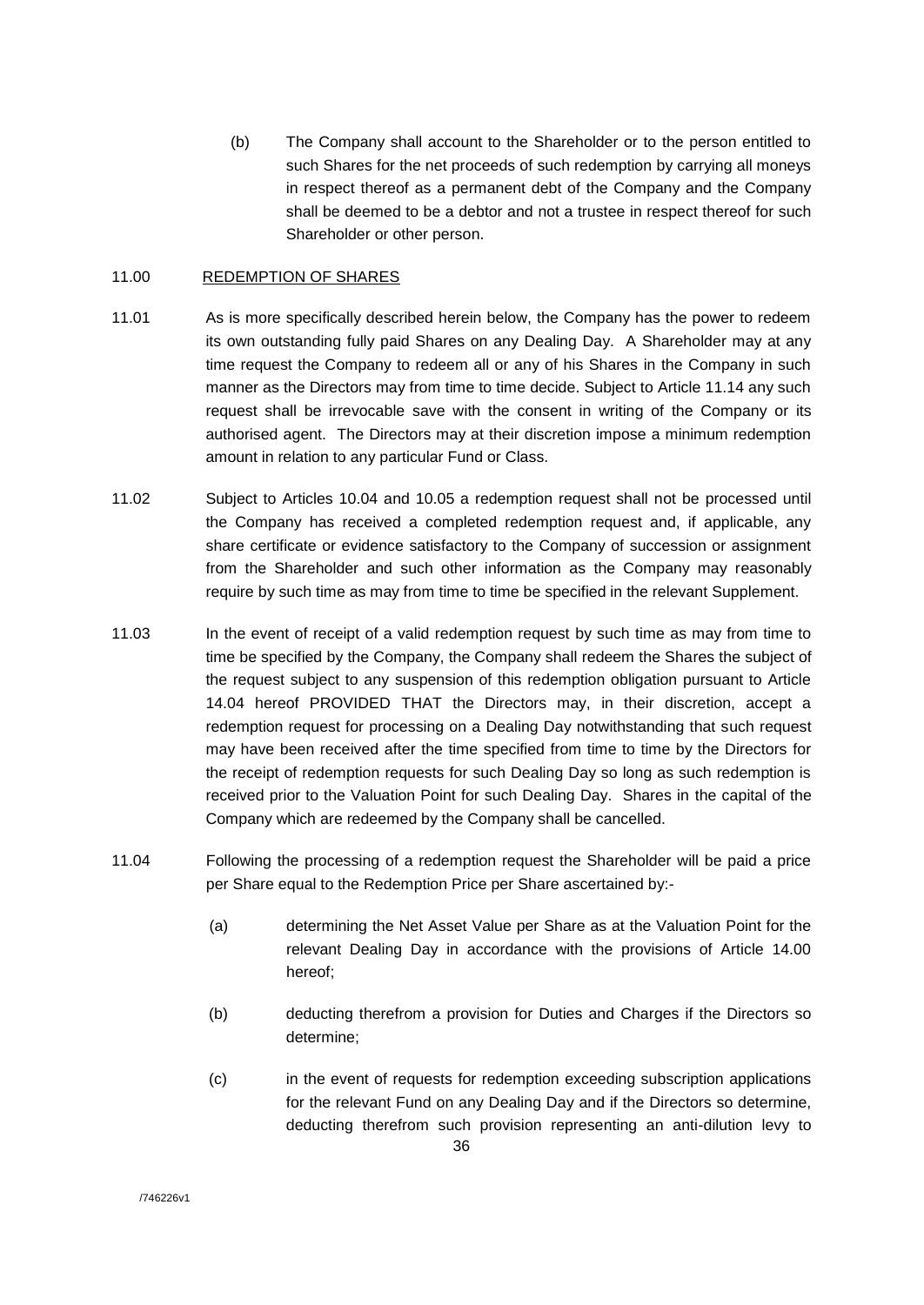(b) The Company shall account to the Shareholder or to the person entitled to such Shares for the net proceeds of such redemption by carrying all moneys in respect thereof as a permanent debt of the Company and the Company shall be deemed to be a debtor and not a trustee in respect thereof for such Shareholder or other person.

#### 11.00 REDEMPTION OF SHARES

- 11.01 As is more specifically described herein below, the Company has the power to redeem its own outstanding fully paid Shares on any Dealing Day. A Shareholder may at any time request the Company to redeem all or any of his Shares in the Company in such manner as the Directors may from time to time decide. Subject to Article 11.14 any such request shall be irrevocable save with the consent in writing of the Company or its authorised agent. The Directors may at their discretion impose a minimum redemption amount in relation to any particular Fund or Class.
- 11.02 Subject to Articles 10.04 and 10.05 a redemption request shall not be processed until the Company has received a completed redemption request and, if applicable, any share certificate or evidence satisfactory to the Company of succession or assignment from the Shareholder and such other information as the Company may reasonably require by such time as may from time to time be specified in the relevant Supplement.
- 11.03 In the event of receipt of a valid redemption request by such time as may from time to time be specified by the Company, the Company shall redeem the Shares the subject of the request subject to any suspension of this redemption obligation pursuant to Article 14.04 hereof PROVIDED THAT the Directors may, in their discretion, accept a redemption request for processing on a Dealing Day notwithstanding that such request may have been received after the time specified from time to time by the Directors for the receipt of redemption requests for such Dealing Day so long as such redemption is received prior to the Valuation Point for such Dealing Day. Shares in the capital of the Company which are redeemed by the Company shall be cancelled.
- 11.04 Following the processing of a redemption request the Shareholder will be paid a price per Share equal to the Redemption Price per Share ascertained by:-
	- (a) determining the Net Asset Value per Share as at the Valuation Point for the relevant Dealing Day in accordance with the provisions of Article 14.00 hereof;
	- (b) deducting therefrom a provision for Duties and Charges if the Directors so determine;
	- (c) in the event of requests for redemption exceeding subscription applications for the relevant Fund on any Dealing Day and if the Directors so determine, deducting therefrom such provision representing an anti-dilution levy to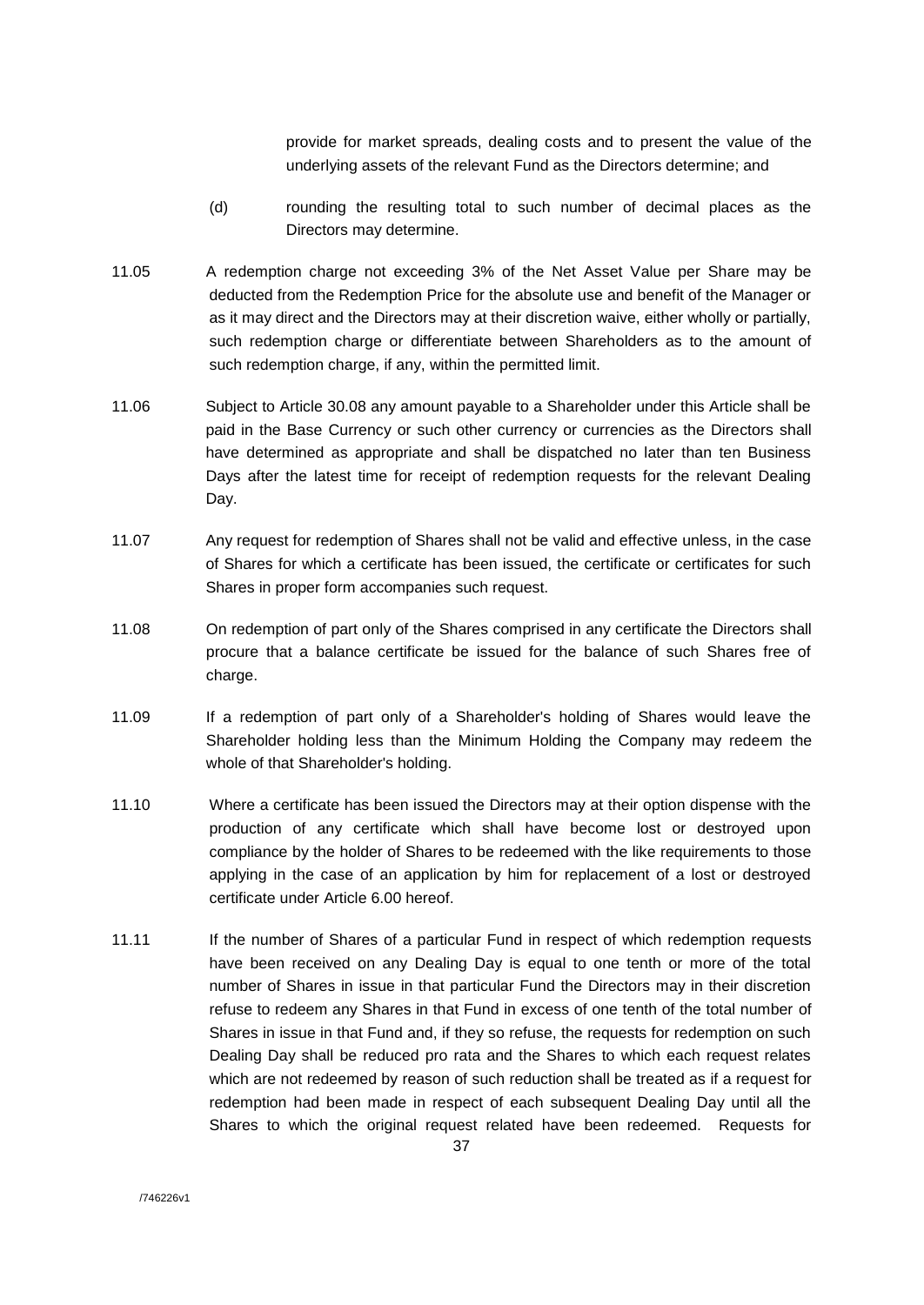provide for market spreads, dealing costs and to present the value of the underlying assets of the relevant Fund as the Directors determine; and

- (d) rounding the resulting total to such number of decimal places as the Directors may determine.
- 11.05 A redemption charge not exceeding 3% of the Net Asset Value per Share may be deducted from the Redemption Price for the absolute use and benefit of the Manager or as it may direct and the Directors may at their discretion waive, either wholly or partially, such redemption charge or differentiate between Shareholders as to the amount of such redemption charge, if any, within the permitted limit.
- 11.06 Subject to Article 30.08 any amount payable to a Shareholder under this Article shall be paid in the Base Currency or such other currency or currencies as the Directors shall have determined as appropriate and shall be dispatched no later than ten Business Days after the latest time for receipt of redemption requests for the relevant Dealing Day.
- 11.07 Any request for redemption of Shares shall not be valid and effective unless, in the case of Shares for which a certificate has been issued, the certificate or certificates for such Shares in proper form accompanies such request.
- 11.08 On redemption of part only of the Shares comprised in any certificate the Directors shall procure that a balance certificate be issued for the balance of such Shares free of charge.
- 11.09 If a redemption of part only of a Shareholder's holding of Shares would leave the Shareholder holding less than the Minimum Holding the Company may redeem the whole of that Shareholder's holding.
- 11.10 Where a certificate has been issued the Directors may at their option dispense with the production of any certificate which shall have become lost or destroyed upon compliance by the holder of Shares to be redeemed with the like requirements to those applying in the case of an application by him for replacement of a lost or destroyed certificate under Article 6.00 hereof.
- 11.11 If the number of Shares of a particular Fund in respect of which redemption requests have been received on any Dealing Day is equal to one tenth or more of the total number of Shares in issue in that particular Fund the Directors may in their discretion refuse to redeem any Shares in that Fund in excess of one tenth of the total number of Shares in issue in that Fund and, if they so refuse, the requests for redemption on such Dealing Day shall be reduced pro rata and the Shares to which each request relates which are not redeemed by reason of such reduction shall be treated as if a request for redemption had been made in respect of each subsequent Dealing Day until all the Shares to which the original request related have been redeemed. Requests for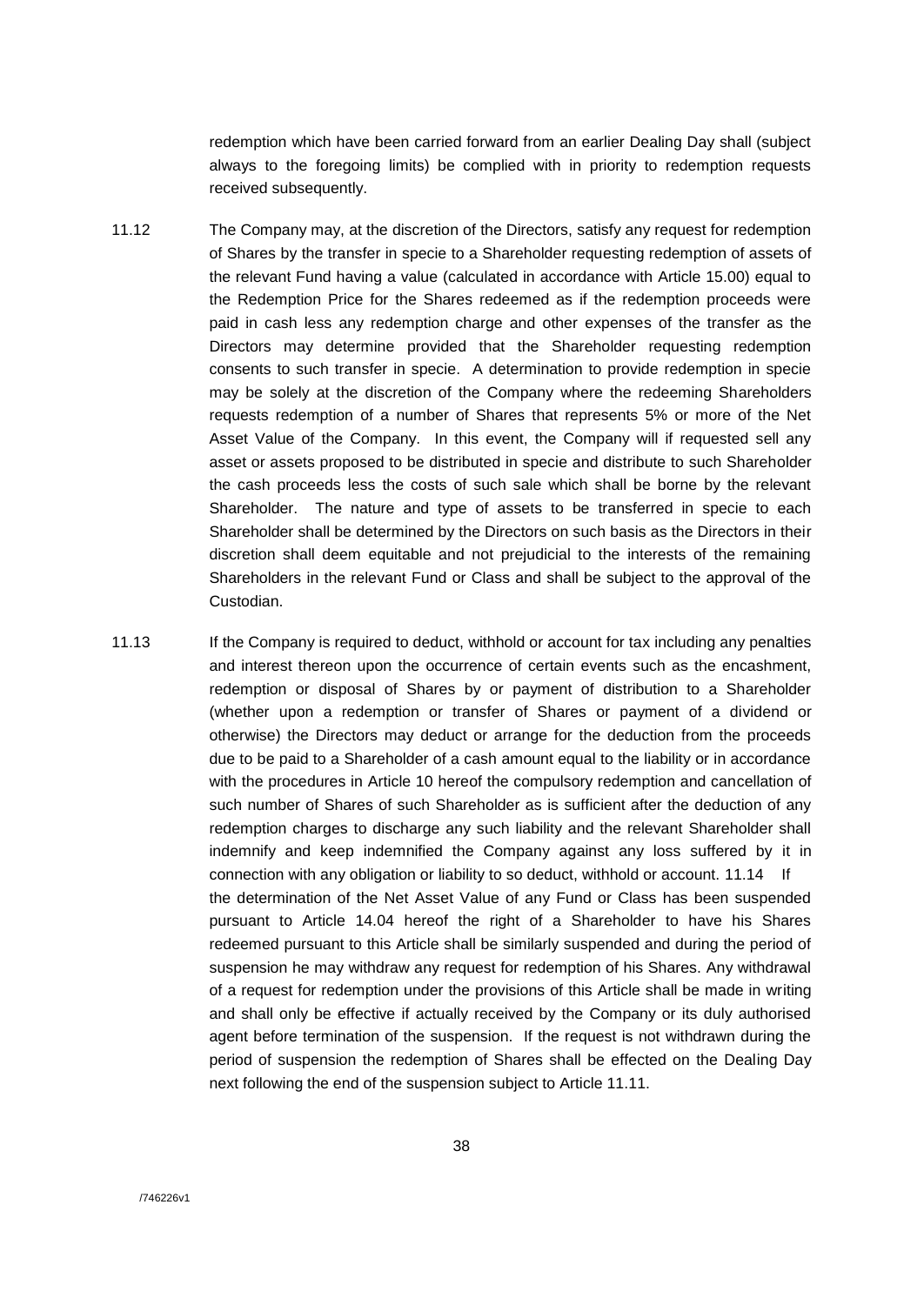redemption which have been carried forward from an earlier Dealing Day shall (subject always to the foregoing limits) be complied with in priority to redemption requests received subsequently.

- 11.12 The Company may, at the discretion of the Directors, satisfy any request for redemption of Shares by the transfer in specie to a Shareholder requesting redemption of assets of the relevant Fund having a value (calculated in accordance with Article 15.00) equal to the Redemption Price for the Shares redeemed as if the redemption proceeds were paid in cash less any redemption charge and other expenses of the transfer as the Directors may determine provided that the Shareholder requesting redemption consents to such transfer in specie. A determination to provide redemption in specie may be solely at the discretion of the Company where the redeeming Shareholders requests redemption of a number of Shares that represents 5% or more of the Net Asset Value of the Company. In this event, the Company will if requested sell any asset or assets proposed to be distributed in specie and distribute to such Shareholder the cash proceeds less the costs of such sale which shall be borne by the relevant Shareholder. The nature and type of assets to be transferred in specie to each Shareholder shall be determined by the Directors on such basis as the Directors in their discretion shall deem equitable and not prejudicial to the interests of the remaining Shareholders in the relevant Fund or Class and shall be subject to the approval of the Custodian.
- 11.13 If the Company is required to deduct, withhold or account for tax including any penalties and interest thereon upon the occurrence of certain events such as the encashment, redemption or disposal of Shares by or payment of distribution to a Shareholder (whether upon a redemption or transfer of Shares or payment of a dividend or otherwise) the Directors may deduct or arrange for the deduction from the proceeds due to be paid to a Shareholder of a cash amount equal to the liability or in accordance with the procedures in Article 10 hereof the compulsory redemption and cancellation of such number of Shares of such Shareholder as is sufficient after the deduction of any redemption charges to discharge any such liability and the relevant Shareholder shall indemnify and keep indemnified the Company against any loss suffered by it in connection with any obligation or liability to so deduct, withhold or account. 11.14 If the determination of the Net Asset Value of any Fund or Class has been suspended pursuant to Article 14.04 hereof the right of a Shareholder to have his Shares redeemed pursuant to this Article shall be similarly suspended and during the period of suspension he may withdraw any request for redemption of his Shares. Any withdrawal of a request for redemption under the provisions of this Article shall be made in writing and shall only be effective if actually received by the Company or its duly authorised agent before termination of the suspension. If the request is not withdrawn during the period of suspension the redemption of Shares shall be effected on the Dealing Day next following the end of the suspension subject to Article 11.11.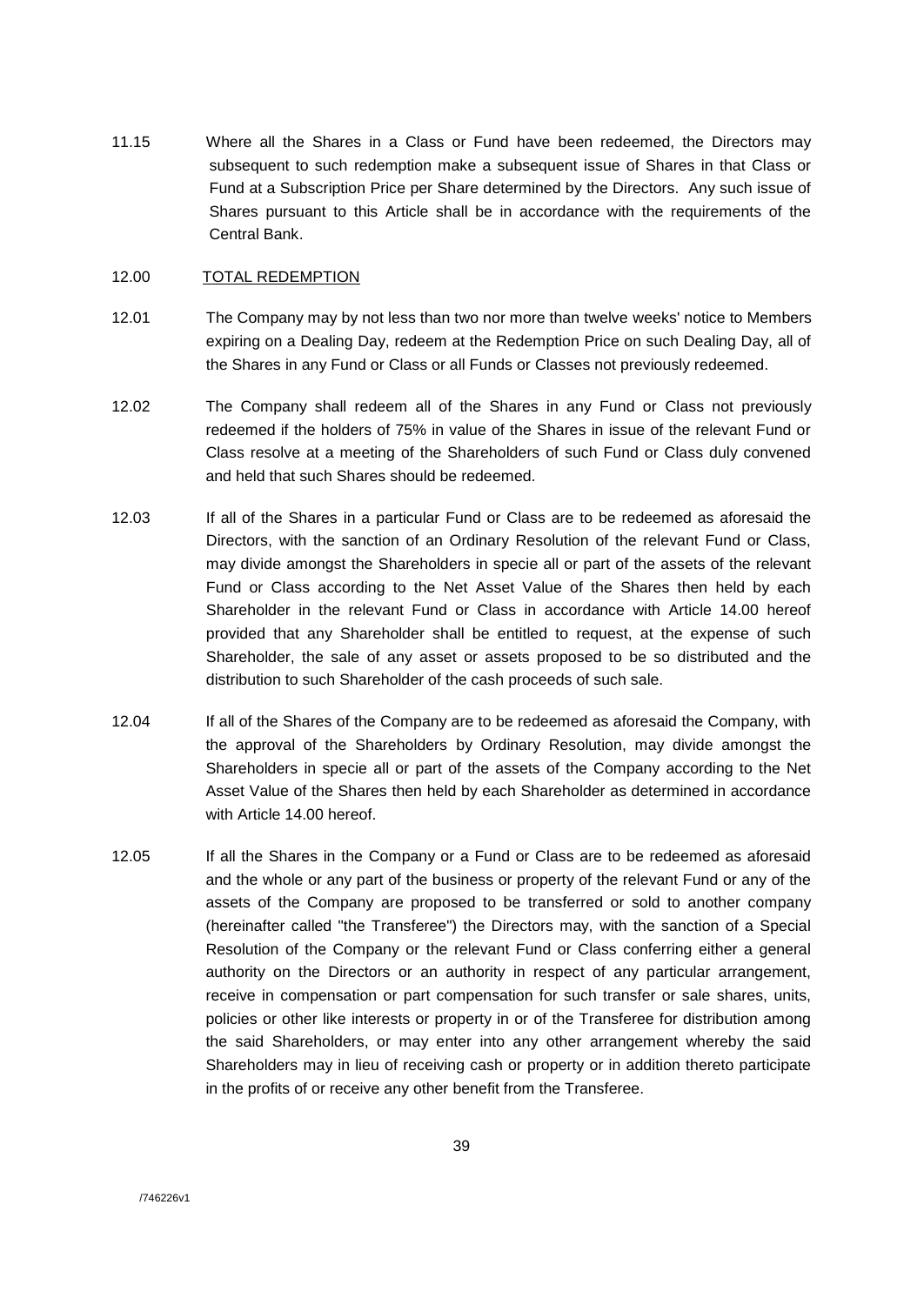11.15 Where all the Shares in a Class or Fund have been redeemed, the Directors may subsequent to such redemption make a subsequent issue of Shares in that Class or Fund at a Subscription Price per Share determined by the Directors. Any such issue of Shares pursuant to this Article shall be in accordance with the requirements of the Central Bank.

### 12.00 TOTAL REDEMPTION

- 12.01 The Company may by not less than two nor more than twelve weeks' notice to Members expiring on a Dealing Day, redeem at the Redemption Price on such Dealing Day, all of the Shares in any Fund or Class or all Funds or Classes not previously redeemed.
- 12.02 The Company shall redeem all of the Shares in any Fund or Class not previously redeemed if the holders of 75% in value of the Shares in issue of the relevant Fund or Class resolve at a meeting of the Shareholders of such Fund or Class duly convened and held that such Shares should be redeemed.
- 12.03 If all of the Shares in a particular Fund or Class are to be redeemed as aforesaid the Directors, with the sanction of an Ordinary Resolution of the relevant Fund or Class, may divide amongst the Shareholders in specie all or part of the assets of the relevant Fund or Class according to the Net Asset Value of the Shares then held by each Shareholder in the relevant Fund or Class in accordance with Article 14.00 hereof provided that any Shareholder shall be entitled to request, at the expense of such Shareholder, the sale of any asset or assets proposed to be so distributed and the distribution to such Shareholder of the cash proceeds of such sale.
- 12.04 If all of the Shares of the Company are to be redeemed as aforesaid the Company, with the approval of the Shareholders by Ordinary Resolution, may divide amongst the Shareholders in specie all or part of the assets of the Company according to the Net Asset Value of the Shares then held by each Shareholder as determined in accordance with Article 14.00 hereof.
- 12.05 If all the Shares in the Company or a Fund or Class are to be redeemed as aforesaid and the whole or any part of the business or property of the relevant Fund or any of the assets of the Company are proposed to be transferred or sold to another company (hereinafter called "the Transferee") the Directors may, with the sanction of a Special Resolution of the Company or the relevant Fund or Class conferring either a general authority on the Directors or an authority in respect of any particular arrangement, receive in compensation or part compensation for such transfer or sale shares, units, policies or other like interests or property in or of the Transferee for distribution among the said Shareholders, or may enter into any other arrangement whereby the said Shareholders may in lieu of receiving cash or property or in addition thereto participate in the profits of or receive any other benefit from the Transferee.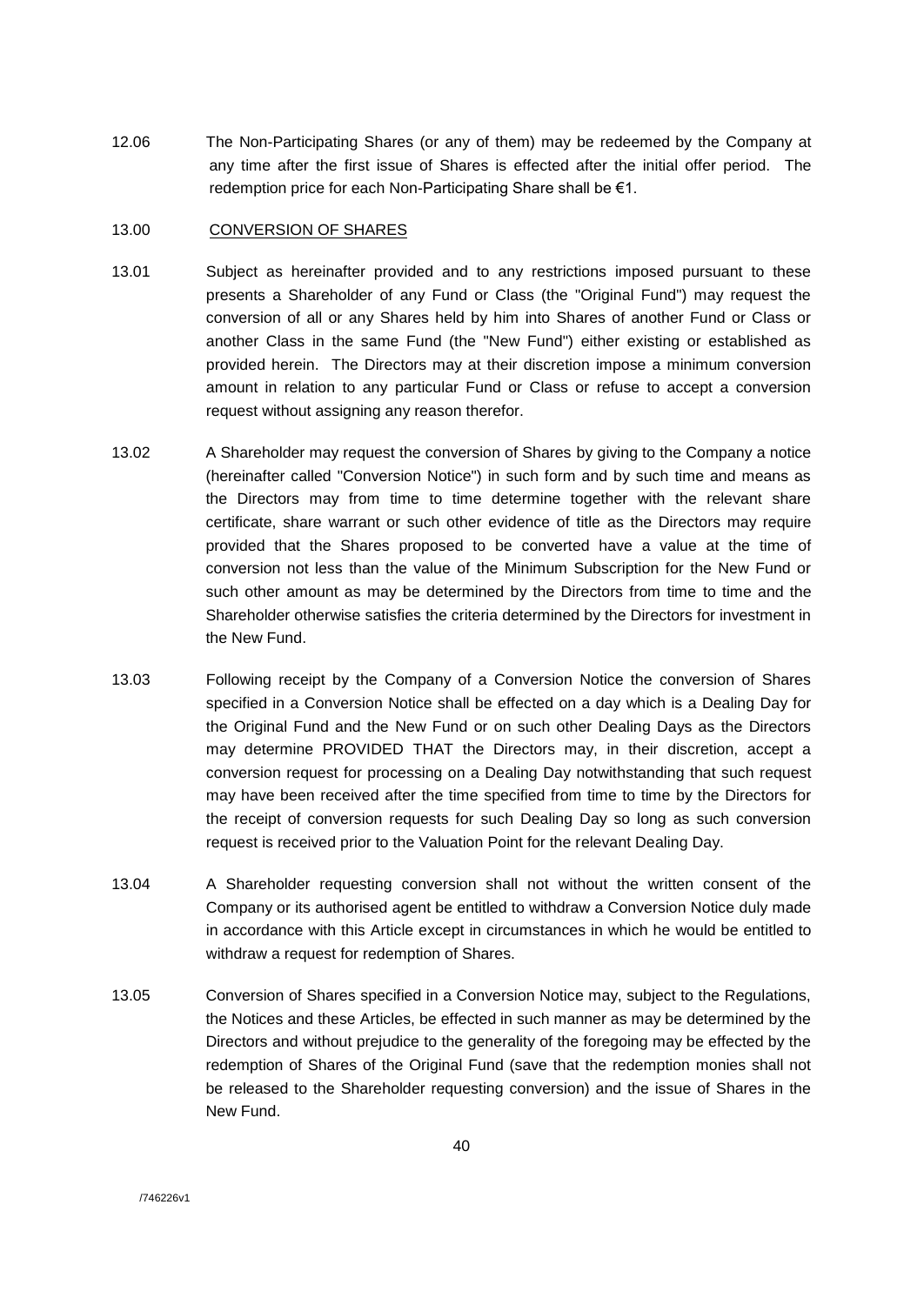12.06 The Non-Participating Shares (or any of them) may be redeemed by the Company at any time after the first issue of Shares is effected after the initial offer period. The redemption price for each Non-Participating Share shall be €1.

## 13.00 CONVERSION OF SHARES

- 13.01 Subject as hereinafter provided and to any restrictions imposed pursuant to these presents a Shareholder of any Fund or Class (the "Original Fund") may request the conversion of all or any Shares held by him into Shares of another Fund or Class or another Class in the same Fund (the "New Fund") either existing or established as provided herein. The Directors may at their discretion impose a minimum conversion amount in relation to any particular Fund or Class or refuse to accept a conversion request without assigning any reason therefor.
- 13.02 A Shareholder may request the conversion of Shares by giving to the Company a notice (hereinafter called "Conversion Notice") in such form and by such time and means as the Directors may from time to time determine together with the relevant share certificate, share warrant or such other evidence of title as the Directors may require provided that the Shares proposed to be converted have a value at the time of conversion not less than the value of the Minimum Subscription for the New Fund or such other amount as may be determined by the Directors from time to time and the Shareholder otherwise satisfies the criteria determined by the Directors for investment in the New Fund.
- 13.03 Following receipt by the Company of a Conversion Notice the conversion of Shares specified in a Conversion Notice shall be effected on a day which is a Dealing Day for the Original Fund and the New Fund or on such other Dealing Days as the Directors may determine PROVIDED THAT the Directors may, in their discretion, accept a conversion request for processing on a Dealing Day notwithstanding that such request may have been received after the time specified from time to time by the Directors for the receipt of conversion requests for such Dealing Day so long as such conversion request is received prior to the Valuation Point for the relevant Dealing Day.
- 13.04 A Shareholder requesting conversion shall not without the written consent of the Company or its authorised agent be entitled to withdraw a Conversion Notice duly made in accordance with this Article except in circumstances in which he would be entitled to withdraw a request for redemption of Shares.
- 13.05 Conversion of Shares specified in a Conversion Notice may, subject to the Regulations, the Notices and these Articles, be effected in such manner as may be determined by the Directors and without prejudice to the generality of the foregoing may be effected by the redemption of Shares of the Original Fund (save that the redemption monies shall not be released to the Shareholder requesting conversion) and the issue of Shares in the New Fund.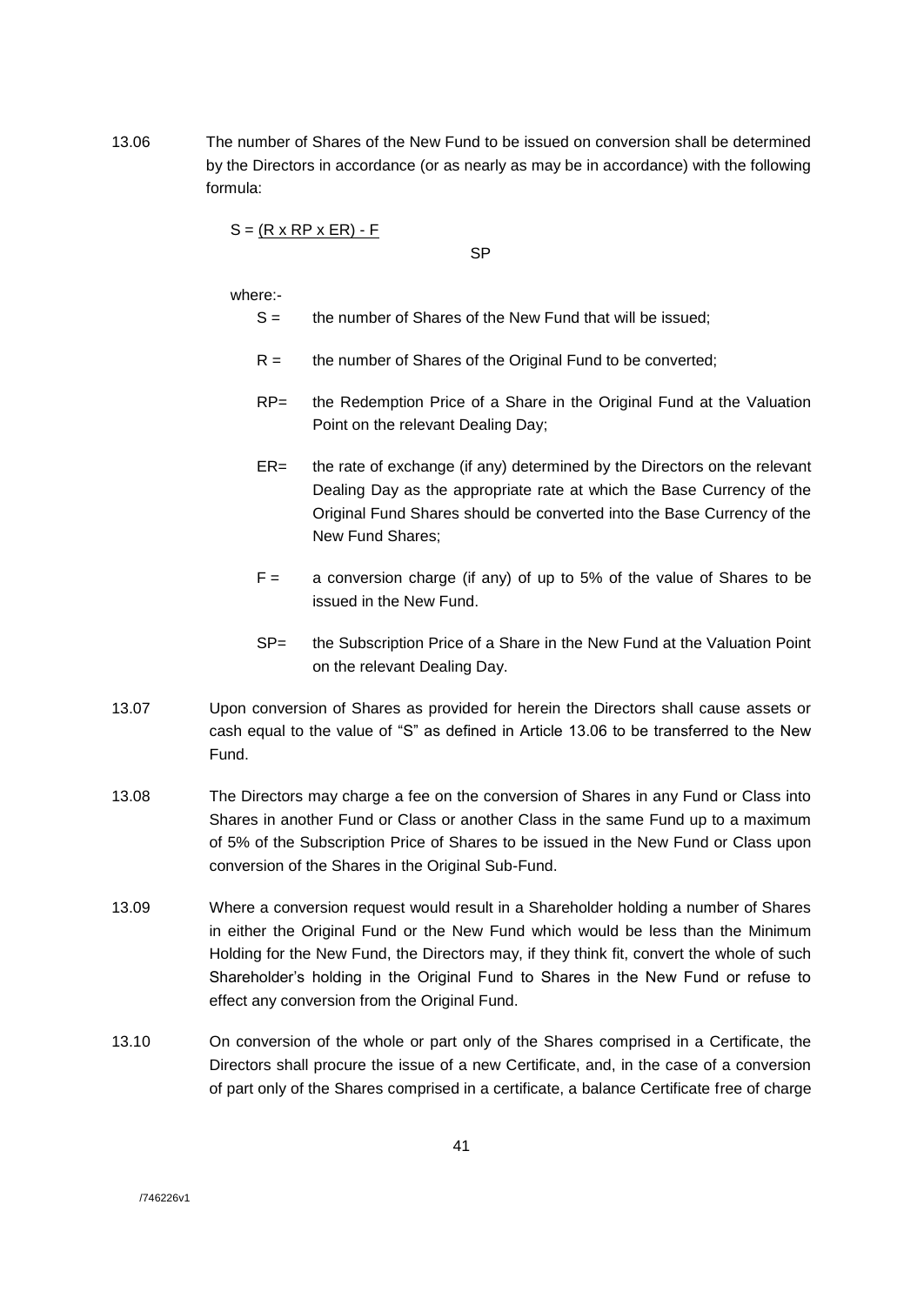13.06 The number of Shares of the New Fund to be issued on conversion shall be determined by the Directors in accordance (or as nearly as may be in accordance) with the following formula:

 $S = (R \times RP \times ER) - F$ 

SP

where:-

- $S =$  the number of Shares of the New Fund that will be issued;
- $R =$  the number of Shares of the Original Fund to be converted;
- RP= the Redemption Price of a Share in the Original Fund at the Valuation Point on the relevant Dealing Day;
- ER= the rate of exchange (if any) determined by the Directors on the relevant Dealing Day as the appropriate rate at which the Base Currency of the Original Fund Shares should be converted into the Base Currency of the New Fund Shares;
- $F =$  a conversion charge (if any) of up to 5% of the value of Shares to be issued in the New Fund.
- SP= the Subscription Price of a Share in the New Fund at the Valuation Point on the relevant Dealing Day.
- 13.07 Upon conversion of Shares as provided for herein the Directors shall cause assets or cash equal to the value of "S" as defined in Article 13.06 to be transferred to the New Fund.
- 13.08 The Directors may charge a fee on the conversion of Shares in any Fund or Class into Shares in another Fund or Class or another Class in the same Fund up to a maximum of 5% of the Subscription Price of Shares to be issued in the New Fund or Class upon conversion of the Shares in the Original Sub-Fund.
- 13.09 Where a conversion request would result in a Shareholder holding a number of Shares in either the Original Fund or the New Fund which would be less than the Minimum Holding for the New Fund, the Directors may, if they think fit, convert the whole of such Shareholder's holding in the Original Fund to Shares in the New Fund or refuse to effect any conversion from the Original Fund.
- 13.10 On conversion of the whole or part only of the Shares comprised in a Certificate, the Directors shall procure the issue of a new Certificate, and, in the case of a conversion of part only of the Shares comprised in a certificate, a balance Certificate free of charge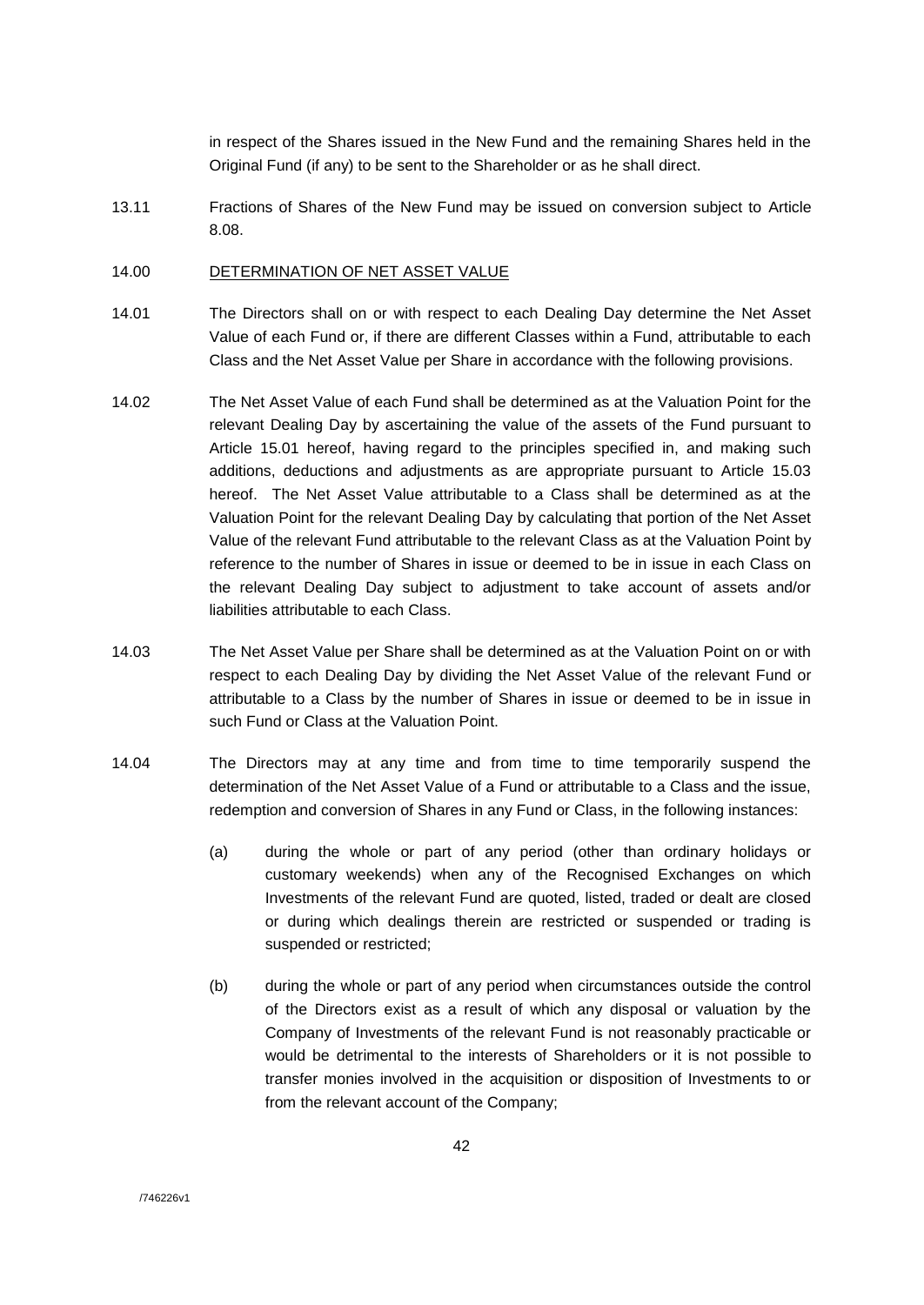in respect of the Shares issued in the New Fund and the remaining Shares held in the Original Fund (if any) to be sent to the Shareholder or as he shall direct.

13.11 Fractions of Shares of the New Fund may be issued on conversion subject to Article 8.08.

### 14.00 DETERMINATION OF NET ASSET VALUE

- 14.01 The Directors shall on or with respect to each Dealing Day determine the Net Asset Value of each Fund or, if there are different Classes within a Fund, attributable to each Class and the Net Asset Value per Share in accordance with the following provisions.
- 14.02 The Net Asset Value of each Fund shall be determined as at the Valuation Point for the relevant Dealing Day by ascertaining the value of the assets of the Fund pursuant to Article 15.01 hereof, having regard to the principles specified in, and making such additions, deductions and adjustments as are appropriate pursuant to Article 15.03 hereof. The Net Asset Value attributable to a Class shall be determined as at the Valuation Point for the relevant Dealing Day by calculating that portion of the Net Asset Value of the relevant Fund attributable to the relevant Class as at the Valuation Point by reference to the number of Shares in issue or deemed to be in issue in each Class on the relevant Dealing Day subject to adjustment to take account of assets and/or liabilities attributable to each Class.
- 14.03 The Net Asset Value per Share shall be determined as at the Valuation Point on or with respect to each Dealing Day by dividing the Net Asset Value of the relevant Fund or attributable to a Class by the number of Shares in issue or deemed to be in issue in such Fund or Class at the Valuation Point.
- 14.04 The Directors may at any time and from time to time temporarily suspend the determination of the Net Asset Value of a Fund or attributable to a Class and the issue, redemption and conversion of Shares in any Fund or Class, in the following instances:
	- (a) during the whole or part of any period (other than ordinary holidays or customary weekends) when any of the Recognised Exchanges on which Investments of the relevant Fund are quoted, listed, traded or dealt are closed or during which dealings therein are restricted or suspended or trading is suspended or restricted;
	- (b) during the whole or part of any period when circumstances outside the control of the Directors exist as a result of which any disposal or valuation by the Company of Investments of the relevant Fund is not reasonably practicable or would be detrimental to the interests of Shareholders or it is not possible to transfer monies involved in the acquisition or disposition of Investments to or from the relevant account of the Company;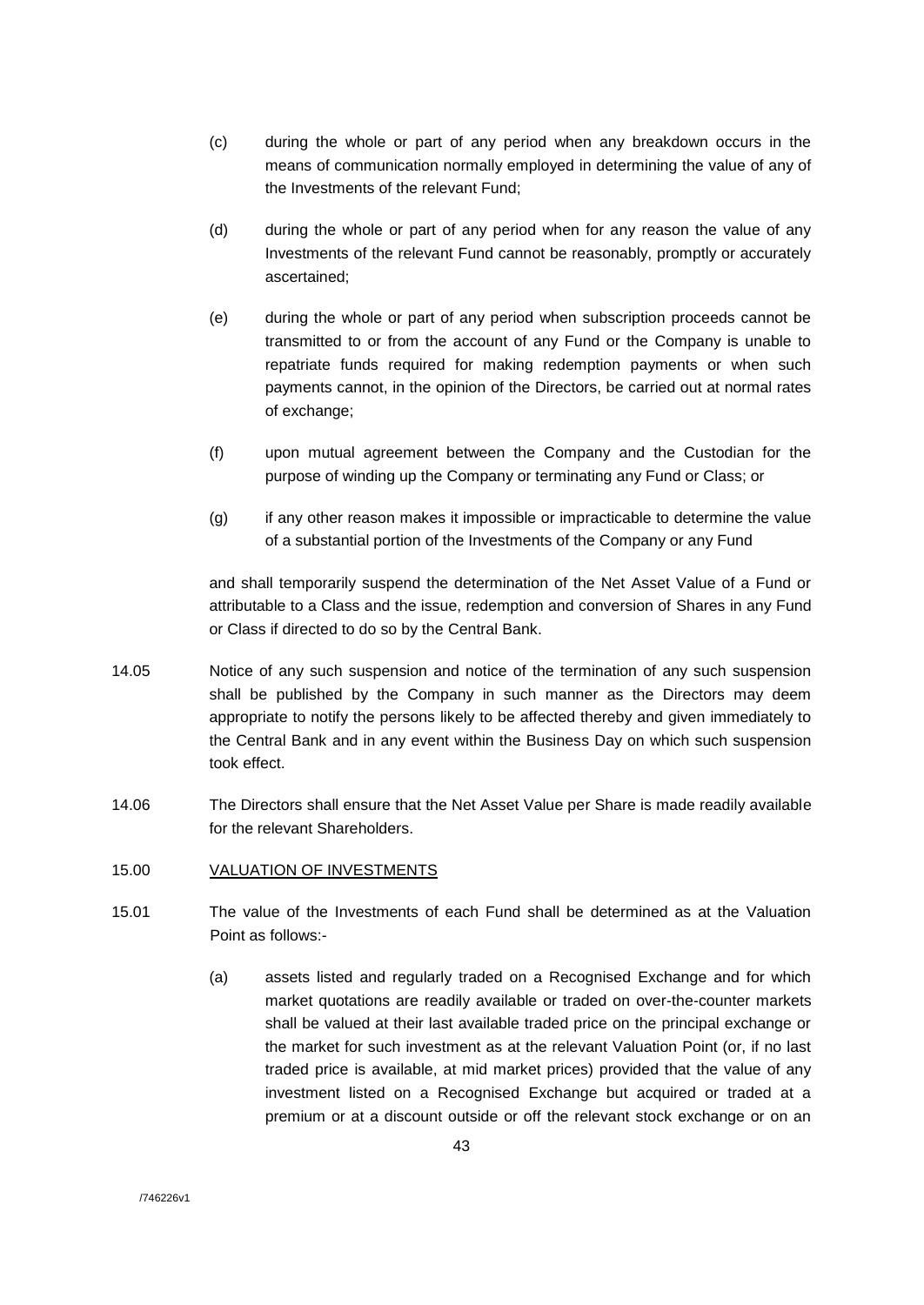- (c) during the whole or part of any period when any breakdown occurs in the means of communication normally employed in determining the value of any of the Investments of the relevant Fund;
- (d) during the whole or part of any period when for any reason the value of any Investments of the relevant Fund cannot be reasonably, promptly or accurately ascertained;
- (e) during the whole or part of any period when subscription proceeds cannot be transmitted to or from the account of any Fund or the Company is unable to repatriate funds required for making redemption payments or when such payments cannot, in the opinion of the Directors, be carried out at normal rates of exchange;
- (f) upon mutual agreement between the Company and the Custodian for the purpose of winding up the Company or terminating any Fund or Class; or
- (g) if any other reason makes it impossible or impracticable to determine the value of a substantial portion of the Investments of the Company or any Fund

and shall temporarily suspend the determination of the Net Asset Value of a Fund or attributable to a Class and the issue, redemption and conversion of Shares in any Fund or Class if directed to do so by the Central Bank.

- 14.05 Notice of any such suspension and notice of the termination of any such suspension shall be published by the Company in such manner as the Directors may deem appropriate to notify the persons likely to be affected thereby and given immediately to the Central Bank and in any event within the Business Day on which such suspension took effect.
- 14.06 The Directors shall ensure that the Net Asset Value per Share is made readily available for the relevant Shareholders.
- 15.00 VALUATION OF INVESTMENTS
- 15.01 The value of the Investments of each Fund shall be determined as at the Valuation Point as follows:-
	- (a) assets listed and regularly traded on a Recognised Exchange and for which market quotations are readily available or traded on over-the-counter markets shall be valued at their last available traded price on the principal exchange or the market for such investment as at the relevant Valuation Point (or, if no last traded price is available, at mid market prices) provided that the value of any investment listed on a Recognised Exchange but acquired or traded at a premium or at a discount outside or off the relevant stock exchange or on an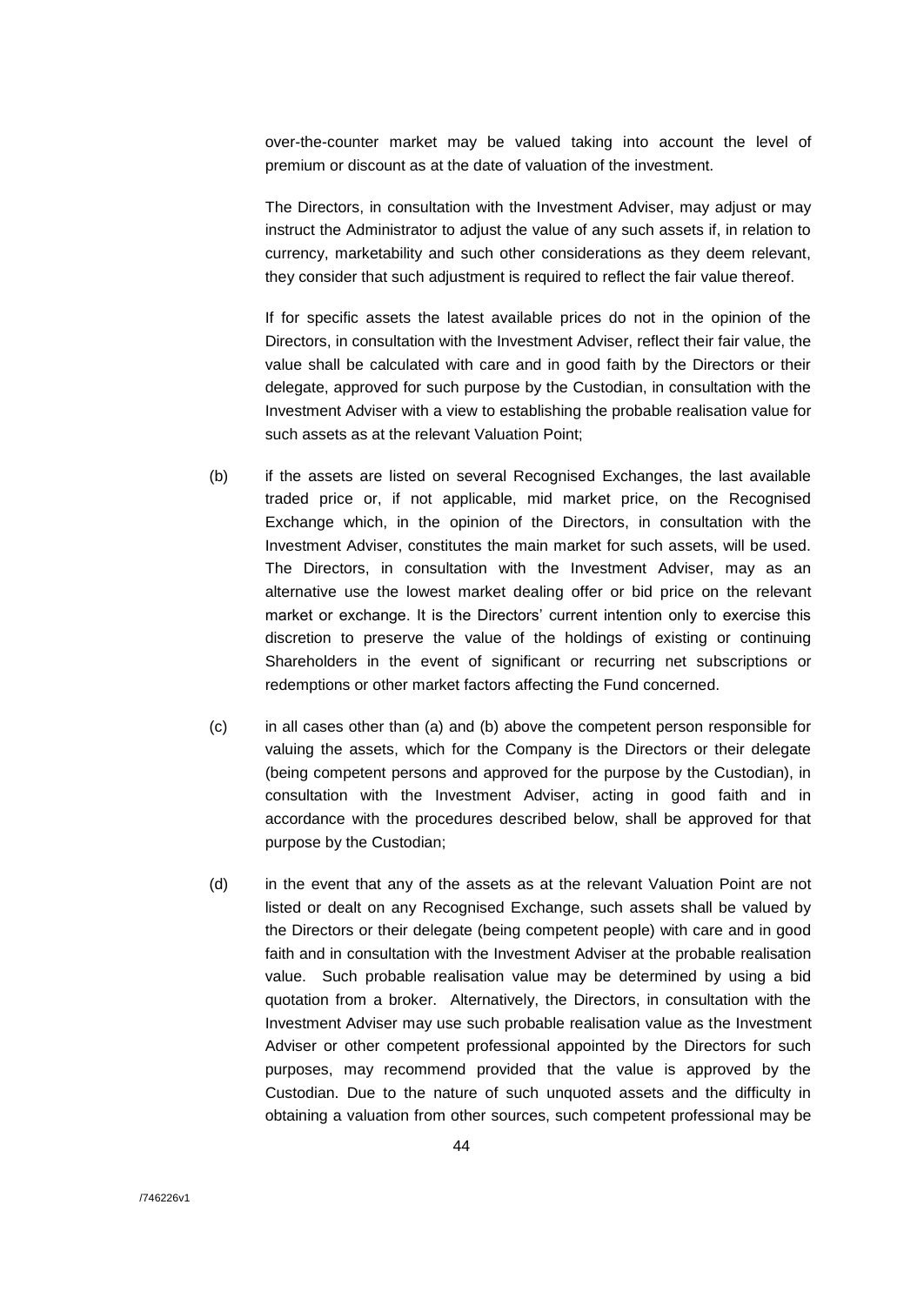over-the-counter market may be valued taking into account the level of premium or discount as at the date of valuation of the investment.

The Directors, in consultation with the Investment Adviser, may adjust or may instruct the Administrator to adjust the value of any such assets if, in relation to currency, marketability and such other considerations as they deem relevant, they consider that such adjustment is required to reflect the fair value thereof.

If for specific assets the latest available prices do not in the opinion of the Directors, in consultation with the Investment Adviser, reflect their fair value, the value shall be calculated with care and in good faith by the Directors or their delegate, approved for such purpose by the Custodian, in consultation with the Investment Adviser with a view to establishing the probable realisation value for such assets as at the relevant Valuation Point;

- (b) if the assets are listed on several Recognised Exchanges, the last available traded price or, if not applicable, mid market price, on the Recognised Exchange which, in the opinion of the Directors, in consultation with the Investment Adviser, constitutes the main market for such assets, will be used. The Directors, in consultation with the Investment Adviser, may as an alternative use the lowest market dealing offer or bid price on the relevant market or exchange. It is the Directors' current intention only to exercise this discretion to preserve the value of the holdings of existing or continuing Shareholders in the event of significant or recurring net subscriptions or redemptions or other market factors affecting the Fund concerned.
- (c) in all cases other than (a) and (b) above the competent person responsible for valuing the assets, which for the Company is the Directors or their delegate (being competent persons and approved for the purpose by the Custodian), in consultation with the Investment Adviser, acting in good faith and in accordance with the procedures described below, shall be approved for that purpose by the Custodian;
- (d) in the event that any of the assets as at the relevant Valuation Point are not listed or dealt on any Recognised Exchange, such assets shall be valued by the Directors or their delegate (being competent people) with care and in good faith and in consultation with the Investment Adviser at the probable realisation value. Such probable realisation value may be determined by using a bid quotation from a broker. Alternatively, the Directors, in consultation with the Investment Adviser may use such probable realisation value as the Investment Adviser or other competent professional appointed by the Directors for such purposes, may recommend provided that the value is approved by the Custodian. Due to the nature of such unquoted assets and the difficulty in obtaining a valuation from other sources, such competent professional may be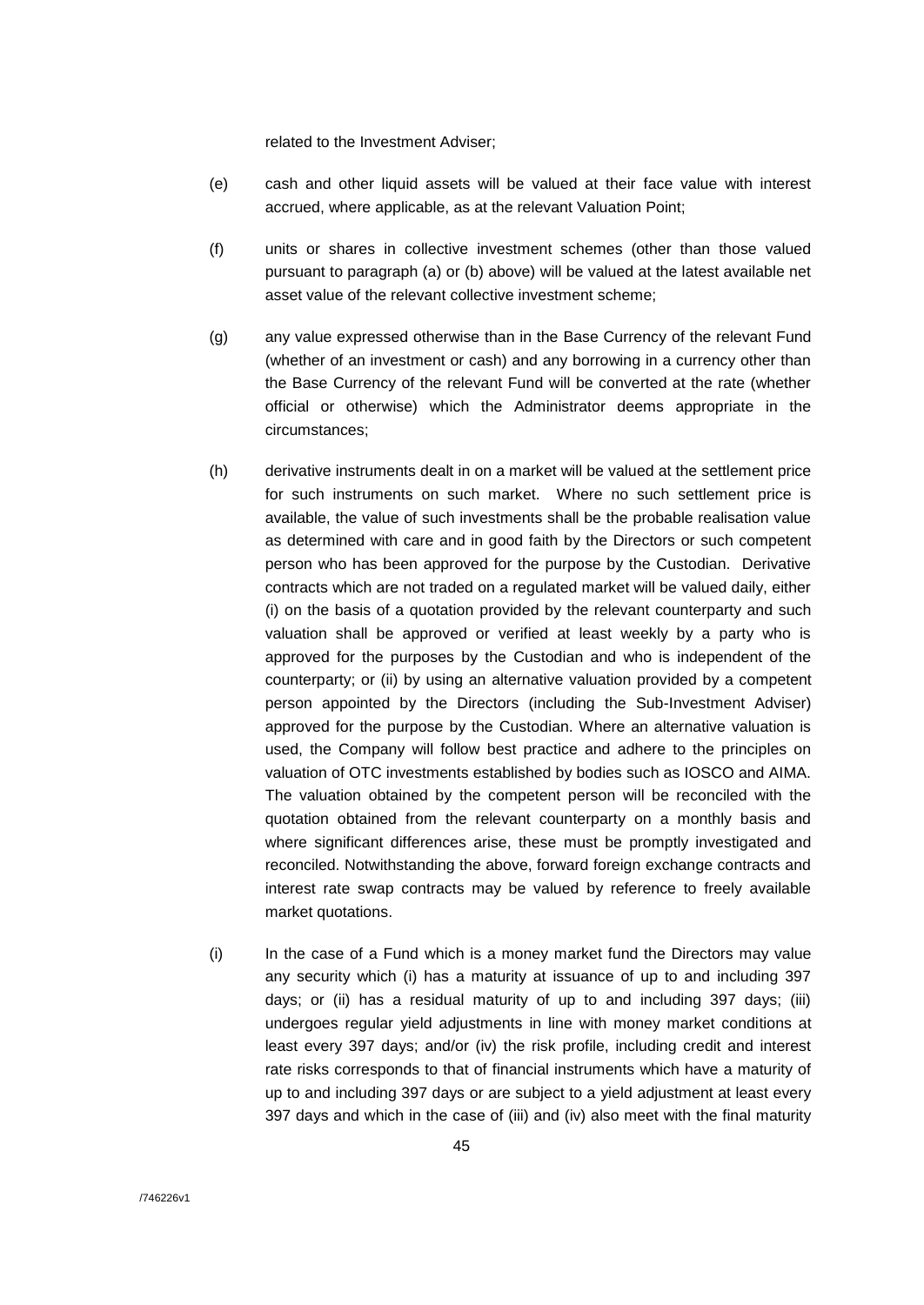related to the Investment Adviser;

- (e) cash and other liquid assets will be valued at their face value with interest accrued, where applicable, as at the relevant Valuation Point;
- (f) units or shares in collective investment schemes (other than those valued pursuant to paragraph (a) or (b) above) will be valued at the latest available net asset value of the relevant collective investment scheme;
- (g) any value expressed otherwise than in the Base Currency of the relevant Fund (whether of an investment or cash) and any borrowing in a currency other than the Base Currency of the relevant Fund will be converted at the rate (whether official or otherwise) which the Administrator deems appropriate in the circumstances;
- (h) derivative instruments dealt in on a market will be valued at the settlement price for such instruments on such market. Where no such settlement price is available, the value of such investments shall be the probable realisation value as determined with care and in good faith by the Directors or such competent person who has been approved for the purpose by the Custodian. Derivative contracts which are not traded on a regulated market will be valued daily, either (i) on the basis of a quotation provided by the relevant counterparty and such valuation shall be approved or verified at least weekly by a party who is approved for the purposes by the Custodian and who is independent of the counterparty; or (ii) by using an alternative valuation provided by a competent person appointed by the Directors (including the Sub-Investment Adviser) approved for the purpose by the Custodian. Where an alternative valuation is used, the Company will follow best practice and adhere to the principles on valuation of OTC investments established by bodies such as IOSCO and AIMA. The valuation obtained by the competent person will be reconciled with the quotation obtained from the relevant counterparty on a monthly basis and where significant differences arise, these must be promptly investigated and reconciled. Notwithstanding the above, forward foreign exchange contracts and interest rate swap contracts may be valued by reference to freely available market quotations.
- (i) In the case of a Fund which is a money market fund the Directors may value any security which (i) has a maturity at issuance of up to and including 397 days; or (ii) has a residual maturity of up to and including 397 days; (iii) undergoes regular yield adjustments in line with money market conditions at least every 397 days; and/or (iv) the risk profile, including credit and interest rate risks corresponds to that of financial instruments which have a maturity of up to and including 397 days or are subject to a yield adjustment at least every 397 days and which in the case of (iii) and (iv) also meet with the final maturity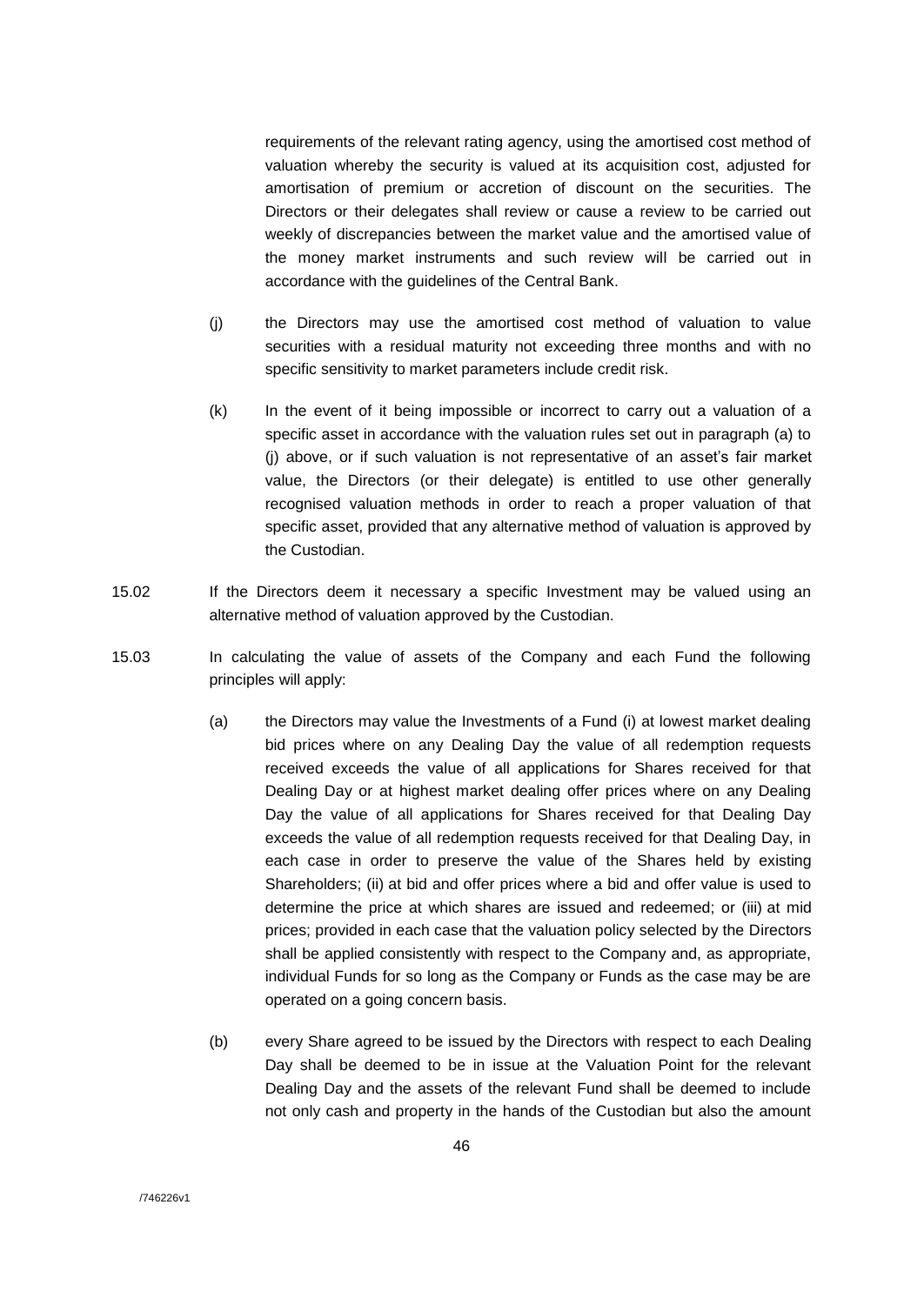requirements of the relevant rating agency, using the amortised cost method of valuation whereby the security is valued at its acquisition cost, adjusted for amortisation of premium or accretion of discount on the securities. The Directors or their delegates shall review or cause a review to be carried out weekly of discrepancies between the market value and the amortised value of the money market instruments and such review will be carried out in accordance with the guidelines of the Central Bank.

- (j) the Directors may use the amortised cost method of valuation to value securities with a residual maturity not exceeding three months and with no specific sensitivity to market parameters include credit risk.
- (k) In the event of it being impossible or incorrect to carry out a valuation of a specific asset in accordance with the valuation rules set out in paragraph (a) to (j) above, or if such valuation is not representative of an asset's fair market value, the Directors (or their delegate) is entitled to use other generally recognised valuation methods in order to reach a proper valuation of that specific asset, provided that any alternative method of valuation is approved by the Custodian.
- 15.02 If the Directors deem it necessary a specific Investment may be valued using an alternative method of valuation approved by the Custodian.
- 15.03 In calculating the value of assets of the Company and each Fund the following principles will apply:
	- (a) the Directors may value the Investments of a Fund (i) at lowest market dealing bid prices where on any Dealing Day the value of all redemption requests received exceeds the value of all applications for Shares received for that Dealing Day or at highest market dealing offer prices where on any Dealing Day the value of all applications for Shares received for that Dealing Day exceeds the value of all redemption requests received for that Dealing Day, in each case in order to preserve the value of the Shares held by existing Shareholders; (ii) at bid and offer prices where a bid and offer value is used to determine the price at which shares are issued and redeemed; or (iii) at mid prices; provided in each case that the valuation policy selected by the Directors shall be applied consistently with respect to the Company and, as appropriate, individual Funds for so long as the Company or Funds as the case may be are operated on a going concern basis.
	- (b) every Share agreed to be issued by the Directors with respect to each Dealing Day shall be deemed to be in issue at the Valuation Point for the relevant Dealing Day and the assets of the relevant Fund shall be deemed to include not only cash and property in the hands of the Custodian but also the amount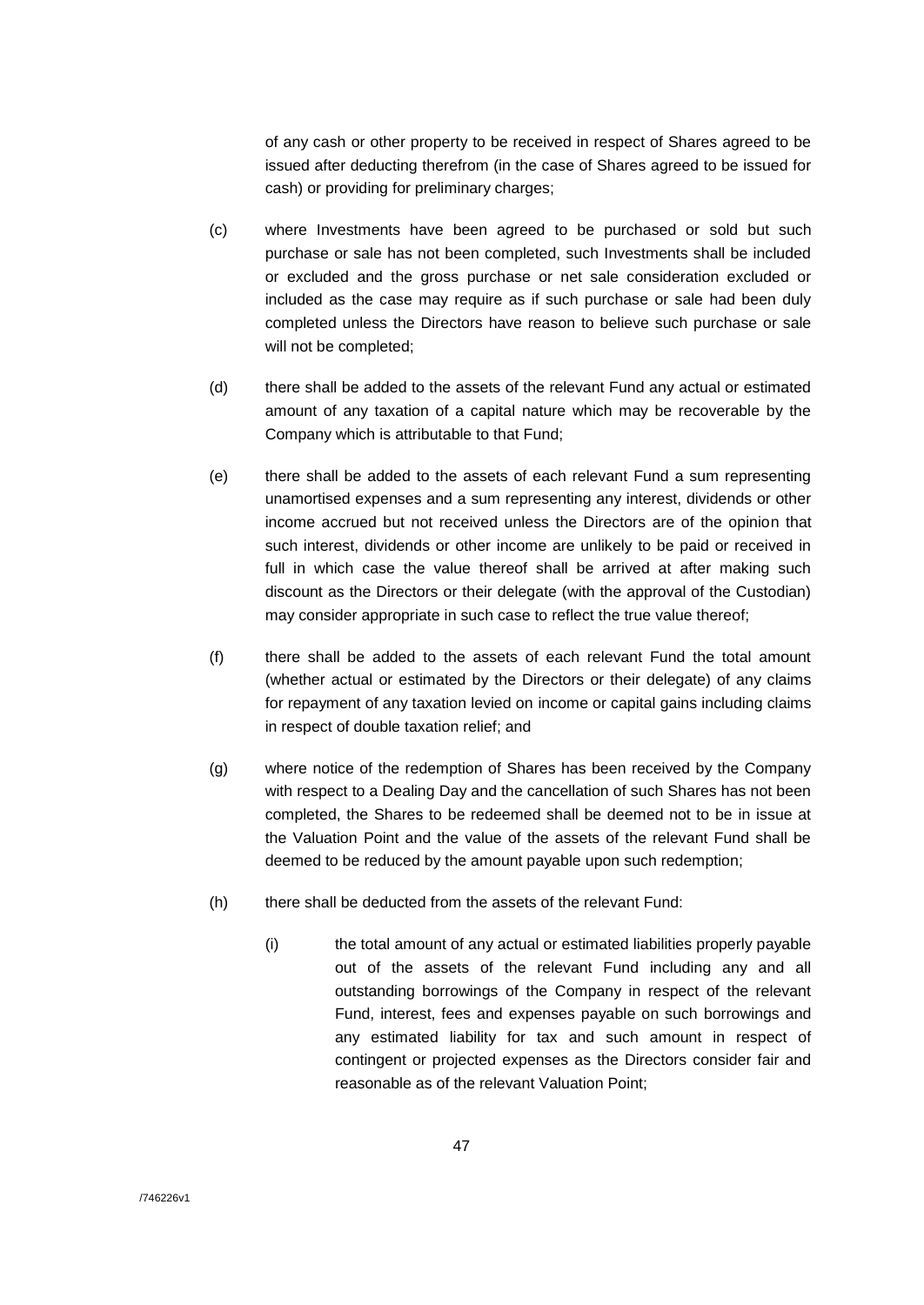of any cash or other property to be received in respect of Shares agreed to be issued after deducting therefrom (in the case of Shares agreed to be issued for cash) or providing for preliminary charges;

- (c) where Investments have been agreed to be purchased or sold but such purchase or sale has not been completed, such Investments shall be included or excluded and the gross purchase or net sale consideration excluded or included as the case may require as if such purchase or sale had been duly completed unless the Directors have reason to believe such purchase or sale will not be completed;
- (d) there shall be added to the assets of the relevant Fund any actual or estimated amount of any taxation of a capital nature which may be recoverable by the Company which is attributable to that Fund;
- (e) there shall be added to the assets of each relevant Fund a sum representing unamortised expenses and a sum representing any interest, dividends or other income accrued but not received unless the Directors are of the opinion that such interest, dividends or other income are unlikely to be paid or received in full in which case the value thereof shall be arrived at after making such discount as the Directors or their delegate (with the approval of the Custodian) may consider appropriate in such case to reflect the true value thereof;
- (f) there shall be added to the assets of each relevant Fund the total amount (whether actual or estimated by the Directors or their delegate) of any claims for repayment of any taxation levied on income or capital gains including claims in respect of double taxation relief; and
- (g) where notice of the redemption of Shares has been received by the Company with respect to a Dealing Day and the cancellation of such Shares has not been completed, the Shares to be redeemed shall be deemed not to be in issue at the Valuation Point and the value of the assets of the relevant Fund shall be deemed to be reduced by the amount payable upon such redemption;
- (h) there shall be deducted from the assets of the relevant Fund:
	- (i) the total amount of any actual or estimated liabilities properly payable out of the assets of the relevant Fund including any and all outstanding borrowings of the Company in respect of the relevant Fund, interest, fees and expenses payable on such borrowings and any estimated liability for tax and such amount in respect of contingent or projected expenses as the Directors consider fair and reasonable as of the relevant Valuation Point;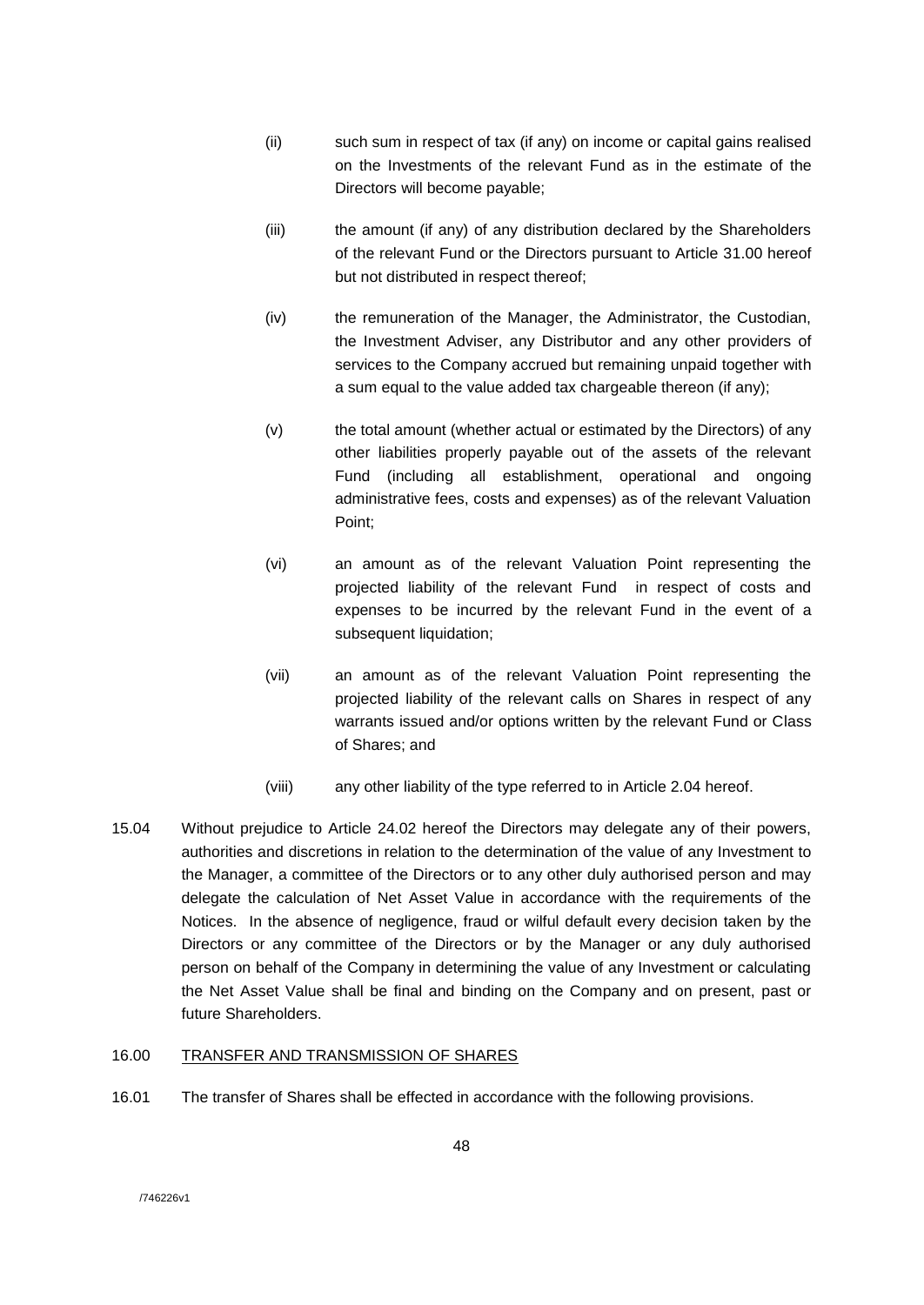- (ii) such sum in respect of tax (if any) on income or capital gains realised on the Investments of the relevant Fund as in the estimate of the Directors will become payable;
- (iii) the amount (if any) of any distribution declared by the Shareholders of the relevant Fund or the Directors pursuant to Article 31.00 hereof but not distributed in respect thereof;
- (iv) the remuneration of the Manager, the Administrator, the Custodian, the Investment Adviser, any Distributor and any other providers of services to the Company accrued but remaining unpaid together with a sum equal to the value added tax chargeable thereon (if any);
- (v) the total amount (whether actual or estimated by the Directors) of any other liabilities properly payable out of the assets of the relevant Fund (including all establishment, operational and ongoing administrative fees, costs and expenses) as of the relevant Valuation Point;
- (vi) an amount as of the relevant Valuation Point representing the projected liability of the relevant Fund in respect of costs and expenses to be incurred by the relevant Fund in the event of a subsequent liquidation;
- (vii) an amount as of the relevant Valuation Point representing the projected liability of the relevant calls on Shares in respect of any warrants issued and/or options written by the relevant Fund or Class of Shares; and
- (viii) any other liability of the type referred to in Article 2.04 hereof.
- 15.04 Without prejudice to Article 24.02 hereof the Directors may delegate any of their powers, authorities and discretions in relation to the determination of the value of any Investment to the Manager, a committee of the Directors or to any other duly authorised person and may delegate the calculation of Net Asset Value in accordance with the requirements of the Notices. In the absence of negligence, fraud or wilful default every decision taken by the Directors or any committee of the Directors or by the Manager or any duly authorised person on behalf of the Company in determining the value of any Investment or calculating the Net Asset Value shall be final and binding on the Company and on present, past or future Shareholders.

# 16.00 TRANSFER AND TRANSMISSION OF SHARES

16.01 The transfer of Shares shall be effected in accordance with the following provisions.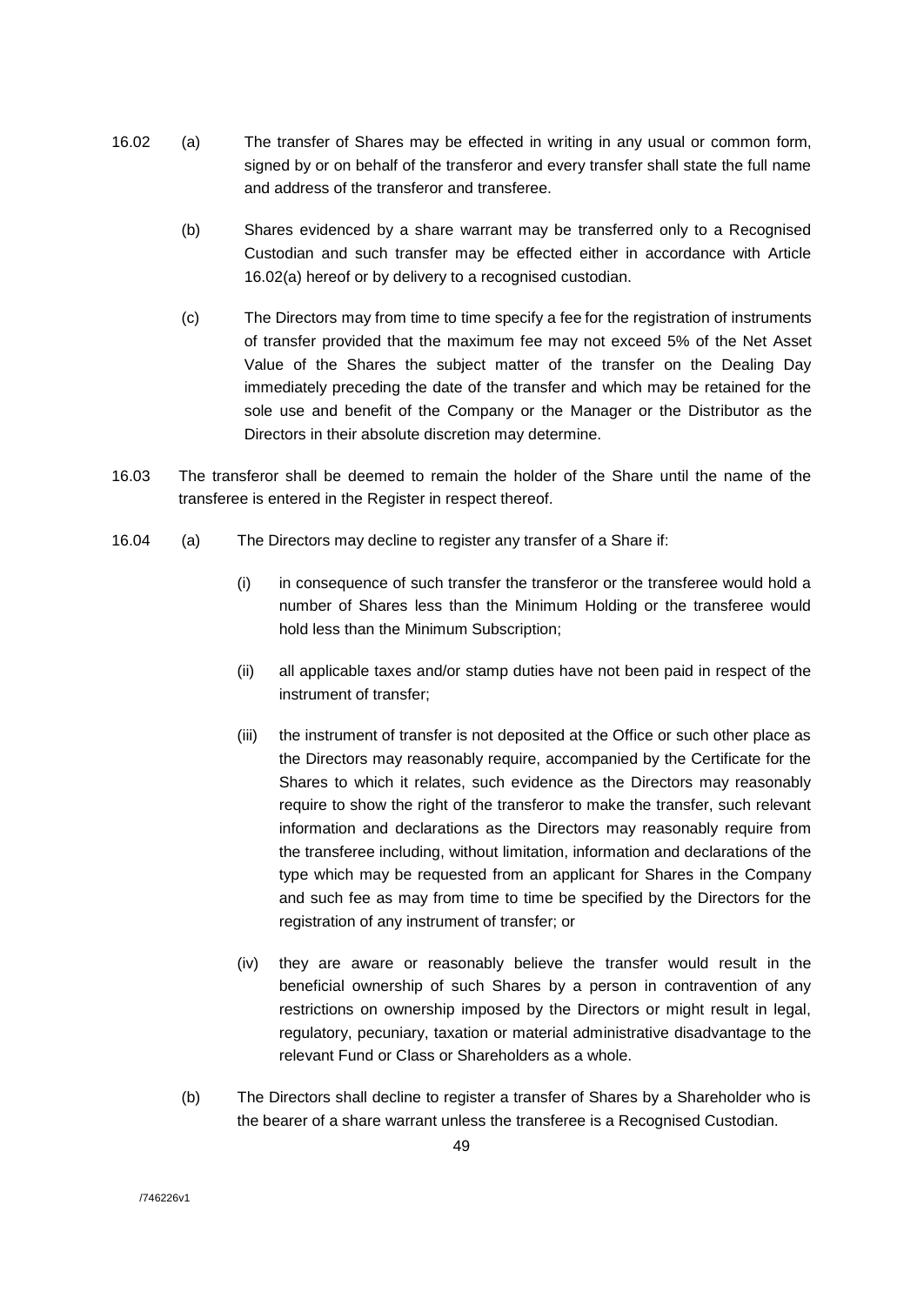- 16.02 (a) The transfer of Shares may be effected in writing in any usual or common form, signed by or on behalf of the transferor and every transfer shall state the full name and address of the transferor and transferee.
	- (b) Shares evidenced by a share warrant may be transferred only to a Recognised Custodian and such transfer may be effected either in accordance with Article 16.02(a) hereof or by delivery to a recognised custodian.
	- (c) The Directors may from time to time specify a fee for the registration of instruments of transfer provided that the maximum fee may not exceed 5% of the Net Asset Value of the Shares the subject matter of the transfer on the Dealing Day immediately preceding the date of the transfer and which may be retained for the sole use and benefit of the Company or the Manager or the Distributor as the Directors in their absolute discretion may determine.
- 16.03 The transferor shall be deemed to remain the holder of the Share until the name of the transferee is entered in the Register in respect thereof.
- 16.04 (a) The Directors may decline to register any transfer of a Share if:
	- (i) in consequence of such transfer the transferor or the transferee would hold a number of Shares less than the Minimum Holding or the transferee would hold less than the Minimum Subscription;
	- (ii) all applicable taxes and/or stamp duties have not been paid in respect of the instrument of transfer;
	- (iii) the instrument of transfer is not deposited at the Office or such other place as the Directors may reasonably require, accompanied by the Certificate for the Shares to which it relates, such evidence as the Directors may reasonably require to show the right of the transferor to make the transfer, such relevant information and declarations as the Directors may reasonably require from the transferee including, without limitation, information and declarations of the type which may be requested from an applicant for Shares in the Company and such fee as may from time to time be specified by the Directors for the registration of any instrument of transfer; or
	- (iv) they are aware or reasonably believe the transfer would result in the beneficial ownership of such Shares by a person in contravention of any restrictions on ownership imposed by the Directors or might result in legal, regulatory, pecuniary, taxation or material administrative disadvantage to the relevant Fund or Class or Shareholders as a whole.
	- (b) The Directors shall decline to register a transfer of Shares by a Shareholder who is the bearer of a share warrant unless the transferee is a Recognised Custodian.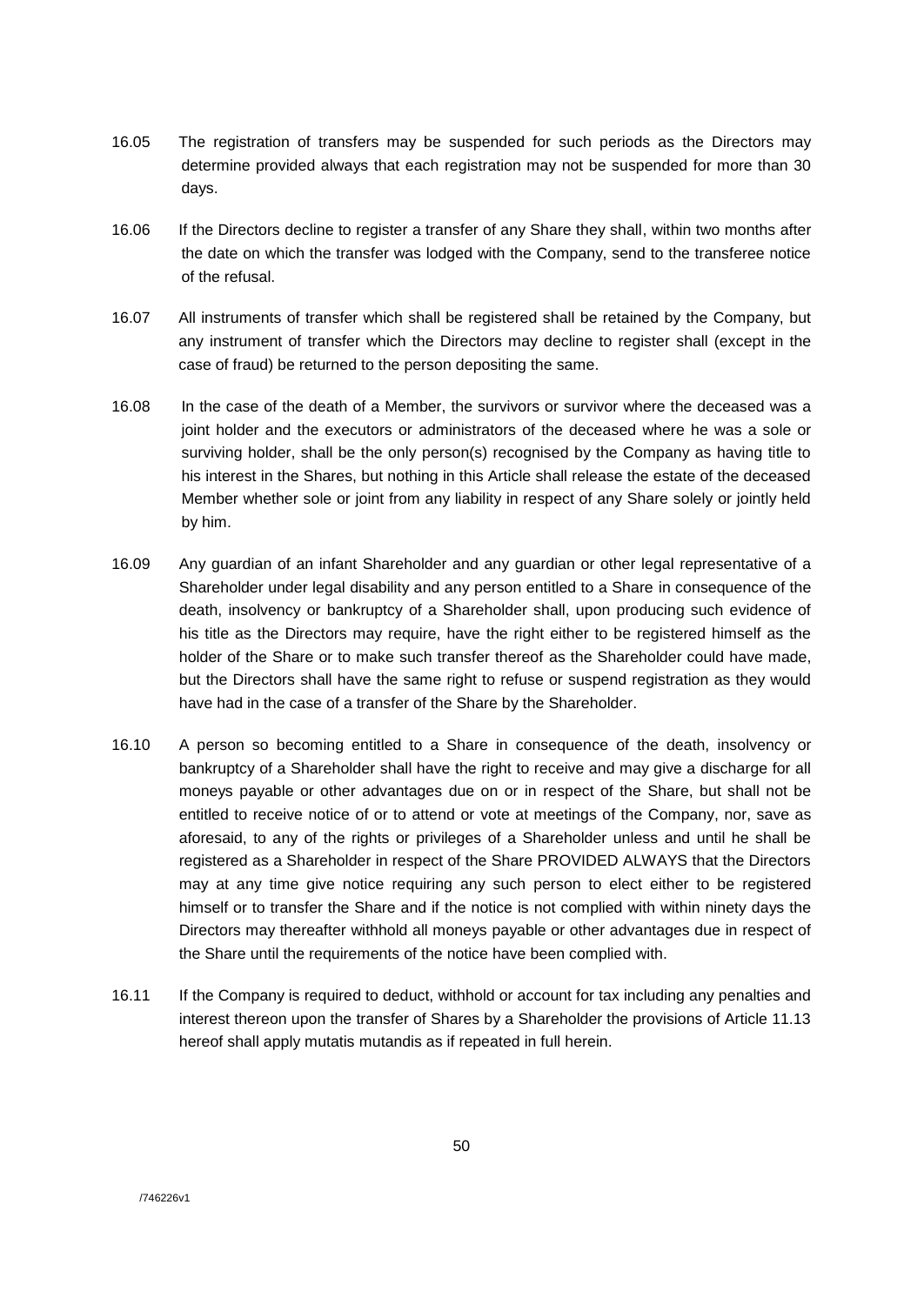- 16.05 The registration of transfers may be suspended for such periods as the Directors may determine provided always that each registration may not be suspended for more than 30 days.
- 16.06 If the Directors decline to register a transfer of any Share they shall, within two months after the date on which the transfer was lodged with the Company, send to the transferee notice of the refusal.
- 16.07 All instruments of transfer which shall be registered shall be retained by the Company, but any instrument of transfer which the Directors may decline to register shall (except in the case of fraud) be returned to the person depositing the same.
- 16.08 In the case of the death of a Member, the survivors or survivor where the deceased was a joint holder and the executors or administrators of the deceased where he was a sole or surviving holder, shall be the only person(s) recognised by the Company as having title to his interest in the Shares, but nothing in this Article shall release the estate of the deceased Member whether sole or joint from any liability in respect of any Share solely or jointly held by him.
- 16.09 Any guardian of an infant Shareholder and any guardian or other legal representative of a Shareholder under legal disability and any person entitled to a Share in consequence of the death, insolvency or bankruptcy of a Shareholder shall, upon producing such evidence of his title as the Directors may require, have the right either to be registered himself as the holder of the Share or to make such transfer thereof as the Shareholder could have made, but the Directors shall have the same right to refuse or suspend registration as they would have had in the case of a transfer of the Share by the Shareholder.
- 16.10 A person so becoming entitled to a Share in consequence of the death, insolvency or bankruptcy of a Shareholder shall have the right to receive and may give a discharge for all moneys payable or other advantages due on or in respect of the Share, but shall not be entitled to receive notice of or to attend or vote at meetings of the Company, nor, save as aforesaid, to any of the rights or privileges of a Shareholder unless and until he shall be registered as a Shareholder in respect of the Share PROVIDED ALWAYS that the Directors may at any time give notice requiring any such person to elect either to be registered himself or to transfer the Share and if the notice is not complied with within ninety days the Directors may thereafter withhold all moneys payable or other advantages due in respect of the Share until the requirements of the notice have been complied with.
- 16.11 If the Company is required to deduct, withhold or account for tax including any penalties and interest thereon upon the transfer of Shares by a Shareholder the provisions of Article 11.13 hereof shall apply mutatis mutandis as if repeated in full herein.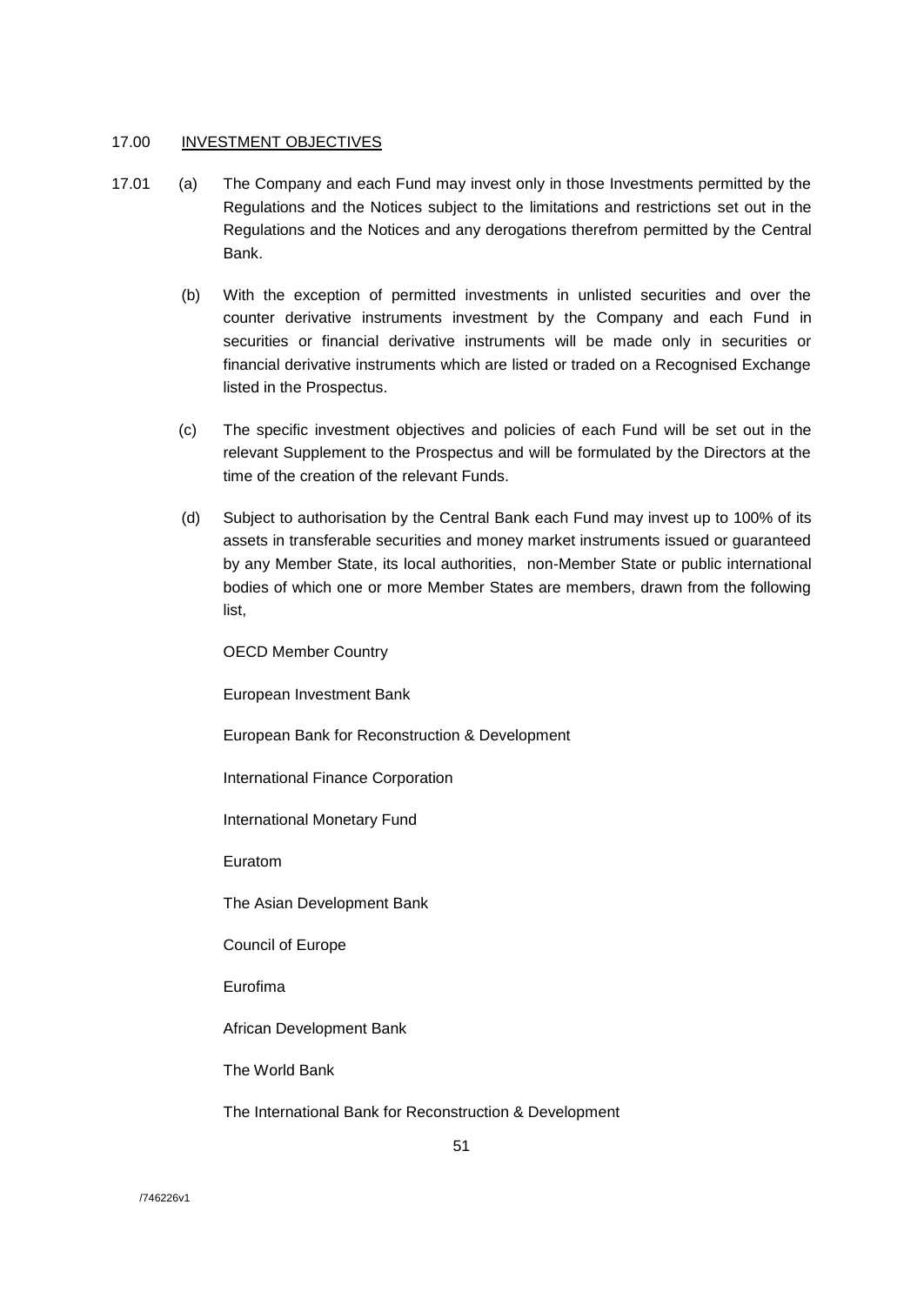### 17.00 INVESTMENT OBJECTIVES

- 17.01 (a) The Company and each Fund may invest only in those Investments permitted by the Regulations and the Notices subject to the limitations and restrictions set out in the Regulations and the Notices and any derogations therefrom permitted by the Central Bank.
	- (b) With the exception of permitted investments in unlisted securities and over the counter derivative instruments investment by the Company and each Fund in securities or financial derivative instruments will be made only in securities or financial derivative instruments which are listed or traded on a Recognised Exchange listed in the Prospectus.
	- (c) The specific investment objectives and policies of each Fund will be set out in the relevant Supplement to the Prospectus and will be formulated by the Directors at the time of the creation of the relevant Funds.
	- (d) Subject to authorisation by the Central Bank each Fund may invest up to 100% of its assets in transferable securities and money market instruments issued or guaranteed by any Member State, its local authorities, non-Member State or public international bodies of which one or more Member States are members, drawn from the following list,

OECD Member Country

European Investment Bank

European Bank for Reconstruction & Development

International Finance Corporation

International Monetary Fund

Euratom

The Asian Development Bank

Council of Europe

Eurofima

African Development Bank

The World Bank

The International Bank for Reconstruction & Development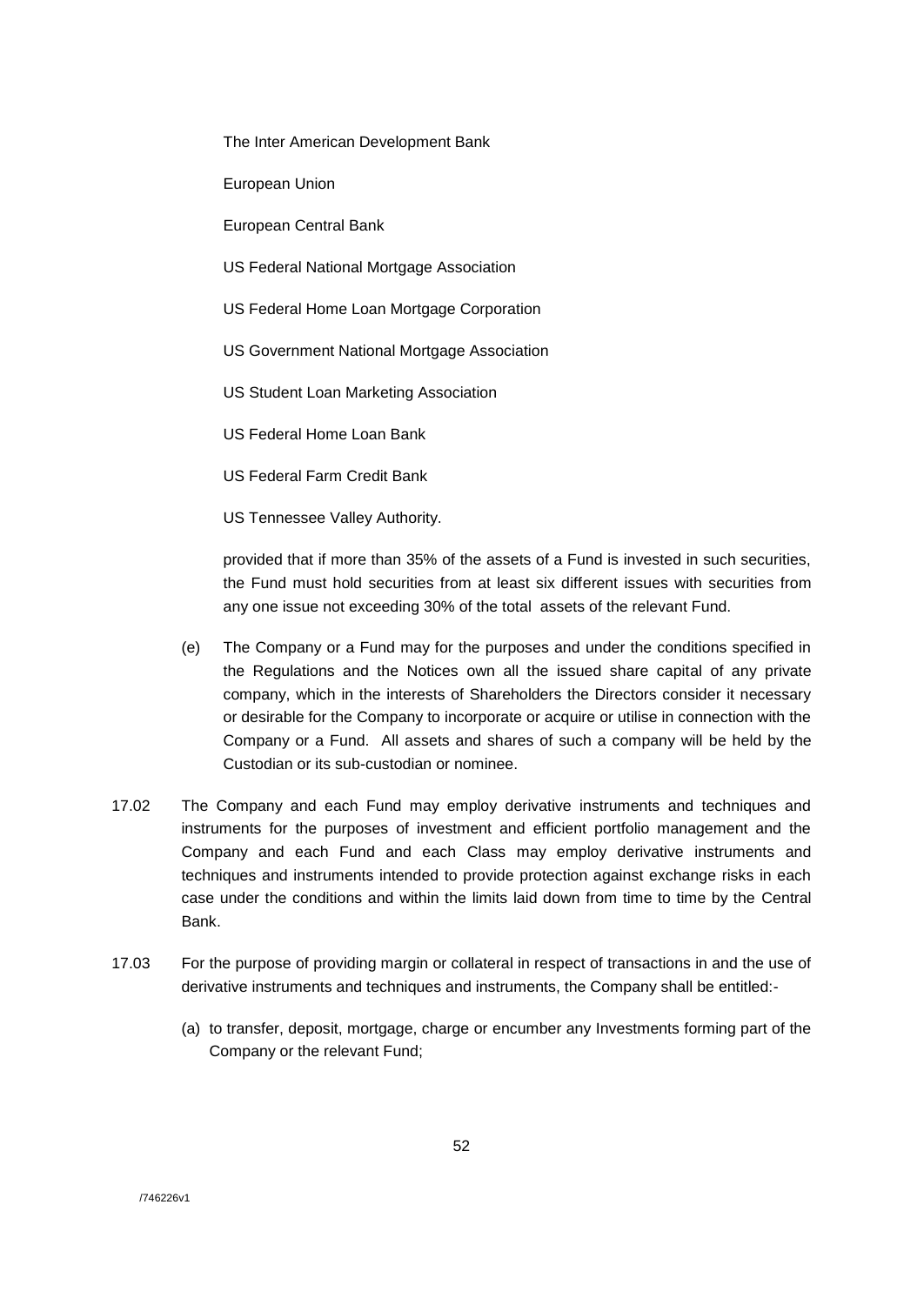The Inter American Development Bank

European Union

European Central Bank

- US Federal National Mortgage Association
- US Federal Home Loan Mortgage Corporation
- US Government National Mortgage Association
- US Student Loan Marketing Association
- US Federal Home Loan Bank
- US Federal Farm Credit Bank
- US Tennessee Valley Authority.

provided that if more than 35% of the assets of a Fund is invested in such securities, the Fund must hold securities from at least six different issues with securities from any one issue not exceeding 30% of the total assets of the relevant Fund.

- (e) The Company or a Fund may for the purposes and under the conditions specified in the Regulations and the Notices own all the issued share capital of any private company, which in the interests of Shareholders the Directors consider it necessary or desirable for the Company to incorporate or acquire or utilise in connection with the Company or a Fund. All assets and shares of such a company will be held by the Custodian or its sub-custodian or nominee.
- 17.02 The Company and each Fund may employ derivative instruments and techniques and instruments for the purposes of investment and efficient portfolio management and the Company and each Fund and each Class may employ derivative instruments and techniques and instruments intended to provide protection against exchange risks in each case under the conditions and within the limits laid down from time to time by the Central Bank.
- 17.03 For the purpose of providing margin or collateral in respect of transactions in and the use of derivative instruments and techniques and instruments, the Company shall be entitled:-
	- (a) to transfer, deposit, mortgage, charge or encumber any Investments forming part of the Company or the relevant Fund;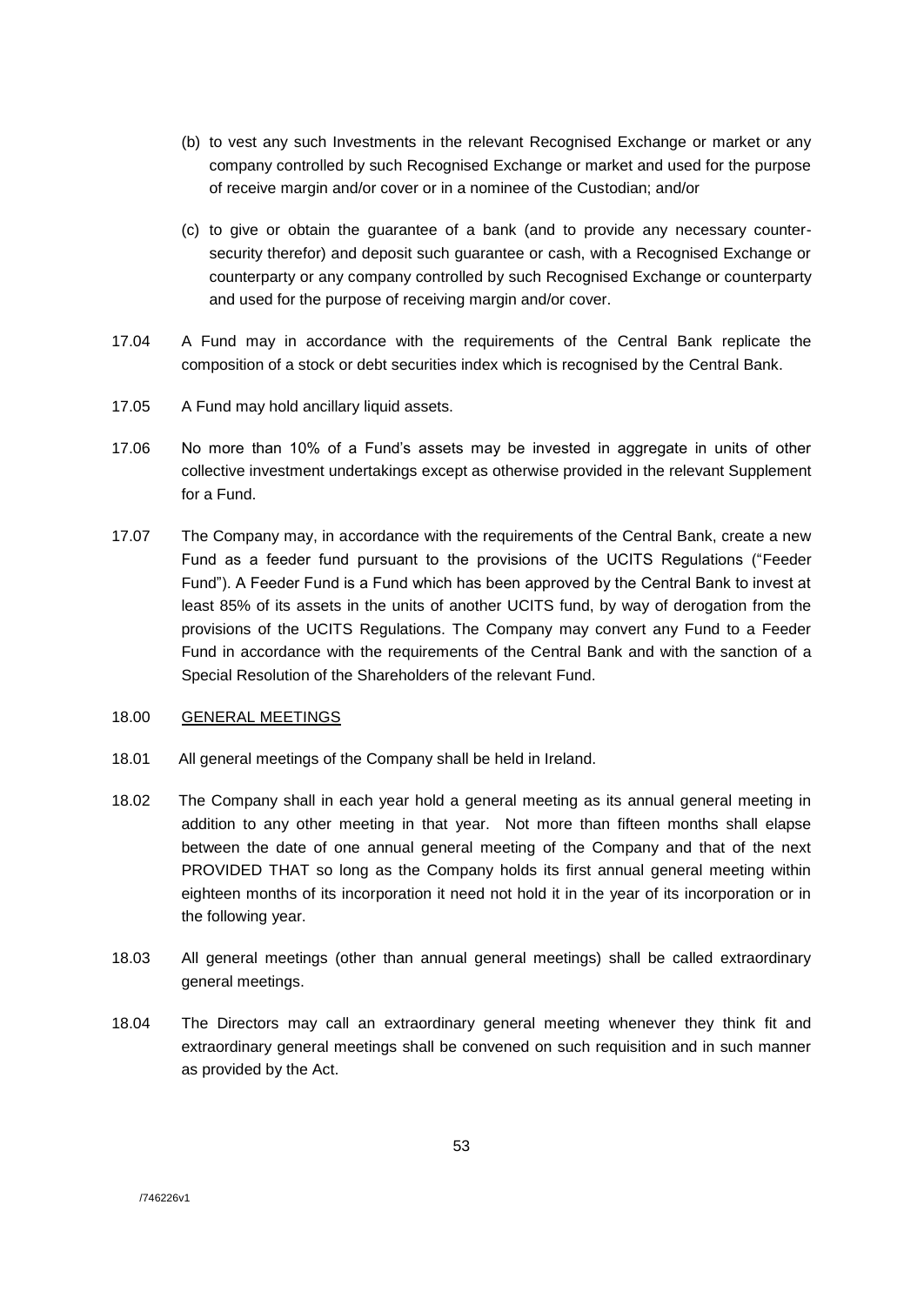- (b) to vest any such Investments in the relevant Recognised Exchange or market or any company controlled by such Recognised Exchange or market and used for the purpose of receive margin and/or cover or in a nominee of the Custodian; and/or
- (c) to give or obtain the guarantee of a bank (and to provide any necessary countersecurity therefor) and deposit such guarantee or cash, with a Recognised Exchange or counterparty or any company controlled by such Recognised Exchange or counterparty and used for the purpose of receiving margin and/or cover.
- 17.04 A Fund may in accordance with the requirements of the Central Bank replicate the composition of a stock or debt securities index which is recognised by the Central Bank.
- 17.05 A Fund may hold ancillary liquid assets.
- 17.06 No more than 10% of a Fund's assets may be invested in aggregate in units of other collective investment undertakings except as otherwise provided in the relevant Supplement for a Fund.
- 17.07 The Company may, in accordance with the requirements of the Central Bank, create a new Fund as a feeder fund pursuant to the provisions of the UCITS Regulations ("Feeder Fund"). A Feeder Fund is a Fund which has been approved by the Central Bank to invest at least 85% of its assets in the units of another UCITS fund, by way of derogation from the provisions of the UCITS Regulations. The Company may convert any Fund to a Feeder Fund in accordance with the requirements of the Central Bank and with the sanction of a Special Resolution of the Shareholders of the relevant Fund.

### 18.00 GENERAL MEETINGS

- 18.01 All general meetings of the Company shall be held in Ireland.
- 18.02 The Company shall in each year hold a general meeting as its annual general meeting in addition to any other meeting in that year. Not more than fifteen months shall elapse between the date of one annual general meeting of the Company and that of the next PROVIDED THAT so long as the Company holds its first annual general meeting within eighteen months of its incorporation it need not hold it in the year of its incorporation or in the following year.
- 18.03 All general meetings (other than annual general meetings) shall be called extraordinary general meetings.
- 18.04 The Directors may call an extraordinary general meeting whenever they think fit and extraordinary general meetings shall be convened on such requisition and in such manner as provided by the Act.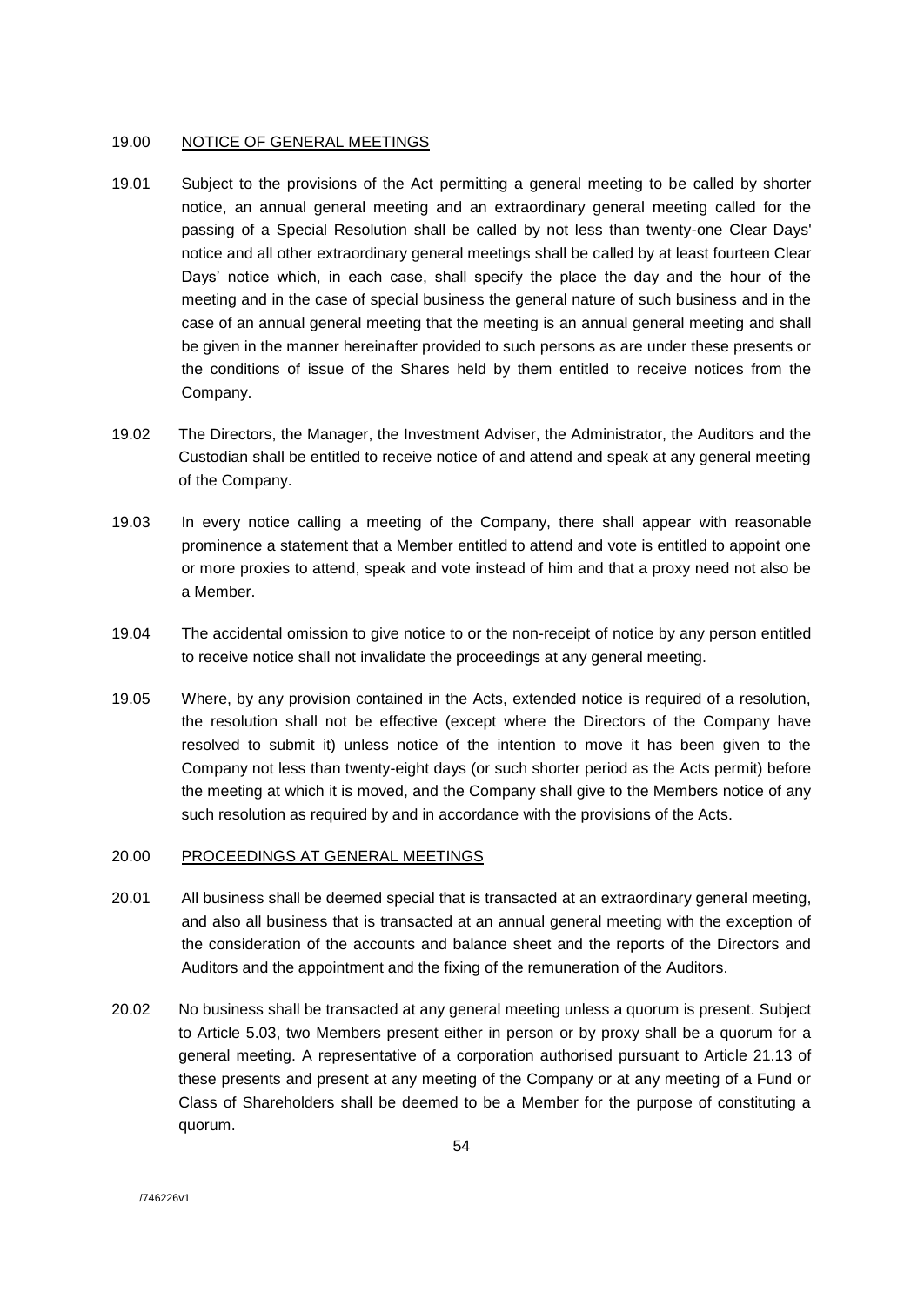#### 19.00 NOTICE OF GENERAL MEETINGS

- 19.01 Subject to the provisions of the Act permitting a general meeting to be called by shorter notice, an annual general meeting and an extraordinary general meeting called for the passing of a Special Resolution shall be called by not less than twenty-one Clear Days' notice and all other extraordinary general meetings shall be called by at least fourteen Clear Days' notice which, in each case, shall specify the place the day and the hour of the meeting and in the case of special business the general nature of such business and in the case of an annual general meeting that the meeting is an annual general meeting and shall be given in the manner hereinafter provided to such persons as are under these presents or the conditions of issue of the Shares held by them entitled to receive notices from the Company.
- 19.02 The Directors, the Manager, the Investment Adviser, the Administrator, the Auditors and the Custodian shall be entitled to receive notice of and attend and speak at any general meeting of the Company.
- 19.03 In every notice calling a meeting of the Company, there shall appear with reasonable prominence a statement that a Member entitled to attend and vote is entitled to appoint one or more proxies to attend, speak and vote instead of him and that a proxy need not also be a Member.
- 19.04 The accidental omission to give notice to or the non-receipt of notice by any person entitled to receive notice shall not invalidate the proceedings at any general meeting.
- 19.05 Where, by any provision contained in the Acts, extended notice is required of a resolution, the resolution shall not be effective (except where the Directors of the Company have resolved to submit it) unless notice of the intention to move it has been given to the Company not less than twenty-eight days (or such shorter period as the Acts permit) before the meeting at which it is moved, and the Company shall give to the Members notice of any such resolution as required by and in accordance with the provisions of the Acts.

## 20.00 PROCEEDINGS AT GENERAL MEETINGS

- 20.01 All business shall be deemed special that is transacted at an extraordinary general meeting, and also all business that is transacted at an annual general meeting with the exception of the consideration of the accounts and balance sheet and the reports of the Directors and Auditors and the appointment and the fixing of the remuneration of the Auditors.
- 20.02 No business shall be transacted at any general meeting unless a quorum is present. Subject to Article 5.03, two Members present either in person or by proxy shall be a quorum for a general meeting. A representative of a corporation authorised pursuant to Article 21.13 of these presents and present at any meeting of the Company or at any meeting of a Fund or Class of Shareholders shall be deemed to be a Member for the purpose of constituting a quorum.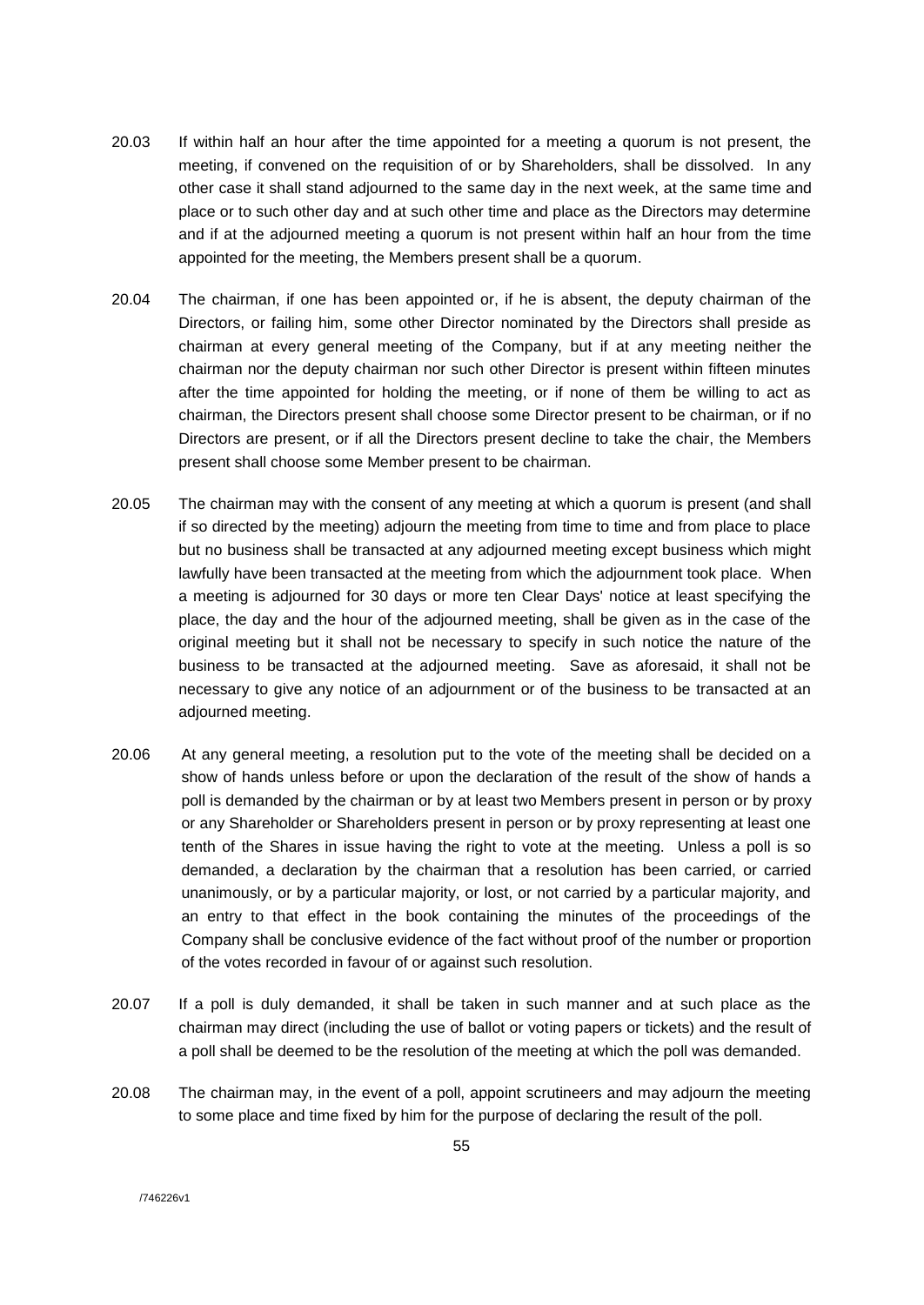- 20.03 If within half an hour after the time appointed for a meeting a quorum is not present, the meeting, if convened on the requisition of or by Shareholders, shall be dissolved. In any other case it shall stand adjourned to the same day in the next week, at the same time and place or to such other day and at such other time and place as the Directors may determine and if at the adjourned meeting a quorum is not present within half an hour from the time appointed for the meeting, the Members present shall be a quorum.
- 20.04 The chairman, if one has been appointed or, if he is absent, the deputy chairman of the Directors, or failing him, some other Director nominated by the Directors shall preside as chairman at every general meeting of the Company, but if at any meeting neither the chairman nor the deputy chairman nor such other Director is present within fifteen minutes after the time appointed for holding the meeting, or if none of them be willing to act as chairman, the Directors present shall choose some Director present to be chairman, or if no Directors are present, or if all the Directors present decline to take the chair, the Members present shall choose some Member present to be chairman.
- 20.05 The chairman may with the consent of any meeting at which a quorum is present (and shall if so directed by the meeting) adjourn the meeting from time to time and from place to place but no business shall be transacted at any adjourned meeting except business which might lawfully have been transacted at the meeting from which the adjournment took place. When a meeting is adjourned for 30 days or more ten Clear Days' notice at least specifying the place, the day and the hour of the adjourned meeting, shall be given as in the case of the original meeting but it shall not be necessary to specify in such notice the nature of the business to be transacted at the adjourned meeting. Save as aforesaid, it shall not be necessary to give any notice of an adjournment or of the business to be transacted at an adjourned meeting.
- 20.06 At any general meeting, a resolution put to the vote of the meeting shall be decided on a show of hands unless before or upon the declaration of the result of the show of hands a poll is demanded by the chairman or by at least two Members present in person or by proxy or any Shareholder or Shareholders present in person or by proxy representing at least one tenth of the Shares in issue having the right to vote at the meeting. Unless a poll is so demanded, a declaration by the chairman that a resolution has been carried, or carried unanimously, or by a particular majority, or lost, or not carried by a particular majority, and an entry to that effect in the book containing the minutes of the proceedings of the Company shall be conclusive evidence of the fact without proof of the number or proportion of the votes recorded in favour of or against such resolution.
- 20.07 If a poll is duly demanded, it shall be taken in such manner and at such place as the chairman may direct (including the use of ballot or voting papers or tickets) and the result of a poll shall be deemed to be the resolution of the meeting at which the poll was demanded.
- 20.08 The chairman may, in the event of a poll, appoint scrutineers and may adjourn the meeting to some place and time fixed by him for the purpose of declaring the result of the poll.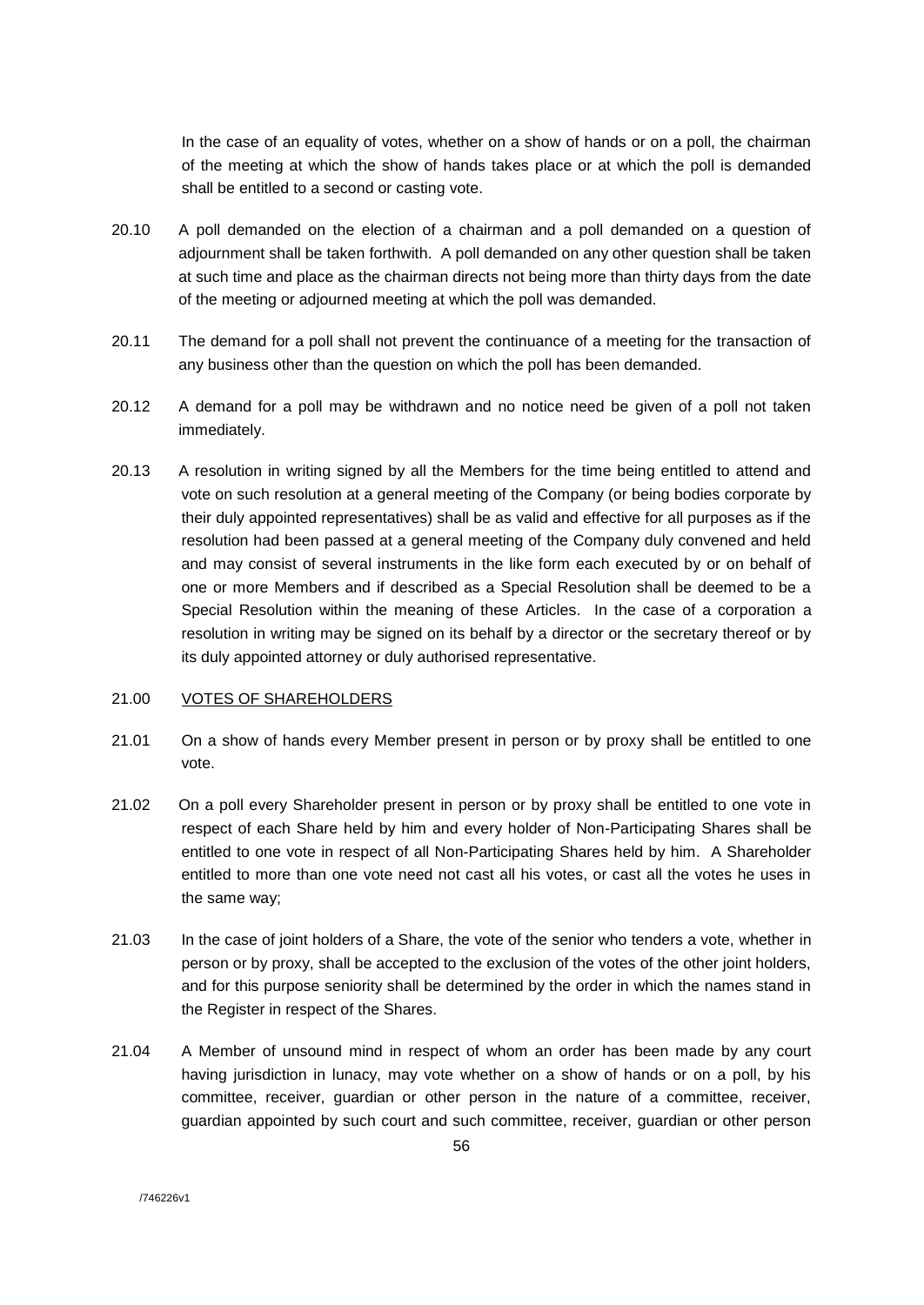In the case of an equality of votes, whether on a show of hands or on a poll, the chairman of the meeting at which the show of hands takes place or at which the poll is demanded shall be entitled to a second or casting vote.

- 20.10 A poll demanded on the election of a chairman and a poll demanded on a question of adjournment shall be taken forthwith. A poll demanded on any other question shall be taken at such time and place as the chairman directs not being more than thirty days from the date of the meeting or adjourned meeting at which the poll was demanded.
- 20.11 The demand for a poll shall not prevent the continuance of a meeting for the transaction of any business other than the question on which the poll has been demanded.
- 20.12 A demand for a poll may be withdrawn and no notice need be given of a poll not taken immediately.
- 20.13 A resolution in writing signed by all the Members for the time being entitled to attend and vote on such resolution at a general meeting of the Company (or being bodies corporate by their duly appointed representatives) shall be as valid and effective for all purposes as if the resolution had been passed at a general meeting of the Company duly convened and held and may consist of several instruments in the like form each executed by or on behalf of one or more Members and if described as a Special Resolution shall be deemed to be a Special Resolution within the meaning of these Articles. In the case of a corporation a resolution in writing may be signed on its behalf by a director or the secretary thereof or by its duly appointed attorney or duly authorised representative.

#### 21.00 VOTES OF SHAREHOLDERS

- 21.01 On a show of hands every Member present in person or by proxy shall be entitled to one vote.
- 21.02 On a poll every Shareholder present in person or by proxy shall be entitled to one vote in respect of each Share held by him and every holder of Non-Participating Shares shall be entitled to one vote in respect of all Non-Participating Shares held by him. A Shareholder entitled to more than one vote need not cast all his votes, or cast all the votes he uses in the same way;
- 21.03 In the case of joint holders of a Share, the vote of the senior who tenders a vote, whether in person or by proxy, shall be accepted to the exclusion of the votes of the other joint holders, and for this purpose seniority shall be determined by the order in which the names stand in the Register in respect of the Shares.
- 21.04 A Member of unsound mind in respect of whom an order has been made by any court having jurisdiction in lunacy, may vote whether on a show of hands or on a poll, by his committee, receiver, guardian or other person in the nature of a committee, receiver, guardian appointed by such court and such committee, receiver, guardian or other person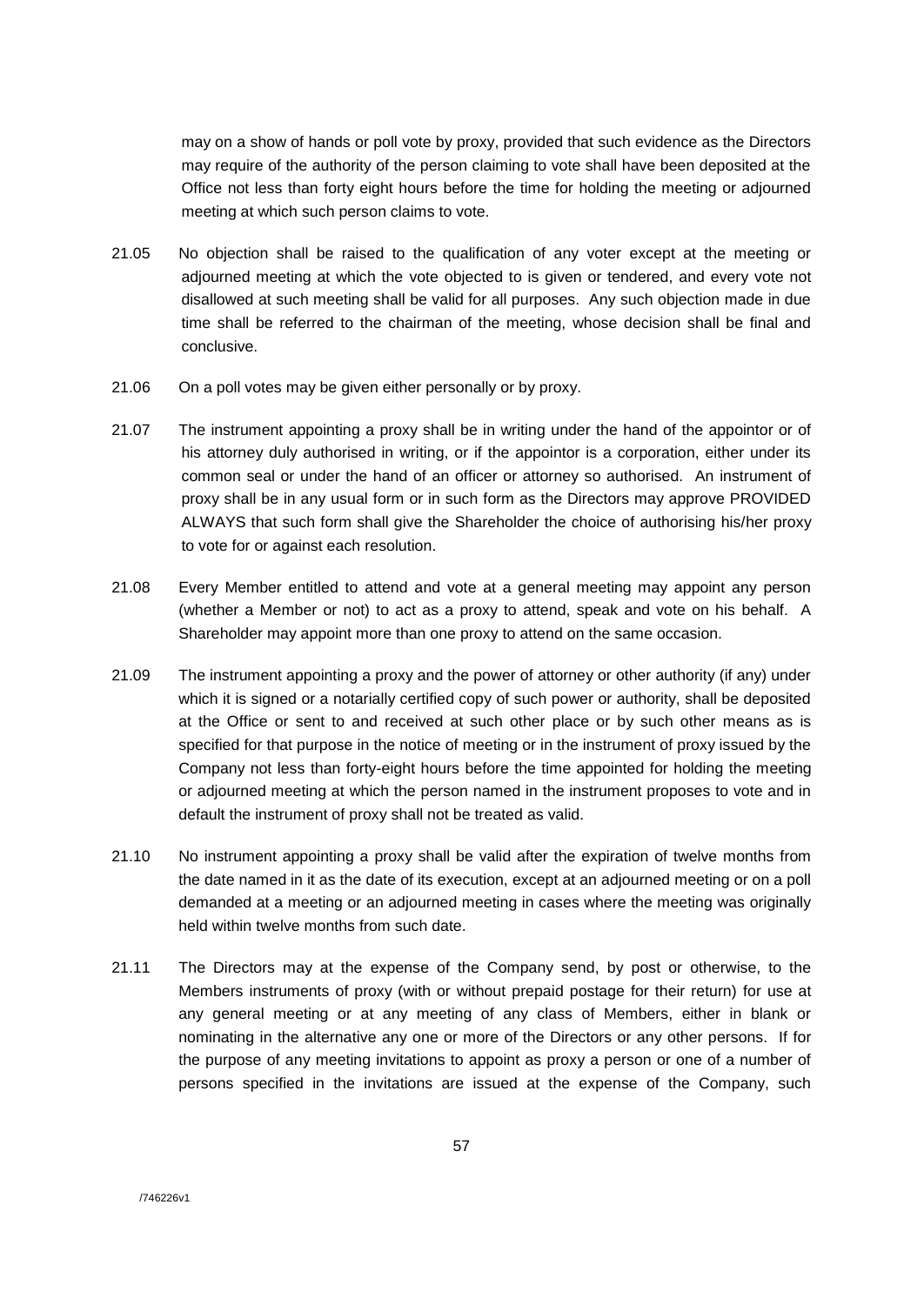may on a show of hands or poll vote by proxy, provided that such evidence as the Directors may require of the authority of the person claiming to vote shall have been deposited at the Office not less than forty eight hours before the time for holding the meeting or adjourned meeting at which such person claims to vote.

- 21.05 No objection shall be raised to the qualification of any voter except at the meeting or adjourned meeting at which the vote objected to is given or tendered, and every vote not disallowed at such meeting shall be valid for all purposes. Any such objection made in due time shall be referred to the chairman of the meeting, whose decision shall be final and conclusive.
- 21.06 On a poll votes may be given either personally or by proxy.
- 21.07 The instrument appointing a proxy shall be in writing under the hand of the appointor or of his attorney duly authorised in writing, or if the appointor is a corporation, either under its common seal or under the hand of an officer or attorney so authorised. An instrument of proxy shall be in any usual form or in such form as the Directors may approve PROVIDED ALWAYS that such form shall give the Shareholder the choice of authorising his/her proxy to vote for or against each resolution.
- 21.08 Every Member entitled to attend and vote at a general meeting may appoint any person (whether a Member or not) to act as a proxy to attend, speak and vote on his behalf. A Shareholder may appoint more than one proxy to attend on the same occasion.
- 21.09 The instrument appointing a proxy and the power of attorney or other authority (if any) under which it is signed or a notarially certified copy of such power or authority, shall be deposited at the Office or sent to and received at such other place or by such other means as is specified for that purpose in the notice of meeting or in the instrument of proxy issued by the Company not less than forty-eight hours before the time appointed for holding the meeting or adjourned meeting at which the person named in the instrument proposes to vote and in default the instrument of proxy shall not be treated as valid.
- 21.10 No instrument appointing a proxy shall be valid after the expiration of twelve months from the date named in it as the date of its execution, except at an adjourned meeting or on a poll demanded at a meeting or an adjourned meeting in cases where the meeting was originally held within twelve months from such date.
- 21.11 The Directors may at the expense of the Company send, by post or otherwise, to the Members instruments of proxy (with or without prepaid postage for their return) for use at any general meeting or at any meeting of any class of Members, either in blank or nominating in the alternative any one or more of the Directors or any other persons. If for the purpose of any meeting invitations to appoint as proxy a person or one of a number of persons specified in the invitations are issued at the expense of the Company, such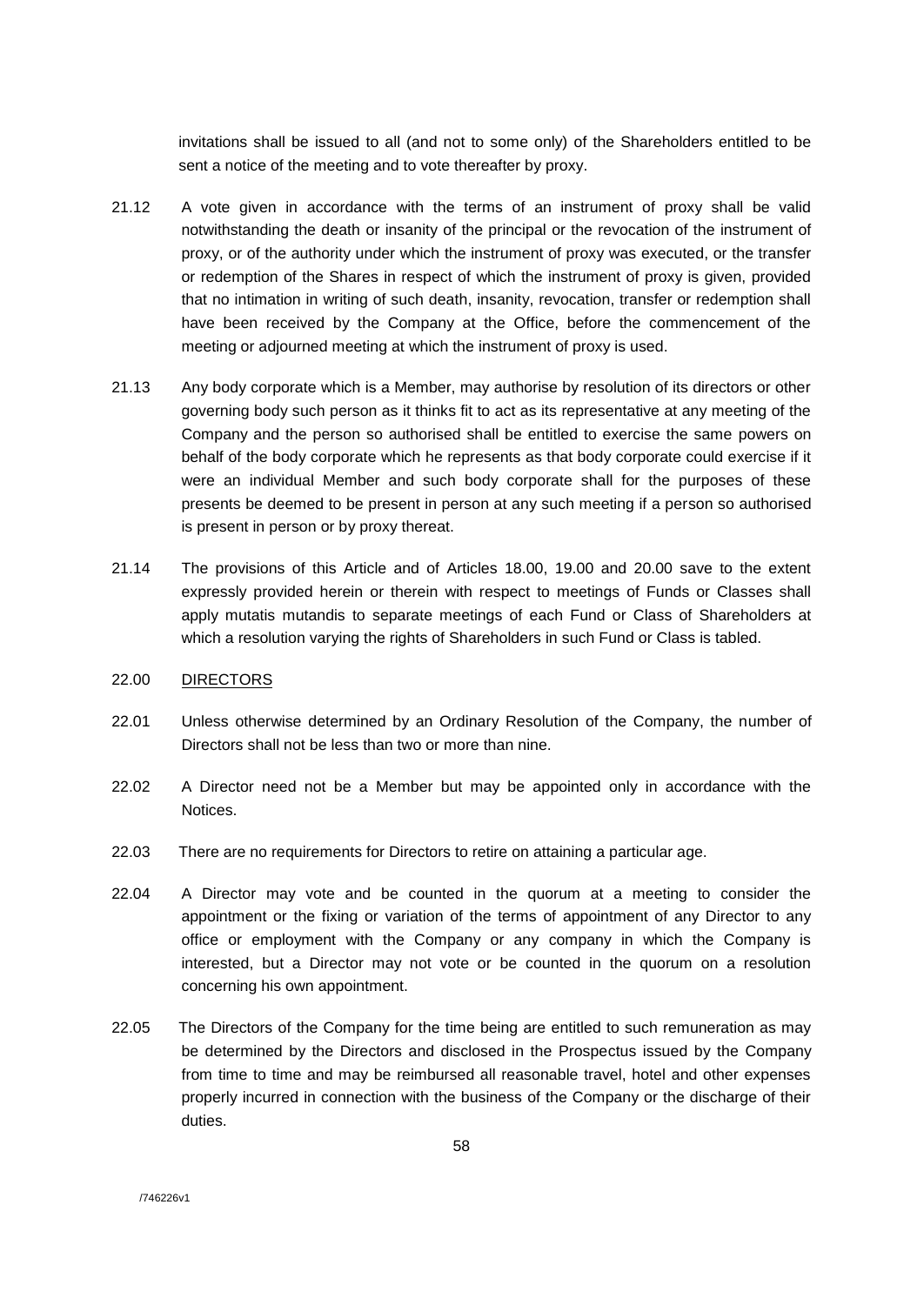invitations shall be issued to all (and not to some only) of the Shareholders entitled to be sent a notice of the meeting and to vote thereafter by proxy.

- 21.12 A vote given in accordance with the terms of an instrument of proxy shall be valid notwithstanding the death or insanity of the principal or the revocation of the instrument of proxy, or of the authority under which the instrument of proxy was executed, or the transfer or redemption of the Shares in respect of which the instrument of proxy is given, provided that no intimation in writing of such death, insanity, revocation, transfer or redemption shall have been received by the Company at the Office, before the commencement of the meeting or adjourned meeting at which the instrument of proxy is used.
- 21.13 Any body corporate which is a Member, may authorise by resolution of its directors or other governing body such person as it thinks fit to act as its representative at any meeting of the Company and the person so authorised shall be entitled to exercise the same powers on behalf of the body corporate which he represents as that body corporate could exercise if it were an individual Member and such body corporate shall for the purposes of these presents be deemed to be present in person at any such meeting if a person so authorised is present in person or by proxy thereat.
- 21.14 The provisions of this Article and of Articles 18.00, 19.00 and 20.00 save to the extent expressly provided herein or therein with respect to meetings of Funds or Classes shall apply mutatis mutandis to separate meetings of each Fund or Class of Shareholders at which a resolution varying the rights of Shareholders in such Fund or Class is tabled.

### 22.00 DIRECTORS

- 22.01 Unless otherwise determined by an Ordinary Resolution of the Company, the number of Directors shall not be less than two or more than nine.
- 22.02 A Director need not be a Member but may be appointed only in accordance with the Notices.
- 22.03 There are no requirements for Directors to retire on attaining a particular age.
- 22.04 A Director may vote and be counted in the quorum at a meeting to consider the appointment or the fixing or variation of the terms of appointment of any Director to any office or employment with the Company or any company in which the Company is interested, but a Director may not vote or be counted in the quorum on a resolution concerning his own appointment.
- 22.05 The Directors of the Company for the time being are entitled to such remuneration as may be determined by the Directors and disclosed in the Prospectus issued by the Company from time to time and may be reimbursed all reasonable travel, hotel and other expenses properly incurred in connection with the business of the Company or the discharge of their duties.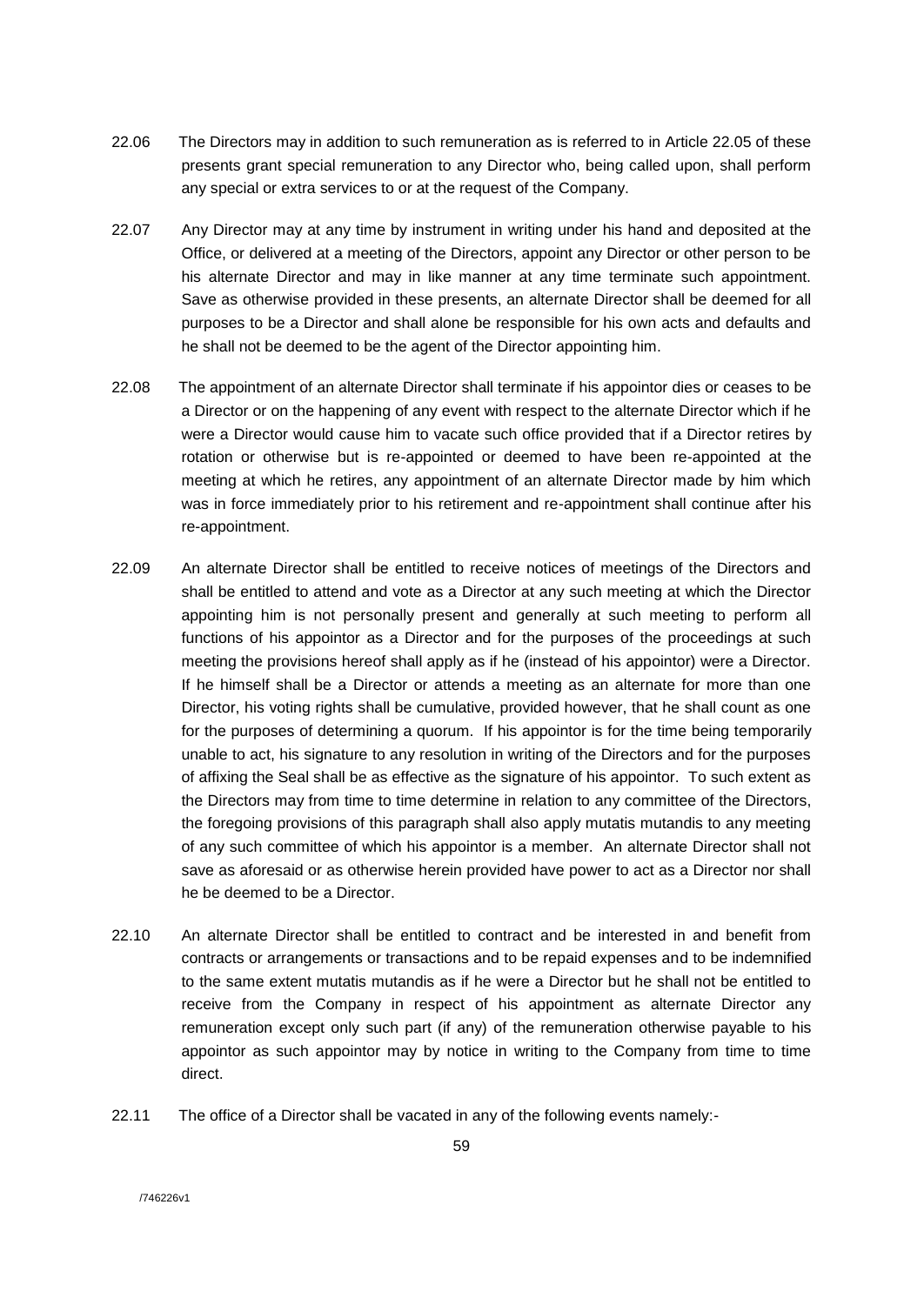- 22.06 The Directors may in addition to such remuneration as is referred to in Article 22.05 of these presents grant special remuneration to any Director who, being called upon, shall perform any special or extra services to or at the request of the Company.
- 22.07 Any Director may at any time by instrument in writing under his hand and deposited at the Office, or delivered at a meeting of the Directors, appoint any Director or other person to be his alternate Director and may in like manner at any time terminate such appointment. Save as otherwise provided in these presents, an alternate Director shall be deemed for all purposes to be a Director and shall alone be responsible for his own acts and defaults and he shall not be deemed to be the agent of the Director appointing him.
- 22.08 The appointment of an alternate Director shall terminate if his appointor dies or ceases to be a Director or on the happening of any event with respect to the alternate Director which if he were a Director would cause him to vacate such office provided that if a Director retires by rotation or otherwise but is re-appointed or deemed to have been re-appointed at the meeting at which he retires, any appointment of an alternate Director made by him which was in force immediately prior to his retirement and re-appointment shall continue after his re-appointment.
- 22.09 An alternate Director shall be entitled to receive notices of meetings of the Directors and shall be entitled to attend and vote as a Director at any such meeting at which the Director appointing him is not personally present and generally at such meeting to perform all functions of his appointor as a Director and for the purposes of the proceedings at such meeting the provisions hereof shall apply as if he (instead of his appointor) were a Director. If he himself shall be a Director or attends a meeting as an alternate for more than one Director, his voting rights shall be cumulative, provided however, that he shall count as one for the purposes of determining a quorum. If his appointor is for the time being temporarily unable to act, his signature to any resolution in writing of the Directors and for the purposes of affixing the Seal shall be as effective as the signature of his appointor. To such extent as the Directors may from time to time determine in relation to any committee of the Directors, the foregoing provisions of this paragraph shall also apply mutatis mutandis to any meeting of any such committee of which his appointor is a member. An alternate Director shall not save as aforesaid or as otherwise herein provided have power to act as a Director nor shall he be deemed to be a Director.
- 22.10 An alternate Director shall be entitled to contract and be interested in and benefit from contracts or arrangements or transactions and to be repaid expenses and to be indemnified to the same extent mutatis mutandis as if he were a Director but he shall not be entitled to receive from the Company in respect of his appointment as alternate Director any remuneration except only such part (if any) of the remuneration otherwise payable to his appointor as such appointor may by notice in writing to the Company from time to time direct.
- 22.11 The office of a Director shall be vacated in any of the following events namely:-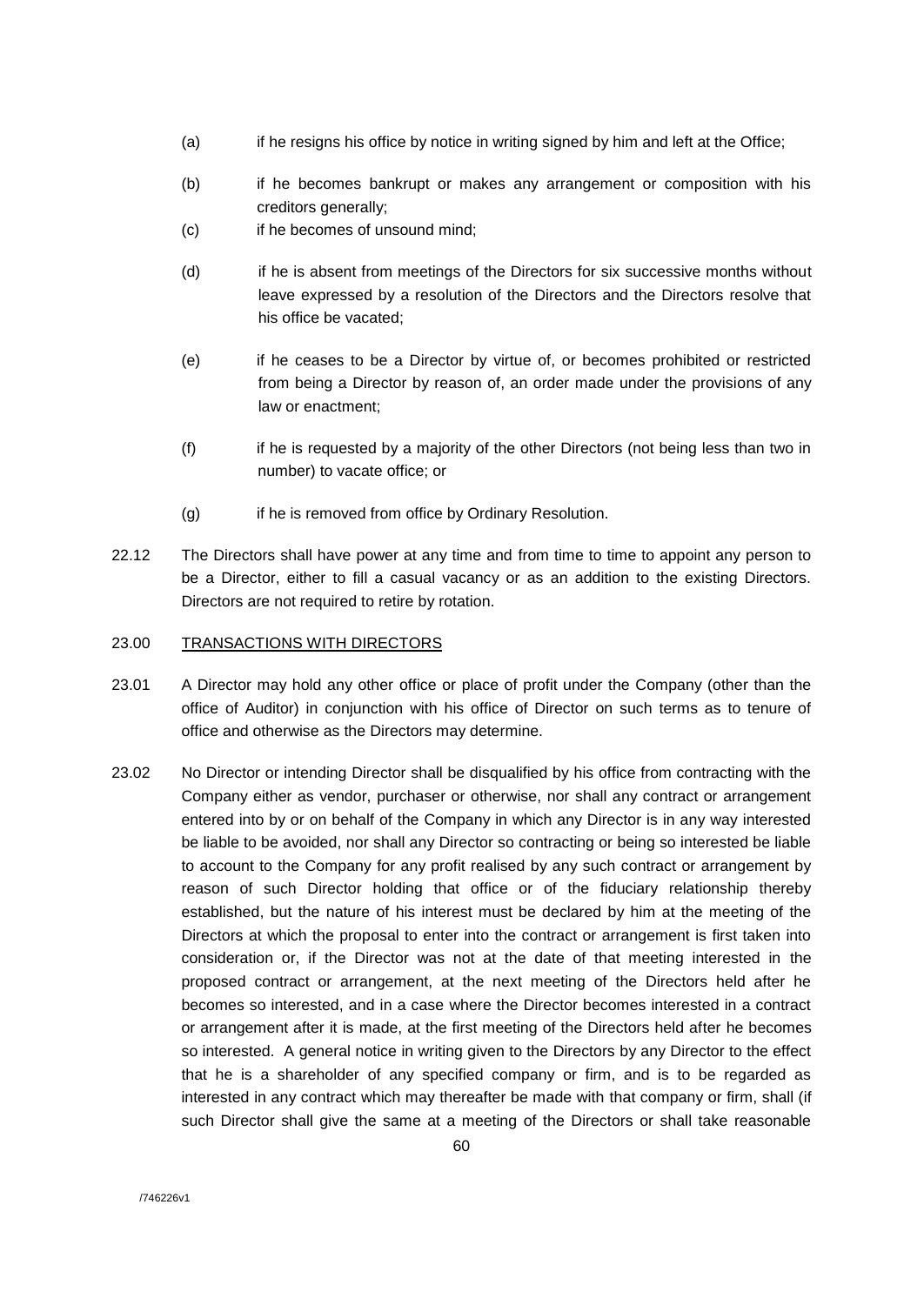- (a) if he resigns his office by notice in writing signed by him and left at the Office;
- (b) if he becomes bankrupt or makes any arrangement or composition with his creditors generally;
- (c) if he becomes of unsound mind;
- (d) if he is absent from meetings of the Directors for six successive months without leave expressed by a resolution of the Directors and the Directors resolve that his office be vacated;
- (e) if he ceases to be a Director by virtue of, or becomes prohibited or restricted from being a Director by reason of, an order made under the provisions of any law or enactment;
- (f) if he is requested by a majority of the other Directors (not being less than two in number) to vacate office; or
- (g) if he is removed from office by Ordinary Resolution.
- 22.12 The Directors shall have power at any time and from time to time to appoint any person to be a Director, either to fill a casual vacancy or as an addition to the existing Directors. Directors are not required to retire by rotation.

# 23.00 TRANSACTIONS WITH DIRECTORS

- 23.01 A Director may hold any other office or place of profit under the Company (other than the office of Auditor) in conjunction with his office of Director on such terms as to tenure of office and otherwise as the Directors may determine.
- 23.02 No Director or intending Director shall be disqualified by his office from contracting with the Company either as vendor, purchaser or otherwise, nor shall any contract or arrangement entered into by or on behalf of the Company in which any Director is in any way interested be liable to be avoided, nor shall any Director so contracting or being so interested be liable to account to the Company for any profit realised by any such contract or arrangement by reason of such Director holding that office or of the fiduciary relationship thereby established, but the nature of his interest must be declared by him at the meeting of the Directors at which the proposal to enter into the contract or arrangement is first taken into consideration or, if the Director was not at the date of that meeting interested in the proposed contract or arrangement, at the next meeting of the Directors held after he becomes so interested, and in a case where the Director becomes interested in a contract or arrangement after it is made, at the first meeting of the Directors held after he becomes so interested. A general notice in writing given to the Directors by any Director to the effect that he is a shareholder of any specified company or firm, and is to be regarded as interested in any contract which may thereafter be made with that company or firm, shall (if such Director shall give the same at a meeting of the Directors or shall take reasonable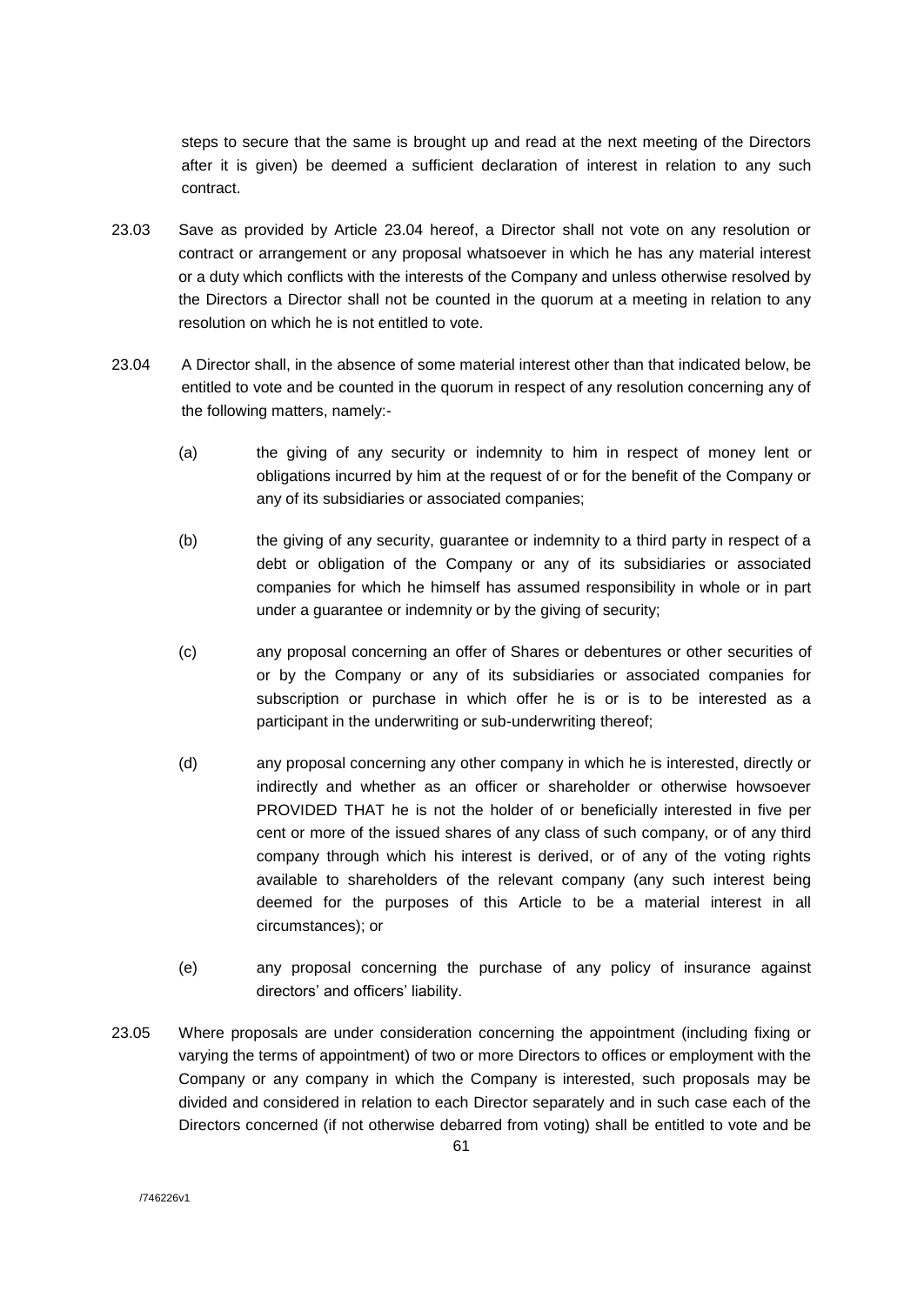steps to secure that the same is brought up and read at the next meeting of the Directors after it is given) be deemed a sufficient declaration of interest in relation to any such contract.

- 23.03 Save as provided by Article 23.04 hereof, a Director shall not vote on any resolution or contract or arrangement or any proposal whatsoever in which he has any material interest or a duty which conflicts with the interests of the Company and unless otherwise resolved by the Directors a Director shall not be counted in the quorum at a meeting in relation to any resolution on which he is not entitled to vote.
- 23.04 A Director shall, in the absence of some material interest other than that indicated below, be entitled to vote and be counted in the quorum in respect of any resolution concerning any of the following matters, namely:-
	- (a) the giving of any security or indemnity to him in respect of money lent or obligations incurred by him at the request of or for the benefit of the Company or any of its subsidiaries or associated companies;
	- (b) the giving of any security, guarantee or indemnity to a third party in respect of a debt or obligation of the Company or any of its subsidiaries or associated companies for which he himself has assumed responsibility in whole or in part under a guarantee or indemnity or by the giving of security;
	- (c) any proposal concerning an offer of Shares or debentures or other securities of or by the Company or any of its subsidiaries or associated companies for subscription or purchase in which offer he is or is to be interested as a participant in the underwriting or sub-underwriting thereof;
	- (d) any proposal concerning any other company in which he is interested, directly or indirectly and whether as an officer or shareholder or otherwise howsoever PROVIDED THAT he is not the holder of or beneficially interested in five per cent or more of the issued shares of any class of such company, or of any third company through which his interest is derived, or of any of the voting rights available to shareholders of the relevant company (any such interest being deemed for the purposes of this Article to be a material interest in all circumstances); or
	- (e) any proposal concerning the purchase of any policy of insurance against directors' and officers' liability.
- 23.05 Where proposals are under consideration concerning the appointment (including fixing or varying the terms of appointment) of two or more Directors to offices or employment with the Company or any company in which the Company is interested, such proposals may be divided and considered in relation to each Director separately and in such case each of the Directors concerned (if not otherwise debarred from voting) shall be entitled to vote and be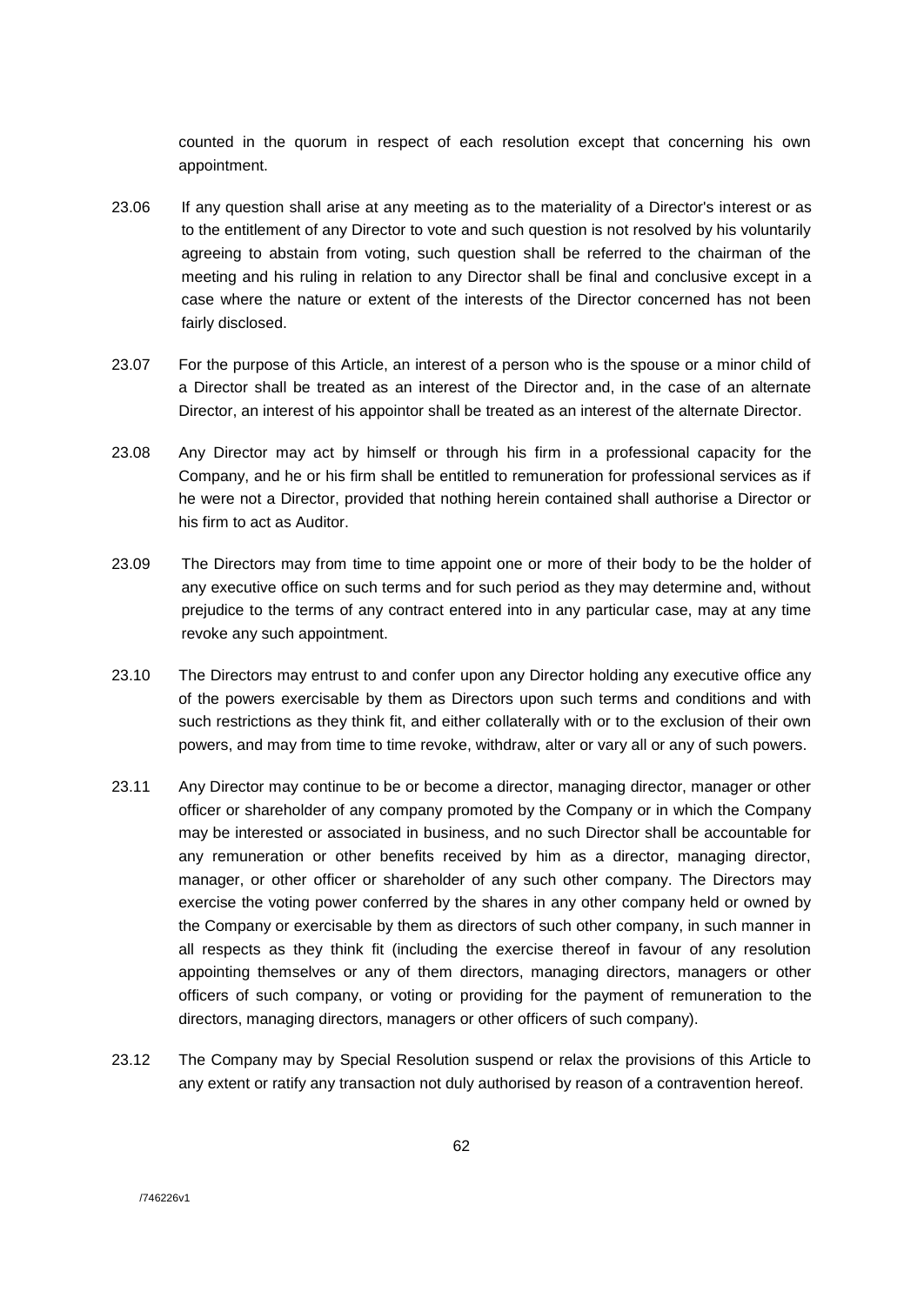counted in the quorum in respect of each resolution except that concerning his own appointment.

- 23.06 If any question shall arise at any meeting as to the materiality of a Director's interest or as to the entitlement of any Director to vote and such question is not resolved by his voluntarily agreeing to abstain from voting, such question shall be referred to the chairman of the meeting and his ruling in relation to any Director shall be final and conclusive except in a case where the nature or extent of the interests of the Director concerned has not been fairly disclosed.
- 23.07 For the purpose of this Article, an interest of a person who is the spouse or a minor child of a Director shall be treated as an interest of the Director and, in the case of an alternate Director, an interest of his appointor shall be treated as an interest of the alternate Director.
- 23.08 Any Director may act by himself or through his firm in a professional capacity for the Company, and he or his firm shall be entitled to remuneration for professional services as if he were not a Director, provided that nothing herein contained shall authorise a Director or his firm to act as Auditor.
- 23.09 The Directors may from time to time appoint one or more of their body to be the holder of any executive office on such terms and for such period as they may determine and, without prejudice to the terms of any contract entered into in any particular case, may at any time revoke any such appointment.
- 23.10 The Directors may entrust to and confer upon any Director holding any executive office any of the powers exercisable by them as Directors upon such terms and conditions and with such restrictions as they think fit, and either collaterally with or to the exclusion of their own powers, and may from time to time revoke, withdraw, alter or vary all or any of such powers.
- 23.11 Any Director may continue to be or become a director, managing director, manager or other officer or shareholder of any company promoted by the Company or in which the Company may be interested or associated in business, and no such Director shall be accountable for any remuneration or other benefits received by him as a director, managing director, manager, or other officer or shareholder of any such other company. The Directors may exercise the voting power conferred by the shares in any other company held or owned by the Company or exercisable by them as directors of such other company, in such manner in all respects as they think fit (including the exercise thereof in favour of any resolution appointing themselves or any of them directors, managing directors, managers or other officers of such company, or voting or providing for the payment of remuneration to the directors, managing directors, managers or other officers of such company).
- 23.12 The Company may by Special Resolution suspend or relax the provisions of this Article to any extent or ratify any transaction not duly authorised by reason of a contravention hereof.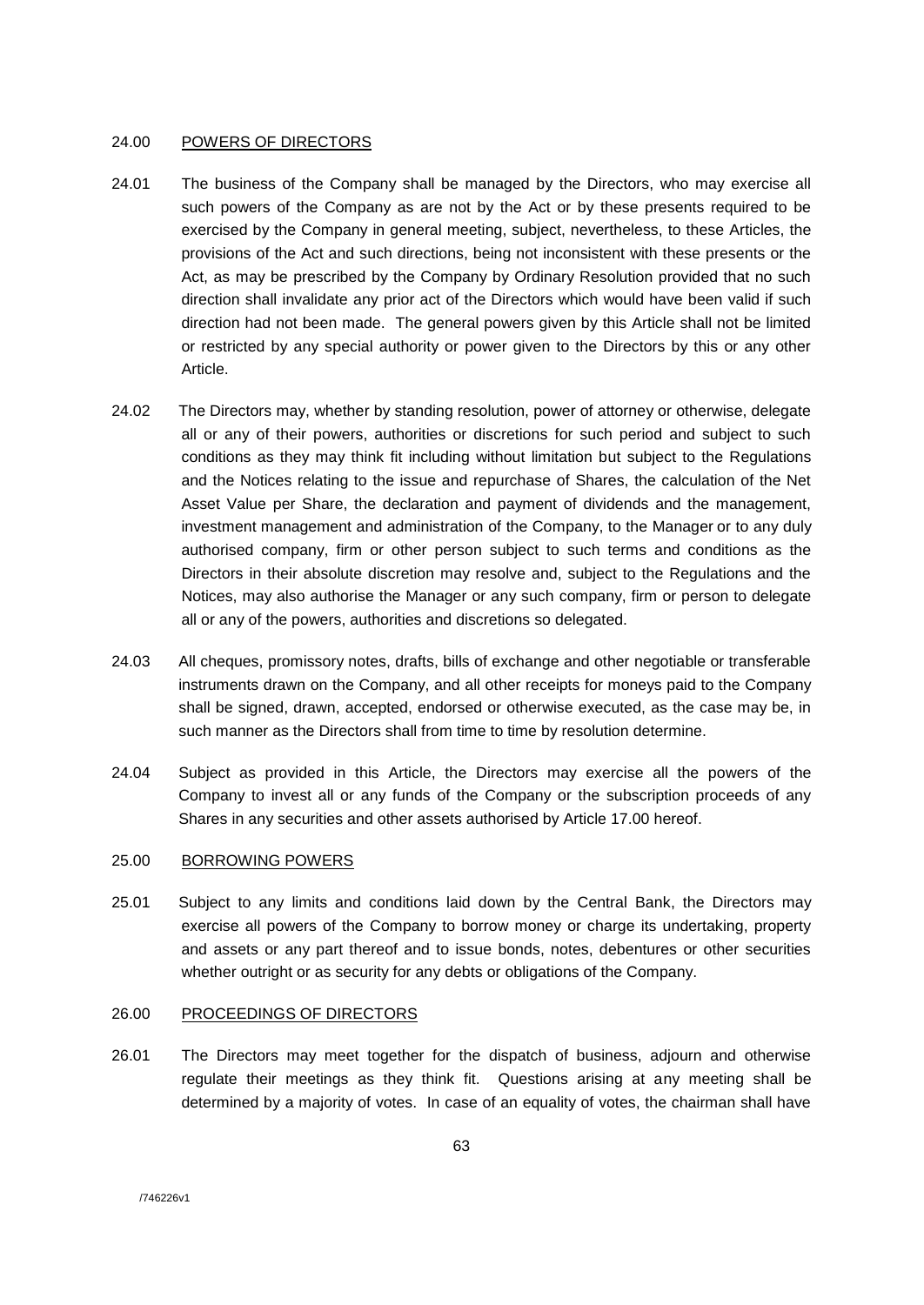### 24.00 POWERS OF DIRECTORS

- 24.01 The business of the Company shall be managed by the Directors, who may exercise all such powers of the Company as are not by the Act or by these presents required to be exercised by the Company in general meeting, subject, nevertheless, to these Articles, the provisions of the Act and such directions, being not inconsistent with these presents or the Act, as may be prescribed by the Company by Ordinary Resolution provided that no such direction shall invalidate any prior act of the Directors which would have been valid if such direction had not been made. The general powers given by this Article shall not be limited or restricted by any special authority or power given to the Directors by this or any other Article.
- 24.02 The Directors may, whether by standing resolution, power of attorney or otherwise, delegate all or any of their powers, authorities or discretions for such period and subject to such conditions as they may think fit including without limitation but subject to the Regulations and the Notices relating to the issue and repurchase of Shares, the calculation of the Net Asset Value per Share, the declaration and payment of dividends and the management, investment management and administration of the Company, to the Manager or to any duly authorised company, firm or other person subject to such terms and conditions as the Directors in their absolute discretion may resolve and, subject to the Regulations and the Notices, may also authorise the Manager or any such company, firm or person to delegate all or any of the powers, authorities and discretions so delegated.
- 24.03 All cheques, promissory notes, drafts, bills of exchange and other negotiable or transferable instruments drawn on the Company, and all other receipts for moneys paid to the Company shall be signed, drawn, accepted, endorsed or otherwise executed, as the case may be, in such manner as the Directors shall from time to time by resolution determine.
- 24.04 Subject as provided in this Article, the Directors may exercise all the powers of the Company to invest all or any funds of the Company or the subscription proceeds of any Shares in any securities and other assets authorised by Article 17.00 hereof.

### 25.00 BORROWING POWERS

25.01 Subject to any limits and conditions laid down by the Central Bank, the Directors may exercise all powers of the Company to borrow money or charge its undertaking, property and assets or any part thereof and to issue bonds, notes, debentures or other securities whether outright or as security for any debts or obligations of the Company.

### 26.00 PROCEEDINGS OF DIRECTORS

26.01 The Directors may meet together for the dispatch of business, adjourn and otherwise regulate their meetings as they think fit. Questions arising at any meeting shall be determined by a majority of votes. In case of an equality of votes, the chairman shall have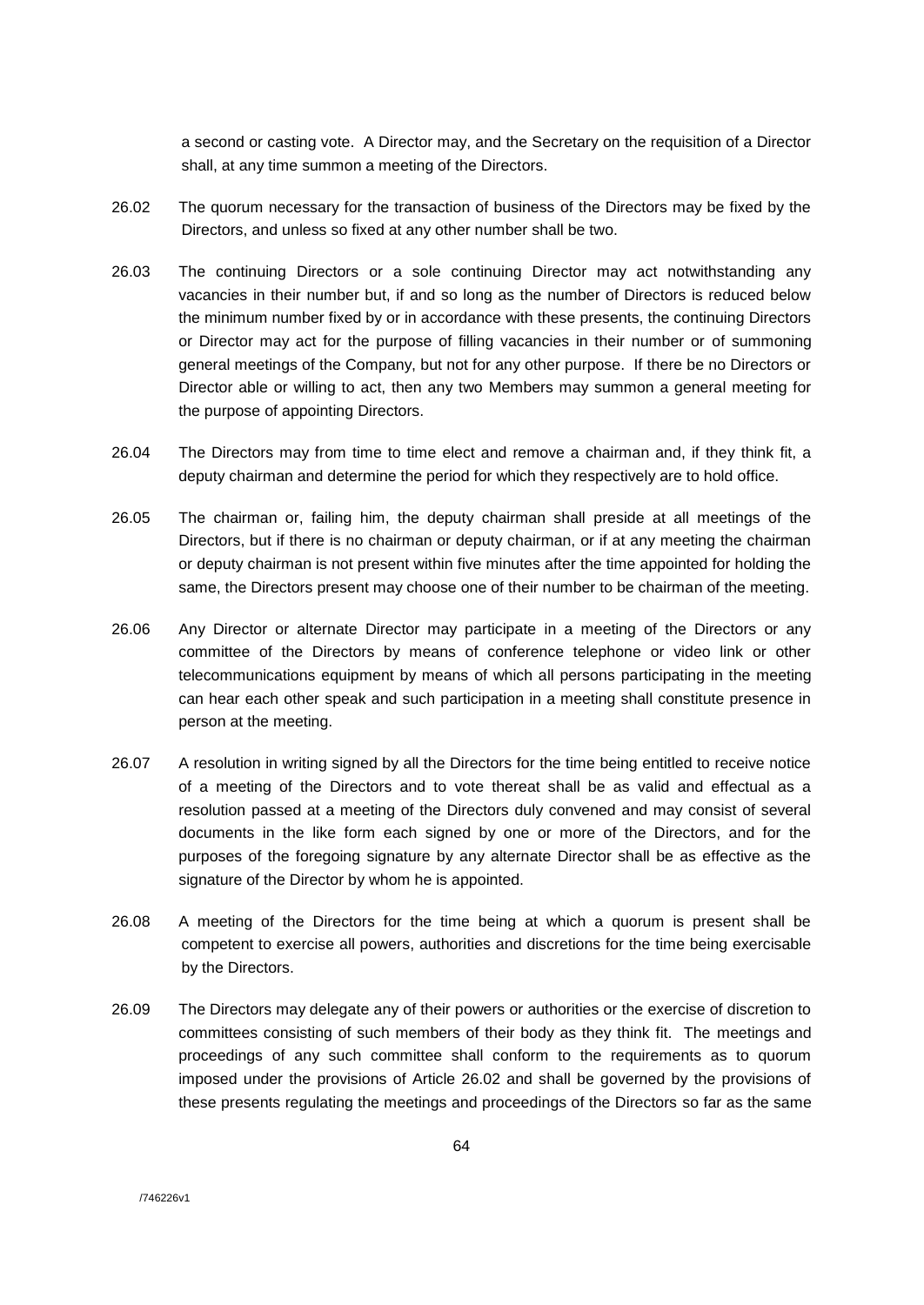a second or casting vote. A Director may, and the Secretary on the requisition of a Director shall, at any time summon a meeting of the Directors.

- 26.02 The quorum necessary for the transaction of business of the Directors may be fixed by the Directors, and unless so fixed at any other number shall be two.
- 26.03 The continuing Directors or a sole continuing Director may act notwithstanding any vacancies in their number but, if and so long as the number of Directors is reduced below the minimum number fixed by or in accordance with these presents, the continuing Directors or Director may act for the purpose of filling vacancies in their number or of summoning general meetings of the Company, but not for any other purpose. If there be no Directors or Director able or willing to act, then any two Members may summon a general meeting for the purpose of appointing Directors.
- 26.04 The Directors may from time to time elect and remove a chairman and, if they think fit, a deputy chairman and determine the period for which they respectively are to hold office.
- 26.05 The chairman or, failing him, the deputy chairman shall preside at all meetings of the Directors, but if there is no chairman or deputy chairman, or if at any meeting the chairman or deputy chairman is not present within five minutes after the time appointed for holding the same, the Directors present may choose one of their number to be chairman of the meeting.
- 26.06 Any Director or alternate Director may participate in a meeting of the Directors or any committee of the Directors by means of conference telephone or video link or other telecommunications equipment by means of which all persons participating in the meeting can hear each other speak and such participation in a meeting shall constitute presence in person at the meeting.
- 26.07 A resolution in writing signed by all the Directors for the time being entitled to receive notice of a meeting of the Directors and to vote thereat shall be as valid and effectual as a resolution passed at a meeting of the Directors duly convened and may consist of several documents in the like form each signed by one or more of the Directors, and for the purposes of the foregoing signature by any alternate Director shall be as effective as the signature of the Director by whom he is appointed.
- 26.08 A meeting of the Directors for the time being at which a quorum is present shall be competent to exercise all powers, authorities and discretions for the time being exercisable by the Directors.
- 26.09 The Directors may delegate any of their powers or authorities or the exercise of discretion to committees consisting of such members of their body as they think fit. The meetings and proceedings of any such committee shall conform to the requirements as to quorum imposed under the provisions of Article 26.02 and shall be governed by the provisions of these presents regulating the meetings and proceedings of the Directors so far as the same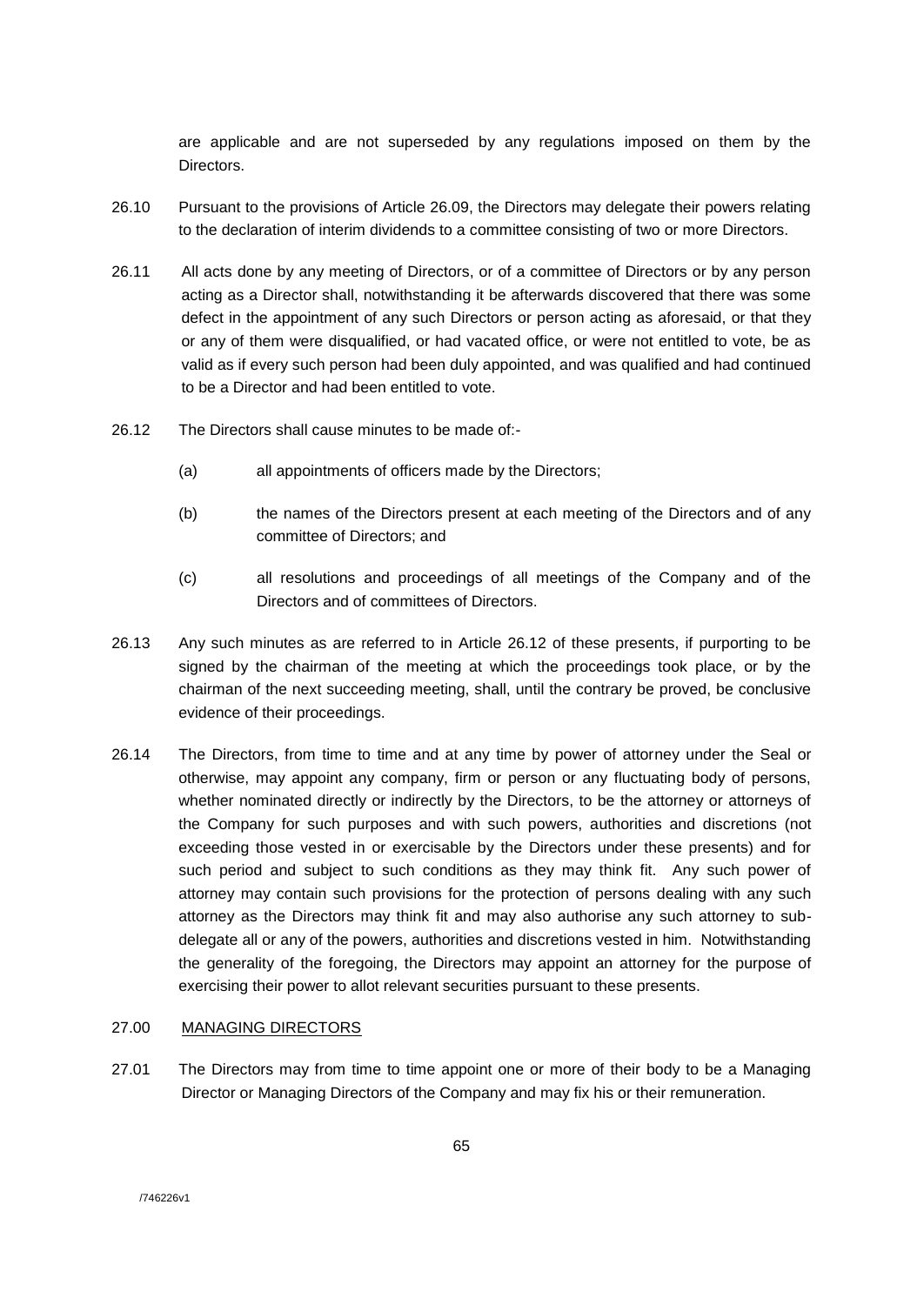are applicable and are not superseded by any regulations imposed on them by the **Directors** 

- 26.10 Pursuant to the provisions of Article 26.09, the Directors may delegate their powers relating to the declaration of interim dividends to a committee consisting of two or more Directors.
- 26.11 All acts done by any meeting of Directors, or of a committee of Directors or by any person acting as a Director shall, notwithstanding it be afterwards discovered that there was some defect in the appointment of any such Directors or person acting as aforesaid, or that they or any of them were disqualified, or had vacated office, or were not entitled to vote, be as valid as if every such person had been duly appointed, and was qualified and had continued to be a Director and had been entitled to vote.
- 26.12 The Directors shall cause minutes to be made of:-
	- (a) all appointments of officers made by the Directors;
	- (b) the names of the Directors present at each meeting of the Directors and of any committee of Directors; and
	- (c) all resolutions and proceedings of all meetings of the Company and of the Directors and of committees of Directors.
- 26.13 Any such minutes as are referred to in Article 26.12 of these presents, if purporting to be signed by the chairman of the meeting at which the proceedings took place, or by the chairman of the next succeeding meeting, shall, until the contrary be proved, be conclusive evidence of their proceedings.
- 26.14 The Directors, from time to time and at any time by power of attorney under the Seal or otherwise, may appoint any company, firm or person or any fluctuating body of persons, whether nominated directly or indirectly by the Directors, to be the attorney or attorneys of the Company for such purposes and with such powers, authorities and discretions (not exceeding those vested in or exercisable by the Directors under these presents) and for such period and subject to such conditions as they may think fit. Any such power of attorney may contain such provisions for the protection of persons dealing with any such attorney as the Directors may think fit and may also authorise any such attorney to subdelegate all or any of the powers, authorities and discretions vested in him. Notwithstanding the generality of the foregoing, the Directors may appoint an attorney for the purpose of exercising their power to allot relevant securities pursuant to these presents.

# 27.00 MANAGING DIRECTORS

27.01 The Directors may from time to time appoint one or more of their body to be a Managing Director or Managing Directors of the Company and may fix his or their remuneration.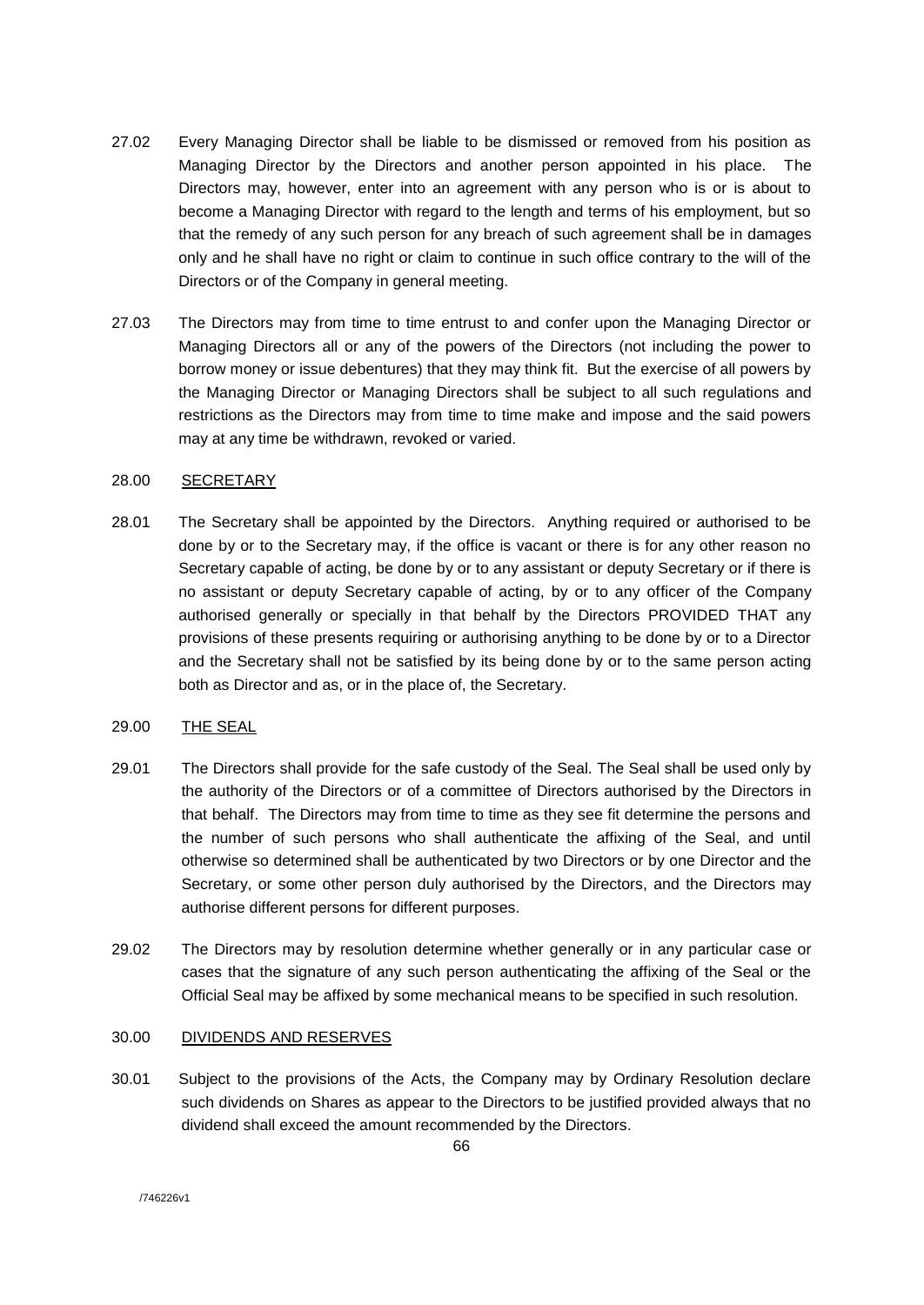- 27.02 Every Managing Director shall be liable to be dismissed or removed from his position as Managing Director by the Directors and another person appointed in his place. The Directors may, however, enter into an agreement with any person who is or is about to become a Managing Director with regard to the length and terms of his employment, but so that the remedy of any such person for any breach of such agreement shall be in damages only and he shall have no right or claim to continue in such office contrary to the will of the Directors or of the Company in general meeting.
- 27.03 The Directors may from time to time entrust to and confer upon the Managing Director or Managing Directors all or any of the powers of the Directors (not including the power to borrow money or issue debentures) that they may think fit. But the exercise of all powers by the Managing Director or Managing Directors shall be subject to all such regulations and restrictions as the Directors may from time to time make and impose and the said powers may at any time be withdrawn, revoked or varied.

# 28.00 SECRETARY

28.01 The Secretary shall be appointed by the Directors. Anything required or authorised to be done by or to the Secretary may, if the office is vacant or there is for any other reason no Secretary capable of acting, be done by or to any assistant or deputy Secretary or if there is no assistant or deputy Secretary capable of acting, by or to any officer of the Company authorised generally or specially in that behalf by the Directors PROVIDED THAT any provisions of these presents requiring or authorising anything to be done by or to a Director and the Secretary shall not be satisfied by its being done by or to the same person acting both as Director and as, or in the place of, the Secretary.

### 29.00 THE SEAL

- 29.01 The Directors shall provide for the safe custody of the Seal. The Seal shall be used only by the authority of the Directors or of a committee of Directors authorised by the Directors in that behalf. The Directors may from time to time as they see fit determine the persons and the number of such persons who shall authenticate the affixing of the Seal, and until otherwise so determined shall be authenticated by two Directors or by one Director and the Secretary, or some other person duly authorised by the Directors, and the Directors may authorise different persons for different purposes.
- 29.02 The Directors may by resolution determine whether generally or in any particular case or cases that the signature of any such person authenticating the affixing of the Seal or the Official Seal may be affixed by some mechanical means to be specified in such resolution.

### 30.00 DIVIDENDS AND RESERVES

30.01 Subject to the provisions of the Acts, the Company may by Ordinary Resolution declare such dividends on Shares as appear to the Directors to be justified provided always that no dividend shall exceed the amount recommended by the Directors.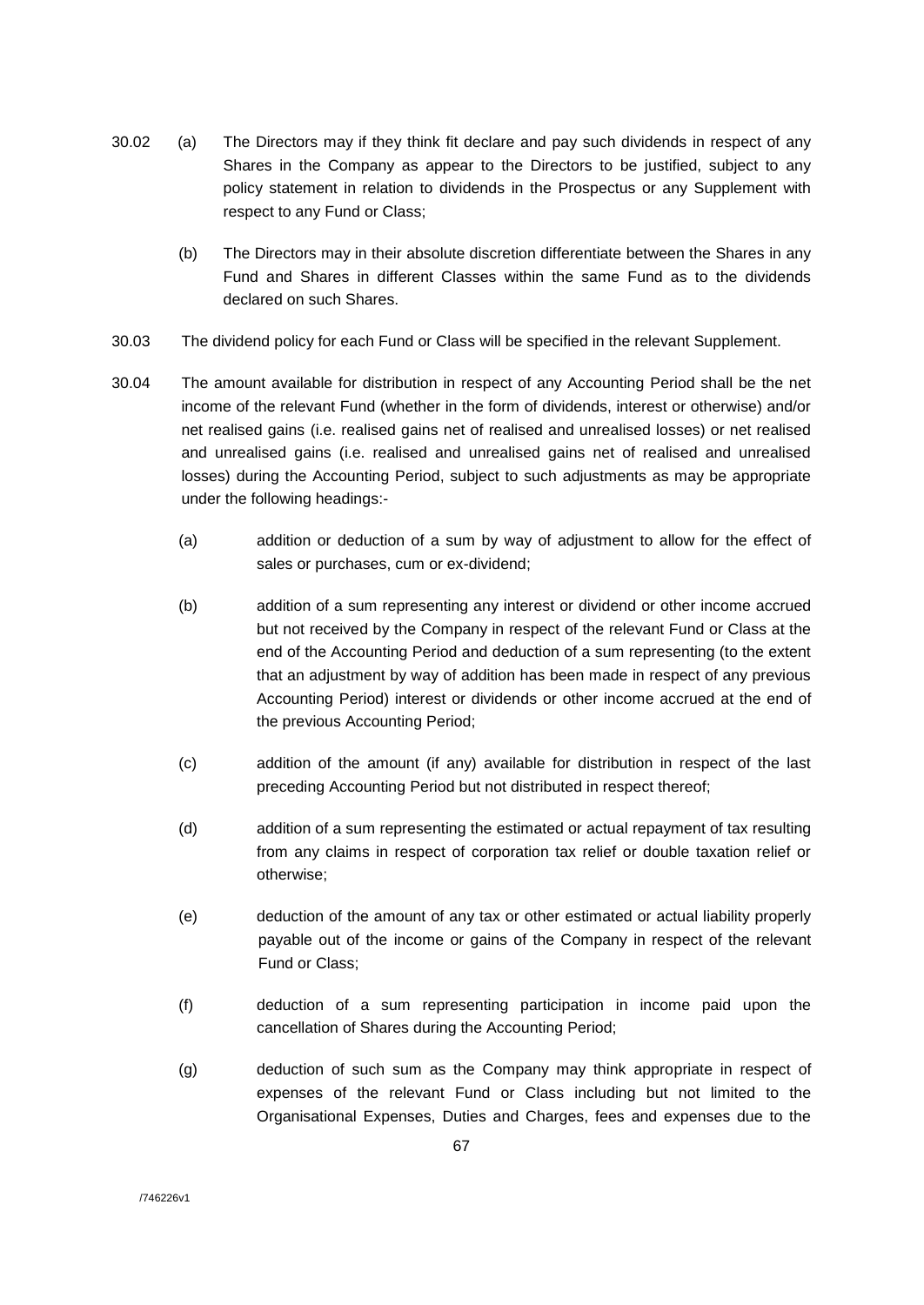- 30.02 (a) The Directors may if they think fit declare and pay such dividends in respect of any Shares in the Company as appear to the Directors to be justified, subject to any policy statement in relation to dividends in the Prospectus or any Supplement with respect to any Fund or Class;
	- (b) The Directors may in their absolute discretion differentiate between the Shares in any Fund and Shares in different Classes within the same Fund as to the dividends declared on such Shares.
- 30.03 The dividend policy for each Fund or Class will be specified in the relevant Supplement.
- 30.04 The amount available for distribution in respect of any Accounting Period shall be the net income of the relevant Fund (whether in the form of dividends, interest or otherwise) and/or net realised gains (i.e. realised gains net of realised and unrealised losses) or net realised and unrealised gains (i.e. realised and unrealised gains net of realised and unrealised losses) during the Accounting Period, subject to such adjustments as may be appropriate under the following headings:-
	- (a) addition or deduction of a sum by way of adjustment to allow for the effect of sales or purchases, cum or ex-dividend;
	- (b) addition of a sum representing any interest or dividend or other income accrued but not received by the Company in respect of the relevant Fund or Class at the end of the Accounting Period and deduction of a sum representing (to the extent that an adjustment by way of addition has been made in respect of any previous Accounting Period) interest or dividends or other income accrued at the end of the previous Accounting Period;
	- (c) addition of the amount (if any) available for distribution in respect of the last preceding Accounting Period but not distributed in respect thereof;
	- (d) addition of a sum representing the estimated or actual repayment of tax resulting from any claims in respect of corporation tax relief or double taxation relief or otherwise;
	- (e) deduction of the amount of any tax or other estimated or actual liability properly payable out of the income or gains of the Company in respect of the relevant Fund or Class;
	- (f) deduction of a sum representing participation in income paid upon the cancellation of Shares during the Accounting Period;
	- (g) deduction of such sum as the Company may think appropriate in respect of expenses of the relevant Fund or Class including but not limited to the Organisational Expenses, Duties and Charges, fees and expenses due to the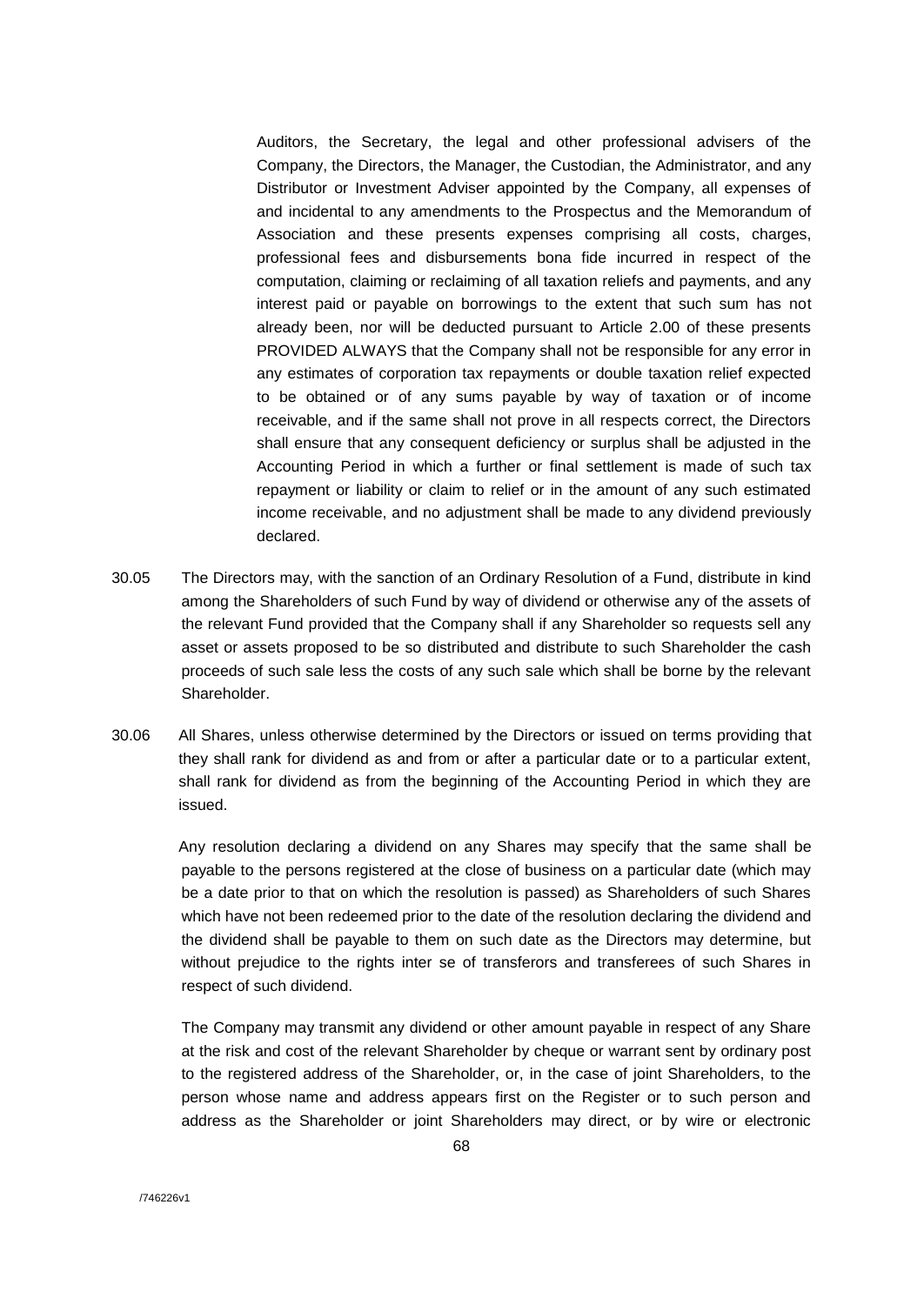Auditors, the Secretary, the legal and other professional advisers of the Company, the Directors, the Manager, the Custodian, the Administrator, and any Distributor or Investment Adviser appointed by the Company, all expenses of and incidental to any amendments to the Prospectus and the Memorandum of Association and these presents expenses comprising all costs, charges, professional fees and disbursements bona fide incurred in respect of the computation, claiming or reclaiming of all taxation reliefs and payments, and any interest paid or payable on borrowings to the extent that such sum has not already been, nor will be deducted pursuant to Article 2.00 of these presents PROVIDED ALWAYS that the Company shall not be responsible for any error in any estimates of corporation tax repayments or double taxation relief expected to be obtained or of any sums payable by way of taxation or of income receivable, and if the same shall not prove in all respects correct, the Directors shall ensure that any consequent deficiency or surplus shall be adjusted in the Accounting Period in which a further or final settlement is made of such tax repayment or liability or claim to relief or in the amount of any such estimated income receivable, and no adjustment shall be made to any dividend previously declared.

- 30.05 The Directors may, with the sanction of an Ordinary Resolution of a Fund, distribute in kind among the Shareholders of such Fund by way of dividend or otherwise any of the assets of the relevant Fund provided that the Company shall if any Shareholder so requests sell any asset or assets proposed to be so distributed and distribute to such Shareholder the cash proceeds of such sale less the costs of any such sale which shall be borne by the relevant Shareholder.
- 30.06 All Shares, unless otherwise determined by the Directors or issued on terms providing that they shall rank for dividend as and from or after a particular date or to a particular extent, shall rank for dividend as from the beginning of the Accounting Period in which they are issued.

Any resolution declaring a dividend on any Shares may specify that the same shall be payable to the persons registered at the close of business on a particular date (which may be a date prior to that on which the resolution is passed) as Shareholders of such Shares which have not been redeemed prior to the date of the resolution declaring the dividend and the dividend shall be payable to them on such date as the Directors may determine, but without prejudice to the rights inter se of transferors and transferees of such Shares in respect of such dividend.

The Company may transmit any dividend or other amount payable in respect of any Share at the risk and cost of the relevant Shareholder by cheque or warrant sent by ordinary post to the registered address of the Shareholder, or, in the case of joint Shareholders, to the person whose name and address appears first on the Register or to such person and address as the Shareholder or joint Shareholders may direct, or by wire or electronic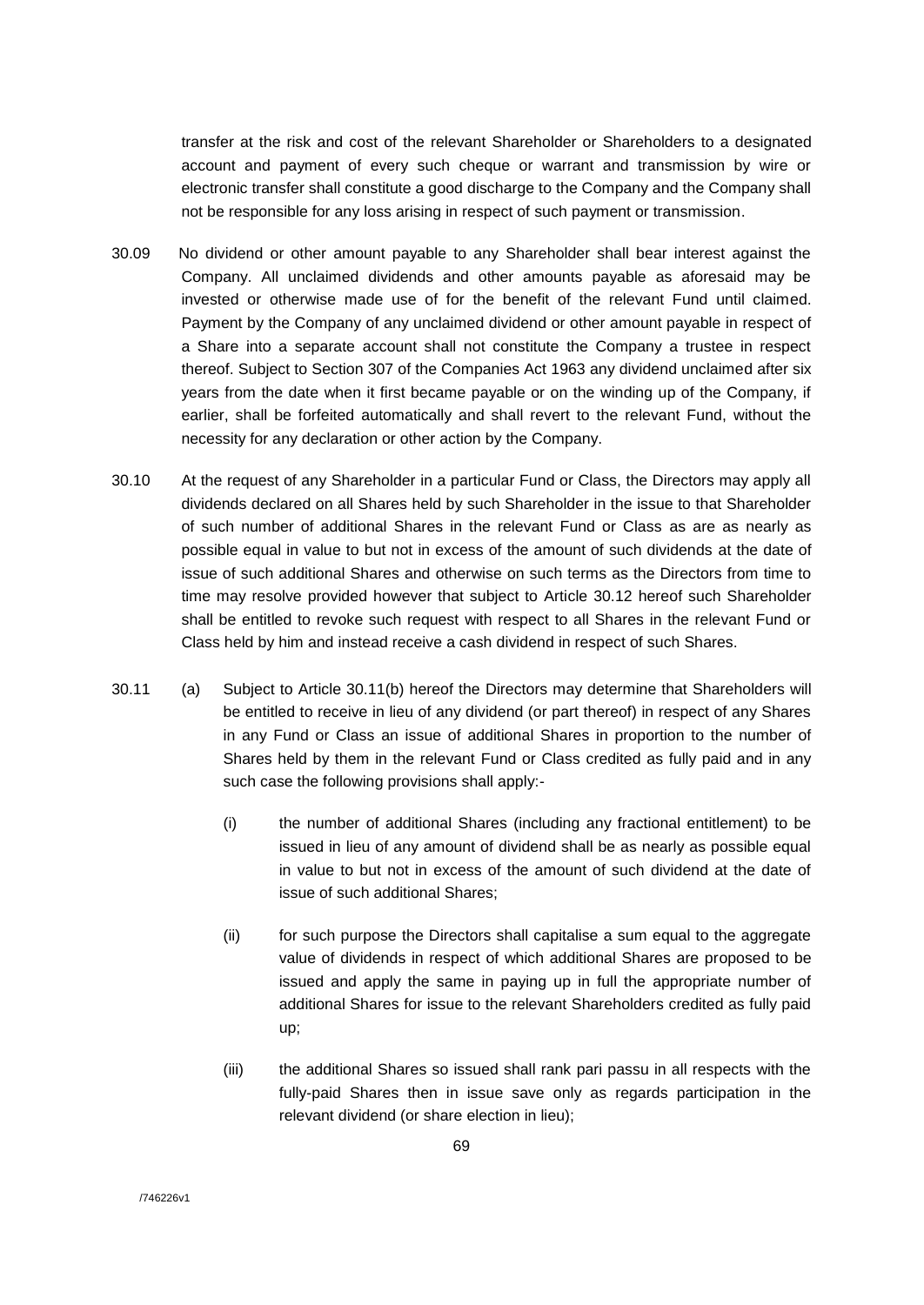transfer at the risk and cost of the relevant Shareholder or Shareholders to a designated account and payment of every such cheque or warrant and transmission by wire or electronic transfer shall constitute a good discharge to the Company and the Company shall not be responsible for any loss arising in respect of such payment or transmission.

- 30.09 No dividend or other amount payable to any Shareholder shall bear interest against the Company. All unclaimed dividends and other amounts payable as aforesaid may be invested or otherwise made use of for the benefit of the relevant Fund until claimed. Payment by the Company of any unclaimed dividend or other amount payable in respect of a Share into a separate account shall not constitute the Company a trustee in respect thereof. Subject to Section 307 of the Companies Act 1963 any dividend unclaimed after six years from the date when it first became payable or on the winding up of the Company, if earlier, shall be forfeited automatically and shall revert to the relevant Fund, without the necessity for any declaration or other action by the Company.
- 30.10 At the request of any Shareholder in a particular Fund or Class, the Directors may apply all dividends declared on all Shares held by such Shareholder in the issue to that Shareholder of such number of additional Shares in the relevant Fund or Class as are as nearly as possible equal in value to but not in excess of the amount of such dividends at the date of issue of such additional Shares and otherwise on such terms as the Directors from time to time may resolve provided however that subject to Article 30.12 hereof such Shareholder shall be entitled to revoke such request with respect to all Shares in the relevant Fund or Class held by him and instead receive a cash dividend in respect of such Shares.
- 30.11 (a) Subject to Article 30.11(b) hereof the Directors may determine that Shareholders will be entitled to receive in lieu of any dividend (or part thereof) in respect of any Shares in any Fund or Class an issue of additional Shares in proportion to the number of Shares held by them in the relevant Fund or Class credited as fully paid and in any such case the following provisions shall apply:-
	- (i) the number of additional Shares (including any fractional entitlement) to be issued in lieu of any amount of dividend shall be as nearly as possible equal in value to but not in excess of the amount of such dividend at the date of issue of such additional Shares;
	- (ii) for such purpose the Directors shall capitalise a sum equal to the aggregate value of dividends in respect of which additional Shares are proposed to be issued and apply the same in paying up in full the appropriate number of additional Shares for issue to the relevant Shareholders credited as fully paid up;
	- (iii) the additional Shares so issued shall rank pari passu in all respects with the fully-paid Shares then in issue save only as regards participation in the relevant dividend (or share election in lieu);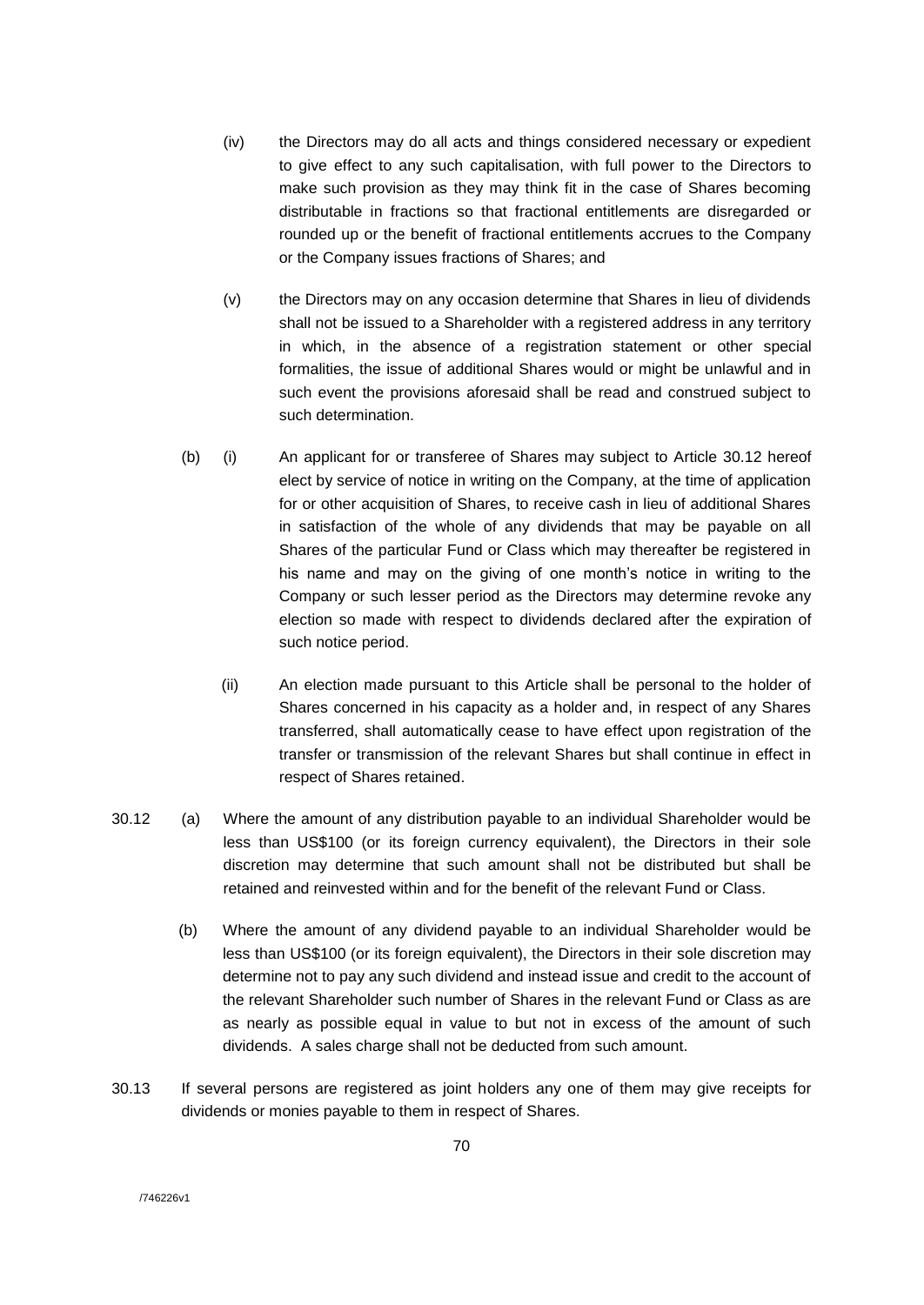- (iv) the Directors may do all acts and things considered necessary or expedient to give effect to any such capitalisation, with full power to the Directors to make such provision as they may think fit in the case of Shares becoming distributable in fractions so that fractional entitlements are disregarded or rounded up or the benefit of fractional entitlements accrues to the Company or the Company issues fractions of Shares; and
- (v) the Directors may on any occasion determine that Shares in lieu of dividends shall not be issued to a Shareholder with a registered address in any territory in which, in the absence of a registration statement or other special formalities, the issue of additional Shares would or might be unlawful and in such event the provisions aforesaid shall be read and construed subject to such determination.
- (b) (i) An applicant for or transferee of Shares may subject to Article 30.12 hereof elect by service of notice in writing on the Company, at the time of application for or other acquisition of Shares, to receive cash in lieu of additional Shares in satisfaction of the whole of any dividends that may be payable on all Shares of the particular Fund or Class which may thereafter be registered in his name and may on the giving of one month's notice in writing to the Company or such lesser period as the Directors may determine revoke any election so made with respect to dividends declared after the expiration of such notice period.
	- (ii) An election made pursuant to this Article shall be personal to the holder of Shares concerned in his capacity as a holder and, in respect of any Shares transferred, shall automatically cease to have effect upon registration of the transfer or transmission of the relevant Shares but shall continue in effect in respect of Shares retained.
- 30.12 (a) Where the amount of any distribution payable to an individual Shareholder would be less than US\$100 (or its foreign currency equivalent), the Directors in their sole discretion may determine that such amount shall not be distributed but shall be retained and reinvested within and for the benefit of the relevant Fund or Class.
	- (b) Where the amount of any dividend payable to an individual Shareholder would be less than US\$100 (or its foreign equivalent), the Directors in their sole discretion may determine not to pay any such dividend and instead issue and credit to the account of the relevant Shareholder such number of Shares in the relevant Fund or Class as are as nearly as possible equal in value to but not in excess of the amount of such dividends. A sales charge shall not be deducted from such amount.
- 30.13 If several persons are registered as joint holders any one of them may give receipts for dividends or monies payable to them in respect of Shares.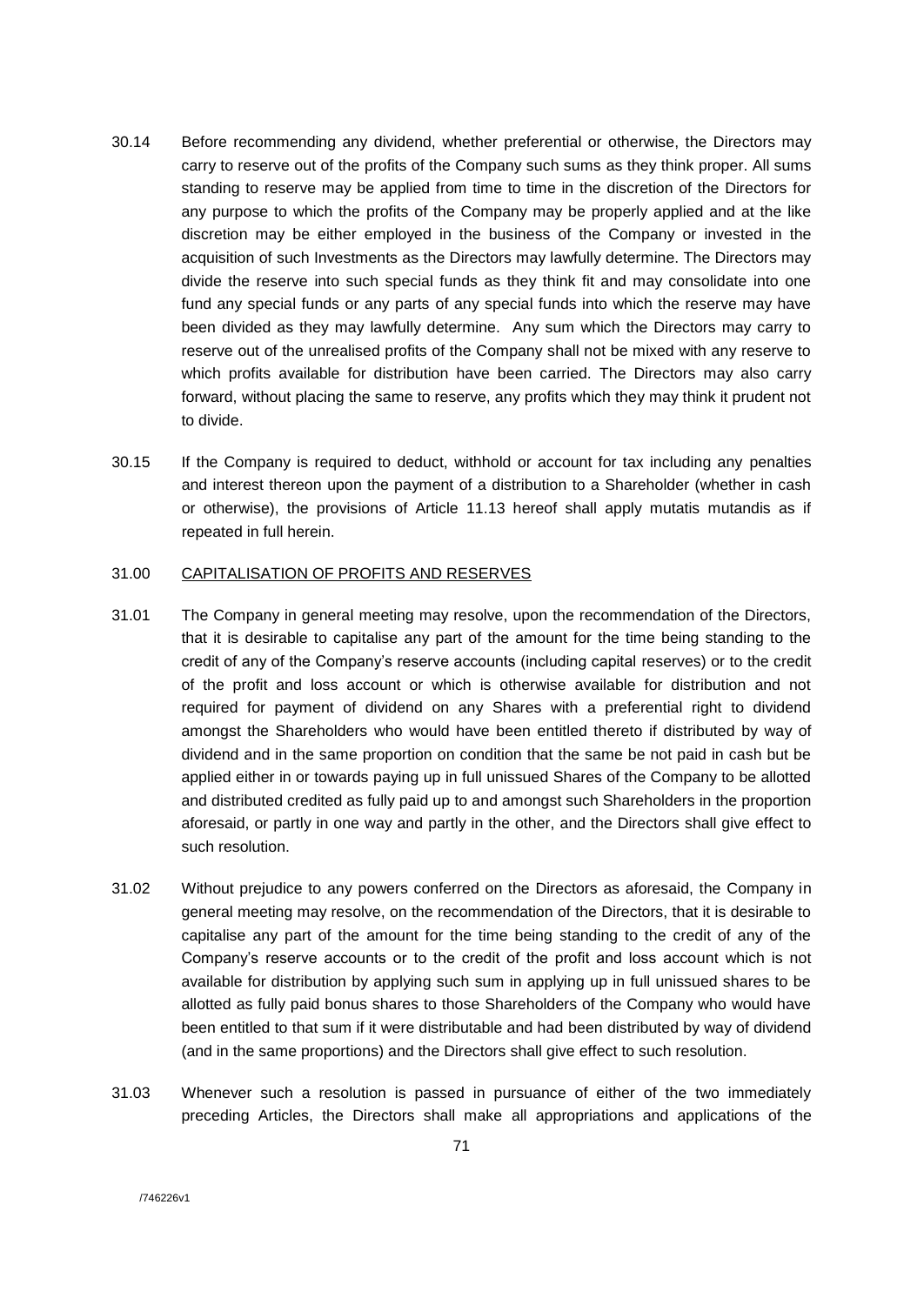- 30.14 Before recommending any dividend, whether preferential or otherwise, the Directors may carry to reserve out of the profits of the Company such sums as they think proper. All sums standing to reserve may be applied from time to time in the discretion of the Directors for any purpose to which the profits of the Company may be properly applied and at the like discretion may be either employed in the business of the Company or invested in the acquisition of such Investments as the Directors may lawfully determine. The Directors may divide the reserve into such special funds as they think fit and may consolidate into one fund any special funds or any parts of any special funds into which the reserve may have been divided as they may lawfully determine. Any sum which the Directors may carry to reserve out of the unrealised profits of the Company shall not be mixed with any reserve to which profits available for distribution have been carried. The Directors may also carry forward, without placing the same to reserve, any profits which they may think it prudent not to divide.
- 30.15 If the Company is required to deduct, withhold or account for tax including any penalties and interest thereon upon the payment of a distribution to a Shareholder (whether in cash or otherwise), the provisions of Article 11.13 hereof shall apply mutatis mutandis as if repeated in full herein.

# 31.00 CAPITALISATION OF PROFITS AND RESERVES

- 31.01 The Company in general meeting may resolve, upon the recommendation of the Directors, that it is desirable to capitalise any part of the amount for the time being standing to the credit of any of the Company's reserve accounts (including capital reserves) or to the credit of the profit and loss account or which is otherwise available for distribution and not required for payment of dividend on any Shares with a preferential right to dividend amongst the Shareholders who would have been entitled thereto if distributed by way of dividend and in the same proportion on condition that the same be not paid in cash but be applied either in or towards paying up in full unissued Shares of the Company to be allotted and distributed credited as fully paid up to and amongst such Shareholders in the proportion aforesaid, or partly in one way and partly in the other, and the Directors shall give effect to such resolution.
- 31.02 Without prejudice to any powers conferred on the Directors as aforesaid, the Company in general meeting may resolve, on the recommendation of the Directors, that it is desirable to capitalise any part of the amount for the time being standing to the credit of any of the Company's reserve accounts or to the credit of the profit and loss account which is not available for distribution by applying such sum in applying up in full unissued shares to be allotted as fully paid bonus shares to those Shareholders of the Company who would have been entitled to that sum if it were distributable and had been distributed by way of dividend (and in the same proportions) and the Directors shall give effect to such resolution.
- 31.03 Whenever such a resolution is passed in pursuance of either of the two immediately preceding Articles, the Directors shall make all appropriations and applications of the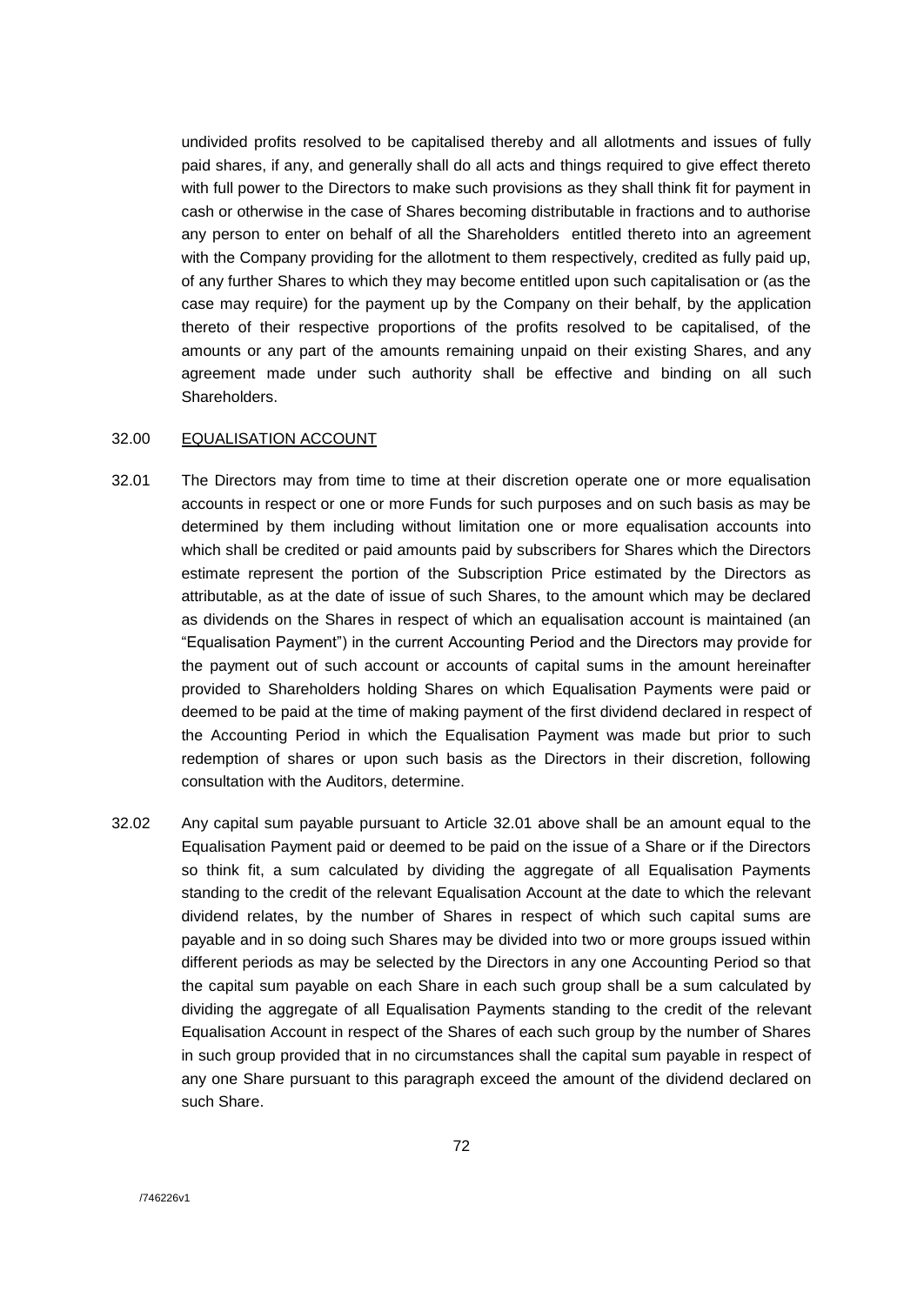undivided profits resolved to be capitalised thereby and all allotments and issues of fully paid shares, if any, and generally shall do all acts and things required to give effect thereto with full power to the Directors to make such provisions as they shall think fit for payment in cash or otherwise in the case of Shares becoming distributable in fractions and to authorise any person to enter on behalf of all the Shareholders entitled thereto into an agreement with the Company providing for the allotment to them respectively, credited as fully paid up, of any further Shares to which they may become entitled upon such capitalisation or (as the case may require) for the payment up by the Company on their behalf, by the application thereto of their respective proportions of the profits resolved to be capitalised, of the amounts or any part of the amounts remaining unpaid on their existing Shares, and any agreement made under such authority shall be effective and binding on all such Shareholders.

### 32.00 EQUALISATION ACCOUNT

- 32.01 The Directors may from time to time at their discretion operate one or more equalisation accounts in respect or one or more Funds for such purposes and on such basis as may be determined by them including without limitation one or more equalisation accounts into which shall be credited or paid amounts paid by subscribers for Shares which the Directors estimate represent the portion of the Subscription Price estimated by the Directors as attributable, as at the date of issue of such Shares, to the amount which may be declared as dividends on the Shares in respect of which an equalisation account is maintained (an "Equalisation Payment") in the current Accounting Period and the Directors may provide for the payment out of such account or accounts of capital sums in the amount hereinafter provided to Shareholders holding Shares on which Equalisation Payments were paid or deemed to be paid at the time of making payment of the first dividend declared in respect of the Accounting Period in which the Equalisation Payment was made but prior to such redemption of shares or upon such basis as the Directors in their discretion, following consultation with the Auditors, determine.
- 32.02 Any capital sum payable pursuant to Article 32.01 above shall be an amount equal to the Equalisation Payment paid or deemed to be paid on the issue of a Share or if the Directors so think fit, a sum calculated by dividing the aggregate of all Equalisation Payments standing to the credit of the relevant Equalisation Account at the date to which the relevant dividend relates, by the number of Shares in respect of which such capital sums are payable and in so doing such Shares may be divided into two or more groups issued within different periods as may be selected by the Directors in any one Accounting Period so that the capital sum payable on each Share in each such group shall be a sum calculated by dividing the aggregate of all Equalisation Payments standing to the credit of the relevant Equalisation Account in respect of the Shares of each such group by the number of Shares in such group provided that in no circumstances shall the capital sum payable in respect of any one Share pursuant to this paragraph exceed the amount of the dividend declared on such Share.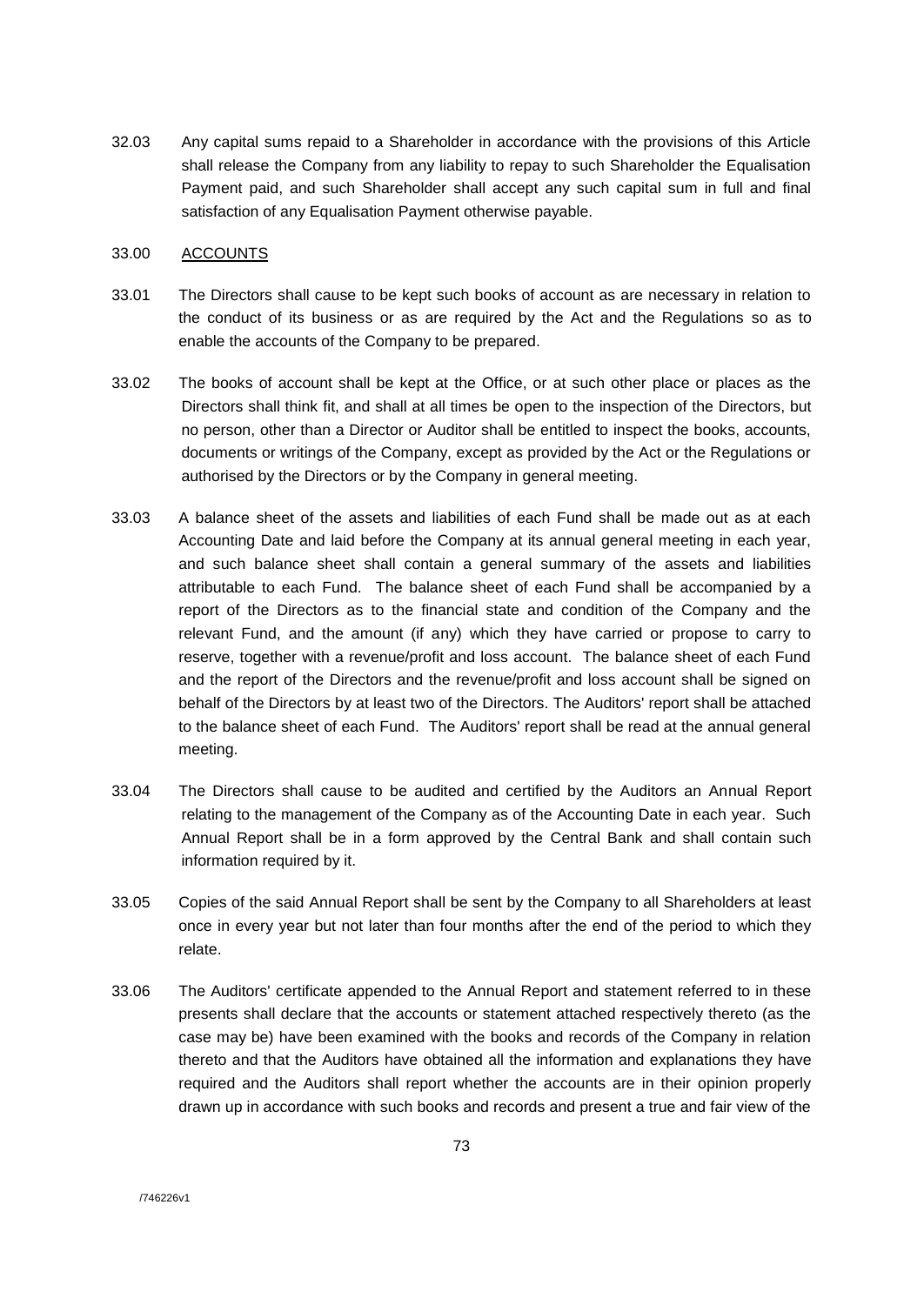32.03 Any capital sums repaid to a Shareholder in accordance with the provisions of this Article shall release the Company from any liability to repay to such Shareholder the Equalisation Payment paid, and such Shareholder shall accept any such capital sum in full and final satisfaction of any Equalisation Payment otherwise payable.

# 33.00 ACCOUNTS

- 33.01 The Directors shall cause to be kept such books of account as are necessary in relation to the conduct of its business or as are required by the Act and the Regulations so as to enable the accounts of the Company to be prepared.
- 33.02 The books of account shall be kept at the Office, or at such other place or places as the Directors shall think fit, and shall at all times be open to the inspection of the Directors, but no person, other than a Director or Auditor shall be entitled to inspect the books, accounts, documents or writings of the Company, except as provided by the Act or the Regulations or authorised by the Directors or by the Company in general meeting.
- 33.03 A balance sheet of the assets and liabilities of each Fund shall be made out as at each Accounting Date and laid before the Company at its annual general meeting in each year, and such balance sheet shall contain a general summary of the assets and liabilities attributable to each Fund. The balance sheet of each Fund shall be accompanied by a report of the Directors as to the financial state and condition of the Company and the relevant Fund, and the amount (if any) which they have carried or propose to carry to reserve, together with a revenue/profit and loss account. The balance sheet of each Fund and the report of the Directors and the revenue/profit and loss account shall be signed on behalf of the Directors by at least two of the Directors. The Auditors' report shall be attached to the balance sheet of each Fund. The Auditors' report shall be read at the annual general meeting.
- 33.04 The Directors shall cause to be audited and certified by the Auditors an Annual Report relating to the management of the Company as of the Accounting Date in each year. Such Annual Report shall be in a form approved by the Central Bank and shall contain such information required by it.
- 33.05 Copies of the said Annual Report shall be sent by the Company to all Shareholders at least once in every year but not later than four months after the end of the period to which they relate.
- 33.06 The Auditors' certificate appended to the Annual Report and statement referred to in these presents shall declare that the accounts or statement attached respectively thereto (as the case may be) have been examined with the books and records of the Company in relation thereto and that the Auditors have obtained all the information and explanations they have required and the Auditors shall report whether the accounts are in their opinion properly drawn up in accordance with such books and records and present a true and fair view of the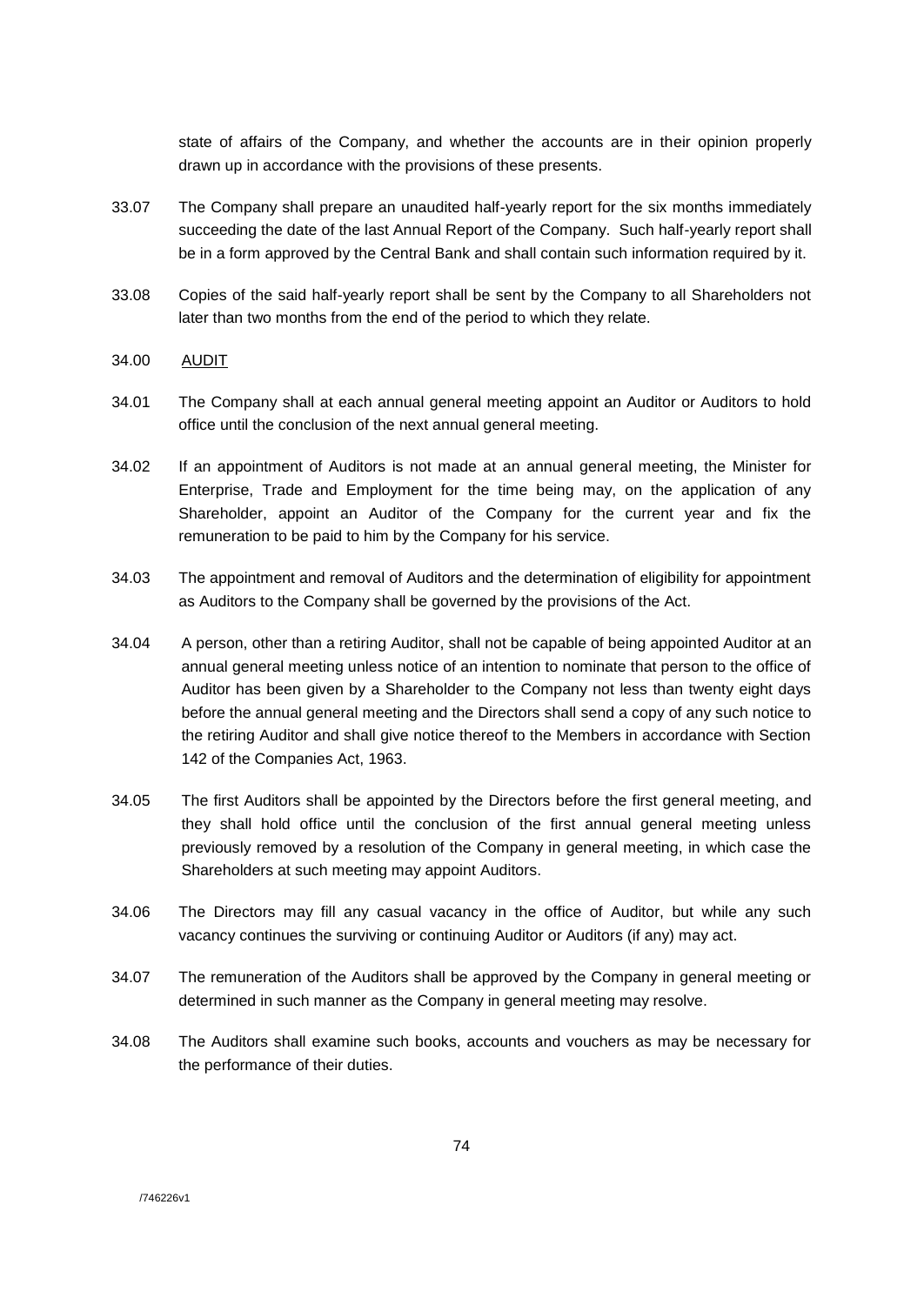state of affairs of the Company, and whether the accounts are in their opinion properly drawn up in accordance with the provisions of these presents.

- 33.07 The Company shall prepare an unaudited half-yearly report for the six months immediately succeeding the date of the last Annual Report of the Company. Such half-yearly report shall be in a form approved by the Central Bank and shall contain such information required by it.
- 33.08 Copies of the said half-yearly report shall be sent by the Company to all Shareholders not later than two months from the end of the period to which they relate.
- 34.00 AUDIT
- 34.01 The Company shall at each annual general meeting appoint an Auditor or Auditors to hold office until the conclusion of the next annual general meeting.
- 34.02 If an appointment of Auditors is not made at an annual general meeting, the Minister for Enterprise, Trade and Employment for the time being may, on the application of any Shareholder, appoint an Auditor of the Company for the current year and fix the remuneration to be paid to him by the Company for his service.
- 34.03 The appointment and removal of Auditors and the determination of eligibility for appointment as Auditors to the Company shall be governed by the provisions of the Act.
- 34.04 A person, other than a retiring Auditor, shall not be capable of being appointed Auditor at an annual general meeting unless notice of an intention to nominate that person to the office of Auditor has been given by a Shareholder to the Company not less than twenty eight days before the annual general meeting and the Directors shall send a copy of any such notice to the retiring Auditor and shall give notice thereof to the Members in accordance with Section 142 of the Companies Act, 1963.
- 34.05 The first Auditors shall be appointed by the Directors before the first general meeting, and they shall hold office until the conclusion of the first annual general meeting unless previously removed by a resolution of the Company in general meeting, in which case the Shareholders at such meeting may appoint Auditors.
- 34.06 The Directors may fill any casual vacancy in the office of Auditor, but while any such vacancy continues the surviving or continuing Auditor or Auditors (if any) may act.
- 34.07 The remuneration of the Auditors shall be approved by the Company in general meeting or determined in such manner as the Company in general meeting may resolve.
- 34.08 The Auditors shall examine such books, accounts and vouchers as may be necessary for the performance of their duties.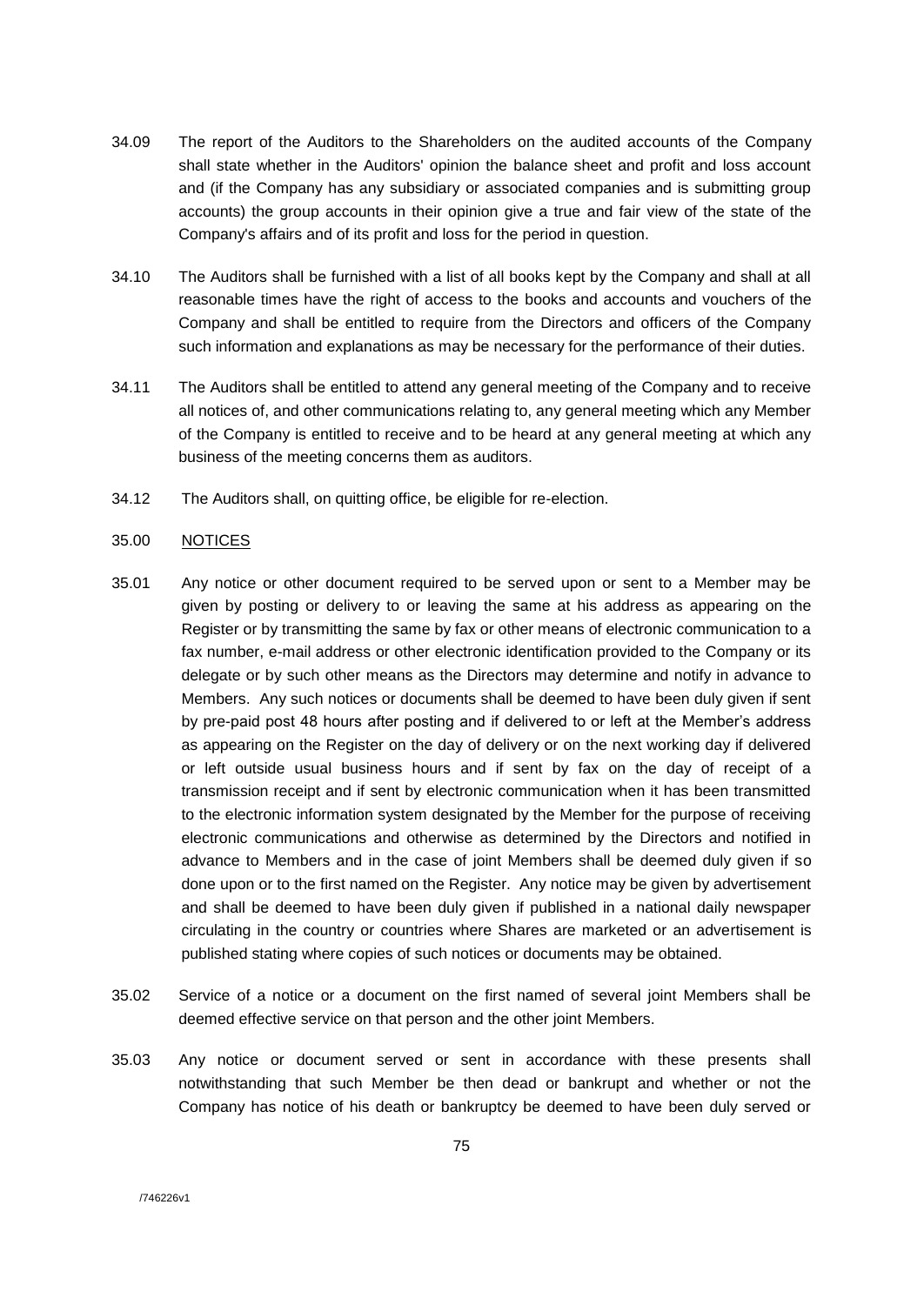- 34.09 The report of the Auditors to the Shareholders on the audited accounts of the Company shall state whether in the Auditors' opinion the balance sheet and profit and loss account and (if the Company has any subsidiary or associated companies and is submitting group accounts) the group accounts in their opinion give a true and fair view of the state of the Company's affairs and of its profit and loss for the period in question.
- 34.10 The Auditors shall be furnished with a list of all books kept by the Company and shall at all reasonable times have the right of access to the books and accounts and vouchers of the Company and shall be entitled to require from the Directors and officers of the Company such information and explanations as may be necessary for the performance of their duties.
- 34.11 The Auditors shall be entitled to attend any general meeting of the Company and to receive all notices of, and other communications relating to, any general meeting which any Member of the Company is entitled to receive and to be heard at any general meeting at which any business of the meeting concerns them as auditors.
- 34.12 The Auditors shall, on quitting office, be eligible for re-election.

## 35.00 NOTICES

- 35.01 Any notice or other document required to be served upon or sent to a Member may be given by posting or delivery to or leaving the same at his address as appearing on the Register or by transmitting the same by fax or other means of electronic communication to a fax number, e-mail address or other electronic identification provided to the Company or its delegate or by such other means as the Directors may determine and notify in advance to Members. Any such notices or documents shall be deemed to have been duly given if sent by pre-paid post 48 hours after posting and if delivered to or left at the Member's address as appearing on the Register on the day of delivery or on the next working day if delivered or left outside usual business hours and if sent by fax on the day of receipt of a transmission receipt and if sent by electronic communication when it has been transmitted to the electronic information system designated by the Member for the purpose of receiving electronic communications and otherwise as determined by the Directors and notified in advance to Members and in the case of joint Members shall be deemed duly given if so done upon or to the first named on the Register. Any notice may be given by advertisement and shall be deemed to have been duly given if published in a national daily newspaper circulating in the country or countries where Shares are marketed or an advertisement is published stating where copies of such notices or documents may be obtained.
- 35.02 Service of a notice or a document on the first named of several joint Members shall be deemed effective service on that person and the other joint Members.
- 35.03 Any notice or document served or sent in accordance with these presents shall notwithstanding that such Member be then dead or bankrupt and whether or not the Company has notice of his death or bankruptcy be deemed to have been duly served or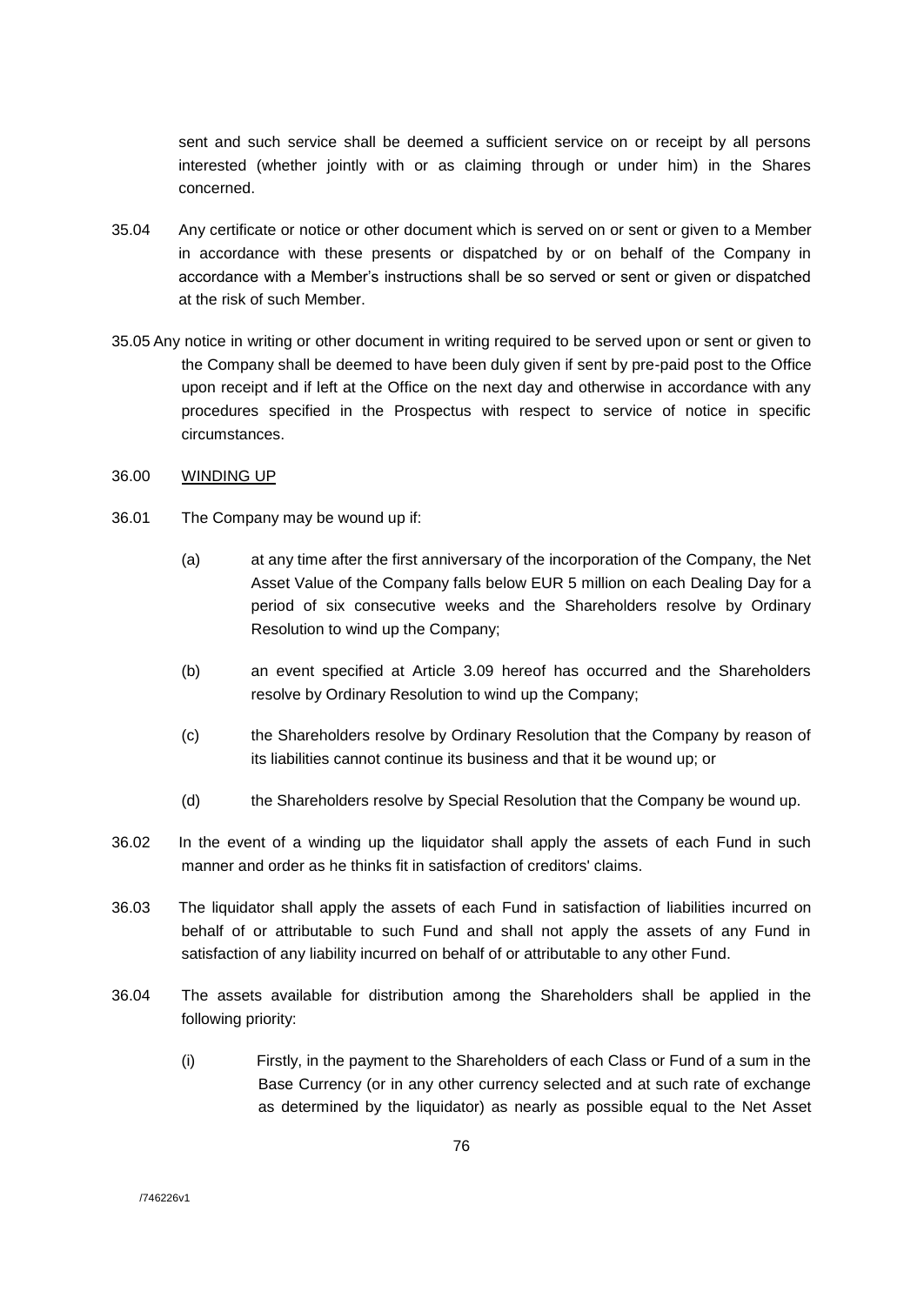sent and such service shall be deemed a sufficient service on or receipt by all persons interested (whether jointly with or as claiming through or under him) in the Shares concerned.

- 35.04 Any certificate or notice or other document which is served on or sent or given to a Member in accordance with these presents or dispatched by or on behalf of the Company in accordance with a Member's instructions shall be so served or sent or given or dispatched at the risk of such Member.
- 35.05 Any notice in writing or other document in writing required to be served upon or sent or given to the Company shall be deemed to have been duly given if sent by pre-paid post to the Office upon receipt and if left at the Office on the next day and otherwise in accordance with any procedures specified in the Prospectus with respect to service of notice in specific circumstances.
- 36.00 WINDING UP
- 36.01 The Company may be wound up if:
	- (a) at any time after the first anniversary of the incorporation of the Company, the Net Asset Value of the Company falls below EUR 5 million on each Dealing Day for a period of six consecutive weeks and the Shareholders resolve by Ordinary Resolution to wind up the Company;
	- (b) an event specified at Article 3.09 hereof has occurred and the Shareholders resolve by Ordinary Resolution to wind up the Company;
	- (c) the Shareholders resolve by Ordinary Resolution that the Company by reason of its liabilities cannot continue its business and that it be wound up; or
	- (d) the Shareholders resolve by Special Resolution that the Company be wound up.
- 36.02 In the event of a winding up the liquidator shall apply the assets of each Fund in such manner and order as he thinks fit in satisfaction of creditors' claims.
- 36.03 The liquidator shall apply the assets of each Fund in satisfaction of liabilities incurred on behalf of or attributable to such Fund and shall not apply the assets of any Fund in satisfaction of any liability incurred on behalf of or attributable to any other Fund.
- 36.04 The assets available for distribution among the Shareholders shall be applied in the following priority:
	- (i) Firstly, in the payment to the Shareholders of each Class or Fund of a sum in the Base Currency (or in any other currency selected and at such rate of exchange as determined by the liquidator) as nearly as possible equal to the Net Asset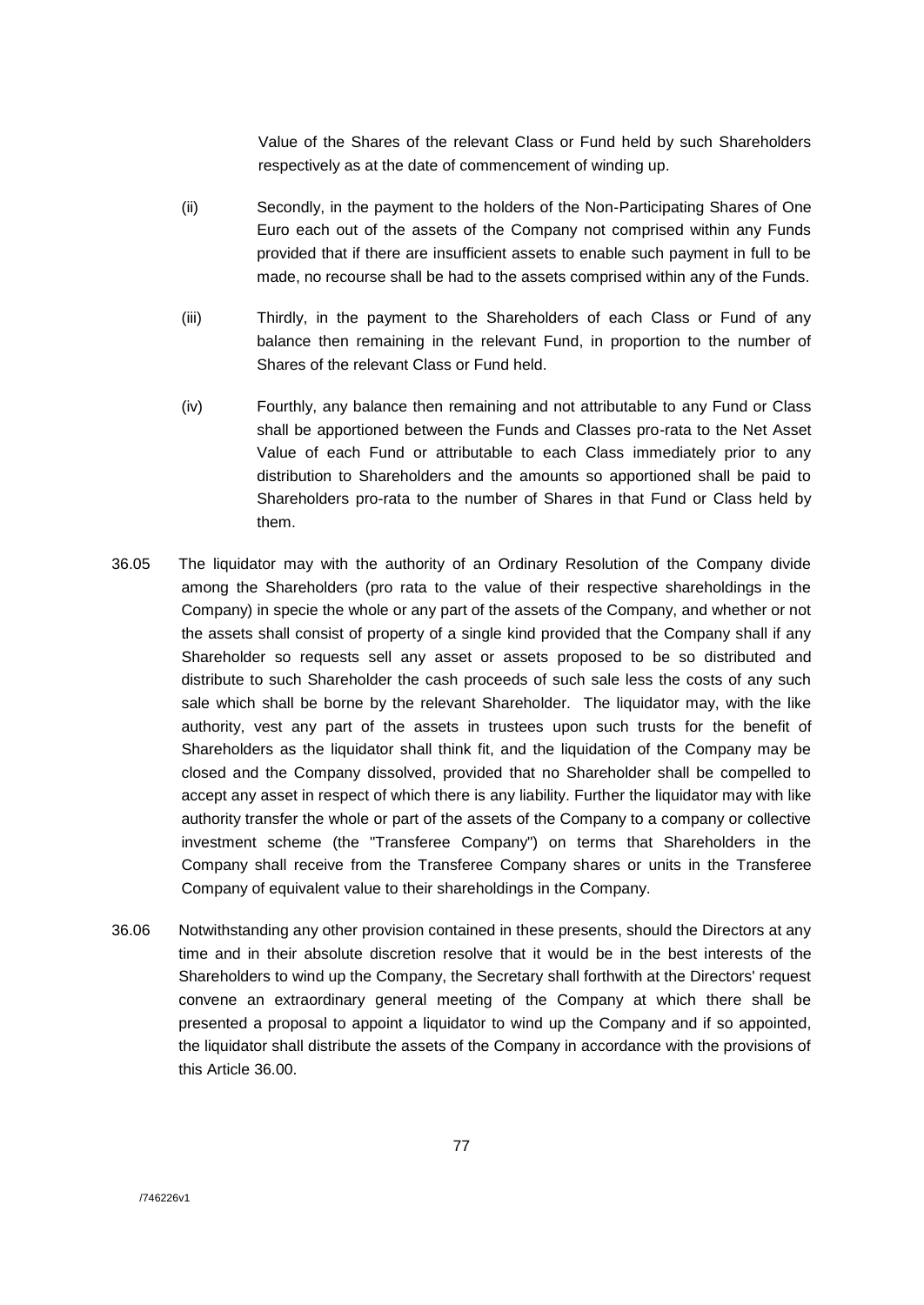Value of the Shares of the relevant Class or Fund held by such Shareholders respectively as at the date of commencement of winding up.

- (ii) Secondly, in the payment to the holders of the Non-Participating Shares of One Euro each out of the assets of the Company not comprised within any Funds provided that if there are insufficient assets to enable such payment in full to be made, no recourse shall be had to the assets comprised within any of the Funds.
- (iii) Thirdly, in the payment to the Shareholders of each Class or Fund of any balance then remaining in the relevant Fund, in proportion to the number of Shares of the relevant Class or Fund held.
- (iv) Fourthly, any balance then remaining and not attributable to any Fund or Class shall be apportioned between the Funds and Classes pro-rata to the Net Asset Value of each Fund or attributable to each Class immediately prior to any distribution to Shareholders and the amounts so apportioned shall be paid to Shareholders pro-rata to the number of Shares in that Fund or Class held by them.
- 36.05 The liquidator may with the authority of an Ordinary Resolution of the Company divide among the Shareholders (pro rata to the value of their respective shareholdings in the Company) in specie the whole or any part of the assets of the Company, and whether or not the assets shall consist of property of a single kind provided that the Company shall if any Shareholder so requests sell any asset or assets proposed to be so distributed and distribute to such Shareholder the cash proceeds of such sale less the costs of any such sale which shall be borne by the relevant Shareholder. The liquidator may, with the like authority, vest any part of the assets in trustees upon such trusts for the benefit of Shareholders as the liquidator shall think fit, and the liquidation of the Company may be closed and the Company dissolved, provided that no Shareholder shall be compelled to accept any asset in respect of which there is any liability. Further the liquidator may with like authority transfer the whole or part of the assets of the Company to a company or collective investment scheme (the "Transferee Company") on terms that Shareholders in the Company shall receive from the Transferee Company shares or units in the Transferee Company of equivalent value to their shareholdings in the Company.
- 36.06 Notwithstanding any other provision contained in these presents, should the Directors at any time and in their absolute discretion resolve that it would be in the best interests of the Shareholders to wind up the Company, the Secretary shall forthwith at the Directors' request convene an extraordinary general meeting of the Company at which there shall be presented a proposal to appoint a liquidator to wind up the Company and if so appointed, the liquidator shall distribute the assets of the Company in accordance with the provisions of this Article 36.00.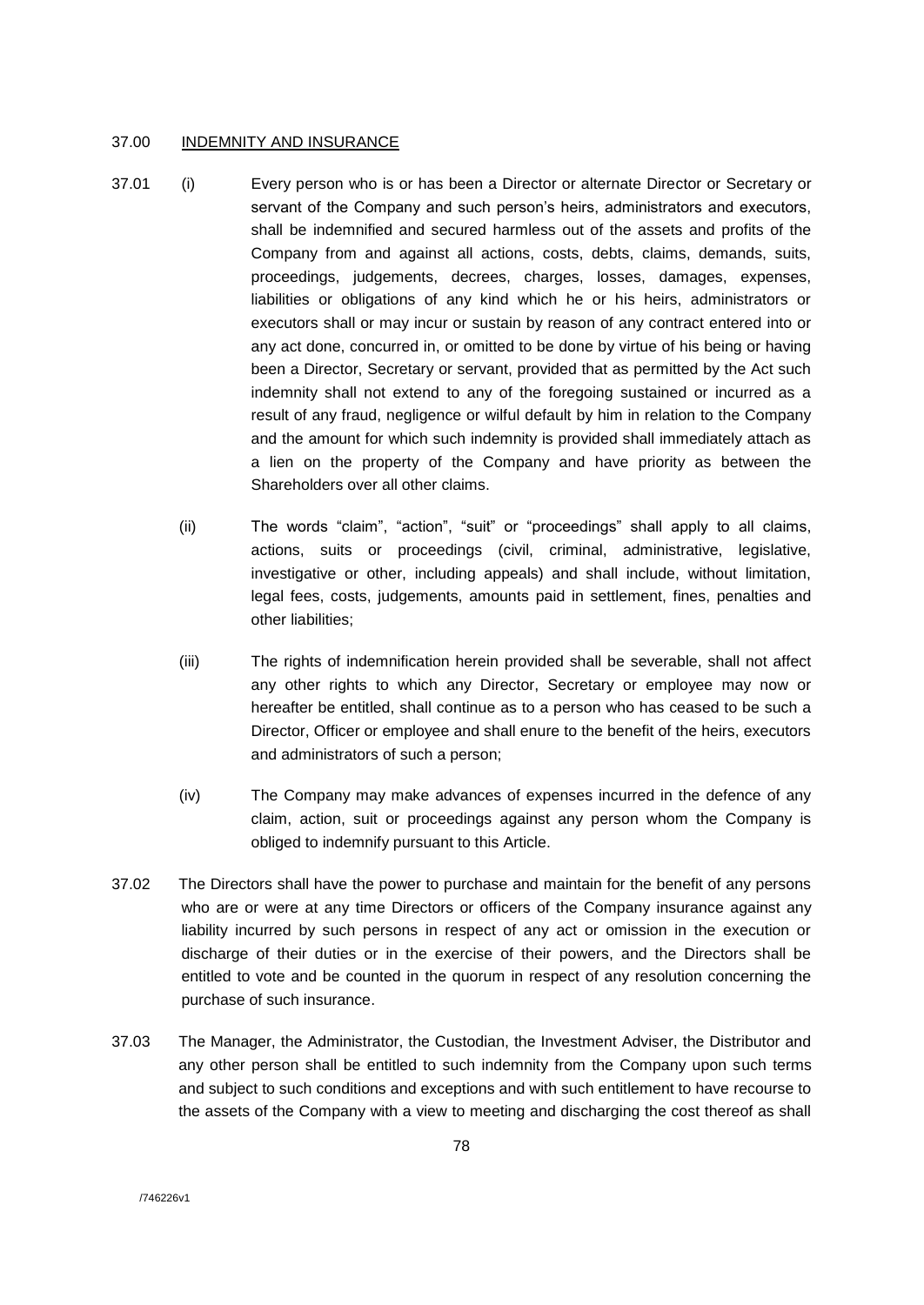#### 37.00 INDEMNITY AND INSURANCE

- 37.01 (i) Every person who is or has been a Director or alternate Director or Secretary or servant of the Company and such person's heirs, administrators and executors, shall be indemnified and secured harmless out of the assets and profits of the Company from and against all actions, costs, debts, claims, demands, suits, proceedings, judgements, decrees, charges, losses, damages, expenses, liabilities or obligations of any kind which he or his heirs, administrators or executors shall or may incur or sustain by reason of any contract entered into or any act done, concurred in, or omitted to be done by virtue of his being or having been a Director, Secretary or servant, provided that as permitted by the Act such indemnity shall not extend to any of the foregoing sustained or incurred as a result of any fraud, negligence or wilful default by him in relation to the Company and the amount for which such indemnity is provided shall immediately attach as a lien on the property of the Company and have priority as between the Shareholders over all other claims.
	- (ii) The words "claim", "action", "suit" or "proceedings" shall apply to all claims, actions, suits or proceedings (civil, criminal, administrative, legislative, investigative or other, including appeals) and shall include, without limitation, legal fees, costs, judgements, amounts paid in settlement, fines, penalties and other liabilities;
	- (iii) The rights of indemnification herein provided shall be severable, shall not affect any other rights to which any Director, Secretary or employee may now or hereafter be entitled, shall continue as to a person who has ceased to be such a Director, Officer or employee and shall enure to the benefit of the heirs, executors and administrators of such a person;
	- (iv) The Company may make advances of expenses incurred in the defence of any claim, action, suit or proceedings against any person whom the Company is obliged to indemnify pursuant to this Article.
- 37.02 The Directors shall have the power to purchase and maintain for the benefit of any persons who are or were at any time Directors or officers of the Company insurance against any liability incurred by such persons in respect of any act or omission in the execution or discharge of their duties or in the exercise of their powers, and the Directors shall be entitled to vote and be counted in the quorum in respect of any resolution concerning the purchase of such insurance.
- 37.03 The Manager, the Administrator, the Custodian, the Investment Adviser, the Distributor and any other person shall be entitled to such indemnity from the Company upon such terms and subject to such conditions and exceptions and with such entitlement to have recourse to the assets of the Company with a view to meeting and discharging the cost thereof as shall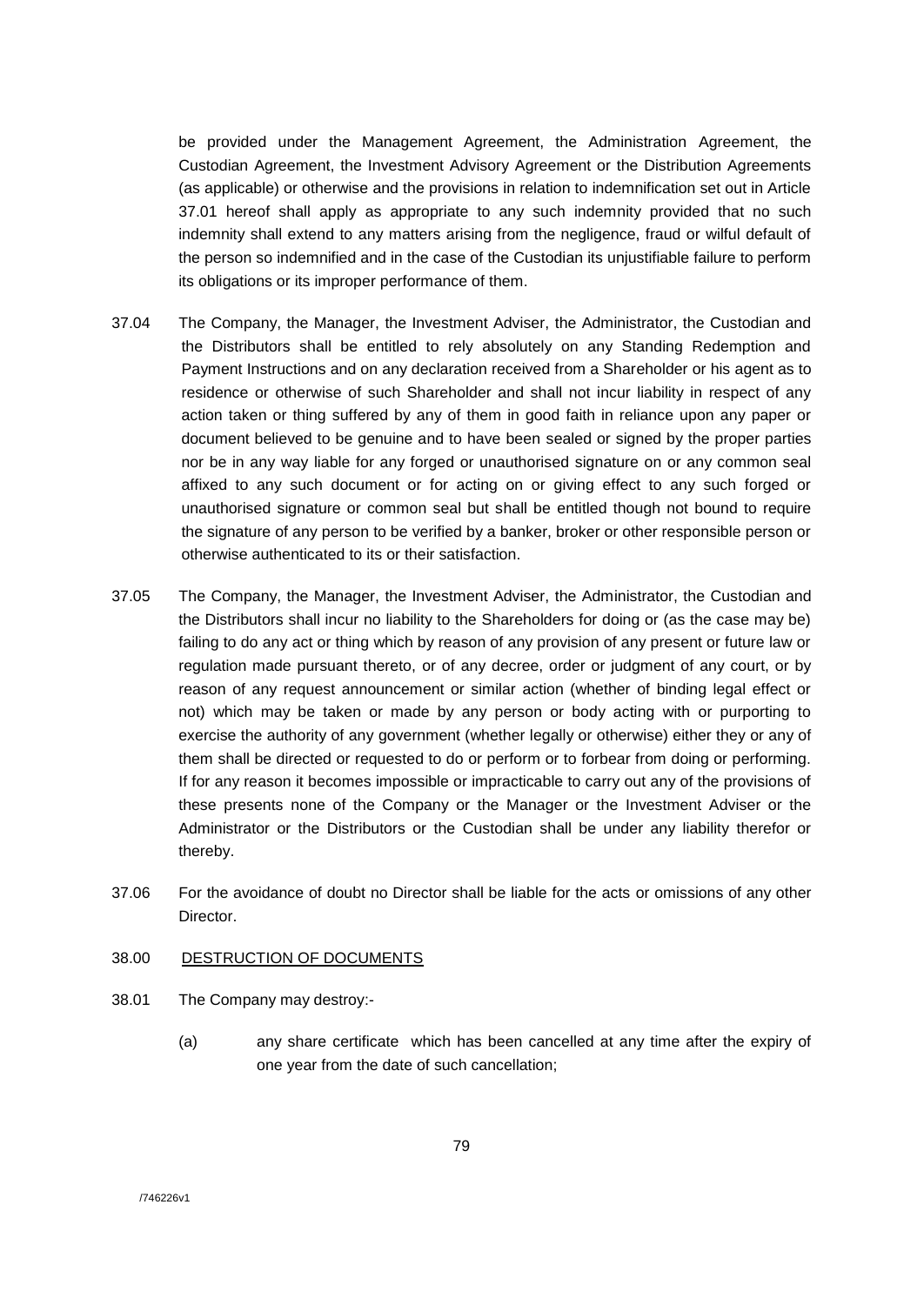be provided under the Management Agreement, the Administration Agreement, the Custodian Agreement, the Investment Advisory Agreement or the Distribution Agreements (as applicable) or otherwise and the provisions in relation to indemnification set out in Article 37.01 hereof shall apply as appropriate to any such indemnity provided that no such indemnity shall extend to any matters arising from the negligence, fraud or wilful default of the person so indemnified and in the case of the Custodian its unjustifiable failure to perform its obligations or its improper performance of them.

- 37.04 The Company, the Manager, the Investment Adviser, the Administrator, the Custodian and the Distributors shall be entitled to rely absolutely on any Standing Redemption and Payment Instructions and on any declaration received from a Shareholder or his agent as to residence or otherwise of such Shareholder and shall not incur liability in respect of any action taken or thing suffered by any of them in good faith in reliance upon any paper or document believed to be genuine and to have been sealed or signed by the proper parties nor be in any way liable for any forged or unauthorised signature on or any common seal affixed to any such document or for acting on or giving effect to any such forged or unauthorised signature or common seal but shall be entitled though not bound to require the signature of any person to be verified by a banker, broker or other responsible person or otherwise authenticated to its or their satisfaction.
- 37.05 The Company, the Manager, the Investment Adviser, the Administrator, the Custodian and the Distributors shall incur no liability to the Shareholders for doing or (as the case may be) failing to do any act or thing which by reason of any provision of any present or future law or regulation made pursuant thereto, or of any decree, order or judgment of any court, or by reason of any request announcement or similar action (whether of binding legal effect or not) which may be taken or made by any person or body acting with or purporting to exercise the authority of any government (whether legally or otherwise) either they or any of them shall be directed or requested to do or perform or to forbear from doing or performing. If for any reason it becomes impossible or impracticable to carry out any of the provisions of these presents none of the Company or the Manager or the Investment Adviser or the Administrator or the Distributors or the Custodian shall be under any liability therefor or thereby.
- 37.06 For the avoidance of doubt no Director shall be liable for the acts or omissions of any other Director.

# 38.00 DESTRUCTION OF DOCUMENTS

- 38.01 The Company may destroy:-
	- (a) any share certificate which has been cancelled at any time after the expiry of one year from the date of such cancellation;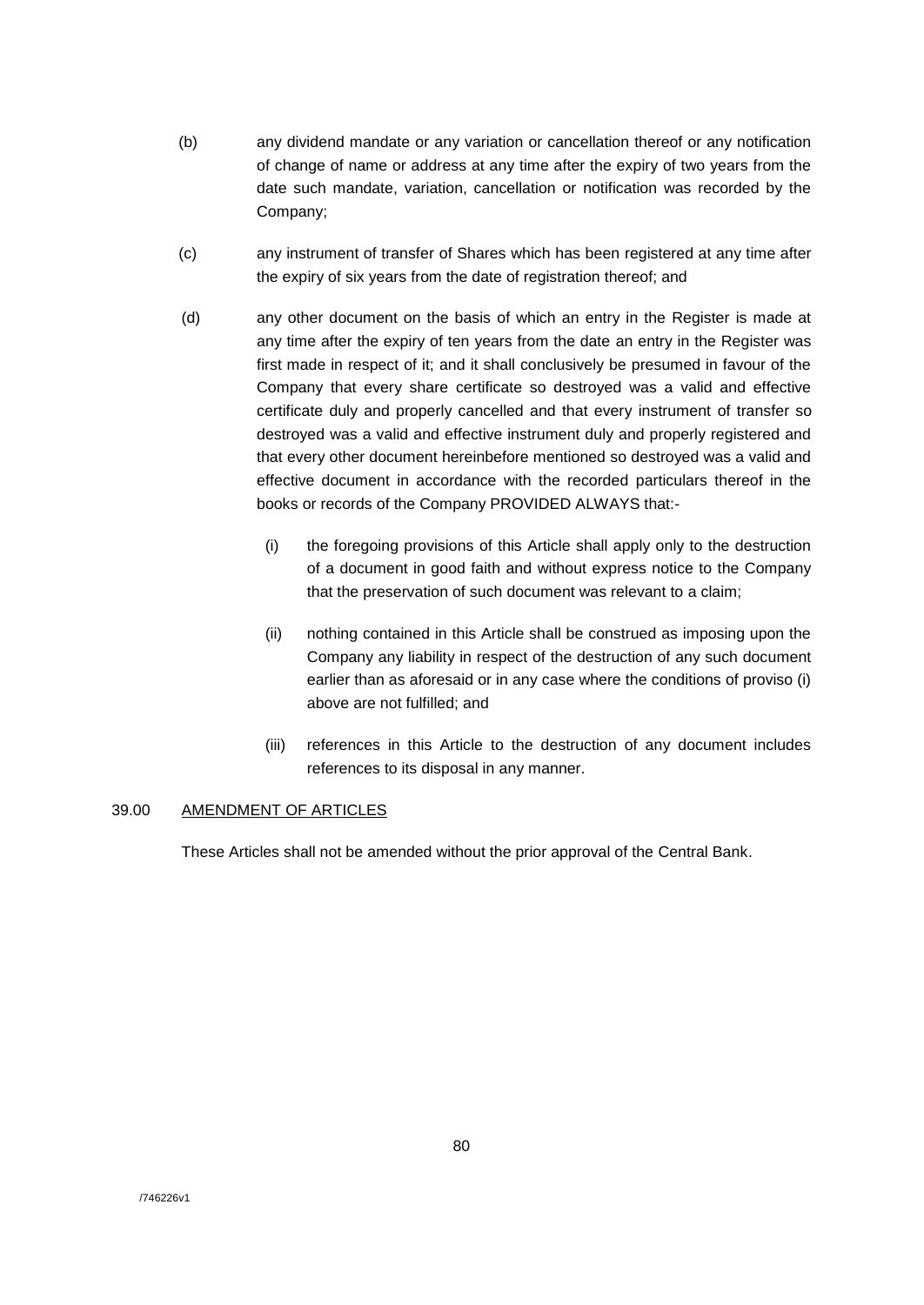- (b) any dividend mandate or any variation or cancellation thereof or any notification of change of name or address at any time after the expiry of two years from the date such mandate, variation, cancellation or notification was recorded by the Company;
- (c) any instrument of transfer of Shares which has been registered at any time after the expiry of six years from the date of registration thereof; and
- (d) any other document on the basis of which an entry in the Register is made at any time after the expiry of ten years from the date an entry in the Register was first made in respect of it; and it shall conclusively be presumed in favour of the Company that every share certificate so destroyed was a valid and effective certificate duly and properly cancelled and that every instrument of transfer so destroyed was a valid and effective instrument duly and properly registered and that every other document hereinbefore mentioned so destroyed was a valid and effective document in accordance with the recorded particulars thereof in the books or records of the Company PROVIDED ALWAYS that:-
	- (i) the foregoing provisions of this Article shall apply only to the destruction of a document in good faith and without express notice to the Company that the preservation of such document was relevant to a claim;
	- (ii) nothing contained in this Article shall be construed as imposing upon the Company any liability in respect of the destruction of any such document earlier than as aforesaid or in any case where the conditions of proviso (i) above are not fulfilled; and
	- (iii) references in this Article to the destruction of any document includes references to its disposal in any manner.

## 39.00 AMENDMENT OF ARTICLES

These Articles shall not be amended without the prior approval of the Central Bank.